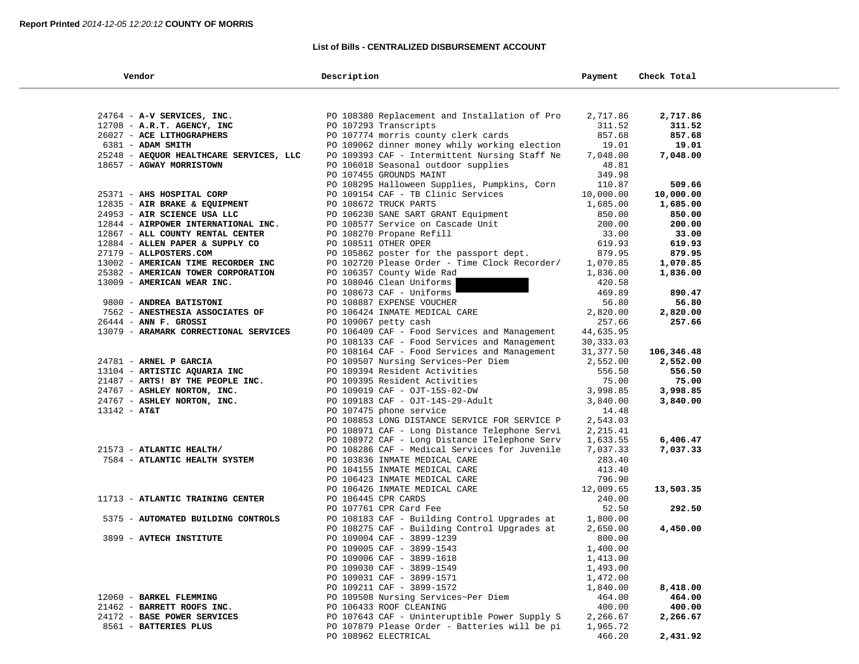### **List of Bills - CENTRALIZED DISBURSEMENT ACCOUNT**

| Vendor                                  | Description                                   | Payment    | Check Total |  |
|-----------------------------------------|-----------------------------------------------|------------|-------------|--|
|                                         |                                               |            |             |  |
| 24764 - A-V SERVICES, INC.              | PO 108380 Replacement and Installation of Pro | 2,717.86   | 2,717.86    |  |
| 12708 - A.R.T. AGENCY, INC              | PO 107293 Transcripts                         | 311.52     | 311.52      |  |
| 26027 - ACE LITHOGRAPHERS               |                                               | 857.68     | 857.68      |  |
|                                         | PO 107774 morris county clerk cards           |            |             |  |
| 6381 - ADAM SMITH                       | PO 109062 dinner money whily working election | 19.01      | 19.01       |  |
| 25248 - AEQUOR HEALTHCARE SERVICES, LLC | PO 109393 CAF - Intermittent Nursing Staff Ne | 7,048.00   | 7,048.00    |  |
| 18657 - AGWAY MORRISTOWN                | PO 106018 Seasonal outdoor supplies           | 48.81      |             |  |
|                                         | PO 107455 GROUNDS MAINT                       | 349.98     |             |  |
|                                         | PO 108295 Halloween Supplies, Pumpkins, Corn  | 110.87     | 509.66      |  |
| 25371 - AHS HOSPITAL CORP               | PO 109154 CAF - TB Clinic Services            | 10,000.00  | 10,000.00   |  |
| 12835 - AIR BRAKE & EQUIPMENT           | PO 108672 TRUCK PARTS                         | 1,685.00   | 1,685.00    |  |
| 24953 - AIR SCIENCE USA LLC             | PO 106230 SANE SART GRANT Equipment           | 850.00     | 850.00      |  |
| 12844 - AIRPOWER INTERNATIONAL INC.     | PO 108577 Service on Cascade Unit             | 200.00     | 200.00      |  |
| 12867 - ALL COUNTY RENTAL CENTER        | PO 108270 Propane Refill                      | 33.00      | 33.00       |  |
| 12884 - ALLEN PAPER & SUPPLY CO         | PO 108511 OTHER OPER                          | 619.93     | 619.93      |  |
| 27179 - ALLPOSTERS.COM                  | PO 105862 poster for the passport dept.       | 879.95     | 879.95      |  |
| 13002 - AMERICAN TIME RECORDER INC      | PO 102720 Please Order - Time Clock Recorder/ | 1,070.85   | 1,070.85    |  |
| 25382 - AMERICAN TOWER CORPORATION      | PO 106357 County Wide Rad                     | 1,836.00   | 1,836.00    |  |
| 13009 - AMERICAN WEAR INC.              | PO 108046 Clean Uniforms                      | 420.58     |             |  |
|                                         | PO 108673 CAF - Uniforms                      | 469.89     | 890.47      |  |
| 9800 - ANDREA BATISTONI                 | PO 108887 EXPENSE VOUCHER                     | 56.80      | 56.80       |  |
| 7562 - ANESTHESIA ASSOCIATES OF         | PO 106424 INMATE MEDICAL CARE                 | 2,820.00   | 2,820.00    |  |
| $26444$ - ANN F. GROSSI                 | PO 109067 petty cash                          | 257.66     | 257.66      |  |
| 13079 - ARAMARK CORRECTIONAL SERVICES   | PO 106409 CAF - Food Services and Management  | 44,635.95  |             |  |
|                                         | PO 108133 CAF - Food Services and Management  | 30,333.03  |             |  |
|                                         | PO 108164 CAF - Food Services and Management  | 31, 377.50 | 106,346.48  |  |
| 24781 - ARNEL P GARCIA                  | PO 109507 Nursing Services~Per Diem           | 2,552.00   | 2,552.00    |  |
| 13104 - ARTISTIC AQUARIA INC            | PO 109394 Resident Activities                 | 556.50     | 556.50      |  |
| 21487 - ARTS! BY THE PEOPLE INC.        | PO 109395 Resident Activities                 | 75.00      | 75.00       |  |
| 24767 - ASHLEY NORTON, INC.             | PO 109019 CAF - OJT-15S-02-DW                 | 3,998.85   | 3,998.85    |  |
| 24767 - ASHLEY NORTON, INC.             | PO 109183 CAF - OJT-14S-29-Adult              | 3,840.00   | 3,840.00    |  |
| $13142 - AT&T$                          | PO 107475 phone service                       | 14.48      |             |  |
|                                         | PO 108853 LONG DISTANCE SERVICE FOR SERVICE P | 2,543.03   |             |  |
|                                         | PO 108971 CAF - Long Distance Telephone Servi | 2,215.41   |             |  |
|                                         | PO 108972 CAF - Long Distance lTelephone Serv | 1,633.55   | 6,406.47    |  |
| 21573 - ATLANTIC HEALTH/                | PO 108286 CAF - Medical Services for Juvenile | 7,037.33   | 7,037.33    |  |
| 7584 - ATLANTIC HEALTH SYSTEM           | PO 103836 INMATE MEDICAL CARE                 | 283.40     |             |  |
|                                         | PO 104155 INMATE MEDICAL CARE                 | 413.40     |             |  |
|                                         | PO 106423 INMATE MEDICAL CARE                 | 796.90     |             |  |
|                                         | PO 106426 INMATE MEDICAL CARE                 | 12,009.65  | 13,503.35   |  |
| 11713 - ATLANTIC TRAINING CENTER        | PO 106445 CPR CARDS                           | 240.00     |             |  |
|                                         | PO 107761 CPR Card Fee                        | 52.50      | 292.50      |  |
| 5375 - AUTOMATED BUILDING CONTROLS      | PO 108183 CAF - Building Control Upgrades at  | 1,800.00   |             |  |
|                                         | PO 108275 CAF - Building Control Upgrades at  | 2,650.00   | 4,450.00    |  |
| 3899 - AVTECH INSTITUTE                 | PO 109004 CAF - 3899-1239                     | 800.00     |             |  |
|                                         | PO 109005 CAF - 3899-1543                     | 1,400.00   |             |  |
|                                         | PO 109006 CAF - 3899-1618                     | 1,413.00   |             |  |
|                                         | PO 109030 CAF - 3899-1549                     | 1,493.00   |             |  |
|                                         | PO 109031 CAF - 3899-1571                     | 1,472.00   |             |  |
|                                         | PO 109211 CAF - 3899-1572                     | 1,840.00   | 8,418.00    |  |
| 12060 - BARKEL FLEMMING                 | PO 109508 Nursing Services~Per Diem           | 464.00     | 464.00      |  |
| 21462 - BARRETT ROOFS INC.              | PO 106433 ROOF CLEANING                       | 400.00     | 400.00      |  |
| 24172 - BASE POWER SERVICES             | PO 107643 CAF - Uninteruptible Power Supply S | 2,266.67   | 2,266.67    |  |
| 8561 - BATTERIES PLUS                   | PO 107879 Please Order - Batteries will be pi | 1,965.72   |             |  |
|                                         | PO 108962 ELECTRICAL                          | 466.20     | 2,431.92    |  |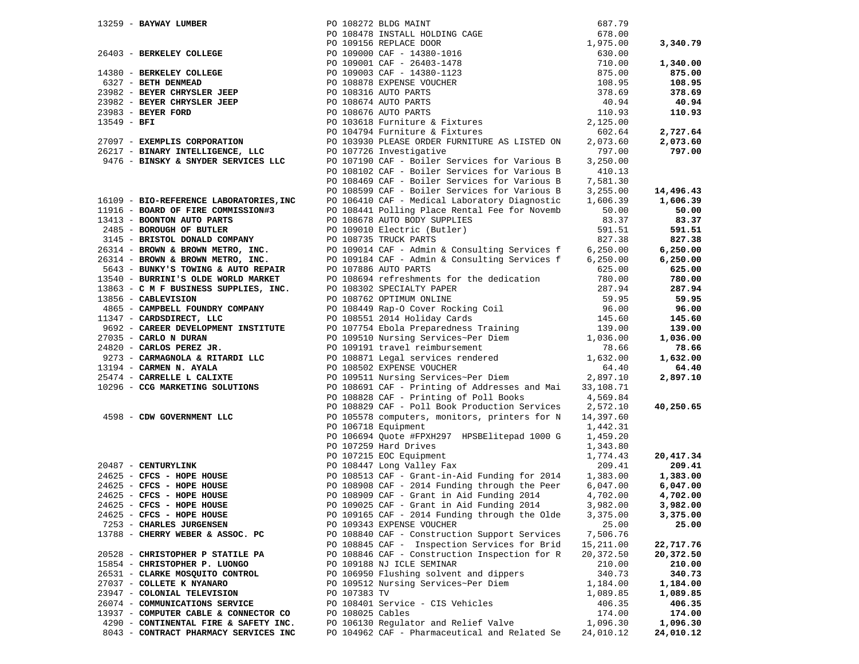|                                                                          |                  |                                                                                                                                                                                                                                                                                 | 687.79    |           |
|--------------------------------------------------------------------------|------------------|---------------------------------------------------------------------------------------------------------------------------------------------------------------------------------------------------------------------------------------------------------------------------------|-----------|-----------|
|                                                                          |                  |                                                                                                                                                                                                                                                                                 | 678.00    |           |
|                                                                          |                  |                                                                                                                                                                                                                                                                                 | 1,975.00  | 3,340.79  |
|                                                                          |                  |                                                                                                                                                                                                                                                                                 | 630.00    |           |
|                                                                          |                  |                                                                                                                                                                                                                                                                                 | 710.00    | 1,340.00  |
|                                                                          |                  |                                                                                                                                                                                                                                                                                 | 875.00    | 875.00    |
|                                                                          |                  |                                                                                                                                                                                                                                                                                 | 108.95    | 108.95    |
|                                                                          |                  |                                                                                                                                                                                                                                                                                 | 378.69    | 378.69    |
|                                                                          |                  |                                                                                                                                                                                                                                                                                 | 40.94     | 40.94     |
|                                                                          |                  |                                                                                                                                                                                                                                                                                 | 110.93    | 110.93    |
|                                                                          |                  |                                                                                                                                                                                                                                                                                 |           |           |
|                                                                          |                  |                                                                                                                                                                                                                                                                                 | 2,125.00  |           |
|                                                                          |                  | PO 104794 Furniture & Fixtures                                                                                                                                                                                                                                                  | 602.64    | 2,727.64  |
| 27097 - EXEMPLIS CORPORATION                                             |                  | PO 103930 PLEASE ORDER FURNITURE AS LISTED ON                                                                                                                                                                                                                                   | 2,073.60  | 2,073.60  |
| 26217 - BINARY INTELLIGENCE, LLC                                         |                  | PO 107726 Investigative                                                                                                                                                                                                                                                         | 797.00    | 797.00    |
| 9476 - BINSKY & SNYDER SERVICES LLC                                      |                  | PO 107190 CAF - Boiler Services for Various B                                                                                                                                                                                                                                   | 3,250.00  |           |
|                                                                          |                  | PO 108102 CAF - Boiler Services for Various B                                                                                                                                                                                                                                   | 410.13    |           |
|                                                                          |                  | PO 108469 CAF - Boiler Services for Various B                                                                                                                                                                                                                                   | 7,581.30  |           |
|                                                                          |                  | PO 108599 CAF - Boiler Services for Various B                                                                                                                                                                                                                                   | 3,255.00  | 14,496.43 |
| 16109 - BIO-REFERENCE LABORATORIES, INC                                  |                  | PO 106410 CAF - Medical Laboratory Diagnostic                                                                                                                                                                                                                                   | 1,606.39  | 1,606.39  |
| 11916 - BOARD OF FIRE COMMISSION#3                                       |                  | PO 108441 Polling Place Rental Fee for Novemb                                                                                                                                                                                                                                   | 50.00     | 50.00     |
|                                                                          |                  | 13413 - BOONTON AUTO PARTS<br>2485 - BOROUGH OF BUTLER<br>3145 - BRISTOL DONALD COMPANY<br>26314 - BROWN & BROWN METRO, INC.<br>26314 - BROWN & BROWN METRO, INC.<br>2634 - BROWN & BROWN METRO, INC.<br>2634 - BROWN & BROWN METRO, INC.<br>                                   | 83.37     | 83.37     |
|                                                                          |                  |                                                                                                                                                                                                                                                                                 | 591.51    | 591.51    |
|                                                                          |                  |                                                                                                                                                                                                                                                                                 | 827.38    | 827.38    |
|                                                                          |                  |                                                                                                                                                                                                                                                                                 | 6, 250.00 | 6,250.00  |
|                                                                          |                  |                                                                                                                                                                                                                                                                                 |           |           |
|                                                                          |                  |                                                                                                                                                                                                                                                                                 | 6, 250.00 | 6,250.00  |
|                                                                          |                  | 5643 - BUNKY'S TOWING & AUTO REPAIR PO 107886 AUTO PARTS<br>13540 - BURRINI'S OLDE WORLD MARKET PO 108694 refreshments for the dedication                                                                                                                                       | 625.00    | 625.00    |
|                                                                          |                  |                                                                                                                                                                                                                                                                                 | 780.00    | 780.00    |
| 13863 - $\text{C}$ M F BUSINESS SUPPLIES, INC. PO 108302 SPECIALTY PAPER |                  |                                                                                                                                                                                                                                                                                 | 287.94    | 287.94    |
| 13856 - CABLEVISION                                                      |                  | PO 108762 OPTIMUM ONLINE                                                                                                                                                                                                                                                        | 59.95     | 59.95     |
|                                                                          |                  |                                                                                                                                                                                                                                                                                 |           | 96.00     |
| 11347 - CARDSDIRECT, LLC                                                 |                  |                                                                                                                                                                                                                                                                                 |           | 145.60    |
|                                                                          |                  |                                                                                                                                                                                                                                                                                 |           | 139.00    |
| 27035 - CARLO N DURAN                                                    |                  |                                                                                                                                                                                                                                                                                 |           | 1,036.00  |
| 24820 - CARLOS PEREZ JR.                                                 |                  |                                                                                                                                                                                                                                                                                 |           | 78.66     |
|                                                                          |                  | 485 - <b>CARPENT FOUNDRY COMPANY</b><br>485 - <b>CARPENT FOUNDRY COMPANY</b><br>485 - <b>CARPENT EXECUT, LLC</b><br>485 - <b>CARPENT EXECUT AND ANY</b><br>485 - <b>CARPENT EXECUT ANTIFICATIVE</b><br>4820 - <b>CARLOS PEREZ JR.</b><br>4820 - <b>CARLOS PEREZ JR.</b><br>4820 |           | 1,632.00  |
| 13194 - CARMEN N. AYALA                                                  |                  |                                                                                                                                                                                                                                                                                 |           | 64.40     |
| 25474 - CARRELLE L CALIXTE                                               |                  |                                                                                                                                                                                                                                                                                 |           | 2,897.10  |
| 10296 - CCG MARKETING SOLUTIONS                                          |                  | PO 108691 CAF - Printing of Addresses and Mai                                                                                                                                                                                                                                   | 33,108.71 |           |
|                                                                          |                  | PO 108828 CAF - Printing of Poll Books                                                                                                                                                                                                                                          | 4,569.84  |           |
|                                                                          |                  | PO 108829 CAF - Poll Book Production Services 2,572.10                                                                                                                                                                                                                          |           | 40,250.65 |
|                                                                          |                  |                                                                                                                                                                                                                                                                                 |           |           |
| 4598 - CDW GOVERNMENT LLC                                                |                  | PO 105578 computers, monitors, printers for N                                                                                                                                                                                                                                   | 14,397.60 |           |
|                                                                          |                  | PO 106718 Equipment                                                                                                                                                                                                                                                             | 1,442.31  |           |
|                                                                          |                  | PO 106694 Quote #FPXH297 HPSBElitepad 1000 G                                                                                                                                                                                                                                    | 1,459.20  |           |
|                                                                          |                  | PO 107259 Hard Drives                                                                                                                                                                                                                                                           | 1,343.80  |           |
|                                                                          |                  | 20487 - CENTURYLINK<br>20487 - CENTURYLINK<br>24625 - CFCS - HOPE HOUSE<br>24625 - CFCS - HOPE HOUSE<br>24625 - CFCS - HOPE HOUSE<br>24625 - CFCS - HOPE HOUSE<br>24625 - CFCS - HOPE HOUSE<br>24625 - CFCS - HOPE HOUSE<br>24625 - CFCS - HO                                   | 1,774.43  | 20,417.34 |
|                                                                          |                  |                                                                                                                                                                                                                                                                                 | 209.41    | 209.41    |
|                                                                          |                  |                                                                                                                                                                                                                                                                                 | 1,383.00  | 1,383.00  |
|                                                                          |                  |                                                                                                                                                                                                                                                                                 | 6,047.00  | 6,047.00  |
|                                                                          |                  |                                                                                                                                                                                                                                                                                 | 4,702.00  | 4,702.00  |
| 24625 - CFCS - HOPE HOUSE                                                |                  | PO 109025 CAF - Grant in Aid Funding 2014                                                                                                                                                                                                                                       | 3,982.00  | 3,982.00  |
| 24625 - CFCS - HOPE HOUSE                                                |                  | PO 109165 CAF - 2014 Funding through the Olde                                                                                                                                                                                                                                   | 3,375.00  | 3,375.00  |
| 7253 - CHARLES JURGENSEN                                                 |                  | PO 109343 EXPENSE VOUCHER                                                                                                                                                                                                                                                       | 25.00     | 25.00     |
| 13788 - CHERRY WEBER & ASSOC. PC                                         |                  | PO 108840 CAF - Construction Support Services                                                                                                                                                                                                                                   | 7,506.76  |           |
|                                                                          |                  | PO 108845 CAF - Inspection Services for Brid                                                                                                                                                                                                                                    | 15,211.00 | 22,717.76 |
| 20528 - CHRISTOPHER P STATILE PA                                         |                  | PO 108846 CAF - Construction Inspection for R                                                                                                                                                                                                                                   | 20,372.50 | 20,372.50 |
| 15854 - CHRISTOPHER P. LUONGO                                            |                  | PO 109188 NJ ICLE SEMINAR                                                                                                                                                                                                                                                       | 210.00    | 210.00    |
| 26531 - CLARKE MOSQUITO CONTROL                                          |                  | PO 106950 Flushing solvent and dippers                                                                                                                                                                                                                                          | 340.73    | 340.73    |
| 27037 - COLLETE K NYANARO                                                |                  |                                                                                                                                                                                                                                                                                 |           |           |
|                                                                          |                  | PO 109512 Nursing Services~Per Diem                                                                                                                                                                                                                                             | 1,184.00  | 1,184.00  |
| 23947 - COLONIAL TELEVISION                                              | PO 107383 TV     |                                                                                                                                                                                                                                                                                 | 1,089.85  | 1,089.85  |
| 26074 - COMMUNICATIONS SERVICE                                           |                  | PO 108401 Service - CIS Vehicles                                                                                                                                                                                                                                                | 406.35    | 406.35    |
| 13937 - COMPUTER CABLE & CONNECTOR CO                                    | PO 108025 Cables |                                                                                                                                                                                                                                                                                 | 174.00    | 174.00    |
| 4290 - CONTINENTAL FIRE & SAFETY INC.                                    |                  | PO 106130 Regulator and Relief Valve                                                                                                                                                                                                                                            | 1,096.30  | 1,096.30  |
| 8043 - CONTRACT PHARMACY SERVICES INC                                    |                  | PO 104962 CAF - Pharmaceutical and Related Se                                                                                                                                                                                                                                   | 24,010.12 | 24,010.12 |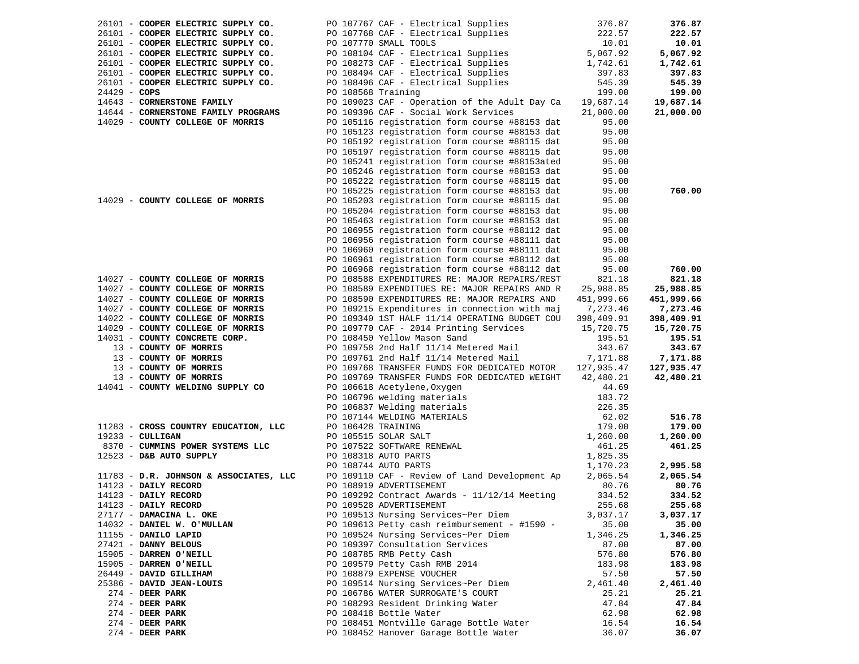|                | 26101 - COOPER ELECTRIC SUPPLY CO.     |                    | PO 107767 CAF - Electrical Supplies                                              | 376.87         | 376.87         |
|----------------|----------------------------------------|--------------------|----------------------------------------------------------------------------------|----------------|----------------|
|                | 26101 - COOPER ELECTRIC SUPPLY CO.     |                    | PO 107768 CAF - Electrical Supplies                                              | 222.57         | 222.57         |
|                | 26101 - COOPER ELECTRIC SUPPLY CO.     |                    | PO 107770 SMALL TOOLS                                                            | 10.01          | 10.01          |
|                | 26101 - COOPER ELECTRIC SUPPLY CO.     |                    | PO 108104 CAF - Electrical Supplies                                              | 5,067.92       | 5,067.92       |
|                | 26101 - COOPER ELECTRIC SUPPLY CO.     |                    | PO 108273 CAF - Electrical Supplies                                              | 1,742.61       | 1,742.61       |
|                | 26101 - COOPER ELECTRIC SUPPLY CO.     |                    | PO 108494 CAF - Electrical Supplies                                              | 397.83         | 397.83         |
|                | 26101 - COOPER ELECTRIC SUPPLY CO.     |                    | PO 108496 CAF - Electrical Supplies                                              | 545.39         | 545.39         |
| $24429 - COPS$ |                                        | PO 108568 Training |                                                                                  | 199.00         | 199.00         |
|                | 14643 - CORNERSTONE FAMILY             |                    | PO 109023 CAF - Operation of the Adult Day Ca                                    | 19,687.14      | 19,687.14      |
|                | 14644 - CORNERSTONE FAMILY PROGRAMS    |                    | PO 109396 CAF - Social Work Services                                             | 21,000.00      | 21,000.00      |
|                | 14029 - COUNTY COLLEGE OF MORRIS       |                    | PO 105116 registration form course #88153 dat                                    | 95.00          |                |
|                |                                        |                    | PO 105123 registration form course #88153 dat                                    | 95.00          |                |
|                |                                        |                    | PO 105192 registration form course #88115 dat                                    | 95.00          |                |
|                |                                        |                    | PO 105197 registration form course #88115 dat                                    | 95.00          |                |
|                |                                        |                    | PO 105241 registration form course #88153ated                                    | 95.00          |                |
|                |                                        |                    |                                                                                  |                |                |
|                |                                        |                    | PO 105246 registration form course #88153 dat                                    | 95.00          |                |
|                |                                        |                    | PO 105222 registration form course #88115 dat                                    | 95.00          |                |
|                |                                        |                    | PO 105225 registration form course #88153 dat                                    | 95.00          | 760.00         |
|                | 14029 - COUNTY COLLEGE OF MORRIS       |                    | PO 105203 registration form course #88115 dat                                    | 95.00          |                |
|                |                                        |                    | PO 105204 registration form course #88153 dat                                    | 95.00          |                |
|                |                                        |                    | PO 105463 registration form course #88153 dat                                    | 95.00          |                |
|                |                                        |                    | PO 106955 registration form course #88112 dat                                    | 95.00          |                |
|                |                                        |                    | PO 106956 registration form course #88111 dat                                    | 95.00          |                |
|                |                                        |                    | PO 106960 registration form course #88111 dat                                    | 95.00          |                |
|                |                                        |                    | PO 106961 registration form course #88112 dat                                    | 95.00          |                |
|                |                                        |                    | PO 106968 registration form course #88112 dat                                    | 95.00          | 760.00         |
|                | 14027 - COUNTY COLLEGE OF MORRIS       |                    | PO 108588 EXPENDITURES RE: MAJOR REPAIRS/REST                                    | 821.18         | 821.18         |
|                | 14027 - COUNTY COLLEGE OF MORRIS       |                    | PO 108589 EXPENDITUES RE: MAJOR REPAIRS AND R                                    | 25,988.85      | 25,988.85      |
|                | 14027 - COUNTY COLLEGE OF MORRIS       |                    | PO 108590 EXPENDITURES RE: MAJOR REPAIRS AND                                     | 451,999.66     | 451,999.66     |
|                | 14027 - COUNTY COLLEGE OF MORRIS       |                    | PO 109215 Expenditures in connection with maj                                    | 7,273.46       | 7,273.46       |
|                | 14022 - COUNTY COLLEGE OF MORRIS       |                    | PO 109340 1ST HALF 11/14 OPERATING BUDGET COU                                    | 398,409.91     | 398,409.91     |
|                | 14029 - COUNTY COLLEGE OF MORRIS       |                    | PO 109770 CAF - 2014 Printing Services                                           | 15,720.75      | 15,720.75      |
|                | 14031 - COUNTY CONCRETE CORP.          |                    | PO 108450 Yellow Mason Sand                                                      | 195.51         | 195.51         |
|                | 13 - COUNTY OF MORRIS                  |                    | PO 109758 2nd Half 11/14 Metered Mail                                            | 343.67         | 343.67         |
|                | 13 - COUNTY OF MORRIS                  |                    | PO 109761 2nd Half 11/14 Metered Mail                                            | 7,171.88       | 7,171.88       |
|                | 13 - COUNTY OF MORRIS                  |                    | PO 109768 TRANSFER FUNDS FOR DEDICATED MOTOR                                     | 127,935.47     | 127,935.47     |
|                | 13 - COUNTY OF MORRIS                  |                    | PO 109769 TRANSFER FUNDS FOR DEDICATED WEIGHT                                    | 42,480.21      | 42,480.21      |
|                | 14041 - COUNTY WELDING SUPPLY CO       |                    | PO 106618 Acetylene, Oxygen                                                      | 44.69          |                |
|                |                                        |                    | PO 106796 welding materials                                                      | 183.72         |                |
|                |                                        |                    | PO 106837 Welding materials                                                      | 226.35         |                |
|                |                                        |                    | PO 107144 WELDING MATERIALS                                                      | 62.02          | 516.78         |
|                | 11283 - CROSS COUNTRY EDUCATION, LLC   | PO 106428 TRAINING |                                                                                  | 179.00         | 179.00         |
|                | $19233 - \text{CULLIGAN}$              |                    | PO 105515 SOLAR SALT                                                             | 1,260.00       | 1,260.00       |
|                | 8370 - CUMMINS POWER SYSTEMS LLC       |                    | PO 107522 SOFTWARE RENEWAL                                                       | 461.25         | 461.25         |
|                | 12523 - D&B AUTO SUPPLY                |                    | PO 108318 AUTO PARTS                                                             | 1,825.35       |                |
|                |                                        |                    | PO 108744 AUTO PARTS                                                             | 1,170.23       | 2,995.58       |
|                | 11783 - D.R. JOHNSON & ASSOCIATES, LLC |                    | PO 109110 CAF - Review of Land Development Ap                                    | 2,065.54       | 2,065.54       |
|                | 14123 - DAILY RECORD                   |                    | PO 108919 ADVERTISEMENT                                                          | 80.76          | 80.76          |
|                | 14123 - DAILY RECORD                   |                    | PO 109292 Contract Awards - $11/12/14$ Meeting                                   | 334.52         | 334.52         |
|                | 14123 - DAILY RECORD                   |                    | PO 109528 ADVERTISEMENT                                                          | 255.68         | 255.68         |
|                | 27177 - DAMACINA L. OKE                |                    | PO 109513 Nursing Services~Per Diem                                              | 3,037.17       | 3,037.17       |
|                | 14032 - DANIEL W. O'MULLAN             |                    | PO 109613 Petty cash reimbursement - #1590 -                                     | 35.00          | 35.00          |
|                | 11155 - DANILO LAPID                   |                    | PO 109524 Nursing Services~Per Diem                                              | 1,346.25       | 1,346.25       |
|                | 27421 - DANNY BELOUS                   |                    | PO 109397 Consultation Services                                                  | 87.00          | 87.00          |
|                | 15905 - DARREN O'NEILL                 |                    | PO 108785 RMB Petty Cash                                                         | 576.80         | 576.80         |
|                | 15905 - DARREN O'NEILL                 |                    | PO 109579 Petty Cash RMB 2014                                                    | 183.98         | 183.98         |
|                | 26449 - DAVID GILLIHAM                 |                    | PO 108879 EXPENSE VOUCHER                                                        | 57.50          | 57.50          |
|                | 25386 - DAVID JEAN-LOUIS               |                    | PO 109514 Nursing Services~Per Diem                                              |                |                |
|                | $274$ - DEER PARK                      |                    | PO 106786 WATER SURROGATE'S COURT                                                | 2,461.40       | 2,461.40       |
|                |                                        |                    |                                                                                  | 25.21          | 25.21          |
|                | $274$ - DEER PARK<br>$274$ - DEER PARK |                    | PO 108293 Resident Drinking Water                                                | 47.84<br>62.98 | 47.84          |
|                |                                        |                    | PO 108418 Bottle Water                                                           |                | 62.98          |
|                |                                        |                    |                                                                                  |                |                |
|                | $274$ - DEER PARK<br>$274$ - DEER PARK |                    | PO 108451 Montville Garage Bottle Water<br>PO 108452 Hanover Garage Bottle Water | 16.54<br>36.07 | 16.54<br>36.07 |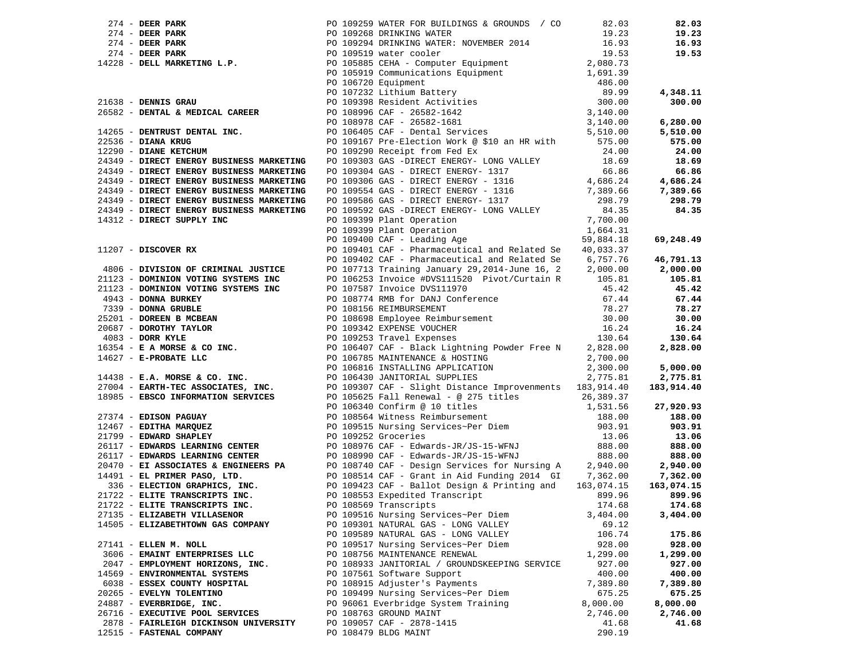|                                       | 274 - DEER PARK<br>274 - DEER PARK<br>274 - DEER PARK<br>274 - DEER PARK<br>274 - DEER PARK<br>274 - DEER PARK<br>274 - DEER PARK<br>274 - DEER PARK<br>274 - DEER PARK<br>274 - DEER PARK<br>274 - DEER PARK<br>274 - DEER PARK<br>274 - DEER PARK<br>             |          |          |
|---------------------------------------|---------------------------------------------------------------------------------------------------------------------------------------------------------------------------------------------------------------------------------------------------------------------|----------|----------|
|                                       |                                                                                                                                                                                                                                                                     |          |          |
|                                       |                                                                                                                                                                                                                                                                     |          |          |
|                                       |                                                                                                                                                                                                                                                                     |          |          |
|                                       |                                                                                                                                                                                                                                                                     |          |          |
|                                       |                                                                                                                                                                                                                                                                     |          |          |
|                                       |                                                                                                                                                                                                                                                                     |          |          |
|                                       |                                                                                                                                                                                                                                                                     |          |          |
|                                       |                                                                                                                                                                                                                                                                     |          |          |
|                                       |                                                                                                                                                                                                                                                                     |          |          |
|                                       |                                                                                                                                                                                                                                                                     |          |          |
|                                       |                                                                                                                                                                                                                                                                     |          |          |
|                                       |                                                                                                                                                                                                                                                                     |          |          |
|                                       |                                                                                                                                                                                                                                                                     |          |          |
|                                       |                                                                                                                                                                                                                                                                     |          |          |
|                                       |                                                                                                                                                                                                                                                                     |          |          |
|                                       |                                                                                                                                                                                                                                                                     |          |          |
|                                       |                                                                                                                                                                                                                                                                     |          |          |
|                                       |                                                                                                                                                                                                                                                                     |          |          |
|                                       |                                                                                                                                                                                                                                                                     |          |          |
|                                       |                                                                                                                                                                                                                                                                     |          |          |
|                                       |                                                                                                                                                                                                                                                                     |          |          |
|                                       |                                                                                                                                                                                                                                                                     |          |          |
|                                       |                                                                                                                                                                                                                                                                     |          |          |
|                                       |                                                                                                                                                                                                                                                                     |          |          |
|                                       |                                                                                                                                                                                                                                                                     |          |          |
|                                       |                                                                                                                                                                                                                                                                     |          |          |
|                                       |                                                                                                                                                                                                                                                                     |          |          |
|                                       |                                                                                                                                                                                                                                                                     |          |          |
|                                       |                                                                                                                                                                                                                                                                     |          |          |
|                                       |                                                                                                                                                                                                                                                                     |          |          |
|                                       |                                                                                                                                                                                                                                                                     |          |          |
|                                       |                                                                                                                                                                                                                                                                     |          |          |
|                                       |                                                                                                                                                                                                                                                                     |          |          |
|                                       |                                                                                                                                                                                                                                                                     |          |          |
|                                       |                                                                                                                                                                                                                                                                     |          |          |
|                                       | 24449 <b>DIRECT ENERGY BUDINESS ADARETING</b> POIDSPS OR DETROIT ENERGY 1107<br>24449 <b>DIRECT ENERGY BUDINESS ADARETING</b> POIDSPS OR DETROIT ENERGY 1007 VALLET 2008<br>24122 <b>DIRECT SURGEY INC.</b><br>2412 <b>DIRECT SURGEY INC.</b><br>2412 <b>DIRECT</b> |          |          |
|                                       |                                                                                                                                                                                                                                                                     |          |          |
|                                       |                                                                                                                                                                                                                                                                     |          |          |
|                                       |                                                                                                                                                                                                                                                                     |          |          |
|                                       |                                                                                                                                                                                                                                                                     |          |          |
|                                       |                                                                                                                                                                                                                                                                     |          |          |
|                                       |                                                                                                                                                                                                                                                                     |          |          |
|                                       |                                                                                                                                                                                                                                                                     |          |          |
|                                       |                                                                                                                                                                                                                                                                     |          |          |
|                                       |                                                                                                                                                                                                                                                                     |          |          |
|                                       |                                                                                                                                                                                                                                                                     |          |          |
|                                       |                                                                                                                                                                                                                                                                     |          |          |
|                                       |                                                                                                                                                                                                                                                                     |          |          |
|                                       |                                                                                                                                                                                                                                                                     |          |          |
| 27135 - ELIZABETH VILLASENOR          | PO 109516 Nursing Services~Per Diem                                                                                                                                                                                                                                 | 3,404.00 | 3,404.00 |
| 14505 - ELIZABETHTOWN GAS COMPANY     | PO 109301 NATURAL GAS - LONG VALLEY                                                                                                                                                                                                                                 | 69.12    |          |
|                                       | PO 109589 NATURAL GAS - LONG VALLEY                                                                                                                                                                                                                                 | 106.74   | 175.86   |
| 27141 - ELLEN M. NOLL                 | PO 109517 Nursing Services~Per Diem                                                                                                                                                                                                                                 | 928.00   | 928.00   |
| 3606 - EMAINT ENTERPRISES LLC         | PO 108756 MAINTENANCE RENEWAL                                                                                                                                                                                                                                       | 1,299.00 | 1,299.00 |
| 2047 - EMPLOYMENT HORIZONS, INC.      | PO 108933 JANITORIAL / GROUNDSKEEPING SERVICE                                                                                                                                                                                                                       | 927.00   | 927.00   |
| 14569 - ENVIRONMENTAL SYSTEMS         | PO 107561 Software Support                                                                                                                                                                                                                                          | 400.00   | 400.00   |
| 6038 - ESSEX COUNTY HOSPITAL          | PO 108915 Adjuster's Payments                                                                                                                                                                                                                                       | 7,389.80 | 7,389.80 |
| 20265 - EVELYN TOLENTINO              | PO 109499 Nursing Services~Per Diem                                                                                                                                                                                                                                 | 675.25   | 675.25   |
| 24887 - EVERBRIDGE, INC.              | PO 96061 Everbridge System Training                                                                                                                                                                                                                                 | 8,000.00 | 8,000.00 |
| 26716 - EXECUTIVE POOL SERVICES       | PO 108763 GROUND MAINT                                                                                                                                                                                                                                              | 2,746.00 | 2,746.00 |
| 2878 - FAIRLEIGH DICKINSON UNIVERSITY | PO 109057 CAF - 2878-1415                                                                                                                                                                                                                                           | 41.68    | 41.68    |
| 12515 - FASTENAL COMPANY              | PO 108479 BLDG MAINT                                                                                                                                                                                                                                                | 290.19   |          |
|                                       |                                                                                                                                                                                                                                                                     |          |          |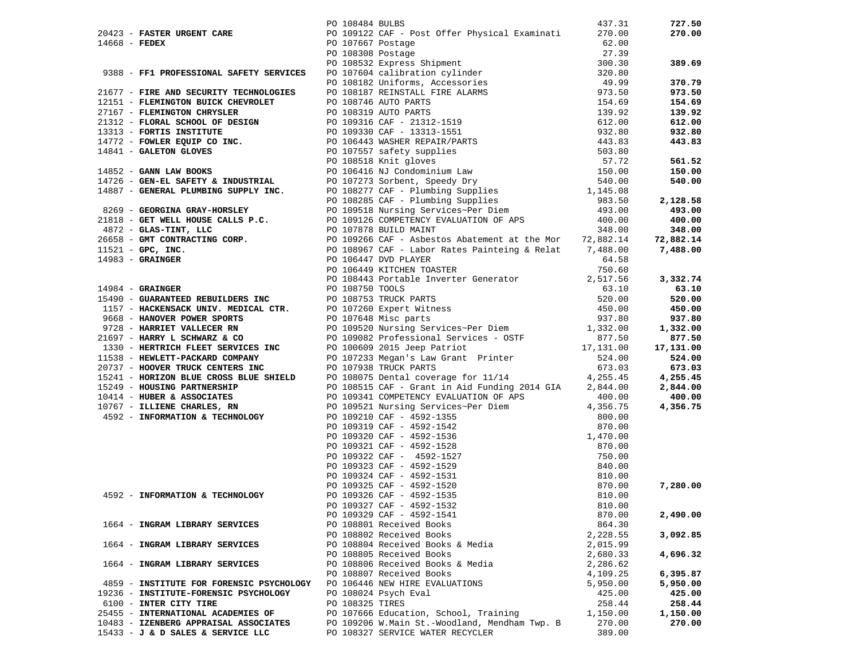|                                          | PO 108484 BULBS |                                                                                                                                                                                                                                                                        | 437.31   | 727.50    |
|------------------------------------------|-----------------|------------------------------------------------------------------------------------------------------------------------------------------------------------------------------------------------------------------------------------------------------------------------|----------|-----------|
|                                          |                 |                                                                                                                                                                                                                                                                        |          | 270.00    |
|                                          |                 |                                                                                                                                                                                                                                                                        |          |           |
|                                          |                 |                                                                                                                                                                                                                                                                        |          |           |
|                                          |                 |                                                                                                                                                                                                                                                                        |          | 389.69    |
|                                          |                 |                                                                                                                                                                                                                                                                        |          |           |
|                                          |                 |                                                                                                                                                                                                                                                                        |          | 370.79    |
|                                          |                 |                                                                                                                                                                                                                                                                        |          | 973.50    |
|                                          |                 |                                                                                                                                                                                                                                                                        |          | 154.69    |
|                                          |                 |                                                                                                                                                                                                                                                                        |          | 139.92    |
|                                          |                 |                                                                                                                                                                                                                                                                        |          | 612.00    |
|                                          |                 |                                                                                                                                                                                                                                                                        |          | 932.80    |
|                                          |                 |                                                                                                                                                                                                                                                                        |          | 443.83    |
|                                          |                 |                                                                                                                                                                                                                                                                        |          |           |
|                                          |                 |                                                                                                                                                                                                                                                                        |          | 561.52    |
|                                          |                 |                                                                                                                                                                                                                                                                        |          | 150.00    |
|                                          |                 |                                                                                                                                                                                                                                                                        |          | 540.00    |
|                                          |                 |                                                                                                                                                                                                                                                                        |          |           |
|                                          |                 |                                                                                                                                                                                                                                                                        |          | 2,128.58  |
|                                          |                 |                                                                                                                                                                                                                                                                        |          | 493.00    |
|                                          |                 |                                                                                                                                                                                                                                                                        |          | 400.00    |
|                                          |                 |                                                                                                                                                                                                                                                                        |          | 348.00    |
|                                          |                 |                                                                                                                                                                                                                                                                        |          | 72,882.14 |
|                                          |                 |                                                                                                                                                                                                                                                                        |          | 7,488.00  |
|                                          |                 |                                                                                                                                                                                                                                                                        |          |           |
|                                          |                 |                                                                                                                                                                                                                                                                        |          |           |
|                                          |                 |                                                                                                                                                                                                                                                                        |          | 3,332.74  |
|                                          |                 |                                                                                                                                                                                                                                                                        |          | 63.10     |
|                                          |                 |                                                                                                                                                                                                                                                                        |          | 520.00    |
|                                          |                 |                                                                                                                                                                                                                                                                        |          | 450.00    |
|                                          |                 |                                                                                                                                                                                                                                                                        |          | 937.80    |
|                                          |                 |                                                                                                                                                                                                                                                                        |          | 1,332.00  |
|                                          |                 |                                                                                                                                                                                                                                                                        |          | 877.50    |
|                                          |                 |                                                                                                                                                                                                                                                                        |          | 17,131.00 |
|                                          |                 |                                                                                                                                                                                                                                                                        |          | 524.00    |
|                                          |                 |                                                                                                                                                                                                                                                                        |          | 673.03    |
|                                          |                 |                                                                                                                                                                                                                                                                        |          | 4,255.45  |
|                                          |                 |                                                                                                                                                                                                                                                                        |          | 2,844.00  |
|                                          |                 |                                                                                                                                                                                                                                                                        |          | 400.00    |
|                                          |                 |                                                                                                                                                                                                                                                                        |          | 4,356.75  |
|                                          |                 |                                                                                                                                                                                                                                                                        |          |           |
|                                          |                 |                                                                                                                                                                                                                                                                        |          |           |
|                                          |                 |                                                                                                                                                                                                                                                                        |          |           |
|                                          |                 |                                                                                                                                                                                                                                                                        |          |           |
|                                          |                 |                                                                                                                                                                                                                                                                        |          |           |
|                                          |                 |                                                                                                                                                                                                                                                                        |          |           |
|                                          |                 |                                                                                                                                                                                                                                                                        |          |           |
|                                          |                 | 1913) <b>Paying Universe 2018</b><br>1921 <b>Paying Universe Columbians</b> 2012<br>1923 <b>Private Maximiz Columbians</b> 2012<br>1923 <b>Private School Columbians 2018</b><br>1923 <b>Private School Columbians 2018</b><br>1923 <b>Private School Columbians 2</b> |          | 7,280.00  |
|                                          |                 |                                                                                                                                                                                                                                                                        |          |           |
|                                          |                 |                                                                                                                                                                                                                                                                        |          |           |
|                                          |                 | PO 109329 CAF - 4592-1541                                                                                                                                                                                                                                              | 870.00   | 2,490.00  |
| 1664 - INGRAM LIBRARY SERVICES           |                 | PO 108801 Received Books                                                                                                                                                                                                                                               | 864.30   |           |
|                                          |                 | PO 108802 Received Books                                                                                                                                                                                                                                               | 2,228.55 | 3,092.85  |
| 1664 - INGRAM LIBRARY SERVICES           |                 | PO 108804 Received Books & Media                                                                                                                                                                                                                                       | 2,015.99 |           |
|                                          |                 | PO 108805 Received Books                                                                                                                                                                                                                                               | 2,680.33 | 4,696.32  |
| 1664 - INGRAM LIBRARY SERVICES           |                 | PO 108806 Received Books & Media                                                                                                                                                                                                                                       | 2,286.62 |           |
|                                          |                 | PO 108807 Received Books                                                                                                                                                                                                                                               | 4,109.25 | 6,395.87  |
| 4859 - INSTITUTE FOR FORENSIC PSYCHOLOGY |                 | PO 106446 NEW HIRE EVALUATIONS                                                                                                                                                                                                                                         | 5,950.00 | 5,950.00  |
| 19236 - INSTITUTE-FORENSIC PSYCHOLOGY    |                 | PO 108024 Psych Eval                                                                                                                                                                                                                                                   | 425.00   | 425.00    |
| 6100 - INTER CITY TIRE                   | PO 108325 TIRES |                                                                                                                                                                                                                                                                        | 258.44   | 258.44    |
| 25455 - INTERNATIONAL ACADEMIES OF       |                 | PO 107666 Education, School, Training                                                                                                                                                                                                                                  | 1,150.00 | 1,150.00  |
| 10483 - IZENBERG APPRAISAL ASSOCIATES    |                 | PO 109206 W.Main St.-Woodland, Mendham Twp. B                                                                                                                                                                                                                          | 270.00   | 270.00    |
| 15433 - J & D SALES & SERVICE LLC        |                 | PO 108327 SERVICE WATER RECYCLER                                                                                                                                                                                                                                       | 389.00   |           |
|                                          |                 |                                                                                                                                                                                                                                                                        |          |           |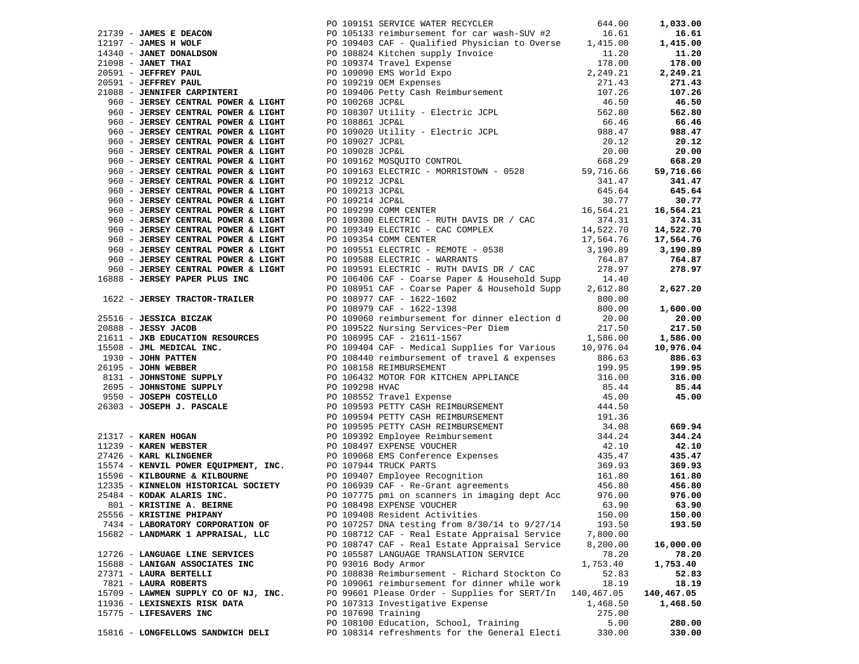|                                      |                    | 1115 Juan Proposition of the Content of Content of the Content of the Content of the Content of the Content of the Content of the Content of the Content of the Content of the Content of the Content of the Content of the |            |            |
|--------------------------------------|--------------------|-----------------------------------------------------------------------------------------------------------------------------------------------------------------------------------------------------------------------------|------------|------------|
|                                      |                    |                                                                                                                                                                                                                             |            |            |
|                                      |                    |                                                                                                                                                                                                                             |            |            |
|                                      |                    |                                                                                                                                                                                                                             |            |            |
|                                      |                    |                                                                                                                                                                                                                             |            |            |
|                                      |                    |                                                                                                                                                                                                                             |            |            |
| 801 - KRISTINE A. BEIRNE             |                    | PO 108498 EXPENSE VOUCHER                                                                                                                                                                                                   | 63.90      | 63.90      |
| 25556 - KRISTINE PHIPANY             |                    | PO 109408 Resident Activities                                                                                                                                                                                               | 150.00     | 150.00     |
| 7434 - LABORATORY CORPORATION OF     |                    | PO 107257 DNA testing from 8/30/14 to 9/27/14                                                                                                                                                                               | 193.50     | 193.50     |
| 15682 - LANDMARK 1 APPRAISAL, LLC    |                    | PO 108712 CAF - Real Estate Appraisal Service                                                                                                                                                                               | 7,800.00   |            |
|                                      |                    | PO 108747 CAF - Real Estate Appraisal Service                                                                                                                                                                               | 8,200.00   | 16,000.00  |
| 12726 - LANGUAGE LINE SERVICES       |                    | PO 105587 LANGUAGE TRANSLATION SERVICE                                                                                                                                                                                      | 78.20      | 78.20      |
| 15688 - LANIGAN ASSOCIATES INC       |                    | PO 93016 Body Armor                                                                                                                                                                                                         | 1,753.40   | 1,753.40   |
| 27371 - LAURA BERTELLI               |                    | PO 108838 Reimbursement - Richard Stockton Co                                                                                                                                                                               | 52.83      | 52.83      |
| 7821 - LAURA ROBERTS                 |                    | PO 109061 reimbursement for dinner while work                                                                                                                                                                               | 18.19      | 18.19      |
| 15709 - LAWMEN SUPPLY CO OF NJ, INC. |                    | PO 99601 Please Order - Supplies for SERT/In                                                                                                                                                                                | 140,467.05 | 140,467.05 |
| 11936 - LEXISNEXIS RISK DATA         |                    | PO 107313 Investigative Expense                                                                                                                                                                                             | 1,468.50   | 1,468.50   |
| 15775 - LIFESAVERS INC               | PO 107690 Training |                                                                                                                                                                                                                             | 275.00     |            |
|                                      |                    | PO 108100 Education, School, Training                                                                                                                                                                                       | 5.00       | 280.00     |
| 15816 - LONGFELLOWS SANDWICH DELI    |                    | PO 108314 refreshments for the General Electi                                                                                                                                                                               | 330.00     | 330.00     |
|                                      |                    |                                                                                                                                                                                                                             |            |            |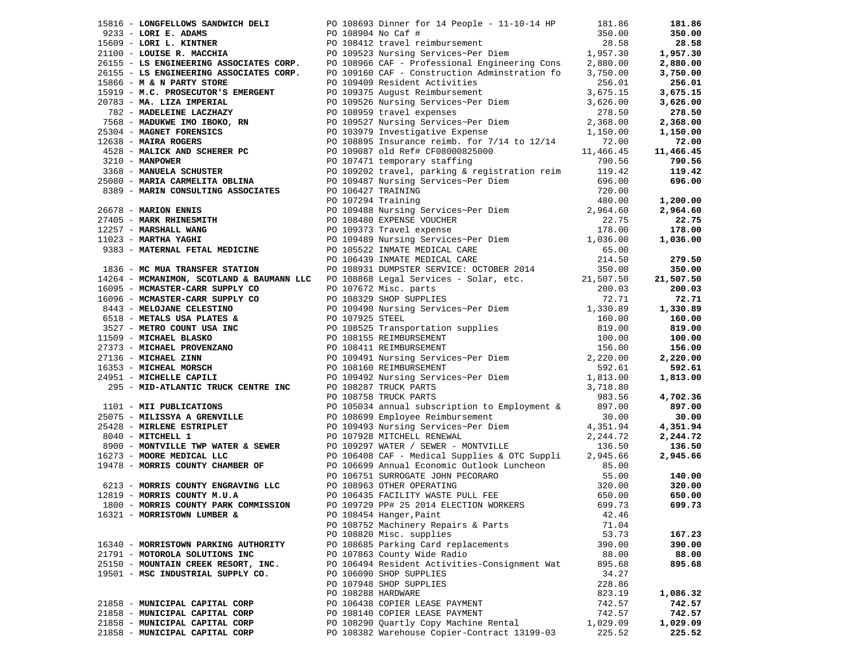|                                      |                    | 19816 <b>LOOPERLOOP SANDARD POLICES</b> 19918 Submar for 11 Pople 11 11 0-14 19<br>1983 <b>LOOP EXAMPLE CONFIGER CONFIGERATION</b> CONFIGER CONFIGENCIAL CONFIGENCIAL CONFIGENCIAL CONFIGENCIAL CONFIGENCIAL CONFIGENCIAL CONFIGENCIAL CON |          | 181.86                     |
|--------------------------------------|--------------------|--------------------------------------------------------------------------------------------------------------------------------------------------------------------------------------------------------------------------------------------|----------|----------------------------|
|                                      |                    |                                                                                                                                                                                                                                            |          | 350.00                     |
|                                      |                    |                                                                                                                                                                                                                                            |          | 28.58                      |
|                                      |                    |                                                                                                                                                                                                                                            |          | 1,957.30                   |
|                                      |                    |                                                                                                                                                                                                                                            |          | 2,880.00                   |
|                                      |                    |                                                                                                                                                                                                                                            |          | 3,750.00                   |
|                                      |                    |                                                                                                                                                                                                                                            |          | 256.01                     |
|                                      |                    |                                                                                                                                                                                                                                            |          | 3,675.15                   |
|                                      |                    |                                                                                                                                                                                                                                            |          | 3,626.00                   |
|                                      |                    |                                                                                                                                                                                                                                            |          | 278.50                     |
|                                      |                    |                                                                                                                                                                                                                                            |          | 2,368.00                   |
|                                      |                    |                                                                                                                                                                                                                                            |          | 1,150.00                   |
|                                      |                    |                                                                                                                                                                                                                                            |          | 72.00                      |
|                                      |                    |                                                                                                                                                                                                                                            |          | 11,466.45                  |
|                                      |                    |                                                                                                                                                                                                                                            |          | 790.56                     |
|                                      |                    |                                                                                                                                                                                                                                            |          | 119.42                     |
|                                      |                    |                                                                                                                                                                                                                                            |          | 696.00                     |
|                                      |                    |                                                                                                                                                                                                                                            |          |                            |
|                                      |                    |                                                                                                                                                                                                                                            |          | 1,200.00                   |
|                                      |                    |                                                                                                                                                                                                                                            |          | 2,964.60                   |
|                                      |                    |                                                                                                                                                                                                                                            |          | 22.75                      |
|                                      |                    |                                                                                                                                                                                                                                            |          | 178.00                     |
|                                      |                    |                                                                                                                                                                                                                                            |          | 1,036.00                   |
|                                      |                    |                                                                                                                                                                                                                                            |          |                            |
|                                      |                    |                                                                                                                                                                                                                                            |          | 279.50                     |
|                                      |                    |                                                                                                                                                                                                                                            |          | 350.00                     |
|                                      |                    |                                                                                                                                                                                                                                            |          | 21,507.50                  |
|                                      |                    |                                                                                                                                                                                                                                            |          | 200.03                     |
|                                      |                    |                                                                                                                                                                                                                                            |          | 72.71                      |
|                                      |                    |                                                                                                                                                                                                                                            |          | 1,330.89                   |
|                                      |                    |                                                                                                                                                                                                                                            |          | 160.00                     |
|                                      |                    |                                                                                                                                                                                                                                            |          |                            |
|                                      |                    |                                                                                                                                                                                                                                            |          | 819.00<br>100.00<br>100.00 |
|                                      |                    |                                                                                                                                                                                                                                            |          | 156.00                     |
|                                      |                    |                                                                                                                                                                                                                                            |          | 2,220.00                   |
|                                      |                    |                                                                                                                                                                                                                                            |          | 592.61                     |
|                                      |                    |                                                                                                                                                                                                                                            |          | 1,813.00                   |
|                                      |                    |                                                                                                                                                                                                                                            |          |                            |
|                                      |                    |                                                                                                                                                                                                                                            |          |                            |
|                                      |                    |                                                                                                                                                                                                                                            |          |                            |
|                                      |                    |                                                                                                                                                                                                                                            |          |                            |
|                                      |                    |                                                                                                                                                                                                                                            |          |                            |
|                                      |                    |                                                                                                                                                                                                                                            |          |                            |
|                                      |                    |                                                                                                                                                                                                                                            |          |                            |
|                                      |                    |                                                                                                                                                                                                                                            |          |                            |
|                                      |                    |                                                                                                                                                                                                                                            |          |                            |
|                                      |                    | 295 - MID-ATIANTIC TRUCK CENTRE INC 201875 TRUCK PARTS<br>2963.56 4,702.36<br>2963.56 4,702.36<br>297.00 897.00 897.00<br>297.00 897.00 897.00<br>297.00 897.00 897.00 897.00<br>297.00 897.00 897.00 897.00<br>297.00 897.00 897.00 897.0 |          |                            |
|                                      |                    |                                                                                                                                                                                                                                            |          |                            |
|                                      |                    |                                                                                                                                                                                                                                            |          |                            |
|                                      |                    |                                                                                                                                                                                                                                            |          |                            |
| 16321 - MORRISTOWN LUMBER &          |                    | PO 108454 Hanger, Paint                                                                                                                                                                                                                    | 42.46    |                            |
|                                      |                    | PO 108752 Machinery Repairs & Parts                                                                                                                                                                                                        | 71.04    |                            |
|                                      |                    | PO 108820 Misc. supplies                                                                                                                                                                                                                   | 53.73    | 167.23                     |
| 16340 - MORRISTOWN PARKING AUTHORITY |                    | PO 108685 Parking Card replacements                                                                                                                                                                                                        | 390.00   | 390.00                     |
| 21791 - MOTOROLA SOLUTIONS INC       |                    | PO 107863 County Wide Radio                                                                                                                                                                                                                | 88.00    | 88.00                      |
| 25150 - MOUNTAIN CREEK RESORT, INC.  |                    | PO 106494 Resident Activities-Consignment Wat                                                                                                                                                                                              | 895.68   | 895.68                     |
| 19501 - MSC INDUSTRIAL SUPPLY CO.    |                    | PO 106090 SHOP SUPPLIES                                                                                                                                                                                                                    | 34.27    |                            |
|                                      |                    | PO 107948 SHOP SUPPLIES                                                                                                                                                                                                                    | 228.86   |                            |
|                                      | PO 108288 HARDWARE |                                                                                                                                                                                                                                            | 823.19   | 1,086.32                   |
| 21858 - MUNICIPAL CAPITAL CORP       |                    | PO 106438 COPIER LEASE PAYMENT                                                                                                                                                                                                             | 742.57   | 742.57                     |
| 21858 - MUNICIPAL CAPITAL CORP       |                    | PO 108140 COPIER LEASE PAYMENT                                                                                                                                                                                                             | 742.57   | 742.57                     |
| 21858 - MUNICIPAL CAPITAL CORP       |                    | PO 108290 Quartly Copy Machine Rental                                                                                                                                                                                                      | 1,029.09 | 1,029.09                   |
| 21858 - MUNICIPAL CAPITAL CORP       |                    | PO 108382 Warehouse Copier-Contract 13199-03                                                                                                                                                                                               | 225.52   | 225.52                     |
|                                      |                    |                                                                                                                                                                                                                                            |          |                            |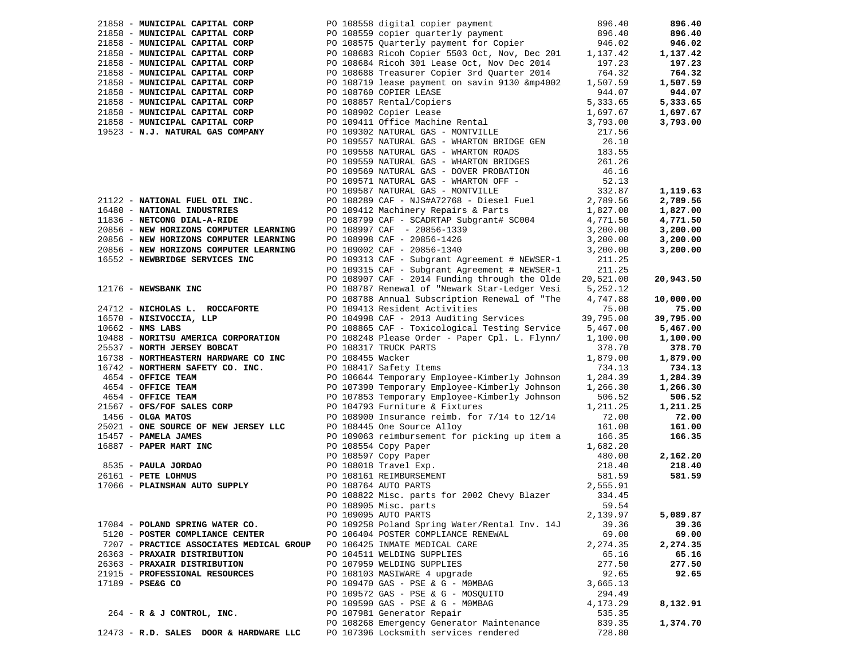| 21858 - MUNICIPAL CAPITAL CORP         |                                                                        | PO 108558 digital copier payment                                                      | 896.40    | 896.40    |
|----------------------------------------|------------------------------------------------------------------------|---------------------------------------------------------------------------------------|-----------|-----------|
| 21858 - MUNICIPAL CAPITAL CORP         |                                                                        | PO 108559 copier quarterly payment<br>PO 108575 Quarterly payment for Copier          | 896.40    | 896.40    |
| 21858 - MUNICIPAL CAPITAL CORP         |                                                                        |                                                                                       | 946.02    | 946.02    |
| 21858 - MUNICIPAL CAPITAL CORP         |                                                                        | PO 108683 Ricoh Copier 5503 Oct, Nov, Dec 201                                         | 1,137.42  | 1,137.42  |
| 21858 - MUNICIPAL CAPITAL CORP         |                                                                        | PO 108684 Ricoh 301 Lease Oct, Nov Dec 2014                                           | 197.23    | 197.23    |
| 21858 - MUNICIPAL CAPITAL CORP         |                                                                        | PO 108688 Treasurer Copier 3rd Quarter 2014                                           | 764.32    | 764.32    |
| 21858 - MUNICIPAL CAPITAL CORP         |                                                                        | PO 108719 lease payment on savin 9130 &mp4002                                         | 1,507.59  | 1,507.59  |
| 21858 - MUNICIPAL CAPITAL CORP         |                                                                        | PO 108760 COPIER LEASE                                                                | 944.07    | 944.07    |
| 21858 - MUNICIPAL CAPITAL CORP         |                                                                        |                                                                                       | 5,333.65  | 5,333.65  |
| 21858 - MUNICIPAL CAPITAL CORP         |                                                                        | PO 108857 Rental/Copiers<br>PO 108902 Copier Lease<br>PO 109411 Office Machine Rental | 1,697.67  | 1,697.67  |
| 21858 - MUNICIPAL CAPITAL CORP         |                                                                        |                                                                                       | 3,793.00  | 3,793.00  |
| 19523 - N.J. NATURAL GAS COMPANY       |                                                                        | PO 109302 NATURAL GAS - MONTVILLE                                                     | 217.56    |           |
|                                        |                                                                        | PO 109557 NATURAL GAS - WHARTON BRIDGE GEN                                            | 26.10     |           |
|                                        |                                                                        | PO 109558 NATURAL GAS - WHARTON ROADS                                                 | 183.55    |           |
|                                        |                                                                        | PO 109559 NATURAL GAS - WHARTON BRIDGES                                               | 261.26    |           |
|                                        |                                                                        | PO 109569 NATURAL GAS - DOVER PROBATION                                               | 46.16     |           |
|                                        |                                                                        | PO 109571 NATURAL GAS - WHARTON OFF -                                                 | 52.13     |           |
|                                        |                                                                        | PO 109587 NATURAL GAS - MONTVILLE                                                     | 332.87    | 1,119.63  |
| 21122 - NATIONAL FUEL OIL INC.         |                                                                        | PO 108289 CAF - NJS#A72768 - Diesel Fuel                                              | 2,789.56  | 2,789.56  |
| 16480 - NATIONAL INDUSTRIES            |                                                                        | PO 109412 Machinery Repairs & Parts                                                   | 1,827.00  | 1,827.00  |
| 11836 - NETCONG DIAL-A-RIDE            |                                                                        | PO 108799 CAF - SCADRTAP Subgrant# SC004                                              | 4,771.50  | 4,771.50  |
| 20856 - NEW HORIZONS COMPUTER LEARNING |                                                                        | PO 108997 CAF - 20856-1339                                                            | 3,200.00  | 3,200.00  |
| 20856 - NEW HORIZONS COMPUTER LEARNING |                                                                        | PO 108998 CAF - 20856-1426                                                            | 3,200.00  | 3,200.00  |
| 20856 - NEW HORIZONS COMPUTER LEARNING |                                                                        | PO 109002 CAF - 20856-1340                                                            | 3,200.00  | 3,200.00  |
| 16552 - NEWBRIDGE SERVICES INC         |                                                                        | PO 109313 CAF - Subgrant Agreement # NEWSER-1                                         | 211.25    |           |
|                                        |                                                                        | PO 109315 CAF - Subgrant Agreement # NEWSER-1                                         | 211.25    |           |
|                                        |                                                                        | PO 108907 CAF - 2014 Funding through the Olde                                         | 20,521.00 | 20,943.50 |
| 12176 - NEWSBANK INC                   |                                                                        | PO 108787 Renewal of "Newark Star-Ledger Vesi                                         | 5,252.12  |           |
|                                        |                                                                        | PO 108788 Annual Subscription Renewal of "The                                         | 4,747.88  | 10,000.00 |
| 24712 - NICHOLAS L. ROCCAFORTE         |                                                                        | PO 109413 Resident Activities                                                         | 75.00     | 75.00     |
| $16570 - NISIVOCCIA, LLP$              |                                                                        | PO 104998 CAF - 2013 Auditing Services                                                | 39,795.00 | 39,795.00 |
| $10662$ - NMS LABS                     |                                                                        | PO 108865 CAF - Toxicological Testing Service                                         | 5,467.00  | 5,467.00  |
| 10488 - NORITSU AMERICA CORPORATION    |                                                                        | PO 108248 Please Order - Paper Cpl. L. Flynn/                                         | 1,100.00  | 1,100.00  |
| 25537 - NORTH JERSEY BOBCAT            |                                                                        | PO 108317 TRUCK PARTS                                                                 | 378.70    | 378.70    |
| 16738 - NORTHEASTERN HARDWARE CO INC   |                                                                        | PO 108455 Wacker                                                                      | 1,879.00  | 1,879.00  |
| 16742 - NORTHERN SAFETY CO. INC.       |                                                                        | PO 108417 Safety Items                                                                | 734.13    | 734.13    |
| 4654 - OFFICE TEAM                     |                                                                        | PO 106644 Temporary Employee-Kimberly Johnson                                         | 1,284.39  | 1,284.39  |
| 4654 - OFFICE TEAM                     |                                                                        | PO 107390 Temporary Employee-Kimberly Johnson                                         | 1,266.30  | 1,266.30  |
| 4654 - OFFICE TEAM                     |                                                                        | PO 107853 Temporary Employee-Kimberly Johnson                                         | 506.52    | 506.52    |
| 21567 - OFS/FOF SALES CORP             |                                                                        | PO 104793 Furniture & Fixtures                                                        | 1,211.25  | 1,211.25  |
| $1456 - OLGA$ MATOS                    |                                                                        | PO 108900 Insurance reimb. for 7/14 to 12/14                                          | 72.00     | 72.00     |
| 25021 - ONE SOURCE OF NEW JERSEY LLC   |                                                                        | PO 108445 One Source Alloy                                                            | 161.00    | 161.00    |
| 15457 - PAMELA JAMES                   |                                                                        | PO 109063 reimbursement for picking up item a                                         | 166.35    | 166.35    |
| 16887 - PAPER MART INC                 |                                                                        | PO 108554 Copy Paper                                                                  | 1,682.20  |           |
|                                        |                                                                        | PO 108597 Copy Paper                                                                  | 480.00    | 2,162.20  |
| 8535 - PAULA JORDAO                    |                                                                        | PO 108018 Travel Exp.                                                                 | 218.40    | 218.40    |
| 26161 - PETE LOHMUS                    |                                                                        | PO 108161 REIMBURSEMENT                                                               | 581.59    | 581.59    |
| 17066 - PLAINSMAN AUTO SUPPLY          |                                                                        | PO 108764 AUTO PARTS                                                                  | 2,555.91  |           |
|                                        |                                                                        | PO 108822 Misc. parts for 2002 Chevy Blazer                                           | 334.45    |           |
|                                        |                                                                        | PO 108905 Misc. parts                                                                 | 59.54     |           |
|                                        |                                                                        | PO 109095 AUTO PARTS                                                                  | 2,139.97  | 5,089.87  |
| 17084 - POLAND SPRING WATER CO.        |                                                                        | PO 109258 Poland Spring Water/Rental Inv. 14J                                         | 39.36     | 39.36     |
| 5120 - POSTER COMPLIANCE CENTER        |                                                                        | PO 106404 POSTER COMPLIANCE RENEWAL                                                   | 69.00     | 69.00     |
|                                        | 7207 - PRACTICE ASSOCIATES MEDICAL GROUP PO 106425 INMATE MEDICAL CARE |                                                                                       | 2, 274.35 | 2,274.35  |
| 26363 - PRAXAIR DISTRIBUTION           |                                                                        | PO 104511 WELDING SUPPLIES                                                            | 65.16     | 65.16     |
| 26363 - PRAXAIR DISTRIBUTION           |                                                                        | PO 107959 WELDING SUPPLIES                                                            | 277.50    | 277.50    |
| 21915 - PROFESSIONAL RESOURCES         |                                                                        | PO 108103 MASIWARE 4 upgrade                                                          | 92.65     | 92.65     |
| 17189 - PSE&G CO                       |                                                                        | PO 109470 GAS - PSE & G - MOMBAG                                                      | 3,665.13  |           |
|                                        |                                                                        | PO 109572 GAS - PSE & G - MOSOUITO                                                    | 294.49    |           |
|                                        |                                                                        | PO 109590 GAS - PSE & G - MOMBAG                                                      | 4,173.29  | 8,132.91  |
| $264$ - R & J CONTROL, INC.            |                                                                        | PO 107981 Generator Repair                                                            | 535.35    |           |
|                                        |                                                                        | PO 108268 Emergency Generator Maintenance                                             | 839.35    | 1,374.70  |
| 12473 - R.D. SALES DOOR & HARDWARE LLC |                                                                        | PO 107396 Locksmith services rendered                                                 | 728.80    |           |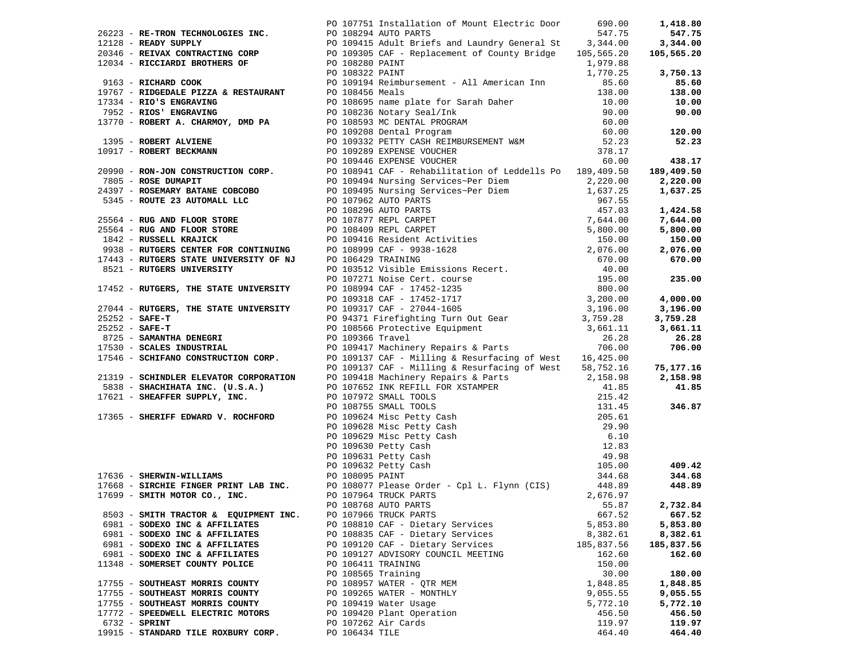|                                       |                    | 20231 Mar-Tech Technology and 2020 Minimization of Mount Charter the set of the 11970 Minimization of the 11970 Minimization of the 11970 Minimization of the 11970 Minimization of the 11970 Minimization of the 11970 Minim |            |            |
|---------------------------------------|--------------------|-------------------------------------------------------------------------------------------------------------------------------------------------------------------------------------------------------------------------------|------------|------------|
|                                       |                    |                                                                                                                                                                                                                               |            |            |
|                                       |                    |                                                                                                                                                                                                                               |            |            |
|                                       |                    |                                                                                                                                                                                                                               |            |            |
|                                       |                    |                                                                                                                                                                                                                               |            |            |
|                                       |                    |                                                                                                                                                                                                                               |            |            |
|                                       |                    |                                                                                                                                                                                                                               |            |            |
|                                       |                    |                                                                                                                                                                                                                               |            |            |
|                                       |                    |                                                                                                                                                                                                                               |            |            |
|                                       |                    |                                                                                                                                                                                                                               |            |            |
|                                       |                    |                                                                                                                                                                                                                               |            |            |
|                                       |                    |                                                                                                                                                                                                                               |            |            |
|                                       |                    |                                                                                                                                                                                                                               |            |            |
|                                       |                    |                                                                                                                                                                                                                               |            |            |
|                                       |                    |                                                                                                                                                                                                                               |            |            |
|                                       |                    |                                                                                                                                                                                                                               |            |            |
|                                       |                    |                                                                                                                                                                                                                               |            |            |
|                                       |                    |                                                                                                                                                                                                                               |            |            |
|                                       |                    |                                                                                                                                                                                                                               |            |            |
|                                       |                    |                                                                                                                                                                                                                               |            |            |
|                                       |                    |                                                                                                                                                                                                                               |            |            |
|                                       |                    |                                                                                                                                                                                                                               |            |            |
|                                       |                    |                                                                                                                                                                                                                               |            |            |
|                                       |                    |                                                                                                                                                                                                                               |            |            |
|                                       |                    |                                                                                                                                                                                                                               |            |            |
|                                       |                    |                                                                                                                                                                                                                               |            |            |
|                                       |                    |                                                                                                                                                                                                                               |            |            |
|                                       |                    |                                                                                                                                                                                                                               |            |            |
|                                       |                    |                                                                                                                                                                                                                               |            |            |
|                                       |                    |                                                                                                                                                                                                                               |            |            |
|                                       |                    |                                                                                                                                                                                                                               |            |            |
|                                       |                    |                                                                                                                                                                                                                               |            |            |
|                                       |                    |                                                                                                                                                                                                                               |            |            |
|                                       |                    |                                                                                                                                                                                                                               |            |            |
|                                       |                    |                                                                                                                                                                                                                               |            |            |
|                                       |                    |                                                                                                                                                                                                                               |            |            |
|                                       |                    |                                                                                                                                                                                                                               |            |            |
|                                       |                    |                                                                                                                                                                                                                               |            |            |
|                                       |                    |                                                                                                                                                                                                                               |            |            |
|                                       |                    |                                                                                                                                                                                                                               |            |            |
|                                       |                    |                                                                                                                                                                                                                               |            |            |
|                                       |                    |                                                                                                                                                                                                                               |            |            |
|                                       |                    |                                                                                                                                                                                                                               |            |            |
|                                       |                    |                                                                                                                                                                                                                               |            |            |
|                                       |                    |                                                                                                                                                                                                                               |            |            |
|                                       |                    |                                                                                                                                                                                                                               |            |            |
|                                       |                    |                                                                                                                                                                                                                               |            |            |
|                                       |                    |                                                                                                                                                                                                                               |            |            |
|                                       |                    |                                                                                                                                                                                                                               |            |            |
|                                       |                    |                                                                                                                                                                                                                               |            |            |
|                                       |                    |                                                                                                                                                                                                                               |            |            |
|                                       |                    |                                                                                                                                                                                                                               |            |            |
|                                       |                    | PO 108768 AUTO PARTS                                                                                                                                                                                                          | 55.87      | 2,732.84   |
| 8503 - SMITH TRACTOR & EQUIPMENT INC. |                    | PO 107966 TRUCK PARTS                                                                                                                                                                                                         | 667.52     | 667.52     |
| 6981 - SODEXO INC & AFFILIATES        |                    | PO 108810 CAF - Dietary Services                                                                                                                                                                                              | 5,853.80   | 5,853.80   |
| 6981 - SODEXO INC & AFFILIATES        |                    | PO 108835 CAF - Dietary Services                                                                                                                                                                                              | 8,382.61   | 8,382.61   |
|                                       |                    |                                                                                                                                                                                                                               |            |            |
| 6981 - SODEXO INC & AFFILIATES        |                    | PO 109120 CAF - Dietary Services                                                                                                                                                                                              | 185,837.56 | 185,837.56 |
| 6981 - SODEXO INC & AFFILIATES        |                    | PO 109127 ADVISORY COUNCIL MEETING                                                                                                                                                                                            | 162.60     | 162.60     |
| 11348 - SOMERSET COUNTY POLICE        | PO 106411 TRAINING |                                                                                                                                                                                                                               | 150.00     |            |
|                                       | PO 108565 Training |                                                                                                                                                                                                                               | 30.00      | 180.00     |
| 17755 - SOUTHEAST MORRIS COUNTY       |                    | PO 108957 WATER - OTR MEM                                                                                                                                                                                                     | 1,848.85   | 1,848.85   |
| 17755 - SOUTHEAST MORRIS COUNTY       |                    | PO 109265 WATER - MONTHLY                                                                                                                                                                                                     | 9,055.55   | 9,055.55   |
| 17755 - SOUTHEAST MORRIS COUNTY       |                    | PO 109419 Water Usage                                                                                                                                                                                                         | 5,772.10   | 5,772.10   |
| 17772 - SPEEDWELL ELECTRIC MOTORS     |                    | PO 109420 Plant Operation                                                                                                                                                                                                     | 456.50     | 456.50     |
| $6732$ - SPRINT                       |                    | PO 107262 Air Cards                                                                                                                                                                                                           | 119.97     | 119.97     |
| 19915 - STANDARD TILE ROXBURY CORP.   | PO 106434 TILE     |                                                                                                                                                                                                                               | 464.40     | 464.40     |
|                                       |                    |                                                                                                                                                                                                                               |            |            |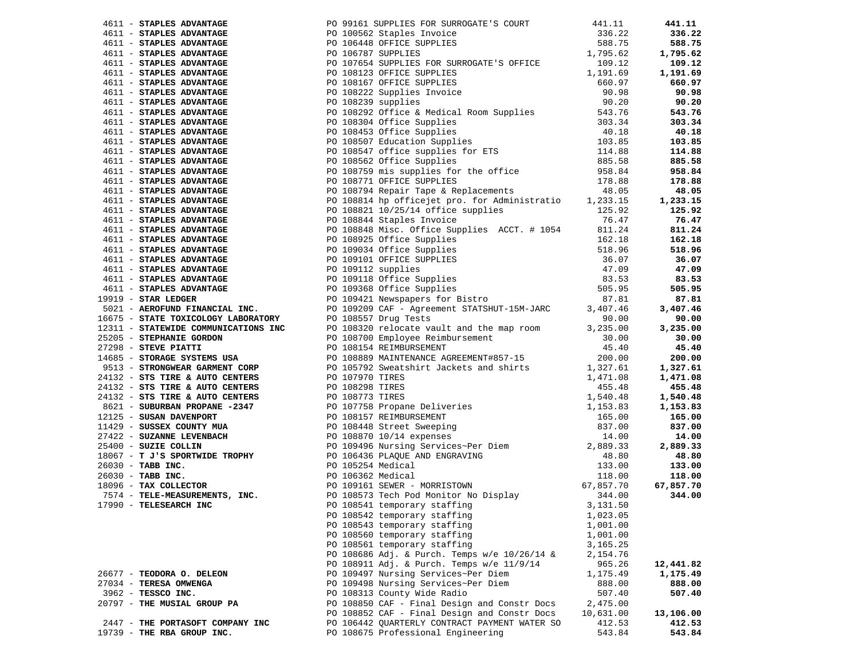|                                  |  |                                               |           | 441.11    |
|----------------------------------|--|-----------------------------------------------|-----------|-----------|
|                                  |  |                                               |           | 336.22    |
|                                  |  |                                               |           | 588.75    |
|                                  |  |                                               |           | 1,795.62  |
|                                  |  |                                               |           | 109.12    |
|                                  |  |                                               |           | 1,191.69  |
|                                  |  |                                               |           | 660.97    |
|                                  |  |                                               |           | 90.98     |
|                                  |  |                                               |           | 90.20     |
|                                  |  |                                               |           | 543.76    |
|                                  |  |                                               |           | 303.34    |
|                                  |  |                                               |           | 40.18     |
|                                  |  |                                               |           |           |
|                                  |  |                                               |           | 103.85    |
|                                  |  |                                               |           | 114.88    |
|                                  |  |                                               |           | 885.58    |
|                                  |  |                                               |           | 958.84    |
|                                  |  |                                               |           | 178.88    |
|                                  |  |                                               |           | 48.05     |
|                                  |  |                                               |           | 1,233.15  |
|                                  |  |                                               |           | 125.92    |
|                                  |  |                                               |           | 76.47     |
|                                  |  |                                               |           | 811.24    |
|                                  |  |                                               |           | 162.18    |
|                                  |  |                                               |           | 518.96    |
|                                  |  |                                               |           | 36.07     |
|                                  |  |                                               |           | 47.09     |
|                                  |  |                                               |           | 83.53     |
|                                  |  |                                               |           | 505.95    |
|                                  |  |                                               |           | 87.81     |
|                                  |  |                                               |           |           |
|                                  |  |                                               |           | 3,407.46  |
|                                  |  |                                               |           | 90.00     |
|                                  |  |                                               |           | 3,235.00  |
|                                  |  |                                               |           | 30.00     |
|                                  |  |                                               |           | 45.40     |
|                                  |  |                                               |           | 200.00    |
|                                  |  |                                               |           | 1,327.61  |
|                                  |  |                                               |           | 1,471.08  |
|                                  |  |                                               |           | 455.48    |
|                                  |  |                                               |           | 1,540.48  |
|                                  |  |                                               |           | 1,153.83  |
|                                  |  |                                               |           | 165.00    |
|                                  |  |                                               |           | 837.00    |
|                                  |  |                                               |           | 14.00     |
|                                  |  |                                               |           | 2,889.33  |
|                                  |  |                                               |           | 48.80     |
|                                  |  |                                               |           | 133.00    |
|                                  |  |                                               |           | 118.00    |
|                                  |  |                                               |           | 67,857.70 |
|                                  |  |                                               |           | 344.00    |
|                                  |  |                                               |           |           |
|                                  |  |                                               |           |           |
|                                  |  | PO 108542 temporary staffing                  | 1,023.05  |           |
|                                  |  | PO 108543 temporary staffing                  | 1,001.00  |           |
|                                  |  | PO 108560 temporary staffing                  | 1,001.00  |           |
|                                  |  | PO 108561 temporary staffing                  | 3,165.25  |           |
|                                  |  | PO 108686 Adj. & Purch. Temps w/e 10/26/14 &  | 2,154.76  |           |
|                                  |  | PO 108911 Adj. & Purch. Temps w/e 11/9/14     | 965.26    | 12,441.82 |
| 26677 - TEODORA O. DELEON        |  | PO 109497 Nursing Services~Per Diem           | 1,175.49  | 1,175.49  |
| 27034 - TERESA OMWENGA           |  | PO 109498 Nursing Services~Per Diem           | 888.00    | 888.00    |
| 3962 - TESSCO INC.               |  | PO 108313 County Wide Radio                   | 507.40    | 507.40    |
| 20797 - THE MUSIAL GROUP PA      |  | PO 108850 CAF - Final Design and Constr Docs  | 2,475.00  |           |
|                                  |  | PO 108852 CAF - Final Design and Constr Docs  | 10,631.00 | 13,106.00 |
| 2447 - THE PORTASOFT COMPANY INC |  | PO 106442 OUARTERLY CONTRACT PAYMENT WATER SO | 412.53    | 412.53    |
| 19739 - THE RBA GROUP INC.       |  | PO 108675 Professional Engineering            | 543.84    | 543.84    |
|                                  |  |                                               |           |           |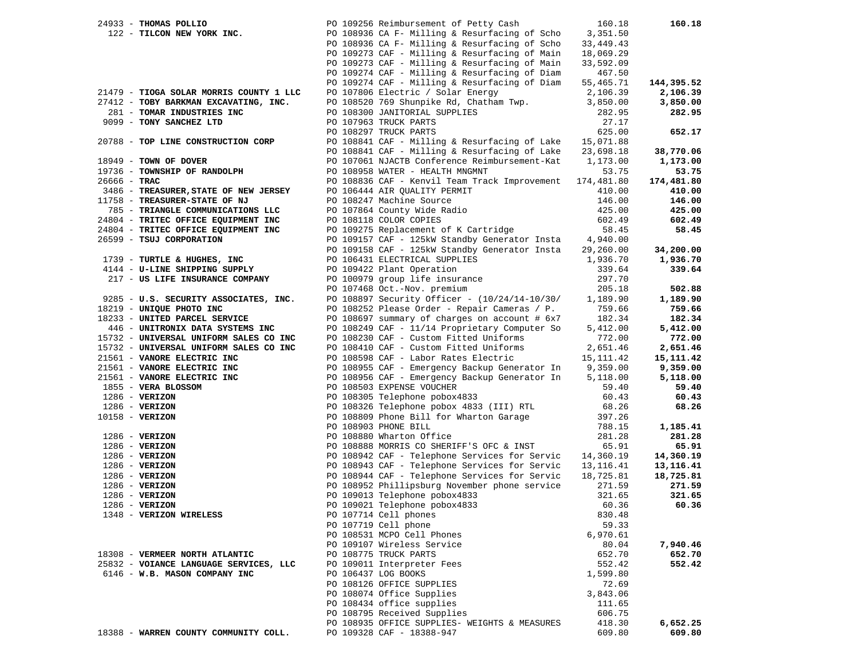|                           | 160.18                                                                                                                                                                                                                                                                                                                                                                                                                                                                                                                                                                                                                                                                                                                                                                                                                                                                                                                                                                                                                                                                                                                                                                                                                                                                                                                                                                                                                                                                                                                                                                                                                                                                                                                                                                                                                                                                                                                                                                                                                                                                                                                                                                                                                         | 160.18                                                                                                                                                                                                                                                                                                                                                                                                                                                                                                                                                                                                                                                                                                                                        |
|---------------------------|--------------------------------------------------------------------------------------------------------------------------------------------------------------------------------------------------------------------------------------------------------------------------------------------------------------------------------------------------------------------------------------------------------------------------------------------------------------------------------------------------------------------------------------------------------------------------------------------------------------------------------------------------------------------------------------------------------------------------------------------------------------------------------------------------------------------------------------------------------------------------------------------------------------------------------------------------------------------------------------------------------------------------------------------------------------------------------------------------------------------------------------------------------------------------------------------------------------------------------------------------------------------------------------------------------------------------------------------------------------------------------------------------------------------------------------------------------------------------------------------------------------------------------------------------------------------------------------------------------------------------------------------------------------------------------------------------------------------------------------------------------------------------------------------------------------------------------------------------------------------------------------------------------------------------------------------------------------------------------------------------------------------------------------------------------------------------------------------------------------------------------------------------------------------------------------------------------------------------------|-----------------------------------------------------------------------------------------------------------------------------------------------------------------------------------------------------------------------------------------------------------------------------------------------------------------------------------------------------------------------------------------------------------------------------------------------------------------------------------------------------------------------------------------------------------------------------------------------------------------------------------------------------------------------------------------------------------------------------------------------|
|                           | 3,351.50                                                                                                                                                                                                                                                                                                                                                                                                                                                                                                                                                                                                                                                                                                                                                                                                                                                                                                                                                                                                                                                                                                                                                                                                                                                                                                                                                                                                                                                                                                                                                                                                                                                                                                                                                                                                                                                                                                                                                                                                                                                                                                                                                                                                                       |                                                                                                                                                                                                                                                                                                                                                                                                                                                                                                                                                                                                                                                                                                                                               |
|                           | 33,449.43                                                                                                                                                                                                                                                                                                                                                                                                                                                                                                                                                                                                                                                                                                                                                                                                                                                                                                                                                                                                                                                                                                                                                                                                                                                                                                                                                                                                                                                                                                                                                                                                                                                                                                                                                                                                                                                                                                                                                                                                                                                                                                                                                                                                                      |                                                                                                                                                                                                                                                                                                                                                                                                                                                                                                                                                                                                                                                                                                                                               |
|                           | 18,069.29                                                                                                                                                                                                                                                                                                                                                                                                                                                                                                                                                                                                                                                                                                                                                                                                                                                                                                                                                                                                                                                                                                                                                                                                                                                                                                                                                                                                                                                                                                                                                                                                                                                                                                                                                                                                                                                                                                                                                                                                                                                                                                                                                                                                                      |                                                                                                                                                                                                                                                                                                                                                                                                                                                                                                                                                                                                                                                                                                                                               |
|                           | 33,592.09                                                                                                                                                                                                                                                                                                                                                                                                                                                                                                                                                                                                                                                                                                                                                                                                                                                                                                                                                                                                                                                                                                                                                                                                                                                                                                                                                                                                                                                                                                                                                                                                                                                                                                                                                                                                                                                                                                                                                                                                                                                                                                                                                                                                                      |                                                                                                                                                                                                                                                                                                                                                                                                                                                                                                                                                                                                                                                                                                                                               |
|                           | 467.50                                                                                                                                                                                                                                                                                                                                                                                                                                                                                                                                                                                                                                                                                                                                                                                                                                                                                                                                                                                                                                                                                                                                                                                                                                                                                                                                                                                                                                                                                                                                                                                                                                                                                                                                                                                                                                                                                                                                                                                                                                                                                                                                                                                                                         |                                                                                                                                                                                                                                                                                                                                                                                                                                                                                                                                                                                                                                                                                                                                               |
|                           | 55,465.71                                                                                                                                                                                                                                                                                                                                                                                                                                                                                                                                                                                                                                                                                                                                                                                                                                                                                                                                                                                                                                                                                                                                                                                                                                                                                                                                                                                                                                                                                                                                                                                                                                                                                                                                                                                                                                                                                                                                                                                                                                                                                                                                                                                                                      | 144,395.52                                                                                                                                                                                                                                                                                                                                                                                                                                                                                                                                                                                                                                                                                                                                    |
|                           | 2,106.39                                                                                                                                                                                                                                                                                                                                                                                                                                                                                                                                                                                                                                                                                                                                                                                                                                                                                                                                                                                                                                                                                                                                                                                                                                                                                                                                                                                                                                                                                                                                                                                                                                                                                                                                                                                                                                                                                                                                                                                                                                                                                                                                                                                                                       | 2,106.39                                                                                                                                                                                                                                                                                                                                                                                                                                                                                                                                                                                                                                                                                                                                      |
|                           |                                                                                                                                                                                                                                                                                                                                                                                                                                                                                                                                                                                                                                                                                                                                                                                                                                                                                                                                                                                                                                                                                                                                                                                                                                                                                                                                                                                                                                                                                                                                                                                                                                                                                                                                                                                                                                                                                                                                                                                                                                                                                                                                                                                                                                | 3,850.00                                                                                                                                                                                                                                                                                                                                                                                                                                                                                                                                                                                                                                                                                                                                      |
|                           | 282.95                                                                                                                                                                                                                                                                                                                                                                                                                                                                                                                                                                                                                                                                                                                                                                                                                                                                                                                                                                                                                                                                                                                                                                                                                                                                                                                                                                                                                                                                                                                                                                                                                                                                                                                                                                                                                                                                                                                                                                                                                                                                                                                                                                                                                         | 282.95                                                                                                                                                                                                                                                                                                                                                                                                                                                                                                                                                                                                                                                                                                                                        |
|                           | 27.17                                                                                                                                                                                                                                                                                                                                                                                                                                                                                                                                                                                                                                                                                                                                                                                                                                                                                                                                                                                                                                                                                                                                                                                                                                                                                                                                                                                                                                                                                                                                                                                                                                                                                                                                                                                                                                                                                                                                                                                                                                                                                                                                                                                                                          |                                                                                                                                                                                                                                                                                                                                                                                                                                                                                                                                                                                                                                                                                                                                               |
|                           |                                                                                                                                                                                                                                                                                                                                                                                                                                                                                                                                                                                                                                                                                                                                                                                                                                                                                                                                                                                                                                                                                                                                                                                                                                                                                                                                                                                                                                                                                                                                                                                                                                                                                                                                                                                                                                                                                                                                                                                                                                                                                                                                                                                                                                | 652.17                                                                                                                                                                                                                                                                                                                                                                                                                                                                                                                                                                                                                                                                                                                                        |
|                           |                                                                                                                                                                                                                                                                                                                                                                                                                                                                                                                                                                                                                                                                                                                                                                                                                                                                                                                                                                                                                                                                                                                                                                                                                                                                                                                                                                                                                                                                                                                                                                                                                                                                                                                                                                                                                                                                                                                                                                                                                                                                                                                                                                                                                                |                                                                                                                                                                                                                                                                                                                                                                                                                                                                                                                                                                                                                                                                                                                                               |
|                           |                                                                                                                                                                                                                                                                                                                                                                                                                                                                                                                                                                                                                                                                                                                                                                                                                                                                                                                                                                                                                                                                                                                                                                                                                                                                                                                                                                                                                                                                                                                                                                                                                                                                                                                                                                                                                                                                                                                                                                                                                                                                                                                                                                                                                                | 38,770.06                                                                                                                                                                                                                                                                                                                                                                                                                                                                                                                                                                                                                                                                                                                                     |
|                           |                                                                                                                                                                                                                                                                                                                                                                                                                                                                                                                                                                                                                                                                                                                                                                                                                                                                                                                                                                                                                                                                                                                                                                                                                                                                                                                                                                                                                                                                                                                                                                                                                                                                                                                                                                                                                                                                                                                                                                                                                                                                                                                                                                                                                                | 1,173.00                                                                                                                                                                                                                                                                                                                                                                                                                                                                                                                                                                                                                                                                                                                                      |
|                           |                                                                                                                                                                                                                                                                                                                                                                                                                                                                                                                                                                                                                                                                                                                                                                                                                                                                                                                                                                                                                                                                                                                                                                                                                                                                                                                                                                                                                                                                                                                                                                                                                                                                                                                                                                                                                                                                                                                                                                                                                                                                                                                                                                                                                                | 53.75                                                                                                                                                                                                                                                                                                                                                                                                                                                                                                                                                                                                                                                                                                                                         |
|                           |                                                                                                                                                                                                                                                                                                                                                                                                                                                                                                                                                                                                                                                                                                                                                                                                                                                                                                                                                                                                                                                                                                                                                                                                                                                                                                                                                                                                                                                                                                                                                                                                                                                                                                                                                                                                                                                                                                                                                                                                                                                                                                                                                                                                                                | 174,481.80                                                                                                                                                                                                                                                                                                                                                                                                                                                                                                                                                                                                                                                                                                                                    |
|                           |                                                                                                                                                                                                                                                                                                                                                                                                                                                                                                                                                                                                                                                                                                                                                                                                                                                                                                                                                                                                                                                                                                                                                                                                                                                                                                                                                                                                                                                                                                                                                                                                                                                                                                                                                                                                                                                                                                                                                                                                                                                                                                                                                                                                                                | 410.00                                                                                                                                                                                                                                                                                                                                                                                                                                                                                                                                                                                                                                                                                                                                        |
|                           |                                                                                                                                                                                                                                                                                                                                                                                                                                                                                                                                                                                                                                                                                                                                                                                                                                                                                                                                                                                                                                                                                                                                                                                                                                                                                                                                                                                                                                                                                                                                                                                                                                                                                                                                                                                                                                                                                                                                                                                                                                                                                                                                                                                                                                | 146.00                                                                                                                                                                                                                                                                                                                                                                                                                                                                                                                                                                                                                                                                                                                                        |
|                           |                                                                                                                                                                                                                                                                                                                                                                                                                                                                                                                                                                                                                                                                                                                                                                                                                                                                                                                                                                                                                                                                                                                                                                                                                                                                                                                                                                                                                                                                                                                                                                                                                                                                                                                                                                                                                                                                                                                                                                                                                                                                                                                                                                                                                                | 425.00                                                                                                                                                                                                                                                                                                                                                                                                                                                                                                                                                                                                                                                                                                                                        |
|                           |                                                                                                                                                                                                                                                                                                                                                                                                                                                                                                                                                                                                                                                                                                                                                                                                                                                                                                                                                                                                                                                                                                                                                                                                                                                                                                                                                                                                                                                                                                                                                                                                                                                                                                                                                                                                                                                                                                                                                                                                                                                                                                                                                                                                                                | 602.49                                                                                                                                                                                                                                                                                                                                                                                                                                                                                                                                                                                                                                                                                                                                        |
|                           |                                                                                                                                                                                                                                                                                                                                                                                                                                                                                                                                                                                                                                                                                                                                                                                                                                                                                                                                                                                                                                                                                                                                                                                                                                                                                                                                                                                                                                                                                                                                                                                                                                                                                                                                                                                                                                                                                                                                                                                                                                                                                                                                                                                                                                | 58.45                                                                                                                                                                                                                                                                                                                                                                                                                                                                                                                                                                                                                                                                                                                                         |
|                           |                                                                                                                                                                                                                                                                                                                                                                                                                                                                                                                                                                                                                                                                                                                                                                                                                                                                                                                                                                                                                                                                                                                                                                                                                                                                                                                                                                                                                                                                                                                                                                                                                                                                                                                                                                                                                                                                                                                                                                                                                                                                                                                                                                                                                                |                                                                                                                                                                                                                                                                                                                                                                                                                                                                                                                                                                                                                                                                                                                                               |
|                           |                                                                                                                                                                                                                                                                                                                                                                                                                                                                                                                                                                                                                                                                                                                                                                                                                                                                                                                                                                                                                                                                                                                                                                                                                                                                                                                                                                                                                                                                                                                                                                                                                                                                                                                                                                                                                                                                                                                                                                                                                                                                                                                                                                                                                                | 34,200.00                                                                                                                                                                                                                                                                                                                                                                                                                                                                                                                                                                                                                                                                                                                                     |
|                           |                                                                                                                                                                                                                                                                                                                                                                                                                                                                                                                                                                                                                                                                                                                                                                                                                                                                                                                                                                                                                                                                                                                                                                                                                                                                                                                                                                                                                                                                                                                                                                                                                                                                                                                                                                                                                                                                                                                                                                                                                                                                                                                                                                                                                                | 1,936.70                                                                                                                                                                                                                                                                                                                                                                                                                                                                                                                                                                                                                                                                                                                                      |
|                           |                                                                                                                                                                                                                                                                                                                                                                                                                                                                                                                                                                                                                                                                                                                                                                                                                                                                                                                                                                                                                                                                                                                                                                                                                                                                                                                                                                                                                                                                                                                                                                                                                                                                                                                                                                                                                                                                                                                                                                                                                                                                                                                                                                                                                                | 339.64                                                                                                                                                                                                                                                                                                                                                                                                                                                                                                                                                                                                                                                                                                                                        |
|                           |                                                                                                                                                                                                                                                                                                                                                                                                                                                                                                                                                                                                                                                                                                                                                                                                                                                                                                                                                                                                                                                                                                                                                                                                                                                                                                                                                                                                                                                                                                                                                                                                                                                                                                                                                                                                                                                                                                                                                                                                                                                                                                                                                                                                                                |                                                                                                                                                                                                                                                                                                                                                                                                                                                                                                                                                                                                                                                                                                                                               |
|                           |                                                                                                                                                                                                                                                                                                                                                                                                                                                                                                                                                                                                                                                                                                                                                                                                                                                                                                                                                                                                                                                                                                                                                                                                                                                                                                                                                                                                                                                                                                                                                                                                                                                                                                                                                                                                                                                                                                                                                                                                                                                                                                                                                                                                                                | 502.88                                                                                                                                                                                                                                                                                                                                                                                                                                                                                                                                                                                                                                                                                                                                        |
|                           |                                                                                                                                                                                                                                                                                                                                                                                                                                                                                                                                                                                                                                                                                                                                                                                                                                                                                                                                                                                                                                                                                                                                                                                                                                                                                                                                                                                                                                                                                                                                                                                                                                                                                                                                                                                                                                                                                                                                                                                                                                                                                                                                                                                                                                | 1,189.90                                                                                                                                                                                                                                                                                                                                                                                                                                                                                                                                                                                                                                                                                                                                      |
|                           |                                                                                                                                                                                                                                                                                                                                                                                                                                                                                                                                                                                                                                                                                                                                                                                                                                                                                                                                                                                                                                                                                                                                                                                                                                                                                                                                                                                                                                                                                                                                                                                                                                                                                                                                                                                                                                                                                                                                                                                                                                                                                                                                                                                                                                | 759.66                                                                                                                                                                                                                                                                                                                                                                                                                                                                                                                                                                                                                                                                                                                                        |
|                           |                                                                                                                                                                                                                                                                                                                                                                                                                                                                                                                                                                                                                                                                                                                                                                                                                                                                                                                                                                                                                                                                                                                                                                                                                                                                                                                                                                                                                                                                                                                                                                                                                                                                                                                                                                                                                                                                                                                                                                                                                                                                                                                                                                                                                                | 182.34                                                                                                                                                                                                                                                                                                                                                                                                                                                                                                                                                                                                                                                                                                                                        |
|                           |                                                                                                                                                                                                                                                                                                                                                                                                                                                                                                                                                                                                                                                                                                                                                                                                                                                                                                                                                                                                                                                                                                                                                                                                                                                                                                                                                                                                                                                                                                                                                                                                                                                                                                                                                                                                                                                                                                                                                                                                                                                                                                                                                                                                                                | 5,412.00                                                                                                                                                                                                                                                                                                                                                                                                                                                                                                                                                                                                                                                                                                                                      |
|                           |                                                                                                                                                                                                                                                                                                                                                                                                                                                                                                                                                                                                                                                                                                                                                                                                                                                                                                                                                                                                                                                                                                                                                                                                                                                                                                                                                                                                                                                                                                                                                                                                                                                                                                                                                                                                                                                                                                                                                                                                                                                                                                                                                                                                                                | 772.00                                                                                                                                                                                                                                                                                                                                                                                                                                                                                                                                                                                                                                                                                                                                        |
|                           |                                                                                                                                                                                                                                                                                                                                                                                                                                                                                                                                                                                                                                                                                                                                                                                                                                                                                                                                                                                                                                                                                                                                                                                                                                                                                                                                                                                                                                                                                                                                                                                                                                                                                                                                                                                                                                                                                                                                                                                                                                                                                                                                                                                                                                | 2,651.46                                                                                                                                                                                                                                                                                                                                                                                                                                                                                                                                                                                                                                                                                                                                      |
|                           |                                                                                                                                                                                                                                                                                                                                                                                                                                                                                                                                                                                                                                                                                                                                                                                                                                                                                                                                                                                                                                                                                                                                                                                                                                                                                                                                                                                                                                                                                                                                                                                                                                                                                                                                                                                                                                                                                                                                                                                                                                                                                                                                                                                                                                | 15,111.42                                                                                                                                                                                                                                                                                                                                                                                                                                                                                                                                                                                                                                                                                                                                     |
|                           |                                                                                                                                                                                                                                                                                                                                                                                                                                                                                                                                                                                                                                                                                                                                                                                                                                                                                                                                                                                                                                                                                                                                                                                                                                                                                                                                                                                                                                                                                                                                                                                                                                                                                                                                                                                                                                                                                                                                                                                                                                                                                                                                                                                                                                | 9,359.00                                                                                                                                                                                                                                                                                                                                                                                                                                                                                                                                                                                                                                                                                                                                      |
|                           |                                                                                                                                                                                                                                                                                                                                                                                                                                                                                                                                                                                                                                                                                                                                                                                                                                                                                                                                                                                                                                                                                                                                                                                                                                                                                                                                                                                                                                                                                                                                                                                                                                                                                                                                                                                                                                                                                                                                                                                                                                                                                                                                                                                                                                | 5,118.00                                                                                                                                                                                                                                                                                                                                                                                                                                                                                                                                                                                                                                                                                                                                      |
|                           |                                                                                                                                                                                                                                                                                                                                                                                                                                                                                                                                                                                                                                                                                                                                                                                                                                                                                                                                                                                                                                                                                                                                                                                                                                                                                                                                                                                                                                                                                                                                                                                                                                                                                                                                                                                                                                                                                                                                                                                                                                                                                                                                                                                                                                | 59.40                                                                                                                                                                                                                                                                                                                                                                                                                                                                                                                                                                                                                                                                                                                                         |
|                           |                                                                                                                                                                                                                                                                                                                                                                                                                                                                                                                                                                                                                                                                                                                                                                                                                                                                                                                                                                                                                                                                                                                                                                                                                                                                                                                                                                                                                                                                                                                                                                                                                                                                                                                                                                                                                                                                                                                                                                                                                                                                                                                                                                                                                                | 60.43                                                                                                                                                                                                                                                                                                                                                                                                                                                                                                                                                                                                                                                                                                                                         |
|                           |                                                                                                                                                                                                                                                                                                                                                                                                                                                                                                                                                                                                                                                                                                                                                                                                                                                                                                                                                                                                                                                                                                                                                                                                                                                                                                                                                                                                                                                                                                                                                                                                                                                                                                                                                                                                                                                                                                                                                                                                                                                                                                                                                                                                                                | 68.26                                                                                                                                                                                                                                                                                                                                                                                                                                                                                                                                                                                                                                                                                                                                         |
|                           |                                                                                                                                                                                                                                                                                                                                                                                                                                                                                                                                                                                                                                                                                                                                                                                                                                                                                                                                                                                                                                                                                                                                                                                                                                                                                                                                                                                                                                                                                                                                                                                                                                                                                                                                                                                                                                                                                                                                                                                                                                                                                                                                                                                                                                |                                                                                                                                                                                                                                                                                                                                                                                                                                                                                                                                                                                                                                                                                                                                               |
|                           |                                                                                                                                                                                                                                                                                                                                                                                                                                                                                                                                                                                                                                                                                                                                                                                                                                                                                                                                                                                                                                                                                                                                                                                                                                                                                                                                                                                                                                                                                                                                                                                                                                                                                                                                                                                                                                                                                                                                                                                                                                                                                                                                                                                                                                | 1,185.41                                                                                                                                                                                                                                                                                                                                                                                                                                                                                                                                                                                                                                                                                                                                      |
|                           |                                                                                                                                                                                                                                                                                                                                                                                                                                                                                                                                                                                                                                                                                                                                                                                                                                                                                                                                                                                                                                                                                                                                                                                                                                                                                                                                                                                                                                                                                                                                                                                                                                                                                                                                                                                                                                                                                                                                                                                                                                                                                                                                                                                                                                | 281.28                                                                                                                                                                                                                                                                                                                                                                                                                                                                                                                                                                                                                                                                                                                                        |
|                           |                                                                                                                                                                                                                                                                                                                                                                                                                                                                                                                                                                                                                                                                                                                                                                                                                                                                                                                                                                                                                                                                                                                                                                                                                                                                                                                                                                                                                                                                                                                                                                                                                                                                                                                                                                                                                                                                                                                                                                                                                                                                                                                                                                                                                                | 65.91                                                                                                                                                                                                                                                                                                                                                                                                                                                                                                                                                                                                                                                                                                                                         |
|                           |                                                                                                                                                                                                                                                                                                                                                                                                                                                                                                                                                                                                                                                                                                                                                                                                                                                                                                                                                                                                                                                                                                                                                                                                                                                                                                                                                                                                                                                                                                                                                                                                                                                                                                                                                                                                                                                                                                                                                                                                                                                                                                                                                                                                                                | 14,360.19                                                                                                                                                                                                                                                                                                                                                                                                                                                                                                                                                                                                                                                                                                                                     |
|                           |                                                                                                                                                                                                                                                                                                                                                                                                                                                                                                                                                                                                                                                                                                                                                                                                                                                                                                                                                                                                                                                                                                                                                                                                                                                                                                                                                                                                                                                                                                                                                                                                                                                                                                                                                                                                                                                                                                                                                                                                                                                                                                                                                                                                                                | 13,116.41                                                                                                                                                                                                                                                                                                                                                                                                                                                                                                                                                                                                                                                                                                                                     |
|                           |                                                                                                                                                                                                                                                                                                                                                                                                                                                                                                                                                                                                                                                                                                                                                                                                                                                                                                                                                                                                                                                                                                                                                                                                                                                                                                                                                                                                                                                                                                                                                                                                                                                                                                                                                                                                                                                                                                                                                                                                                                                                                                                                                                                                                                | 18,725.81                                                                                                                                                                                                                                                                                                                                                                                                                                                                                                                                                                                                                                                                                                                                     |
|                           |                                                                                                                                                                                                                                                                                                                                                                                                                                                                                                                                                                                                                                                                                                                                                                                                                                                                                                                                                                                                                                                                                                                                                                                                                                                                                                                                                                                                                                                                                                                                                                                                                                                                                                                                                                                                                                                                                                                                                                                                                                                                                                                                                                                                                                | 271.59                                                                                                                                                                                                                                                                                                                                                                                                                                                                                                                                                                                                                                                                                                                                        |
|                           |                                                                                                                                                                                                                                                                                                                                                                                                                                                                                                                                                                                                                                                                                                                                                                                                                                                                                                                                                                                                                                                                                                                                                                                                                                                                                                                                                                                                                                                                                                                                                                                                                                                                                                                                                                                                                                                                                                                                                                                                                                                                                                                                                                                                                                | 321.65                                                                                                                                                                                                                                                                                                                                                                                                                                                                                                                                                                                                                                                                                                                                        |
|                           |                                                                                                                                                                                                                                                                                                                                                                                                                                                                                                                                                                                                                                                                                                                                                                                                                                                                                                                                                                                                                                                                                                                                                                                                                                                                                                                                                                                                                                                                                                                                                                                                                                                                                                                                                                                                                                                                                                                                                                                                                                                                                                                                                                                                                                | 60.36                                                                                                                                                                                                                                                                                                                                                                                                                                                                                                                                                                                                                                                                                                                                         |
|                           |                                                                                                                                                                                                                                                                                                                                                                                                                                                                                                                                                                                                                                                                                                                                                                                                                                                                                                                                                                                                                                                                                                                                                                                                                                                                                                                                                                                                                                                                                                                                                                                                                                                                                                                                                                                                                                                                                                                                                                                                                                                                                                                                                                                                                                |                                                                                                                                                                                                                                                                                                                                                                                                                                                                                                                                                                                                                                                                                                                                               |
|                           |                                                                                                                                                                                                                                                                                                                                                                                                                                                                                                                                                                                                                                                                                                                                                                                                                                                                                                                                                                                                                                                                                                                                                                                                                                                                                                                                                                                                                                                                                                                                                                                                                                                                                                                                                                                                                                                                                                                                                                                                                                                                                                                                                                                                                                |                                                                                                                                                                                                                                                                                                                                                                                                                                                                                                                                                                                                                                                                                                                                               |
|                           |                                                                                                                                                                                                                                                                                                                                                                                                                                                                                                                                                                                                                                                                                                                                                                                                                                                                                                                                                                                                                                                                                                                                                                                                                                                                                                                                                                                                                                                                                                                                                                                                                                                                                                                                                                                                                                                                                                                                                                                                                                                                                                                                                                                                                                |                                                                                                                                                                                                                                                                                                                                                                                                                                                                                                                                                                                                                                                                                                                                               |
|                           | 80.04                                                                                                                                                                                                                                                                                                                                                                                                                                                                                                                                                                                                                                                                                                                                                                                                                                                                                                                                                                                                                                                                                                                                                                                                                                                                                                                                                                                                                                                                                                                                                                                                                                                                                                                                                                                                                                                                                                                                                                                                                                                                                                                                                                                                                          | 7,940.46                                                                                                                                                                                                                                                                                                                                                                                                                                                                                                                                                                                                                                                                                                                                      |
|                           | 652.70                                                                                                                                                                                                                                                                                                                                                                                                                                                                                                                                                                                                                                                                                                                                                                                                                                                                                                                                                                                                                                                                                                                                                                                                                                                                                                                                                                                                                                                                                                                                                                                                                                                                                                                                                                                                                                                                                                                                                                                                                                                                                                                                                                                                                         | 652.70                                                                                                                                                                                                                                                                                                                                                                                                                                                                                                                                                                                                                                                                                                                                        |
|                           | 552.42                                                                                                                                                                                                                                                                                                                                                                                                                                                                                                                                                                                                                                                                                                                                                                                                                                                                                                                                                                                                                                                                                                                                                                                                                                                                                                                                                                                                                                                                                                                                                                                                                                                                                                                                                                                                                                                                                                                                                                                                                                                                                                                                                                                                                         | 552.42                                                                                                                                                                                                                                                                                                                                                                                                                                                                                                                                                                                                                                                                                                                                        |
|                           |                                                                                                                                                                                                                                                                                                                                                                                                                                                                                                                                                                                                                                                                                                                                                                                                                                                                                                                                                                                                                                                                                                                                                                                                                                                                                                                                                                                                                                                                                                                                                                                                                                                                                                                                                                                                                                                                                                                                                                                                                                                                                                                                                                                                                                |                                                                                                                                                                                                                                                                                                                                                                                                                                                                                                                                                                                                                                                                                                                                               |
|                           | 72.69                                                                                                                                                                                                                                                                                                                                                                                                                                                                                                                                                                                                                                                                                                                                                                                                                                                                                                                                                                                                                                                                                                                                                                                                                                                                                                                                                                                                                                                                                                                                                                                                                                                                                                                                                                                                                                                                                                                                                                                                                                                                                                                                                                                                                          |                                                                                                                                                                                                                                                                                                                                                                                                                                                                                                                                                                                                                                                                                                                                               |
|                           | 3,843.06                                                                                                                                                                                                                                                                                                                                                                                                                                                                                                                                                                                                                                                                                                                                                                                                                                                                                                                                                                                                                                                                                                                                                                                                                                                                                                                                                                                                                                                                                                                                                                                                                                                                                                                                                                                                                                                                                                                                                                                                                                                                                                                                                                                                                       |                                                                                                                                                                                                                                                                                                                                                                                                                                                                                                                                                                                                                                                                                                                                               |
|                           | 111.65                                                                                                                                                                                                                                                                                                                                                                                                                                                                                                                                                                                                                                                                                                                                                                                                                                                                                                                                                                                                                                                                                                                                                                                                                                                                                                                                                                                                                                                                                                                                                                                                                                                                                                                                                                                                                                                                                                                                                                                                                                                                                                                                                                                                                         |                                                                                                                                                                                                                                                                                                                                                                                                                                                                                                                                                                                                                                                                                                                                               |
|                           | 606.75                                                                                                                                                                                                                                                                                                                                                                                                                                                                                                                                                                                                                                                                                                                                                                                                                                                                                                                                                                                                                                                                                                                                                                                                                                                                                                                                                                                                                                                                                                                                                                                                                                                                                                                                                                                                                                                                                                                                                                                                                                                                                                                                                                                                                         |                                                                                                                                                                                                                                                                                                                                                                                                                                                                                                                                                                                                                                                                                                                                               |
|                           | 418.30                                                                                                                                                                                                                                                                                                                                                                                                                                                                                                                                                                                                                                                                                                                                                                                                                                                                                                                                                                                                                                                                                                                                                                                                                                                                                                                                                                                                                                                                                                                                                                                                                                                                                                                                                                                                                                                                                                                                                                                                                                                                                                                                                                                                                         | 6,652.25                                                                                                                                                                                                                                                                                                                                                                                                                                                                                                                                                                                                                                                                                                                                      |
| PO 109328 CAF - 18388-947 | 609.80                                                                                                                                                                                                                                                                                                                                                                                                                                                                                                                                                                                                                                                                                                                                                                                                                                                                                                                                                                                                                                                                                                                                                                                                                                                                                                                                                                                                                                                                                                                                                                                                                                                                                                                                                                                                                                                                                                                                                                                                                                                                                                                                                                                                                         | 609.80                                                                                                                                                                                                                                                                                                                                                                                                                                                                                                                                                                                                                                                                                                                                        |
|                           | PO 109256 Reimbursement of Petty Cash<br>PO 108936 CA F- Milling & Resurfacing of Scho<br>PO 108936 CA F- Milling & Resurfacing of Scho<br>PO 109273 CAF - Milling & Resurfacing of Main<br>PO 109273 CAF - Milling & Resurfacing of Main<br>PO 109274 CAF - Milling & Resurfacing of Diam<br>PO 109274 CAF - Milling & Resurfacing of Diam<br>PO 107806 Electric / Solar Energy<br>PO 108520 769 Shunpike Rd, Chatham Twp.<br>PO 108300 JANITORIAL SUPPLIES<br>PO 107963 TRUCK PARTS<br>PO 108297 TRUCK PARTS<br>PO 108841 CAF - Milling & Resurfacing of Lake<br>PO 108841 CAF - Milling & Resurfacing of Lake<br>PO 107061 NJACTB Conference Reimbursement-Kat<br>PO 108958 WATER - HEALTH MNGMNT<br>PO 106444 AIR QUALITY PERMIT<br>PO 108247 Machine Source<br>PO 107864 County Wide Radio<br>PO 108118 COLOR COPIES<br>PO 109275 Replacement of K Cartridge<br>PO 106431 ELECTRICAL SUPPLIES<br>PO 109422 Plant Operation<br>PO 100979 group life insurance<br>PO 107468 Oct.-Nov. premium<br>PO 108897 Security Officer - $(10/24/14-10/30/$<br>PO 108252 Please Order - Repair Cameras / P.<br>PO 108697 summary of charges on account # 6x7<br>PO 108249 CAF - 11/14 Proprietary Computer So<br>PO 108230 CAF - Custom Fitted Uniforms<br>PO 108410 CAF - Custom Fitted Uniforms<br>PO 108598 CAF - Labor Rates Electric<br>PO 108955 CAF - Emergency Backup Generator In<br>PO 108956 CAF - Emergency Backup Generator In<br>PO 108503 EXPENSE VOUCHER<br>PO 108305 Telephone pobox4833<br>PO 108326 Telephone pobox 4833 (III) RTL<br>PO 108809 Phone Bill for Wharton Garage<br>PO 108903 PHONE BILL<br>PO 108880 Wharton Office<br>PO 108888 MORRIS CO SHERIFF'S OFC & INST<br>PO 108944 CAF - Telephone Services for Servic<br>PO 108952 Phillipsburg November phone service<br>PO 109013 Telephone pobox4833<br>PO 109021 Telephone pobox4833<br>PO 107714 Cell phones<br>PO 107719 Cell phone<br>PO 108531 MCPO Cell Phones<br>PO 109107 Wireless Service<br>PO 108775 TRUCK PARTS<br>PO 109011 Interpreter Fees<br>PO 106437 LOG BOOKS<br>PO 108126 OFFICE SUPPLIES<br>PO 108074 Office Supplies<br>PO 108434 office supplies<br>PO 108795 Received Supplies<br>PO 108935 OFFICE SUPPLIES- WEIGHTS & MEASURES | 3,850.00<br>625.00<br>15,071.88<br>23,698.18<br>1,173.00<br>53.75<br>PO 108836 CAF - Kenvil Team Track Improvement 174,481.80<br>410.00<br>146.00<br>425.00<br>602.49<br>58.45<br>PO 109157 CAF - 125kW Standby Generator Insta<br>4,940.00<br>PO 109158 CAF - 125kW Standby Generator Insta<br>29,260.00<br>1,936.70<br>339.64<br>297.70<br>205.18<br>1,189.90<br>759.66<br>182.34<br>5,412.00<br>772.00<br>2,651.46<br>15,111.42<br>9,359.00<br>5,118.00<br>59.40<br>60.43<br>68.26<br>397.26<br>788.15<br>281.28<br>65.91<br>PO 108942 CAF - Telephone Services for Servic<br>14,360.19<br>PO 108943 CAF - Telephone Services for Servic<br>13,116.41<br>18,725.81<br>271.59<br>321.65<br>60.36<br>830.48<br>59.33<br>6,970.61<br>1,599.80 |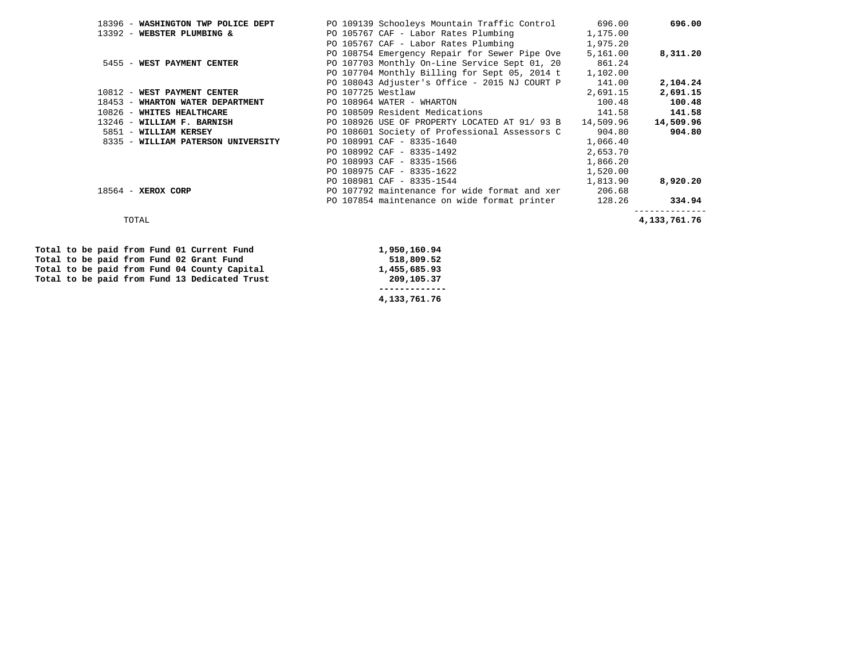|                             | 18396 - WASHINGTON TWP POLICE DEPT |                   | PO 109139 Schooleys Mountain Traffic Control 696.00     |          | 696.00       |
|-----------------------------|------------------------------------|-------------------|---------------------------------------------------------|----------|--------------|
| 13392 - WEBSTER PLUMBING &  |                                    |                   | PO 105767 CAF - Labor Rates Plumbing                    | 1,175.00 |              |
|                             |                                    |                   | PO 105767 CAF - Labor Rates Plumbing                    | 1,975.20 |              |
|                             |                                    |                   | PO 108754 Emergency Repair for Sewer Pipe Ove           | 5,161.00 | 8,311.20     |
|                             | 5455 - WEST PAYMENT CENTER         |                   | PO 107703 Monthly On-Line Service Sept 01, 20 861.24    |          |              |
|                             |                                    |                   | PO 107704 Monthly Billing for Sept 05, 2014 t 1,102.00  |          |              |
|                             |                                    |                   | PO 108043 Adjuster's Office - 2015 NJ COURT P           | 141.00   | 2,104.24     |
| 10812 - WEST PAYMENT CENTER |                                    | PO 107725 Westlaw |                                                         | 2,691.15 | 2,691.15     |
|                             | 18453 - WHARTON WATER DEPARTMENT   |                   | PO 108964 WATER - WHARTON                               | 100.48   | 100.48       |
| 10826 - WHITES HEALTHCARE   |                                    |                   | PO 108509 Resident Medications                          | 141.58   | 141.58       |
| 13246 - WILLIAM F. BARNISH  |                                    |                   | PO 108926 USE OF PROPERTY LOCATED AT 91/ 93 B 14,509.96 |          | 14,509.96    |
| 5851 - WILLIAM KERSEY       |                                    |                   | PO 108601 Society of Professional Assessors C           | 904.80   | 904.80       |
|                             | 8335 - WILLIAM PATERSON UNIVERSITY |                   | PO 108991 CAF - 8335-1640                               | 1,066.40 |              |
|                             |                                    |                   | PO 108992 CAF - 8335-1492                               | 2,653.70 |              |
|                             |                                    |                   | PO 108993 CAF - 8335-1566                               | 1,866.20 |              |
|                             |                                    |                   | PO 108975 CAF - 8335-1622                               | 1,520.00 |              |
|                             |                                    |                   | PO 108981 CAF - 8335-1544                               | 1,813.90 | 8,920.20     |
| $18564$ - XEROX CORP        |                                    |                   | PO 107792 maintenance for wide format and xer           | 206.68   |              |
|                             |                                    |                   | PO 107854 maintenance on wide format printer            | 128.26   | 334.94       |
| TOTAL                       |                                    |                   |                                                         |          | 4,133,761.76 |

|  |  |  |  | Total to be paid from Fund 01 Current Fund    | 1,950,160.94 |
|--|--|--|--|-----------------------------------------------|--------------|
|  |  |  |  | Total to be paid from Fund 02 Grant Fund      | 518,809.52   |
|  |  |  |  | Total to be paid from Fund 04 County Capital  | 1,455,685.93 |
|  |  |  |  | Total to be paid from Fund 13 Dedicated Trust | 209,105.37   |
|  |  |  |  |                                               |              |
|  |  |  |  |                                               | 4,133,761.76 |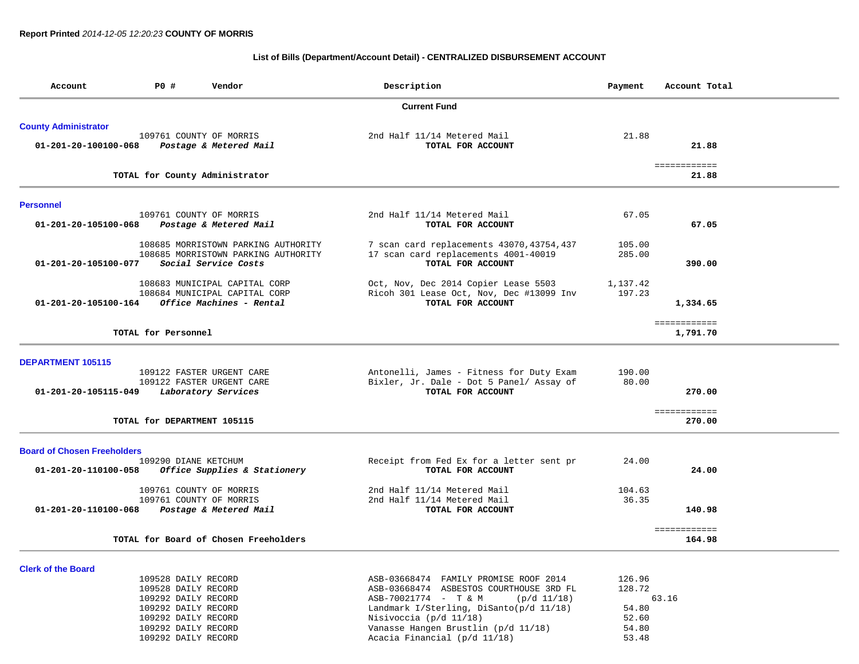### **List of Bills (Department/Account Detail) - CENTRALIZED DISBURSEMENT ACCOUNT**

| Account                            | <b>PO #</b>                 | Vendor                                | Description                                | Payment  | Account Total         |
|------------------------------------|-----------------------------|---------------------------------------|--------------------------------------------|----------|-----------------------|
|                                    |                             |                                       | <b>Current Fund</b>                        |          |                       |
| <b>County Administrator</b>        |                             |                                       |                                            |          |                       |
|                                    | 109761 COUNTY OF MORRIS     |                                       | 2nd Half 11/14 Metered Mail                | 21.88    |                       |
| 01-201-20-100100-068               |                             | Postage & Metered Mail                | TOTAL FOR ACCOUNT                          |          | 21.88                 |
|                                    |                             | TOTAL for County Administrator        |                                            |          | ============<br>21.88 |
| <b>Personnel</b>                   |                             |                                       |                                            |          |                       |
|                                    | 109761 COUNTY OF MORRIS     |                                       | 2nd Half 11/14 Metered Mail                | 67.05    |                       |
| 01-201-20-105100-068               |                             | Postage & Metered Mail                | TOTAL FOR ACCOUNT                          |          | 67.05                 |
|                                    |                             | 108685 MORRISTOWN PARKING AUTHORITY   | 7 scan card replacements 43070, 43754, 437 | 105.00   |                       |
|                                    |                             | 108685 MORRISTOWN PARKING AUTHORITY   | 17 scan card replacements 4001-40019       | 285.00   |                       |
| 01-201-20-105100-077               |                             | Social Service Costs                  | TOTAL FOR ACCOUNT                          |          | 390.00                |
|                                    |                             | 108683 MUNICIPAL CAPITAL CORP         | Oct, Nov, Dec 2014 Copier Lease 5503       | 1,137.42 |                       |
|                                    |                             | 108684 MUNICIPAL CAPITAL CORP         | Ricoh 301 Lease Oct, Nov, Dec #13099 Inv   | 197.23   |                       |
| 01-201-20-105100-164               |                             | Office Machines - Rental              | TOTAL FOR ACCOUNT                          |          | 1,334.65              |
|                                    |                             |                                       |                                            |          | ============          |
|                                    | TOTAL for Personnel         |                                       |                                            |          | 1,791.70              |
| <b>DEPARTMENT 105115</b>           |                             |                                       |                                            |          |                       |
|                                    |                             | 109122 FASTER URGENT CARE             | Antonelli, James - Fitness for Duty Exam   | 190.00   |                       |
|                                    |                             | 109122 FASTER URGENT CARE             | Bixler, Jr. Dale - Dot 5 Panel/ Assay of   | 80.00    |                       |
| 01-201-20-105115-049               |                             | Laboratory Services                   | TOTAL FOR ACCOUNT                          |          | 270.00                |
|                                    |                             |                                       |                                            |          | ============          |
|                                    | TOTAL for DEPARTMENT 105115 |                                       |                                            |          | 270.00                |
| <b>Board of Chosen Freeholders</b> |                             |                                       |                                            |          |                       |
|                                    | 109290 DIANE KETCHUM        |                                       | Receipt from Fed Ex for a letter sent pr   | 24.00    |                       |
| 01-201-20-110100-058               |                             | Office Supplies & Stationery          | TOTAL FOR ACCOUNT                          |          | 24.00                 |
|                                    | 109761 COUNTY OF MORRIS     |                                       | 2nd Half 11/14 Metered Mail                | 104.63   |                       |
|                                    | 109761 COUNTY OF MORRIS     |                                       | 2nd Half 11/14 Metered Mail                | 36.35    |                       |
| 01-201-20-110100-068               |                             | Postage & Metered Mail                | TOTAL FOR ACCOUNT                          |          | 140.98                |
|                                    |                             |                                       |                                            |          | ============          |
|                                    |                             | TOTAL for Board of Chosen Freeholders |                                            |          | 164.98                |
| <b>Clerk of the Board</b>          |                             |                                       |                                            |          |                       |
|                                    | 109528 DAILY RECORD         |                                       | ASB-03668474 FAMILY PROMISE ROOF 2014      | 126.96   |                       |
|                                    | 109528 DAILY RECORD         |                                       | ASB-03668474 ASBESTOS COURTHOUSE 3RD FL    | 128.72   |                       |
|                                    | 109292 DAILY RECORD         |                                       | ASB-70021774 - T & M<br>$(p/d \ 11/18)$    |          | 63.16                 |
|                                    | 109292 DAILY RECORD         |                                       | Landmark I/Sterling, DiSanto(p/d 11/18)    | 54.80    |                       |
|                                    | 109292 DAILY RECORD         |                                       | Nisivoccia $(p/d 11/18)$                   | 52.60    |                       |
|                                    | 109292 DAILY RECORD         |                                       | Vanasse Hangen Brustlin (p/d 11/18)        | 54.80    |                       |

109292 DAILY RECORD Vanasse Hangen Brustlin (p/d 11/18) 54.80

Acacia Financial ( $p/d$  11/18)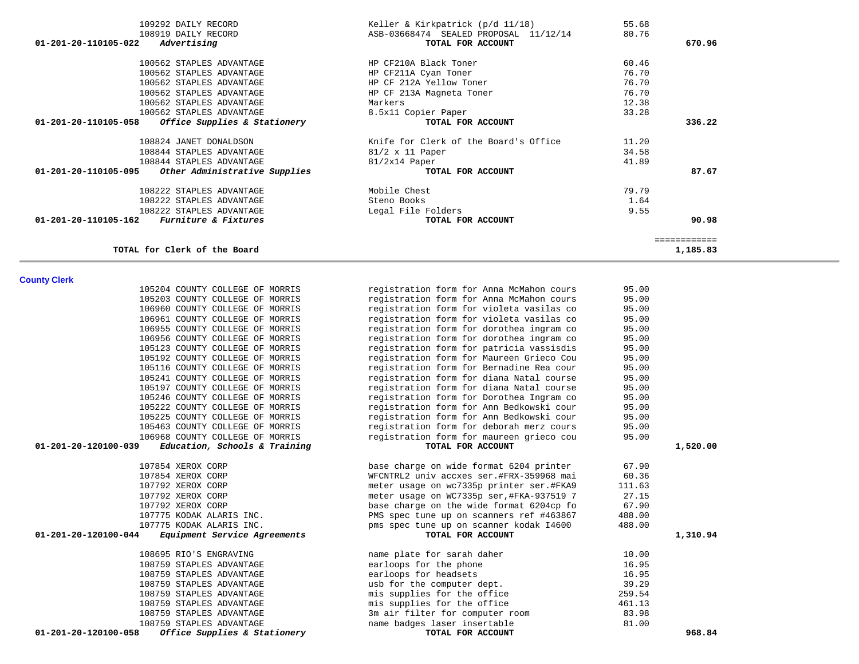| 108919 DAILY RECORD                                     | ASB-03668474 SEALED PROPOSAL 11/12/14<br>80.76 |              |
|---------------------------------------------------------|------------------------------------------------|--------------|
| 01-201-20-110105-022<br>Advertising                     | TOTAL FOR ACCOUNT                              | 670.96       |
| 100562 STAPLES ADVANTAGE                                | HP CF210A Black Toner<br>60.46                 |              |
| 100562 STAPLES ADVANTAGE                                | 76.70<br>HP CF211A Cyan Toner                  |              |
| 100562 STAPLES ADVANTAGE                                | HP CF 212A Yellow Toner<br>76.70               |              |
| 100562 STAPLES ADVANTAGE                                | 76.70<br>HP CF 213A Magneta Toner              |              |
| 100562 STAPLES ADVANTAGE<br>Markers                     | 12.38                                          |              |
| 100562 STAPLES ADVANTAGE                                | 33.28<br>8.5x11 Copier Paper                   |              |
| 01-201-20-110105-058<br>Office Supplies & Stationery    | TOTAL FOR ACCOUNT                              | 336.22       |
|                                                         |                                                |              |
| 108824 JANET DONALDSON                                  | Knife for Clerk of the Board's Office<br>11.20 |              |
| 108844 STAPLES ADVANTAGE                                | 34.58<br>$81/2 \times 11$ Paper                |              |
| 108844 STAPLES ADVANTAGE<br>$81/2x14$ Paper             | 41.89                                          |              |
| Other Administrative Supplies<br>01-201-20-110105-095   | TOTAL FOR ACCOUNT                              | 87.67        |
| Mobile Chest<br>108222 STAPLES ADVANTAGE                | 79.79                                          |              |
| 108222 STAPLES ADVANTAGE<br>Steno Books                 | 1.64                                           |              |
| 108222 STAPLES ADVANTAGE                                | Legal File Folders<br>9.55                     |              |
| 01-201-20-110105-162<br><i>Furniture &amp; Fixtures</i> | TOTAL FOR ACCOUNT                              | 90.98        |
|                                                         |                                                | ============ |
|                                                         |                                                |              |

| <b>County Clerk</b> |  |  |
|---------------------|--|--|
|                     |  |  |

| County Clerk                                          |                                           |        |          |
|-------------------------------------------------------|-------------------------------------------|--------|----------|
| 105204 COUNTY COLLEGE OF MORRIS                       | registration form for Anna McMahon cours  | 95.00  |          |
| 105203 COUNTY COLLEGE OF MORRIS                       | registration form for Anna McMahon cours  | 95.00  |          |
| 106960 COUNTY COLLEGE OF MORRIS                       | registration form for violeta vasilas co  | 95.00  |          |
| 106961 COUNTY COLLEGE OF MORRIS                       | registration form for violeta vasilas co  | 95.00  |          |
| 106955 COUNTY COLLEGE OF MORRIS                       | registration form for dorothea ingram co  | 95.00  |          |
| 106956 COUNTY COLLEGE OF MORRIS                       | registration form for dorothea ingram co  | 95.00  |          |
| 105123 COUNTY COLLEGE OF MORRIS                       | registration form for patricia vassisdis  | 95.00  |          |
| 105192 COUNTY COLLEGE OF MORRIS                       | registration form for Maureen Grieco Cou  | 95.00  |          |
| 105116 COUNTY COLLEGE OF MORRIS                       | registration form for Bernadine Rea cour  | 95.00  |          |
| 105241 COUNTY COLLEGE OF MORRIS                       | registration form for diana Natal course  | 95.00  |          |
| 105197 COUNTY COLLEGE OF MORRIS                       | registration form for diana Natal course  | 95.00  |          |
| 105246 COUNTY COLLEGE OF MORRIS                       | registration form for Dorothea Ingram co  | 95.00  |          |
| 105222 COUNTY COLLEGE OF MORRIS                       | registration form for Ann Bedkowski cour  | 95.00  |          |
| 105225 COUNTY COLLEGE OF MORRIS                       | registration form for Ann Bedkowski cour  | 95.00  |          |
| 105463 COUNTY COLLEGE OF MORRIS                       | registration form for deborah merz cours  | 95.00  |          |
| 106968 COUNTY COLLEGE OF MORRIS                       | registration form for maureen grieco cou  | 95.00  |          |
| 01-201-20-120100-039<br>Education, Schools & Training | TOTAL FOR ACCOUNT                         |        | 1,520.00 |
|                                                       |                                           |        |          |
| 107854 XEROX CORP                                     | base charge on wide format 6204 printer   | 67.90  |          |
| 107854 XEROX CORP                                     | WFCNTRL2 univ accxes ser.#FRX-359968 mai  | 60.36  |          |
| 107792 XEROX CORP                                     | meter usage on wc7335p printer ser.#FKA9  | 111.63 |          |
| 107792 XEROX CORP                                     | meter usage on WC7335p ser, #FKA-937519 7 | 27.15  |          |
| 107792 XEROX CORP                                     | base charge on the wide format 6204cp fo  | 67.90  |          |
| 107775 KODAK ALARIS INC.                              | PMS spec tune up on scanners ref #463867  | 488.00 |          |
| 107775 KODAK ALARIS INC.                              | pms spec tune up on scanner kodak I4600   | 488.00 |          |
| 01-201-20-120100-044<br>Equipment Service Agreements  | TOTAL FOR ACCOUNT                         |        | 1,310.94 |
| 108695 RIO'S ENGRAVING                                | name plate for sarah daher                | 10.00  |          |
| 108759 STAPLES ADVANTAGE                              | earloops for the phone                    | 16.95  |          |
| 108759 STAPLES ADVANTAGE                              | earloops for headsets                     | 16.95  |          |
| 108759 STAPLES ADVANTAGE                              | usb for the computer dept.                | 39.29  |          |
| 108759 STAPLES ADVANTAGE                              | mis supplies for the office               | 259.54 |          |
| 108759 STAPLES ADVANTAGE                              | mis supplies for the office               | 461.13 |          |
| 108759 STAPLES ADVANTAGE                              | 3m air filter for computer room           | 83.98  |          |
| 1007E0 CEADIRC ADVANTACE                              | namo bodgog lagom ingomtablo              | 01.00  |          |

108759 STAPLES ADVANTAGE name badges laser insertable 81.00 anne badges laser insertable 81.00 anne badges laser insertable 81.00 anne badges laser insertable 81.00 anne badges laser insertable 81.00 anne 868**.84** and a se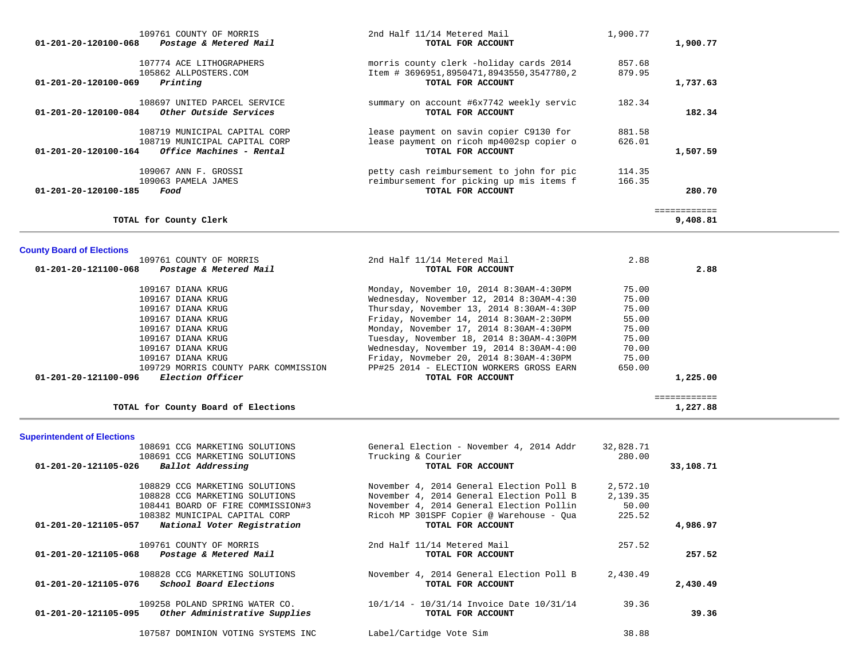| 109761 COUNTY OF MORRIS                                    | 2nd Half 11/14 Metered Mail              | 1,900.77 |             |
|------------------------------------------------------------|------------------------------------------|----------|-------------|
| 01-201-20-120100-068<br>Postage & Metered Mail             | TOTAL FOR ACCOUNT                        |          | 1,900.77    |
| 107774 ACE LITHOGRAPHERS                                   | morris county clerk -holiday cards 2014  | 857.68   |             |
| 105862 ALLPOSTERS.COM                                      | Item # 3696951,8950471,8943550,3547780,2 | 879.95   |             |
| $01 - 201 - 20 - 120100 - 069$<br>Printing                 | TOTAL FOR ACCOUNT                        |          | 1,737.63    |
| 108697 UNITED PARCEL SERVICE                               | summary on account #6x7742 weekly servic | 182.34   |             |
| 01-201-20-120100-084<br>Other Outside Services             | TOTAL FOR ACCOUNT                        |          | 182.34      |
| 108719 MUNICIPAL CAPITAL CORP                              | lease payment on savin copier C9130 for  | 881.58   |             |
| 108719 MUNICIPAL CAPITAL CORP                              | lease payment on ricoh mp4002sp copier o | 626.01   |             |
| $01 - 201 - 20 - 120100 - 164$<br>Office Machines - Rental | TOTAL FOR ACCOUNT                        |          | 1,507.59    |
| 109067 ANN F. GROSSI                                       | petty cash reimbursement to john for pic | 114.35   |             |
| 109063 PAMELA JAMES                                        | reimbursement for picking up mis items f | 166.35   |             |
| 01-201-20-120100-185<br>Food                               | TOTAL FOR ACCOUNT                        |          | 280.70      |
|                                                            |                                          |          | :========== |
| TOTAL for County Clerk                                     |                                          |          | 9,408.81    |

## **County Board of Elections**

| 109761 COUNTY OF MORRIS                         | 2nd Half 11/14 Metered Mail              | 2.88   |          |
|-------------------------------------------------|------------------------------------------|--------|----------|
| 01-201-20-121100-068<br>Postage & Metered Mail  | TOTAL FOR ACCOUNT                        |        | 2.88     |
| 109167 DIANA KRUG                               | Monday, November 10, 2014 8:30AM-4:30PM  | 75.00  |          |
| 109167 DIANA KRUG                               | Wednesday, November 12, 2014 8:30AM-4:30 | 75.00  |          |
| 109167 DIANA KRUG                               | Thursday, November 13, 2014 8:30AM-4:30P | 75.00  |          |
| 109167 DIANA KRUG                               | Friday, November 14, 2014 8:30AM-2:30PM  | 55.00  |          |
| 109167 DIANA KRUG                               | Monday, November 17, 2014 8:30AM-4:30PM  | 75.00  |          |
| 109167 DIANA KRUG                               | Tuesday, November 18, 2014 8:30AM-4:30PM | 75.00  |          |
| 109167 DIANA KRUG                               | Wednesday, November 19, 2014 8:30AM-4:00 | 70.00  |          |
| 109167 DIANA KRUG                               | Friday, Novmeber 20, 2014 8:30AM-4:30PM  | 75.00  |          |
| 109729 MORRIS COUNTY PARK COMMISSION            | PP#25 2014 - ELECTION WORKERS GROSS EARN | 650.00 |          |
| <i>Election Officer</i><br>01-201-20-121100-096 | TOTAL FOR ACCOUNT                        |        | 1,225.00 |

============

### TOTAL for County Board of Elections **1,227.88**

## **Superintendent of Elections**

| 108691 CCG MARKETING SOLUTIONS                                                   | General Election - November 4, 2014 Addr                      | 32,828.71 |           |
|----------------------------------------------------------------------------------|---------------------------------------------------------------|-----------|-----------|
| 108691 CCG MARKETING SOLUTIONS                                                   | Trucking & Courier                                            | 280.00    |           |
| Ballot Addressing<br>01-201-20-121105-026                                        | TOTAL FOR ACCOUNT                                             |           | 33,108.71 |
| 108829 CCG MARKETING SOLUTIONS                                                   | November 4, 2014 General Election Poll B                      | 2,572.10  |           |
| 108828 CCG MARKETING SOLUTIONS                                                   | November 4, 2014 General Election Poll B                      | 2,139.35  |           |
| 108441 BOARD OF FIRE COMMISSION#3                                                | November 4, 2014 General Election Pollin                      | 50.00     |           |
| 108382 MUNICIPAL CAPITAL CORP                                                    | Ricoh MP 301SPF Copier @ Warehouse - Qua                      | 225.52    |           |
| 01-201-20-121105-057<br>National Voter Registration                              | TOTAL FOR ACCOUNT                                             |           | 4,986.97  |
| 109761 COUNTY OF MORRIS<br>01-201-20-121105-068<br>Postage & Metered Mail        | 2nd Half 11/14 Metered Mail<br>TOTAL FOR ACCOUNT              | 257.52    | 257.52    |
|                                                                                  |                                                               |           |           |
| 108828 CCG MARKETING SOLUTIONS<br>01-201-20-121105-076<br>School Board Elections | November 4, 2014 General Election Poll B<br>TOTAL FOR ACCOUNT | 2,430.49  | 2,430.49  |
|                                                                                  |                                                               |           |           |
| 109258 POLAND SPRING WATER CO.                                                   | $10/1/14$ - $10/31/14$ Invoice Date $10/31/14$                | 39.36     |           |
| Other Administrative Supplies<br>01-201-20-121105-095                            | TOTAL FOR ACCOUNT                                             |           | 39.36     |
| 107587 DOMINION VOTING SYSTEMS INC                                               | Label/Cartidge Vote Sim                                       | 38.88     |           |
|                                                                                  |                                                               |           |           |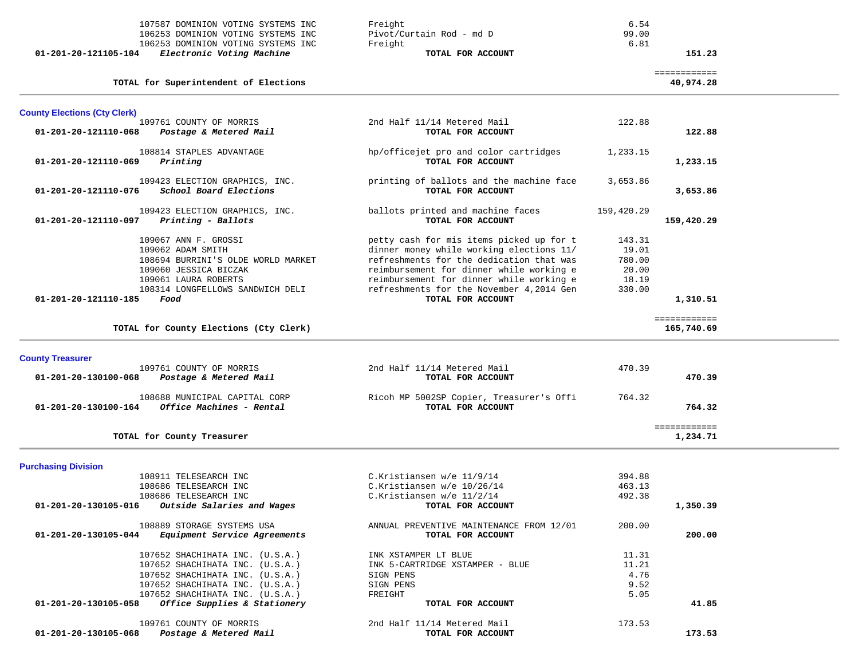| $01 - 201 - 20 - 121105 - 104$<br>Electronic Voting Machine | TOTAL FOR ACCOUNT        |       |
|-------------------------------------------------------------|--------------------------|-------|
| 106253 DOMINION VOTING SYSTEMS INC                          | Freight                  | 6.81  |
| 106253 DOMINION VOTING SYSTEMS INC                          | Pivot/Curtain Rod - md D | 99.00 |
| 107587 DOMINION VOTING SYSTEMS INC                          | Freight                  | 6.54  |

| 01-201-20-121105-104<br>Electronic Voting Machine | TOTAL FOR ACCOUNT        | 151.23 |
|---------------------------------------------------|--------------------------|--------|
| 106253 DOMINION VOTING SYSTEMS INC                | Freight                  |        |
| 106253 DOMINION VOTING SYSTEMS INC                | Pivot/Curtain Rod - md D | 99.00  |
| 107587 DOMINION VOTING SYSTEMS INC                | Freight                  |        |

============

**TOTAL for Superintendent of Elections 40,974.28**

| <b>County Elections (Cty Clerk)</b>                              |                                          |            |              |
|------------------------------------------------------------------|------------------------------------------|------------|--------------|
| 109761 COUNTY OF MORRIS                                          | 2nd Half 11/14 Metered Mail              | 122.88     |              |
| 01-201-20-121110-068<br>Postage & Metered Mail                   | TOTAL FOR ACCOUNT                        |            | 122.88       |
| 108814 STAPLES ADVANTAGE                                         | hp/officejet pro and color cartridges    | 1,233.15   |              |
| 01-201-20-121110-069<br>Printing                                 | TOTAL FOR ACCOUNT                        |            | 1,233.15     |
|                                                                  |                                          |            |              |
| 109423 ELECTION GRAPHICS, INC.                                   | printing of ballots and the machine face | 3,653.86   |              |
| School Board Elections<br>01-201-20-121110-076                   | TOTAL FOR ACCOUNT                        |            | 3,653.86     |
|                                                                  |                                          |            |              |
| 109423 ELECTION GRAPHICS, INC.                                   | ballots printed and machine faces        | 159,420.29 |              |
| 01-201-20-121110-097<br>Printing - Ballots                       | TOTAL FOR ACCOUNT                        |            | 159,420.29   |
| 109067 ANN F. GROSSI                                             | petty cash for mis items picked up for t | 143.31     |              |
| 109062 ADAM SMITH                                                | dinner money while working elections 11/ | 19.01      |              |
| 108694 BURRINI'S OLDE WORLD MARKET                               | refreshments for the dedication that was | 780.00     |              |
| 109060 JESSICA BICZAK                                            | reimbursement for dinner while working e | 20.00      |              |
| 109061 LAURA ROBERTS                                             | reimbursement for dinner while working e | 18.19      |              |
|                                                                  | refreshments for the November 4,2014 Gen | 330.00     |              |
| 108314 LONGFELLOWS SANDWICH DELI<br>01-201-20-121110-185<br>Food | TOTAL FOR ACCOUNT                        |            | 1,310.51     |
|                                                                  |                                          |            |              |
|                                                                  |                                          |            | ============ |
| TOTAL for County Elections (Cty Clerk)                           |                                          |            | 165,740.69   |
|                                                                  |                                          |            |              |
| <b>County Treasurer</b>                                          |                                          |            |              |
| 109761 COUNTY OF MORRIS                                          | 2nd Half 11/14 Metered Mail              | 470.39     |              |
| Postage & Metered Mail<br>01-201-20-130100-068                   | TOTAL FOR ACCOUNT                        |            | 470.39       |
|                                                                  |                                          |            |              |
| 108688 MUNICIPAL CAPITAL CORP                                    | Ricoh MP 5002SP Copier, Treasurer's Offi | 764.32     |              |
| Office Machines - Rental<br>01-201-20-130100-164                 | TOTAL FOR ACCOUNT                        |            | 764.32       |
|                                                                  |                                          |            | ============ |
| TOTAL for County Treasurer                                       |                                          |            | 1,234.71     |
|                                                                  |                                          |            |              |
| <b>Purchasing Division</b>                                       |                                          |            |              |
| 108911 TELESEARCH INC                                            | C.Kristiansen w/e 11/9/14                | 394.88     |              |
| 108686 TELESEARCH INC                                            | C.Kristiansen w/e 10/26/14               | 463.13     |              |
| 108686 TELESEARCH INC                                            | C.Kristiansen w/e 11/2/14                | 492.38     |              |
| Outside Salaries and Wages<br>01-201-20-130105-016               | TOTAL FOR ACCOUNT                        |            | 1,350.39     |
|                                                                  |                                          |            |              |
| 108889 STORAGE SYSTEMS USA                                       | ANNUAL PREVENTIVE MAINTENANCE FROM 12/01 | 200.00     |              |
| 01-201-20-130105-044<br>Equipment Service Agreements             | TOTAL FOR ACCOUNT                        |            | 200.00       |
| 107652 SHACHIHATA INC. (U.S.A.)                                  | INK XSTAMPER LT BLUE                     | 11.31      |              |
| 107652 SHACHIHATA INC. (U.S.A.)                                  | INK 5-CARTRIDGE XSTAMPER - BLUE          | 11.21      |              |
| 107652 SHACHIHATA INC. (U.S.A.)                                  | SIGN PENS                                | 4.76       |              |
| 107652 SHACHIHATA INC. (U.S.A.)                                  | SIGN PENS                                | 9.52       |              |
| 107652 SHACHIHATA INC. (U.S.A.)                                  | FREIGHT                                  | 5.05       |              |
| 01-201-20-130105-058<br>Office Supplies & Stationery             | TOTAL FOR ACCOUNT                        |            | 41.85        |
|                                                                  |                                          |            |              |
| 109761 COUNTY OF MORRIS                                          | 2nd Half 11/14 Metered Mail              | 173.53     |              |
| Postage & Metered Mail<br>01-201-20-130105-068                   | TOTAL FOR ACCOUNT                        |            | 173.53       |

 **01-201-20-130105-068** *Postage & Metered Mail* **TOTAL FOR ACCOUNT 173.53**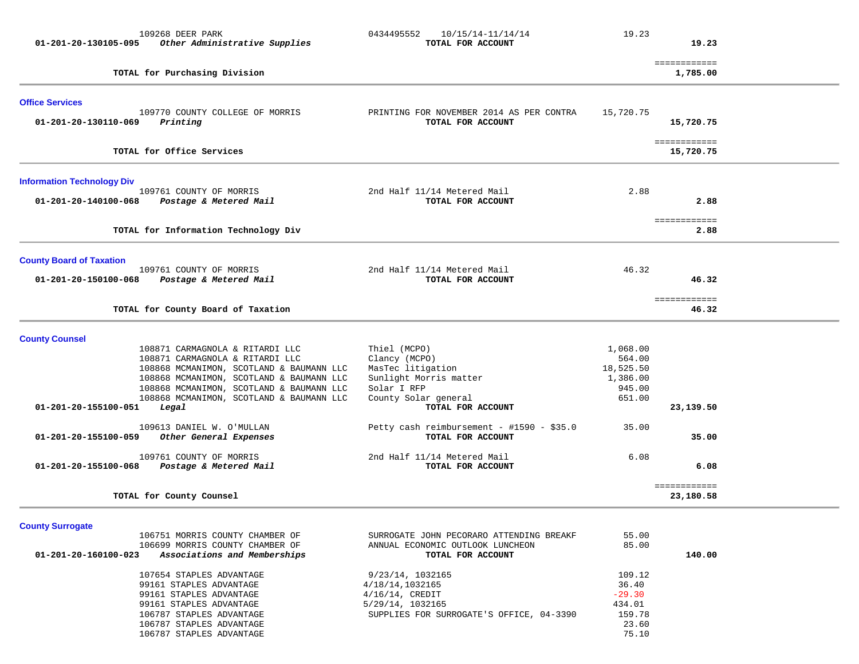| 109268 DEER PARK<br>01-201-20-130105-095<br>Other Administrative Supplies            | 0434495552<br>10/15/14-11/14/14<br>TOTAL FOR ACCOUNT          | 19.23              | 19.23                       |  |
|--------------------------------------------------------------------------------------|---------------------------------------------------------------|--------------------|-----------------------------|--|
| TOTAL for Purchasing Division                                                        |                                                               |                    | ============<br>1,785.00    |  |
| <b>Office Services</b>                                                               |                                                               |                    |                             |  |
| 109770 COUNTY COLLEGE OF MORRIS<br>01-201-20-130110-069<br>Printing                  | PRINTING FOR NOVEMBER 2014 AS PER CONTRA<br>TOTAL FOR ACCOUNT | 15,720.75          | 15,720.75                   |  |
| TOTAL for Office Services                                                            |                                                               |                    | ============<br>15,720.75   |  |
| <b>Information Technology Div</b>                                                    |                                                               |                    |                             |  |
| 109761 COUNTY OF MORRIS<br>Postage & Metered Mail<br>01-201-20-140100-068            | 2nd Half 11/14 Metered Mail<br>TOTAL FOR ACCOUNT              | 2.88               | 2.88                        |  |
| TOTAL for Information Technology Div                                                 |                                                               |                    | ============<br>2.88        |  |
| <b>County Board of Taxation</b>                                                      |                                                               |                    |                             |  |
| 109761 COUNTY OF MORRIS<br>Postage & Metered Mail<br>01-201-20-150100-068            | 2nd Half 11/14 Metered Mail<br>TOTAL FOR ACCOUNT              | 46.32              | 46.32                       |  |
| TOTAL for County Board of Taxation                                                   |                                                               |                    | <b>EEEEEEEEEEE</b><br>46.32 |  |
| <b>County Counsel</b>                                                                |                                                               |                    |                             |  |
| 108871 CARMAGNOLA & RITARDI LLC                                                      | Thiel (MCPO)                                                  | 1,068.00           |                             |  |
| 108871 CARMAGNOLA & RITARDI LLC                                                      | Clancy (MCPO)                                                 | 564.00             |                             |  |
| 108868 MCMANIMON, SCOTLAND & BAUMANN LLC                                             | MasTec litigation                                             | 18,525.50          |                             |  |
| 108868 MCMANIMON, SCOTLAND & BAUMANN LLC<br>108868 MCMANIMON, SCOTLAND & BAUMANN LLC | Sunlight Morris matter<br>Solar I RFP                         | 1,386.00<br>945.00 |                             |  |
| 108868 MCMANIMON, SCOTLAND & BAUMANN LLC                                             | County Solar general                                          | 651.00             |                             |  |
| 01-201-20-155100-051<br>Legal                                                        | TOTAL FOR ACCOUNT                                             |                    | 23,139.50                   |  |
| 109613 DANIEL W. O'MULLAN                                                            | Petty cash reimbursement - #1590 - \$35.0                     | 35.00              |                             |  |
| 01-201-20-155100-059<br>Other General Expenses                                       | TOTAL FOR ACCOUNT                                             |                    | 35.00                       |  |
| 109761 COUNTY OF MORRIS                                                              | 2nd Half 11/14 Metered Mail                                   | 6.08               |                             |  |
| Postage & Metered Mail<br>01-201-20-155100-068                                       | TOTAL FOR ACCOUNT                                             |                    | 6.08                        |  |
| TOTAL for County Counsel                                                             |                                                               |                    | ============<br>23,180.58   |  |
| <b>County Surrogate</b>                                                              |                                                               |                    |                             |  |
| 106751 MORRIS COUNTY CHAMBER OF                                                      | SURROGATE JOHN PECORARO ATTENDING BREAKF                      | 55.00              |                             |  |
| 106699 MORRIS COUNTY CHAMBER OF                                                      | ANNUAL ECONOMIC OUTLOOK LUNCHEON                              | 85.00              |                             |  |
| 01-201-20-160100-023<br>Associations and Memberships                                 | TOTAL FOR ACCOUNT                                             |                    | 140.00                      |  |
| 107654 STAPLES ADVANTAGE                                                             | 9/23/14, 1032165                                              | 109.12             |                             |  |
| 99161 STAPLES ADVANTAGE                                                              | 4/18/14,1032165                                               | 36.40              |                             |  |
| 99161 STAPLES ADVANTAGE                                                              | $4/16/14$ , CREDIT                                            | $-29.30$           |                             |  |
| 99161 STAPLES ADVANTAGE                                                              | 5/29/14, 1032165                                              | 434.01             |                             |  |
| 106787 STAPLES ADVANTAGE                                                             | SUPPLIES FOR SURROGATE'S OFFICE, 04-3390                      | 159.78             |                             |  |
| 106787 STAPLES ADVANTAGE                                                             |                                                               | 23.60              |                             |  |

106787 STAPLES ADVANTAGE 23.60

106787 STAPLES ADVANTAGE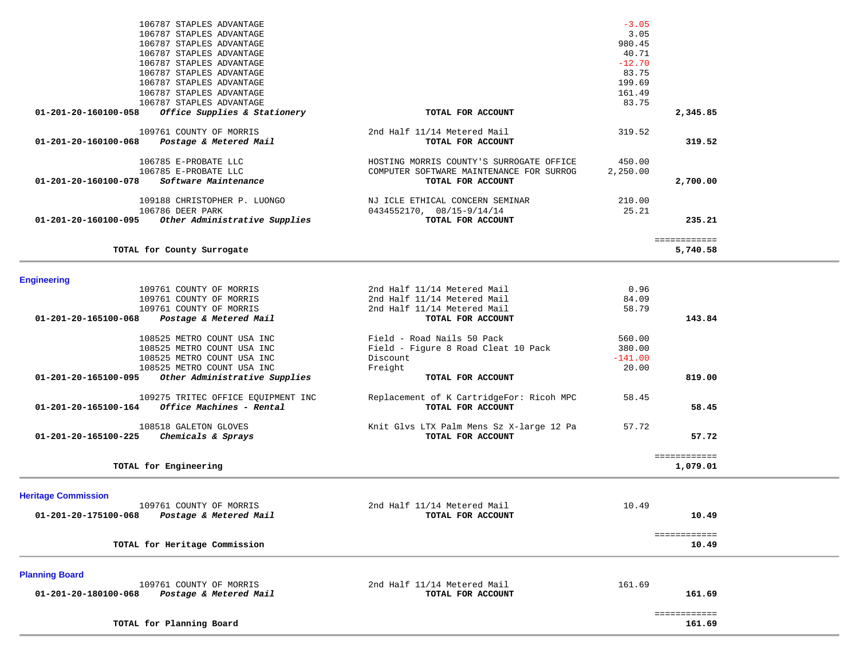|                            | 106787 STAPLES ADVANTAGE           |                                          | $-3.05$   |                          |  |
|----------------------------|------------------------------------|------------------------------------------|-----------|--------------------------|--|
|                            | 106787 STAPLES ADVANTAGE           |                                          | 3.05      |                          |  |
|                            | 106787 STAPLES ADVANTAGE           |                                          | 980.45    |                          |  |
|                            | 106787 STAPLES ADVANTAGE           |                                          | 40.71     |                          |  |
|                            | 106787 STAPLES ADVANTAGE           |                                          | $-12.70$  |                          |  |
|                            | 106787 STAPLES ADVANTAGE           |                                          | 83.75     |                          |  |
|                            | 106787 STAPLES ADVANTAGE           |                                          | 199.69    |                          |  |
|                            | 106787 STAPLES ADVANTAGE           |                                          | 161.49    |                          |  |
|                            | 106787 STAPLES ADVANTAGE           |                                          | 83.75     |                          |  |
| 01-201-20-160100-058       | Office Supplies & Stationery       | TOTAL FOR ACCOUNT                        |           | 2,345.85                 |  |
|                            |                                    |                                          |           |                          |  |
|                            | 109761 COUNTY OF MORRIS            | 2nd Half 11/14 Metered Mail              | 319.52    |                          |  |
| 01-201-20-160100-068       | Postage & Metered Mail             | TOTAL FOR ACCOUNT                        |           | 319.52                   |  |
|                            |                                    |                                          |           |                          |  |
|                            | 106785 E-PROBATE LLC               | HOSTING MORRIS COUNTY'S SURROGATE OFFICE | 450.00    |                          |  |
|                            | 106785 E-PROBATE LLC               | COMPUTER SOFTWARE MAINTENANCE FOR SURROG | 2,250.00  |                          |  |
| 01-201-20-160100-078       | Software Maintenance               | TOTAL FOR ACCOUNT                        |           | 2,700.00                 |  |
|                            |                                    |                                          |           |                          |  |
|                            | 109188 CHRISTOPHER P. LUONGO       | NJ ICLE ETHICAL CONCERN SEMINAR          | 210.00    |                          |  |
|                            | 106786 DEER PARK                   | $0434552170, 08/15-9/14/14$              | 25.21     |                          |  |
| 01-201-20-160100-095       | Other Administrative Supplies      | TOTAL FOR ACCOUNT                        |           | 235.21                   |  |
|                            |                                    |                                          |           |                          |  |
|                            |                                    |                                          |           | ============             |  |
|                            | TOTAL for County Surrogate         |                                          |           | 5,740.58                 |  |
|                            |                                    |                                          |           |                          |  |
|                            |                                    |                                          |           |                          |  |
| <b>Engineering</b>         |                                    |                                          |           |                          |  |
|                            | 109761 COUNTY OF MORRIS            | 2nd Half 11/14 Metered Mail              | 0.96      |                          |  |
|                            | 109761 COUNTY OF MORRIS            | 2nd Half 11/14 Metered Mail              | 84.09     |                          |  |
|                            | 109761 COUNTY OF MORRIS            | 2nd Half 11/14 Metered Mail              | 58.79     |                          |  |
| 01-201-20-165100-068       | Postage & Metered Mail             | TOTAL FOR ACCOUNT                        |           | 143.84                   |  |
|                            |                                    |                                          |           |                          |  |
|                            | 108525 METRO COUNT USA INC         | Field - Road Nails 50 Pack               | 560.00    |                          |  |
|                            | 108525 METRO COUNT USA INC         | Field - Figure 8 Road Cleat 10 Pack      | 380.00    |                          |  |
|                            | 108525 METRO COUNT USA INC         | Discount                                 | $-141.00$ |                          |  |
|                            |                                    |                                          |           |                          |  |
|                            | 108525 METRO COUNT USA INC         | Freight                                  | 20.00     |                          |  |
| 01-201-20-165100-095       | Other Administrative Supplies      | TOTAL FOR ACCOUNT                        |           | 819.00                   |  |
|                            | 109275 TRITEC OFFICE EQUIPMENT INC | Replacement of K CartridgeFor: Ricoh MPC | 58.45     |                          |  |
| 01-201-20-165100-164       | Office Machines - Rental           | TOTAL FOR ACCOUNT                        |           | 58.45                    |  |
|                            |                                    |                                          |           |                          |  |
|                            | 108518 GALETON GLOVES              | Knit Glvs LTX Palm Mens Sz X-large 12 Pa | 57.72     |                          |  |
|                            |                                    | TOTAL FOR ACCOUNT                        |           |                          |  |
| 01-201-20-165100-225       | Chemicals & Sprays                 |                                          |           | 57.72                    |  |
|                            |                                    |                                          |           |                          |  |
|                            | TOTAL for Engineering              |                                          |           | ============<br>1,079.01 |  |
|                            |                                    |                                          |           |                          |  |
|                            |                                    |                                          |           |                          |  |
| <b>Heritage Commission</b> |                                    |                                          |           |                          |  |
|                            | 109761 COUNTY OF MORRIS            | 2nd Half 11/14 Metered Mail              | 10.49     |                          |  |
| 01-201-20-175100-068       | Postage & Metered Mail             | TOTAL FOR ACCOUNT                        |           | 10.49                    |  |
|                            |                                    |                                          |           |                          |  |
|                            |                                    |                                          |           | ============             |  |
|                            | TOTAL for Heritage Commission      |                                          |           | 10.49                    |  |
|                            |                                    |                                          |           |                          |  |
|                            |                                    |                                          |           |                          |  |
| <b>Planning Board</b>      |                                    |                                          |           |                          |  |
|                            | 109761 COUNTY OF MORRIS            | 2nd Half 11/14 Metered Mail              | 161.69    |                          |  |
| 01-201-20-180100-068       | Postage & Metered Mail             | TOTAL FOR ACCOUNT                        |           | 161.69                   |  |
|                            |                                    |                                          |           |                          |  |
|                            |                                    |                                          |           | ============             |  |
|                            | TOTAL for Planning Board           |                                          |           | 161.69                   |  |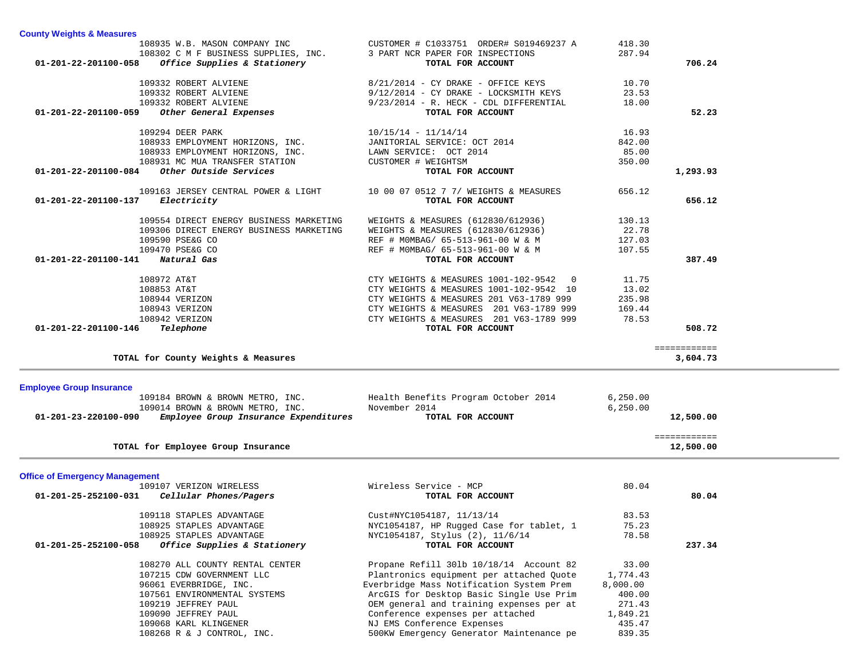| 109332 ROBERT ALVIENE                                                 |                                         | $8/21/2014$ - CY DRAKE - OFFICE KEYS                                   | 10.70            |              |  |
|-----------------------------------------------------------------------|-----------------------------------------|------------------------------------------------------------------------|------------------|--------------|--|
| 109332 ROBERT ALVIENE                                                 |                                         | $9/12/2014$ - CY DRAKE - LOCKSMITH KEYS                                | 23.53            |              |  |
| 332 ROBERT ALVIENE<br>Other General Expenses<br>109332 ROBERT ALVIENE |                                         | $9/23/2014$ - R. HECK - CDL DIFFERENTIAL                               | 18.00            |              |  |
| 01-201-22-201100-059                                                  |                                         | TOTAL FOR ACCOUNT                                                      |                  | 52.23        |  |
| 109294 DEER PARK                                                      |                                         | $10/15/14 - 11/14/14$                                                  | 16.93            |              |  |
| 108933 EMPLOYMENT HORIZONS, INC.                                      |                                         | JANITORIAL SERVICE: OCT 2014                                           | 842.00           |              |  |
| 108933 EMPLOYMENT HORIZONS, INC.                                      |                                         | LAWN SERVICE: OCT 2014                                                 | 85.00            |              |  |
| 108931 MC MUA TRANSFER STATION                                        |                                         | CUSTOMER # WEIGHTSM                                                    | 350.00           |              |  |
| 01-201-22-201100-084 Other Outside Services                           |                                         | TOTAL FOR ACCOUNT                                                      |                  | 1,293.93     |  |
|                                                                       |                                         |                                                                        |                  |              |  |
|                                                                       | 109163 JERSEY CENTRAL POWER & LIGHT     | 10 00 07 0512 7 7/ WEIGHTS & MEASURES                                  | 656.12           |              |  |
| $01 - 201 - 22 - 201100 - 137$ Electricity                            |                                         | TOTAL FOR ACCOUNT                                                      |                  | 656.12       |  |
|                                                                       |                                         |                                                                        |                  |              |  |
|                                                                       | 109554 DIRECT ENERGY BUSINESS MARKETING | WEIGHTS & MEASURES (612830/612936)                                     | 130.13           |              |  |
|                                                                       | 109306 DIRECT ENERGY BUSINESS MARKETING | WEIGHTS & MEASURES (612830/612936)                                     | 22.78            |              |  |
| 109590 PSE&G CO                                                       |                                         | REF # MOMBAG/ 65-513-961-00 W & M                                      | 127.03           |              |  |
| 109470 PSE&G CO                                                       |                                         | REF # MOMBAG/ 65-513-961-00 W & M                                      | 107.55           |              |  |
| 01-201-22-201100-141 Natural Gas                                      |                                         | TOTAL FOR ACCOUNT                                                      |                  | 387.49       |  |
| 108972 AT&T                                                           |                                         | CTY WEIGHTS & MEASURES 1001-102-9542 0                                 | 11.75            |              |  |
| 108853 AT&T                                                           |                                         | CTY WEIGHTS & MEASURES 1001-102-9542 10                                | 13.02            |              |  |
| 108944 VERIZON                                                        |                                         | CTY WEIGHTS & MEASURES 201 V63-1789 999                                | 235.98           |              |  |
| 108943 VERIZON                                                        |                                         | CTY WEIGHTS & MEASURES 201 V63-1789 999                                | 169.44           |              |  |
| 108942 VERIZON                                                        |                                         | CTY WEIGHTS & MEASURES 201 V63-1789 999                                | 78.53            |              |  |
| 01-201-22-201100-146<br>Telephone                                     |                                         | TOTAL FOR ACCOUNT                                                      |                  | 508.72       |  |
|                                                                       |                                         |                                                                        |                  |              |  |
|                                                                       |                                         |                                                                        |                  | ============ |  |
|                                                                       |                                         |                                                                        |                  | 3,604.73     |  |
| TOTAL for County Weights & Measures                                   |                                         |                                                                        |                  |              |  |
|                                                                       |                                         |                                                                        |                  |              |  |
| <b>Employee Group Insurance</b>                                       |                                         |                                                                        |                  |              |  |
|                                                                       | 109184 BROWN & BROWN METRO, INC.        | Health Benefits Program October 2014                                   | 6,250.00         |              |  |
| 109014 BROWN & BROWN METRO, INC.                                      |                                         | November 2014                                                          | 6, 250.00        |              |  |
| 01-201-23-220100-090 Employee Group Insurance Expenditures            |                                         | TOTAL FOR ACCOUNT                                                      |                  | 12,500.00    |  |
|                                                                       |                                         |                                                                        |                  | ============ |  |
| TOTAL for Employee Group Insurance                                    |                                         |                                                                        |                  | 12,500.00    |  |
|                                                                       |                                         |                                                                        |                  |              |  |
| <b>Office of Emergency Management</b>                                 |                                         |                                                                        |                  |              |  |
| 109107 VERIZON WIRELESS                                               |                                         | Wireless Service - MCP                                                 | 80.04            |              |  |
| 01-201-25-252100-031 Cellular Phones/Pagers                           |                                         | TOTAL FOR ACCOUNT                                                      |                  | 80.04        |  |
|                                                                       |                                         |                                                                        |                  |              |  |
| 109118 STAPLES ADVANTAGE                                              |                                         | Cust#NYC1054187, 11/13/14                                              | 83.53            |              |  |
| 108925 STAPLES ADVANTAGE                                              |                                         | NYC1054187, HP Rugged Case for tablet, 1                               | 75.23            |              |  |
| 108925 STAPLES ADVANTAGE                                              |                                         | NYC1054187, Stylus (2), 11/6/14                                        | 78.58            |              |  |
|                                                                       |                                         | TOTAL FOR ACCOUNT                                                      |                  | 237.34       |  |
| 01-201-25-252100-058 Office Supplies & Stationery                     |                                         |                                                                        |                  |              |  |
| 108270 ALL COUNTY RENTAL CENTER                                       |                                         | Propane Refill 301b 10/18/14 Account 82                                | 33.00            |              |  |
| 107215 CDW GOVERNMENT LLC                                             |                                         | Plantronics equipment per attached Quote                               | 1,774.43         |              |  |
| 96061 EVERBRIDGE, INC.                                                |                                         | Everbridge Mass Notification System Prem                               | 8,000.00         |              |  |
| 107561 ENVIRONMENTAL SYSTEMS                                          |                                         | ArcGIS for Desktop Basic Single Use Prim                               | 400.00           |              |  |
| 109219 JEFFREY PAUL                                                   |                                         | OEM general and training expenses per at                               | 271.43           |              |  |
| 109090 JEFFREY PAUL                                                   |                                         | Conference expenses per attached                                       | 1,849.21         |              |  |
| 109068 KARL KLINGENER<br>108268 R & J CONTROL, INC.                   |                                         | NJ EMS Conference Expenses<br>500KW Emergency Generator Maintenance pe | 435.47<br>839.35 |              |  |

108935 W.B. MASON COMPANY INC CUSTOMER # C1033751 ORDER# S019469237 A 418.30

108302 C M F BUSINESS SUPPLIES, INC. 3 PART NCR PAPER FOR INSPECTIONS 287.94  **01-201-22-201100-058** *Office Supplies & Stationery* **TOTAL FOR ACCOUNT 706.24**

**County Weights & Measures**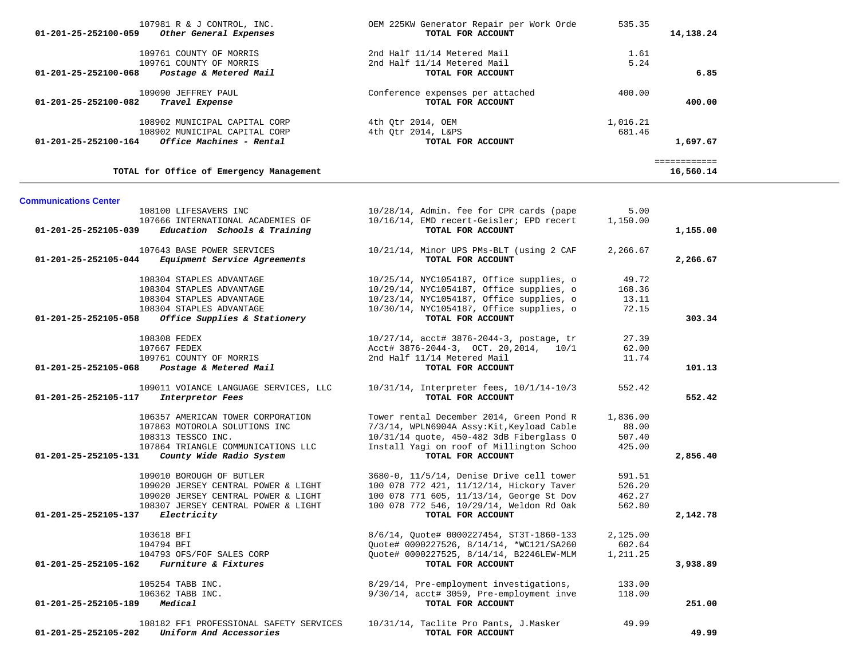| 01-201-25-252100-059             | 107981 R & J CONTROL, INC.<br>Other General Expenses                                                                                                              | OEM 225KW Generator Repair per Work Orde<br>TOTAL FOR ACCOUNT                                                                                                                                       | 535.35                                | 14,138.24                |  |
|----------------------------------|-------------------------------------------------------------------------------------------------------------------------------------------------------------------|-----------------------------------------------------------------------------------------------------------------------------------------------------------------------------------------------------|---------------------------------------|--------------------------|--|
| 01-201-25-252100-068             | 109761 COUNTY OF MORRIS<br>109761 COUNTY OF MORRIS<br>Postage & Metered Mail                                                                                      | 2nd Half 11/14 Metered Mail<br>2nd Half 11/14 Metered Mail<br>TOTAL FOR ACCOUNT                                                                                                                     | 1.61<br>5.24                          | 6.85                     |  |
| 01-201-25-252100-082             | 109090 JEFFREY PAUL<br>Travel Expense                                                                                                                             | Conference expenses per attached<br>TOTAL FOR ACCOUNT                                                                                                                                               | 400.00                                | 400.00                   |  |
| 01-201-25-252100-164             | 108902 MUNICIPAL CAPITAL CORP<br>108902 MUNICIPAL CAPITAL CORP<br>Office Machines - Rental                                                                        | 4th Qtr 2014, OEM<br>4th Qtr 2014, L&PS<br>TOTAL FOR ACCOUNT                                                                                                                                        | 1,016.21<br>681.46                    | 1,697.67<br>============ |  |
|                                  | TOTAL for Office of Emergency Management                                                                                                                          |                                                                                                                                                                                                     |                                       | 16,560.14                |  |
| <b>Communications Center</b>     |                                                                                                                                                                   |                                                                                                                                                                                                     |                                       |                          |  |
| 01-201-25-252105-039             | 108100 LIFESAVERS INC<br>107666 INTERNATIONAL ACADEMIES OF<br>Education Schools & Training                                                                        | 10/28/14, Admin. fee for CPR cards (pape<br>10/16/14, EMD recert-Geisler; EPD recert<br>TOTAL FOR ACCOUNT                                                                                           | 5.00<br>1,150.00                      | 1,155.00                 |  |
| 01-201-25-252105-044             | 107643 BASE POWER SERVICES<br>Equipment Service Agreements                                                                                                        | 10/21/14, Minor UPS PMs-BLT (using 2 CAF<br>TOTAL FOR ACCOUNT                                                                                                                                       | 2,266.67                              | 2,266.67                 |  |
|                                  | 108304 STAPLES ADVANTAGE<br>108304 STAPLES ADVANTAGE<br>108304 STAPLES ADVANTAGE<br>108304 STAPLES ADVANTAGE<br>01-201-25-252105-058 Office Supplies & Stationery | 10/25/14, NYC1054187, Office supplies, o<br>10/29/14, NYC1054187, Office supplies, o<br>10/23/14, NYC1054187, Office supplies, o<br>10/30/14, NYC1054187, Office supplies, o<br>TOTAL FOR ACCOUNT   | 49.72<br>168.36<br>13.11<br>72.15     | 303.34                   |  |
| 01-201-25-252105-068             | 108308 FEDEX<br>107667 FEDEX<br>109761 COUNTY OF MORRIS<br>Postage & Metered Mail                                                                                 | 10/27/14, acct# 3876-2044-3, postage, tr<br>Acct# 3876-2044-3, OCT. 20,2014, 10/1<br>2nd Half 11/14 Metered Mail<br>TOTAL FOR ACCOUNT                                                               | 27.39<br>62.00<br>11.74               | 101.13                   |  |
| 01-201-25-252105-117             | 109011 VOIANCE LANGUAGE SERVICES, LLC<br>Interpretor Fees                                                                                                         | 10/31/14, Interpreter fees, 10/1/14-10/3<br>TOTAL FOR ACCOUNT                                                                                                                                       | 552.42                                | 552.42                   |  |
| 01-201-25-252105-131             | 106357 AMERICAN TOWER CORPORATION<br>107863 MOTOROLA SOLUTIONS INC<br>108313 TESSCO INC.<br>107864 TRIANGLE COMMUNICATIONS LLC<br>County Wide Radio System        | Tower rental December 2014, Green Pond R<br>7/3/14, WPLN6904A Assy: Kit, Keyload Cable<br>10/31/14 quote, 450-482 3dB Fiberglass O<br>Install Yagi on roof of Millington Schoo<br>TOTAL FOR ACCOUNT | 1,836.00<br>88.00<br>507.40<br>425.00 | 2,856.40                 |  |
| 01-201-25-252105-137 Electricity | 109010 BOROUGH OF BUTLER<br>109020 JERSEY CENTRAL POWER & LIGHT<br>109020 JERSEY CENTRAL POWER & LIGHT<br>108307 JERSEY CENTRAL POWER & LIGHT                     | 3680-0, 11/5/14, Denise Drive cell tower<br>100 078 772 421, 11/12/14, Hickory Taver<br>100 078 771 605, 11/13/14, George St Dov<br>100 078 772 546, 10/29/14, Weldon Rd Oak<br>TOTAL FOR ACCOUNT   | 591.51<br>526.20<br>462.27<br>562.80  | 2,142.78                 |  |
|                                  | 103618 BFI<br>104794 BFI<br>104793 OFS/FOF SALES CORP<br>01-201-25-252105-162 Furniture & Fixtures                                                                | 8/6/14, Quote# 0000227454, ST3T-1860-133<br>Quote# 0000227526, 8/14/14, *WC121/SA260<br>Quote# 0000227525, 8/14/14, B2246LEW-MLM<br>TOTAL FOR ACCOUNT                                               | 2,125.00<br>602.64<br>1,211.25        | 3,938.89                 |  |
| 01-201-25-252105-189 Medical     | 105254 TABB INC.<br>106362 TABB INC.                                                                                                                              | 8/29/14, Pre-employment investigations,<br>9/30/14, acct# 3059, Pre-employment inve<br>TOTAL FOR ACCOUNT                                                                                            | 133.00<br>118.00                      | 251.00                   |  |
| 01-201-25-252105-202             | 108182 FF1 PROFESSIONAL SAFETY SERVICES<br>Uniform And Accessories                                                                                                | 10/31/14, Taclite Pro Pants, J.Masker<br>TOTAL FOR ACCOUNT                                                                                                                                          | 49.99                                 | 49.99                    |  |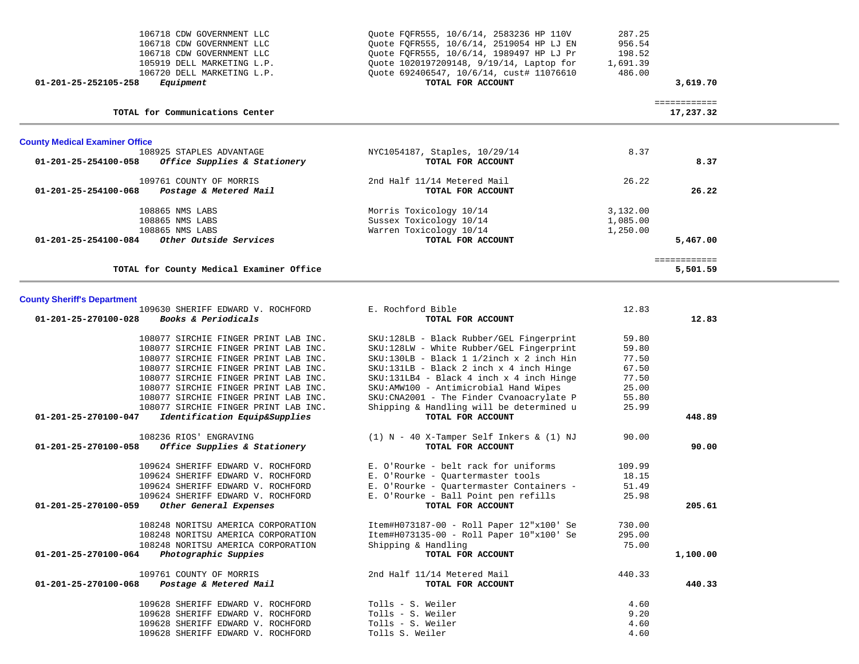| 106718 CDW GOVERNMENT LLC<br>106718 CDW GOVERNMENT LLC<br>106718 CDW GOVERNMENT LLC<br>105919 DELL MARKETING L.P.<br>106720 DELL MARKETING L.P.<br>01-201-25-252105-258<br>Equipment | Quote FQFR555, 10/6/14, 2583236 HP 110V<br>Quote FQFR555, 10/6/14, 2519054 HP LJ EN<br>Quote FQFR555, 10/6/14, 1989497 HP LJ Pr<br>Ouote 1020197209148, 9/19/14, Laptop for<br>Quote 692406547, 10/6/14, cust# 11076610<br>TOTAL FOR ACCOUNT | 287.25<br>956.54<br>198.52<br>1,691.39<br>486.00<br>3,619.70 |  |
|--------------------------------------------------------------------------------------------------------------------------------------------------------------------------------------|----------------------------------------------------------------------------------------------------------------------------------------------------------------------------------------------------------------------------------------------|--------------------------------------------------------------|--|
| TOTAL for Communications Center                                                                                                                                                      |                                                                                                                                                                                                                                              | ============<br>17,237.32                                    |  |
| <b>County Medical Examiner Office</b>                                                                                                                                                |                                                                                                                                                                                                                                              |                                                              |  |
| 108925 STAPLES ADVANTAGE                                                                                                                                                             | NYC1054187, Staples, 10/29/14                                                                                                                                                                                                                | 8.37                                                         |  |
| 01-201-25-254100-058<br>Office Supplies & Stationery                                                                                                                                 | TOTAL FOR ACCOUNT                                                                                                                                                                                                                            | 8.37                                                         |  |
| 109761 COUNTY OF MORRIS                                                                                                                                                              | 2nd Half 11/14 Metered Mail                                                                                                                                                                                                                  | 26.22                                                        |  |
| 01-201-25-254100-068<br>Postage & Metered Mail                                                                                                                                       | TOTAL FOR ACCOUNT                                                                                                                                                                                                                            | 26.22                                                        |  |
| 108865 NMS LABS                                                                                                                                                                      | Morris Toxicology 10/14                                                                                                                                                                                                                      | 3,132.00                                                     |  |
| 108865 NMS LABS                                                                                                                                                                      | Sussex Toxicology 10/14                                                                                                                                                                                                                      | 1,085.00                                                     |  |
| 108865 NMS LABS                                                                                                                                                                      | Warren Toxicology 10/14                                                                                                                                                                                                                      | 1,250.00                                                     |  |
| 01-201-25-254100-084<br>Other Outside Services                                                                                                                                       | TOTAL FOR ACCOUNT                                                                                                                                                                                                                            | 5,467.00                                                     |  |
|                                                                                                                                                                                      |                                                                                                                                                                                                                                              | ============                                                 |  |
| TOTAL for County Medical Examiner Office                                                                                                                                             |                                                                                                                                                                                                                                              | 5,501.59                                                     |  |

#### **County Sheriff's Department**

| 109630 SHERIFF EDWARD V. ROCHFORD                     | E. Rochford Bible                            | 12.83  |          |
|-------------------------------------------------------|----------------------------------------------|--------|----------|
| 01-201-25-270100-028<br>Books & Periodicals           | TOTAL FOR ACCOUNT                            |        | 12.83    |
| 108077 SIRCHIE FINGER PRINT LAB INC.                  | SKU:128LB - Black Rubber/GEL Fingerprint     | 59.80  |          |
| 108077 SIRCHIE FINGER PRINT LAB INC.                  | SKU:128LW - White Rubber/GEL Fingerprint     | 59.80  |          |
| 108077 SIRCHIE FINGER PRINT LAB INC.                  | $SKU:130LB - Black 1 1/2inch x 2 inch Hin$   | 77.50  |          |
| 108077 SIRCHIE FINGER PRINT LAB INC.                  | $SKU:131LB - Black 2 inch x 4 inch Hinge$    | 67.50  |          |
| 108077 SIRCHIE FINGER PRINT LAB INC.                  | $SKU:131LB4 - Black 4 inch x 4 inch Hinge$   | 77.50  |          |
| 108077 SIRCHIE FINGER PRINT LAB INC.                  | SKU: AMW100 - Antimicrobial Hand Wipes       | 25.00  |          |
| 108077 SIRCHIE FINGER PRINT LAB INC.                  | SKU: CNA2001 - The Finder Cvanoacrylate P    | 55.80  |          |
| 108077 SIRCHIE FINGER PRINT LAB INC.                  | Shipping & Handling will be determined u     | 25.99  |          |
| Identification Equip&Supplies<br>01-201-25-270100-047 | TOTAL FOR ACCOUNT                            |        | 448.89   |
| 108236 RIOS' ENGRAVING                                | $(1)$ N - 40 X-Tamper Self Inkers & $(1)$ NJ | 90.00  |          |
| Office Supplies & Stationery<br>01-201-25-270100-058  | TOTAL FOR ACCOUNT                            |        | 90.00    |
| 109624 SHERIFF EDWARD V. ROCHFORD                     | E. O'Rourke - belt rack for uniforms         | 109.99 |          |
| 109624 SHERIFF EDWARD V. ROCHFORD                     | E. O'Rourke - Quartermaster tools            | 18.15  |          |
| 109624 SHERIFF EDWARD V. ROCHFORD                     | E. O'Rourke - Quartermaster Containers -     | 51.49  |          |
| 109624 SHERIFF EDWARD V. ROCHFORD                     | E. O'Rourke - Ball Point pen refills         | 25.98  |          |
| 01-201-25-270100-059<br>Other General Expenses        | TOTAL FOR ACCOUNT                            |        | 205.61   |
| 108248 NORITSU AMERICA CORPORATION                    | Item#H073187-00 - Roll Paper 12"x100' Se     | 730.00 |          |
| 108248 NORITSU AMERICA CORPORATION                    | Item#H073135-00 - Roll Paper 10"x100' Se     | 295.00 |          |
| 108248 NORITSU AMERICA CORPORATION                    | Shipping & Handling                          | 75.00  |          |
| 01-201-25-270100-064<br>Photographic Suppies          | TOTAL FOR ACCOUNT                            |        | 1,100.00 |
| 109761 COUNTY OF MORRIS                               | 2nd Half 11/14 Metered Mail                  | 440.33 |          |
| 01-201-25-270100-068 Postage & Metered Mail           | TOTAL FOR ACCOUNT                            |        | 440.33   |
| 109628 SHERIFF EDWARD V. ROCHFORD                     | Tolls - S. Weiler                            | 4.60   |          |
| 109628 SHERIFF EDWARD V. ROCHFORD                     | Tolls - S. Weiler                            | 9.20   |          |
| 109628 SHERIFF EDWARD V. ROCHFORD                     | Tolls - S. Weiler                            | 4.60   |          |
| 109628 SHERIFF EDWARD V. ROCHFORD                     | Tolls S. Weiler                              | 4.60   |          |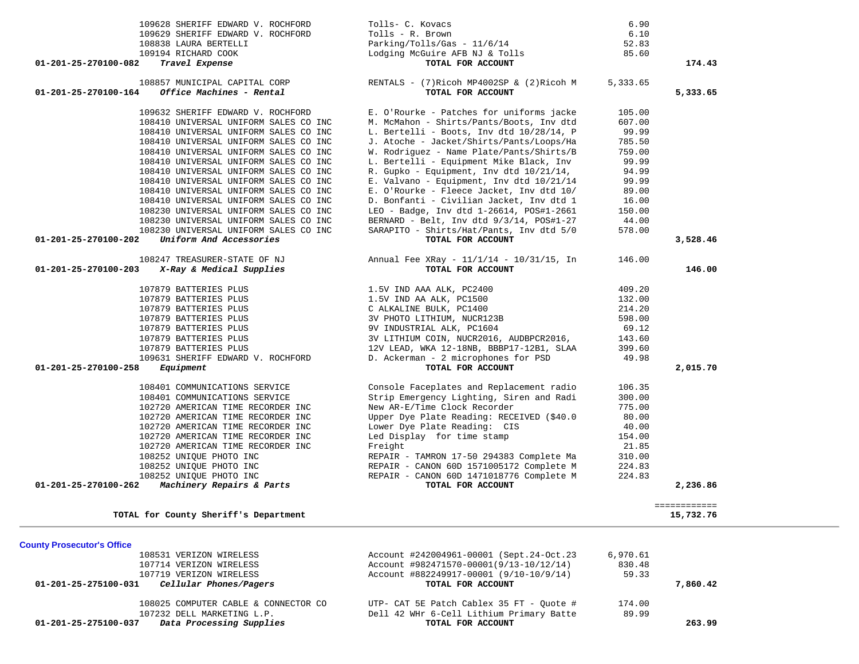| 109628 SHERIFF EDWARD V. ROCHFORD<br>109629 SHERIFF EDWARD V. ROCHFORD                   | Tolls- C. Kovacs<br>Tolls - R. Brown                                                | 6.90<br>6.10       |              |
|------------------------------------------------------------------------------------------|-------------------------------------------------------------------------------------|--------------------|--------------|
| 108838 LAURA BERTELLI                                                                    | $Parking/Tolls/Gas - 11/6/14$                                                       | 52.83              |              |
| 109194 RICHARD COOK<br>01-201-25-270100-082<br>Travel Expense                            | Lodging McGuire AFB NJ & Tolls<br>TOTAL FOR ACCOUNT                                 | 85.60              | 174.43       |
|                                                                                          |                                                                                     |                    |              |
| 108857 MUNICIPAL CAPITAL CORP                                                            | RENTALS - $(7)$ Ricoh MP4002SP & $(2)$ Ricoh M                                      | 5,333.65           |              |
| Office Machines - Rental<br>01-201-25-270100-164                                         | TOTAL FOR ACCOUNT                                                                   |                    | 5,333.65     |
| 109632 SHERIFF EDWARD V. ROCHFORD                                                        | E. O'Rourke - Patches for uniforms jacke                                            | 105.00             |              |
| 108410 UNIVERSAL UNIFORM SALES CO INC                                                    | M. McMahon - Shirts/Pants/Boots, Inv dtd                                            | 607.00             |              |
| 108410 UNIVERSAL UNIFORM SALES CO INC                                                    | L. Bertelli - Boots, Inv dtd 10/28/14, P                                            | 99.99              |              |
| 108410 UNIVERSAL UNIFORM SALES CO INC                                                    | J. Atoche - Jacket/Shirts/Pants/Loops/Ha                                            | 785.50             |              |
| 108410 UNIVERSAL UNIFORM SALES CO INC<br>108410 UNIVERSAL UNIFORM SALES CO INC           | W. Rodriguez - Name Plate/Pants/Shirts/B<br>L. Bertelli - Equipment Mike Black, Inv | 759.00<br>99.99    |              |
| 108410 UNIVERSAL UNIFORM SALES CO INC                                                    | R. Gupko - Equipment, Inv dtd 10/21/14,                                             | 94.99              |              |
| 108410 UNIVERSAL UNIFORM SALES CO INC                                                    | E. Valvano - Equipment, Inv dtd 10/21/14                                            | 99.99              |              |
| 108410 UNIVERSAL UNIFORM SALES CO INC                                                    | E. O'Rourke - Fleece Jacket, Inv dtd 10/                                            | 89.00              |              |
| 108410 UNIVERSAL UNIFORM SALES CO INC                                                    | D. Bonfanti - Civilian Jacket, Inv dtd 1                                            | 16.00              |              |
| 108230 UNIVERSAL UNIFORM SALES CO INC                                                    | LEO - Badge, Inv dtd 1-26614, POS#1-2661                                            | 150.00             |              |
| 108230 UNIVERSAL UNIFORM SALES CO INC                                                    | BERNARD - Belt, Inv dtd 9/3/14, POS#1-27                                            | 44.00              |              |
| 108230 UNIVERSAL UNIFORM SALES CO INC<br>Uniform And Accessories<br>01-201-25-270100-202 | SARAPITO - Shirts/Hat/Pants, Inv dtd 5/0<br>TOTAL FOR ACCOUNT                       | 578.00             | 3,528.46     |
|                                                                                          |                                                                                     |                    |              |
| 108247 TREASURER-STATE OF NJ                                                             | Annual Fee XRay - 11/1/14 - 10/31/15, In                                            | 146.00             |              |
| X-Ray & Medical Supplies<br>01-201-25-270100-203                                         | TOTAL FOR ACCOUNT                                                                   |                    | 146.00       |
| 107879 BATTERIES PLUS                                                                    | 1.5V IND AAA ALK, PC2400                                                            | 409.20             |              |
| 107879 BATTERIES PLUS                                                                    | 1.5V IND AA ALK, PC1500                                                             | 132.00             |              |
| 107879 BATTERIES PLUS                                                                    | C ALKALINE BULK, PC1400                                                             | 214.20             |              |
| 107879 BATTERIES PLUS                                                                    | 3V PHOTO LITHIUM, NUCR123B                                                          | 598.00             |              |
| 107879 BATTERIES PLUS                                                                    | 9V INDUSTRIAL ALK, PC1604                                                           | 69.12              |              |
| 107879 BATTERIES PLUS                                                                    | 3V LITHIUM COIN, NUCR2016, AUDBPCR2016,                                             | 143.60             |              |
| 107879 BATTERIES PLUS                                                                    | 12V LEAD, WKA 12-18NB, BBBP17-12B1, SLAA                                            | 399.60             |              |
| 109631 SHERIFF EDWARD V. ROCHFORD<br>01-201-25-270100-258<br>Equipment                   | D. Ackerman - 2 microphones for PSD<br>TOTAL FOR ACCOUNT                            | 49.98              | 2,015.70     |
|                                                                                          |                                                                                     |                    |              |
| 108401 COMMUNICATIONS SERVICE                                                            | Console Faceplates and Replacement radio                                            | 106.35             |              |
| 108401 COMMUNICATIONS SERVICE                                                            | Strip Emergency Lighting, Siren and Radi                                            | 300.00             |              |
| 102720 AMERICAN TIME RECORDER INC                                                        | New AR-E/Time Clock Recorder                                                        | 775.00             |              |
| 102720 AMERICAN TIME RECORDER INC<br>102720 AMERICAN TIME RECORDER INC                   | Upper Dye Plate Reading: RECEIVED (\$40.0<br>Lower Dye Plate Reading: CIS           | 80.00<br>40.00     |              |
| 102720 AMERICAN TIME RECORDER INC                                                        | Led Display for time stamp                                                          | 154.00             |              |
| 102720 AMERICAN TIME RECORDER INC                                                        | Freight                                                                             | 21.85              |              |
| 108252 UNIQUE PHOTO INC                                                                  | REPAIR - TAMRON 17-50 294383 Complete Ma                                            | 310.00             |              |
| 108252 UNIQUE PHOTO INC                                                                  | REPAIR - CANON 60D 1571005172 Complete M                                            | 224.83             |              |
| 108252 UNIQUE PHOTO INC                                                                  | REPAIR - CANON 60D 1471018776 Complete M                                            | 224.83             |              |
| Machinery Repairs & Parts<br>01-201-25-270100-262                                        | TOTAL FOR ACCOUNT                                                                   |                    | 2,236.86     |
|                                                                                          |                                                                                     |                    | ============ |
| TOTAL for County Sheriff's Department                                                    |                                                                                     |                    | 15,732.76    |
|                                                                                          |                                                                                     |                    |              |
| <b>County Prosecutor's Office</b>                                                        |                                                                                     |                    |              |
| 108531 VERIZON WIRELESS<br>107714 VERIZON WIRELESS                                       | Account #242004961-00001 (Sept.24-Oct.23<br>Account #982471570-00001(9/13-10/12/14) | 6,970.61<br>830.48 |              |
| 107719 VERIZON WIRELESS                                                                  | Account #882249917-00001 (9/10-10/9/14)                                             | 59.33              |              |
| Cellular Phones/Pagers<br>01-201-25-275100-031                                           | TOTAL FOR ACCOUNT                                                                   |                    | 7,860.42     |
|                                                                                          |                                                                                     |                    |              |
| 108025 COMPUTER CABLE & CONNECTOR CO<br>107232 DELL MARKETING L.P.                       | UTP- CAT 5E Patch Cablex 35 FT - Quote #                                            | 174.00             |              |
| Data Processing Supplies<br>01-201-25-275100-037                                         | Dell 42 WHr 6-Cell Lithium Primary Batte<br>TOTAL FOR ACCOUNT                       | 89.99              | 263.99       |
|                                                                                          |                                                                                     |                    |              |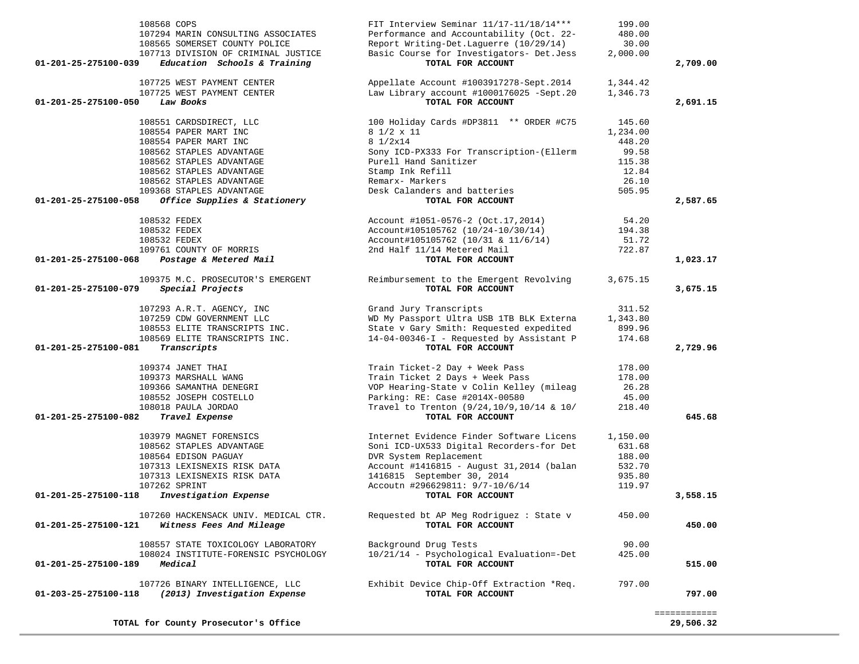| Performance and Accountability (Oct. 22-<br>Report Writing-Det.Laguerre (10/29/14)<br>Basic Course for Investigators- Det.Jess<br>TOTAL FOR ACCOUNT<br>Appellate Account #1003917278-Sept.2014 | 480.00<br>30.00<br>2,000.00                                                                                                                                                                                                                                                                                                                                                                                                                                                                                                                                                                                                                                                                                                                                                                                                                     | 2,709.00                                                                                                                                                                                                            |
|------------------------------------------------------------------------------------------------------------------------------------------------------------------------------------------------|-------------------------------------------------------------------------------------------------------------------------------------------------------------------------------------------------------------------------------------------------------------------------------------------------------------------------------------------------------------------------------------------------------------------------------------------------------------------------------------------------------------------------------------------------------------------------------------------------------------------------------------------------------------------------------------------------------------------------------------------------------------------------------------------------------------------------------------------------|---------------------------------------------------------------------------------------------------------------------------------------------------------------------------------------------------------------------|
|                                                                                                                                                                                                |                                                                                                                                                                                                                                                                                                                                                                                                                                                                                                                                                                                                                                                                                                                                                                                                                                                 |                                                                                                                                                                                                                     |
|                                                                                                                                                                                                |                                                                                                                                                                                                                                                                                                                                                                                                                                                                                                                                                                                                                                                                                                                                                                                                                                                 |                                                                                                                                                                                                                     |
|                                                                                                                                                                                                |                                                                                                                                                                                                                                                                                                                                                                                                                                                                                                                                                                                                                                                                                                                                                                                                                                                 |                                                                                                                                                                                                                     |
|                                                                                                                                                                                                |                                                                                                                                                                                                                                                                                                                                                                                                                                                                                                                                                                                                                                                                                                                                                                                                                                                 |                                                                                                                                                                                                                     |
|                                                                                                                                                                                                | 1,344.42                                                                                                                                                                                                                                                                                                                                                                                                                                                                                                                                                                                                                                                                                                                                                                                                                                        |                                                                                                                                                                                                                     |
|                                                                                                                                                                                                | 1,346.73                                                                                                                                                                                                                                                                                                                                                                                                                                                                                                                                                                                                                                                                                                                                                                                                                                        |                                                                                                                                                                                                                     |
| Law Library account #1000176025 -Sept.20                                                                                                                                                       |                                                                                                                                                                                                                                                                                                                                                                                                                                                                                                                                                                                                                                                                                                                                                                                                                                                 |                                                                                                                                                                                                                     |
| TOTAL FOR ACCOUNT                                                                                                                                                                              |                                                                                                                                                                                                                                                                                                                                                                                                                                                                                                                                                                                                                                                                                                                                                                                                                                                 | 2,691.15                                                                                                                                                                                                            |
| 100 Holiday Cards #DP3811 ** ORDER #C75                                                                                                                                                        | 145.60                                                                                                                                                                                                                                                                                                                                                                                                                                                                                                                                                                                                                                                                                                                                                                                                                                          |                                                                                                                                                                                                                     |
| 8 1/2 x 11                                                                                                                                                                                     | 1,234.00                                                                                                                                                                                                                                                                                                                                                                                                                                                                                                                                                                                                                                                                                                                                                                                                                                        |                                                                                                                                                                                                                     |
| 8 1/2x14                                                                                                                                                                                       | 448.20                                                                                                                                                                                                                                                                                                                                                                                                                                                                                                                                                                                                                                                                                                                                                                                                                                          |                                                                                                                                                                                                                     |
|                                                                                                                                                                                                |                                                                                                                                                                                                                                                                                                                                                                                                                                                                                                                                                                                                                                                                                                                                                                                                                                                 |                                                                                                                                                                                                                     |
|                                                                                                                                                                                                |                                                                                                                                                                                                                                                                                                                                                                                                                                                                                                                                                                                                                                                                                                                                                                                                                                                 |                                                                                                                                                                                                                     |
|                                                                                                                                                                                                |                                                                                                                                                                                                                                                                                                                                                                                                                                                                                                                                                                                                                                                                                                                                                                                                                                                 |                                                                                                                                                                                                                     |
|                                                                                                                                                                                                |                                                                                                                                                                                                                                                                                                                                                                                                                                                                                                                                                                                                                                                                                                                                                                                                                                                 |                                                                                                                                                                                                                     |
|                                                                                                                                                                                                |                                                                                                                                                                                                                                                                                                                                                                                                                                                                                                                                                                                                                                                                                                                                                                                                                                                 |                                                                                                                                                                                                                     |
|                                                                                                                                                                                                |                                                                                                                                                                                                                                                                                                                                                                                                                                                                                                                                                                                                                                                                                                                                                                                                                                                 |                                                                                                                                                                                                                     |
|                                                                                                                                                                                                |                                                                                                                                                                                                                                                                                                                                                                                                                                                                                                                                                                                                                                                                                                                                                                                                                                                 | 2,587.65                                                                                                                                                                                                            |
| Account #1051-0576-2 (Oct.17,2014)                                                                                                                                                             | 54.20                                                                                                                                                                                                                                                                                                                                                                                                                                                                                                                                                                                                                                                                                                                                                                                                                                           |                                                                                                                                                                                                                     |
| Account#105105762 (10/24-10/30/14)                                                                                                                                                             | 194.38                                                                                                                                                                                                                                                                                                                                                                                                                                                                                                                                                                                                                                                                                                                                                                                                                                          |                                                                                                                                                                                                                     |
| Account#105105762 (10/31 & 11/6/14)                                                                                                                                                            | 51.72                                                                                                                                                                                                                                                                                                                                                                                                                                                                                                                                                                                                                                                                                                                                                                                                                                           |                                                                                                                                                                                                                     |
| 2nd Half 11/14 Metered Mail                                                                                                                                                                    | 722.87                                                                                                                                                                                                                                                                                                                                                                                                                                                                                                                                                                                                                                                                                                                                                                                                                                          |                                                                                                                                                                                                                     |
| TOTAL FOR ACCOUNT                                                                                                                                                                              |                                                                                                                                                                                                                                                                                                                                                                                                                                                                                                                                                                                                                                                                                                                                                                                                                                                 | 1,023.17                                                                                                                                                                                                            |
|                                                                                                                                                                                                |                                                                                                                                                                                                                                                                                                                                                                                                                                                                                                                                                                                                                                                                                                                                                                                                                                                 |                                                                                                                                                                                                                     |
| TOTAL FOR ACCOUNT                                                                                                                                                                              |                                                                                                                                                                                                                                                                                                                                                                                                                                                                                                                                                                                                                                                                                                                                                                                                                                                 | 3,675.15                                                                                                                                                                                                            |
|                                                                                                                                                                                                |                                                                                                                                                                                                                                                                                                                                                                                                                                                                                                                                                                                                                                                                                                                                                                                                                                                 |                                                                                                                                                                                                                     |
|                                                                                                                                                                                                |                                                                                                                                                                                                                                                                                                                                                                                                                                                                                                                                                                                                                                                                                                                                                                                                                                                 |                                                                                                                                                                                                                     |
|                                                                                                                                                                                                |                                                                                                                                                                                                                                                                                                                                                                                                                                                                                                                                                                                                                                                                                                                                                                                                                                                 |                                                                                                                                                                                                                     |
|                                                                                                                                                                                                |                                                                                                                                                                                                                                                                                                                                                                                                                                                                                                                                                                                                                                                                                                                                                                                                                                                 |                                                                                                                                                                                                                     |
|                                                                                                                                                                                                | 174.68                                                                                                                                                                                                                                                                                                                                                                                                                                                                                                                                                                                                                                                                                                                                                                                                                                          |                                                                                                                                                                                                                     |
| TOTAL FOR ACCOUNT                                                                                                                                                                              |                                                                                                                                                                                                                                                                                                                                                                                                                                                                                                                                                                                                                                                                                                                                                                                                                                                 | 2,729.96                                                                                                                                                                                                            |
|                                                                                                                                                                                                |                                                                                                                                                                                                                                                                                                                                                                                                                                                                                                                                                                                                                                                                                                                                                                                                                                                 |                                                                                                                                                                                                                     |
|                                                                                                                                                                                                |                                                                                                                                                                                                                                                                                                                                                                                                                                                                                                                                                                                                                                                                                                                                                                                                                                                 |                                                                                                                                                                                                                     |
|                                                                                                                                                                                                |                                                                                                                                                                                                                                                                                                                                                                                                                                                                                                                                                                                                                                                                                                                                                                                                                                                 |                                                                                                                                                                                                                     |
|                                                                                                                                                                                                |                                                                                                                                                                                                                                                                                                                                                                                                                                                                                                                                                                                                                                                                                                                                                                                                                                                 |                                                                                                                                                                                                                     |
|                                                                                                                                                                                                |                                                                                                                                                                                                                                                                                                                                                                                                                                                                                                                                                                                                                                                                                                                                                                                                                                                 |                                                                                                                                                                                                                     |
|                                                                                                                                                                                                |                                                                                                                                                                                                                                                                                                                                                                                                                                                                                                                                                                                                                                                                                                                                                                                                                                                 | 645.68                                                                                                                                                                                                              |
|                                                                                                                                                                                                |                                                                                                                                                                                                                                                                                                                                                                                                                                                                                                                                                                                                                                                                                                                                                                                                                                                 |                                                                                                                                                                                                                     |
| Internet Evidence Finder Software Licens                                                                                                                                                       | 1,150.00                                                                                                                                                                                                                                                                                                                                                                                                                                                                                                                                                                                                                                                                                                                                                                                                                                        |                                                                                                                                                                                                                     |
| Soni ICD-UX533 Digital Recorders-for Det                                                                                                                                                       | 631.68                                                                                                                                                                                                                                                                                                                                                                                                                                                                                                                                                                                                                                                                                                                                                                                                                                          |                                                                                                                                                                                                                     |
|                                                                                                                                                                                                |                                                                                                                                                                                                                                                                                                                                                                                                                                                                                                                                                                                                                                                                                                                                                                                                                                                 |                                                                                                                                                                                                                     |
|                                                                                                                                                                                                |                                                                                                                                                                                                                                                                                                                                                                                                                                                                                                                                                                                                                                                                                                                                                                                                                                                 |                                                                                                                                                                                                                     |
|                                                                                                                                                                                                |                                                                                                                                                                                                                                                                                                                                                                                                                                                                                                                                                                                                                                                                                                                                                                                                                                                 |                                                                                                                                                                                                                     |
|                                                                                                                                                                                                |                                                                                                                                                                                                                                                                                                                                                                                                                                                                                                                                                                                                                                                                                                                                                                                                                                                 |                                                                                                                                                                                                                     |
| TOTAL FOR ACCOUNT                                                                                                                                                                              |                                                                                                                                                                                                                                                                                                                                                                                                                                                                                                                                                                                                                                                                                                                                                                                                                                                 | 3,558.15                                                                                                                                                                                                            |
|                                                                                                                                                                                                |                                                                                                                                                                                                                                                                                                                                                                                                                                                                                                                                                                                                                                                                                                                                                                                                                                                 |                                                                                                                                                                                                                     |
|                                                                                                                                                                                                |                                                                                                                                                                                                                                                                                                                                                                                                                                                                                                                                                                                                                                                                                                                                                                                                                                                 |                                                                                                                                                                                                                     |
|                                                                                                                                                                                                |                                                                                                                                                                                                                                                                                                                                                                                                                                                                                                                                                                                                                                                                                                                                                                                                                                                 | 450.00                                                                                                                                                                                                              |
| Background Drug Tests                                                                                                                                                                          | 90.00                                                                                                                                                                                                                                                                                                                                                                                                                                                                                                                                                                                                                                                                                                                                                                                                                                           |                                                                                                                                                                                                                     |
| 10/21/14 - Psychological Evaluation=-Det                                                                                                                                                       | 425.00                                                                                                                                                                                                                                                                                                                                                                                                                                                                                                                                                                                                                                                                                                                                                                                                                                          |                                                                                                                                                                                                                     |
| TOTAL FOR ACCOUNT                                                                                                                                                                              |                                                                                                                                                                                                                                                                                                                                                                                                                                                                                                                                                                                                                                                                                                                                                                                                                                                 | 515.00                                                                                                                                                                                                              |
|                                                                                                                                                                                                |                                                                                                                                                                                                                                                                                                                                                                                                                                                                                                                                                                                                                                                                                                                                                                                                                                                 |                                                                                                                                                                                                                     |
| TOTAL FOR ACCOUNT                                                                                                                                                                              |                                                                                                                                                                                                                                                                                                                                                                                                                                                                                                                                                                                                                                                                                                                                                                                                                                                 | 797.00                                                                                                                                                                                                              |
|                                                                                                                                                                                                | Sony ICD-PX333 For Transcription-(Ellerm<br>Purell Hand Sanitizer<br>Stamp Ink Refill<br>Remarx- Markers<br>Desk Calanders and batteries<br>TOTAL FOR ACCOUNT<br>Reimbursement to the Emergent Revolving<br>Grand Jury Transcripts<br>WD My Passport Ultra USB 1TB BLK Externa<br>State v Gary Smith: Requested expedited<br>14-04-00346-I - Requested by Assistant P<br>Train Ticket-2 Day + Week Pass<br>Train Ticket 2 Days + Week Pass<br>VOP Hearing-State v Colin Kelley (mileag<br>Parking: RE: Case #2014X-00580<br>Travel to Trenton (9/24, 10/9, 10/14 & 10/<br>TOTAL FOR ACCOUNT<br>DVR System Replacement<br>Account #1416815 - August 31, 2014 (balan<br>1416815 September 30, 2014<br>Accoutn #296629811: 9/7-10/6/14<br>Requested bt AP Meg Rodriguez : State v<br>TOTAL FOR ACCOUNT<br>Exhibit Device Chip-Off Extraction *Req. | 99.58<br>115.38<br>12.84<br>26.10<br>505.95<br>3,675.15<br>311.52<br>1,343.80<br>899.96<br>178.00<br>178.00<br>26.28<br>45.00<br>218.40<br>188.00<br>532.70<br>935.80<br>119.97<br>450.00<br>797.00<br>============ |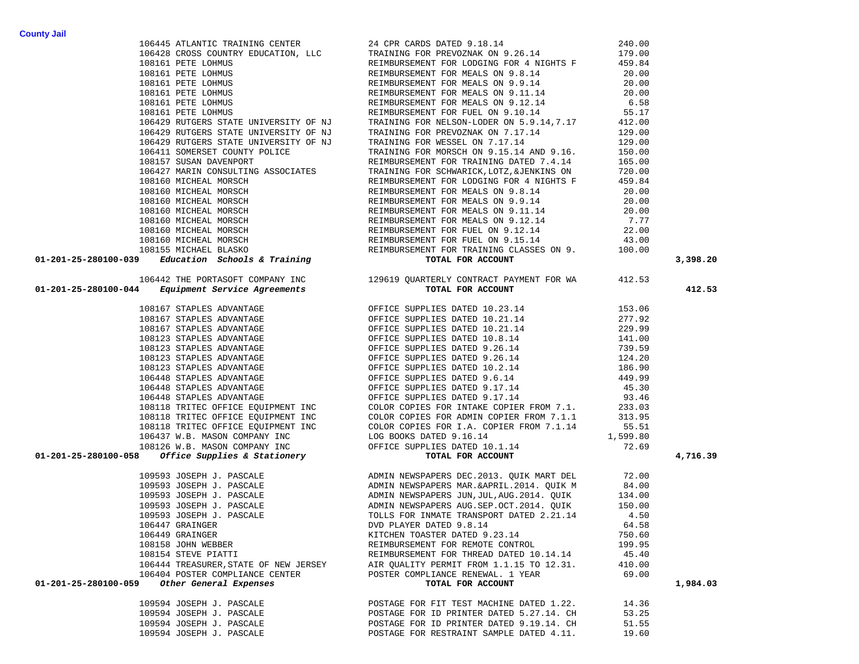|                                                                                                                                                                                                                                                                                                                                                                                              |                                          |        | 3,398.20 |
|----------------------------------------------------------------------------------------------------------------------------------------------------------------------------------------------------------------------------------------------------------------------------------------------------------------------------------------------------------------------------------------------|------------------------------------------|--------|----------|
| 196448 ATLANTIC TRAINING CENTER (2007 1998) 2008<br>196448 ATLANTIC TRAINING PRINCIPAL DRIES IN (2008)<br>19916 PETE LOBING PRINCIPAL LCC TRAINING PRINCIPAL ON 2.6.14<br>19916 PETE LOBING PRINCIPAL AND REMANSIONS REMANSIONS ON 199<br>106442 THE PORTASOFT COMPANY INC<br>129619 QUARTERLY CONTRACT PAYMENT FOR WA<br><b>TOTAL FOR ACCOUNT</b><br>100169 QUARTER CONTRACT PAYMENT FOR WA |                                          |        |          |
|                                                                                                                                                                                                                                                                                                                                                                                              |                                          |        |          |
|                                                                                                                                                                                                                                                                                                                                                                                              |                                          |        | 412.53   |
|                                                                                                                                                                                                                                                                                                                                                                                              |                                          |        |          |
|                                                                                                                                                                                                                                                                                                                                                                                              |                                          |        |          |
|                                                                                                                                                                                                                                                                                                                                                                                              |                                          |        |          |
|                                                                                                                                                                                                                                                                                                                                                                                              |                                          |        |          |
|                                                                                                                                                                                                                                                                                                                                                                                              |                                          |        |          |
|                                                                                                                                                                                                                                                                                                                                                                                              |                                          |        |          |
|                                                                                                                                                                                                                                                                                                                                                                                              |                                          |        |          |
|                                                                                                                                                                                                                                                                                                                                                                                              |                                          |        |          |
|                                                                                                                                                                                                                                                                                                                                                                                              |                                          |        |          |
|                                                                                                                                                                                                                                                                                                                                                                                              |                                          |        |          |
|                                                                                                                                                                                                                                                                                                                                                                                              |                                          |        |          |
|                                                                                                                                                                                                                                                                                                                                                                                              |                                          |        |          |
|                                                                                                                                                                                                                                                                                                                                                                                              |                                          |        |          |
|                                                                                                                                                                                                                                                                                                                                                                                              |                                          |        |          |
|                                                                                                                                                                                                                                                                                                                                                                                              |                                          |        |          |
|                                                                                                                                                                                                                                                                                                                                                                                              |                                          |        |          |
|                                                                                                                                                                                                                                                                                                                                                                                              |                                          |        | 4,716.39 |
| $(01-201-757-800100^{10} \times 100100 \times 100100 \times 100100 \times 100100 \times 100100 \times 100100 \times 100100 \times 100100 \times 100100 \times 100100 \times 100100 \times 100100 \times 100100 \times 100100 \times 100100 \times 100100 \times 100100 \times 100100 \times 100100 \times 100100 \times 100100 \times 100100$                                                |                                          |        |          |
|                                                                                                                                                                                                                                                                                                                                                                                              |                                          |        |          |
|                                                                                                                                                                                                                                                                                                                                                                                              |                                          |        |          |
|                                                                                                                                                                                                                                                                                                                                                                                              |                                          |        |          |
|                                                                                                                                                                                                                                                                                                                                                                                              |                                          |        |          |
|                                                                                                                                                                                                                                                                                                                                                                                              |                                          |        |          |
|                                                                                                                                                                                                                                                                                                                                                                                              |                                          |        |          |
| 106449 GRAINGER                                                                                                                                                                                                                                                                                                                                                                              | KITCHEN TOASTER DATED 9.23.14            | 750.60 |          |
| 108158 JOHN WEBBER                                                                                                                                                                                                                                                                                                                                                                           | REIMBURSEMENT FOR REMOTE CONTROL         | 199.95 |          |
| 108154 STEVE PIATTI                                                                                                                                                                                                                                                                                                                                                                          | REIMBURSEMENT FOR THREAD DATED 10.14.14  | 45.40  |          |
| 106444 TREASURER, STATE OF NEW JERSEY                                                                                                                                                                                                                                                                                                                                                        | AIR QUALITY PERMIT FROM 1.1.15 TO 12.31. | 410.00 |          |
| 106404 POSTER COMPLIANCE CENTER                                                                                                                                                                                                                                                                                                                                                              | POSTER COMPLIANCE RENEWAL. 1 YEAR        | 69.00  |          |
| Other General Expenses<br>01-201-25-280100-059                                                                                                                                                                                                                                                                                                                                               | TOTAL FOR ACCOUNT                        |        | 1,984.03 |
| 109594 JOSEPH J. PASCALE                                                                                                                                                                                                                                                                                                                                                                     | POSTAGE FOR FIT TEST MACHINE DATED 1.22. | 14.36  |          |
| 109594 JOSEPH J. PASCALE                                                                                                                                                                                                                                                                                                                                                                     | POSTAGE FOR ID PRINTER DATED 5.27.14. CH | 53.25  |          |
| 109594 JOSEPH J. PASCALE                                                                                                                                                                                                                                                                                                                                                                     | POSTAGE FOR ID PRINTER DATED 9.19.14. CH | 51.55  |          |
| 109594 JOSEPH J. PASCALE                                                                                                                                                                                                                                                                                                                                                                     | POSTAGE FOR RESTRAINT SAMPLE DATED 4.11. | 19.60  |          |
|                                                                                                                                                                                                                                                                                                                                                                                              |                                          |        |          |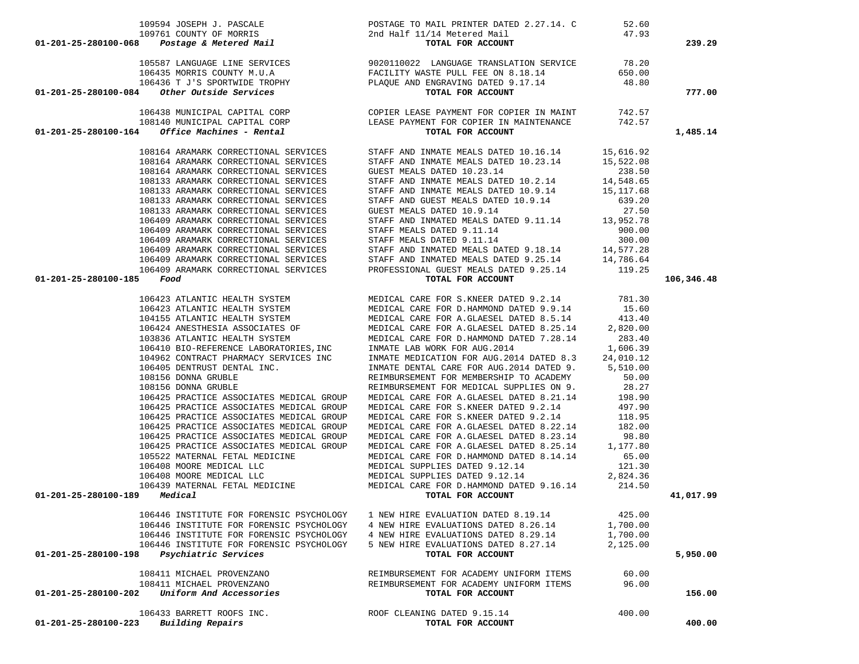|                                                                                                                                                                                                                                                                                                                                                                                                                                    |                                                                                                                                                                                                                                            |          | 239.29     |
|------------------------------------------------------------------------------------------------------------------------------------------------------------------------------------------------------------------------------------------------------------------------------------------------------------------------------------------------------------------------------------------------------------------------------------|--------------------------------------------------------------------------------------------------------------------------------------------------------------------------------------------------------------------------------------------|----------|------------|
|                                                                                                                                                                                                                                                                                                                                                                                                                                    |                                                                                                                                                                                                                                            |          |            |
|                                                                                                                                                                                                                                                                                                                                                                                                                                    |                                                                                                                                                                                                                                            |          |            |
|                                                                                                                                                                                                                                                                                                                                                                                                                                    |                                                                                                                                                                                                                                            |          |            |
|                                                                                                                                                                                                                                                                                                                                                                                                                                    |                                                                                                                                                                                                                                            |          |            |
|                                                                                                                                                                                                                                                                                                                                                                                                                                    |                                                                                                                                                                                                                                            |          | 777.00     |
|                                                                                                                                                                                                                                                                                                                                                                                                                                    |                                                                                                                                                                                                                                            |          |            |
|                                                                                                                                                                                                                                                                                                                                                                                                                                    |                                                                                                                                                                                                                                            |          |            |
|                                                                                                                                                                                                                                                                                                                                                                                                                                    |                                                                                                                                                                                                                                            |          |            |
|                                                                                                                                                                                                                                                                                                                                                                                                                                    |                                                                                                                                                                                                                                            |          | 1,485.14   |
|                                                                                                                                                                                                                                                                                                                                                                                                                                    |                                                                                                                                                                                                                                            |          |            |
|                                                                                                                                                                                                                                                                                                                                                                                                                                    |                                                                                                                                                                                                                                            |          |            |
|                                                                                                                                                                                                                                                                                                                                                                                                                                    |                                                                                                                                                                                                                                            |          |            |
|                                                                                                                                                                                                                                                                                                                                                                                                                                    |                                                                                                                                                                                                                                            |          |            |
|                                                                                                                                                                                                                                                                                                                                                                                                                                    |                                                                                                                                                                                                                                            |          |            |
|                                                                                                                                                                                                                                                                                                                                                                                                                                    |                                                                                                                                                                                                                                            |          |            |
|                                                                                                                                                                                                                                                                                                                                                                                                                                    |                                                                                                                                                                                                                                            |          |            |
|                                                                                                                                                                                                                                                                                                                                                                                                                                    |                                                                                                                                                                                                                                            |          |            |
|                                                                                                                                                                                                                                                                                                                                                                                                                                    |                                                                                                                                                                                                                                            |          |            |
|                                                                                                                                                                                                                                                                                                                                                                                                                                    |                                                                                                                                                                                                                                            |          |            |
|                                                                                                                                                                                                                                                                                                                                                                                                                                    |                                                                                                                                                                                                                                            |          |            |
|                                                                                                                                                                                                                                                                                                                                                                                                                                    |                                                                                                                                                                                                                                            |          |            |
|                                                                                                                                                                                                                                                                                                                                                                                                                                    |                                                                                                                                                                                                                                            |          |            |
| $01 - 201 - 25 - 280100 - 185$ Food                                                                                                                                                                                                                                                                                                                                                                                                | TOTAL FOR ACCOUNT                                                                                                                                                                                                                          |          | 106,346.48 |
|                                                                                                                                                                                                                                                                                                                                                                                                                                    |                                                                                                                                                                                                                                            |          |            |
|                                                                                                                                                                                                                                                                                                                                                                                                                                    |                                                                                                                                                                                                                                            |          |            |
|                                                                                                                                                                                                                                                                                                                                                                                                                                    |                                                                                                                                                                                                                                            |          |            |
|                                                                                                                                                                                                                                                                                                                                                                                                                                    |                                                                                                                                                                                                                                            |          |            |
|                                                                                                                                                                                                                                                                                                                                                                                                                                    |                                                                                                                                                                                                                                            |          |            |
|                                                                                                                                                                                                                                                                                                                                                                                                                                    |                                                                                                                                                                                                                                            |          |            |
|                                                                                                                                                                                                                                                                                                                                                                                                                                    |                                                                                                                                                                                                                                            |          |            |
|                                                                                                                                                                                                                                                                                                                                                                                                                                    |                                                                                                                                                                                                                                            |          |            |
|                                                                                                                                                                                                                                                                                                                                                                                                                                    |                                                                                                                                                                                                                                            |          |            |
|                                                                                                                                                                                                                                                                                                                                                                                                                                    |                                                                                                                                                                                                                                            |          |            |
|                                                                                                                                                                                                                                                                                                                                                                                                                                    |                                                                                                                                                                                                                                            |          |            |
|                                                                                                                                                                                                                                                                                                                                                                                                                                    |                                                                                                                                                                                                                                            |          |            |
| $\begin{tabular}{l c c c c c} \textbf{Food} & \textbf{TOTL FOR ACCOUTT} \\ \textbf{106423 ATLANTIC HEALTH SYSTEM} & \textbf{MEDICAL CARE FOR S. KNEER DATED 9.2.14} & 781.30 \\ \textbf{106423 ATLANTIC HEALTH SYSTEM} & \textbf{MEDICAL CARE FOR D. HAMMOND DATED 9.9.14} & 15.60 \\ \textbf{104155 ATLANTIC HEALTH SYSTEM} & \textbf{MEDICAL CARE FOR D. HAMMOND DATED 9.9.14} & 15.60 \\ \textbf{106424 ANESTHESTA ASSOTMES OF$ |                                                                                                                                                                                                                                            |          |            |
|                                                                                                                                                                                                                                                                                                                                                                                                                                    |                                                                                                                                                                                                                                            |          |            |
| 106425 PRACTICE ASSOCIATES MEDICAL GROUP                                                                                                                                                                                                                                                                                                                                                                                           | 106425 PRACTICE ASSOCIATES MEDICAL GROUP MEDICAL CARE FOR A.GLAESEL DATED 8.21.14 198.90<br>106425 PRACTICE ASSOCIATES MEDICAL GROUP MEDICAL CARE FOR S.KNEER DATED 9.2.14 497.90                                                          |          |            |
| 106425 PRACTICE ASSOCIATES MEDICAL GROUP                                                                                                                                                                                                                                                                                                                                                                                           |                                                                                                                                                                                                                                            |          |            |
|                                                                                                                                                                                                                                                                                                                                                                                                                                    | MEDICAL CARE FOR S.KNEER DATED 9.2.14 118.95<br>MEDICAL CARE FOR A.GLAESEL DATED 8.22.14 182.00                                                                                                                                            |          |            |
|                                                                                                                                                                                                                                                                                                                                                                                                                                    |                                                                                                                                                                                                                                            |          |            |
|                                                                                                                                                                                                                                                                                                                                                                                                                                    | 106425 PRACTICE ASSOCIATES MEDICAL GROUP MEDICAL CARE FOR A.GLAESEL DATED 8.23.14 98.80<br>106425 PRACTICE ASSOCIATES MEDICAL GROUP MEDICAL CARE FOR A.GLAESEL DATED 8.25.14 1,177.80                                                      |          |            |
|                                                                                                                                                                                                                                                                                                                                                                                                                                    |                                                                                                                                                                                                                                            |          |            |
|                                                                                                                                                                                                                                                                                                                                                                                                                                    |                                                                                                                                                                                                                                            |          |            |
|                                                                                                                                                                                                                                                                                                                                                                                                                                    |                                                                                                                                                                                                                                            |          |            |
| $01 - 201 - 25 - 280100 - 189$ Medical                                                                                                                                                                                                                                                                                                                                                                                             |                                                                                                                                                                                                                                            |          | 41,017.99  |
|                                                                                                                                                                                                                                                                                                                                                                                                                                    | 106439 MATERNAL FETAL MEDICINE<br>106439 MATERNAL FETAL MEDICINE<br>106439 MATERNAL FETAL MEDICINE<br>106439 MATERNAL FETAL MEDICINE<br>106439 MATERNAL FETAL MEDICINE<br>106439 MATERNAL FETAL MEDICINE<br>106439 MATERNAL FETAL MEDICINE |          |            |
| 106446 INSTITUTE FOR FORENSIC PSYCHOLOGY                                                                                                                                                                                                                                                                                                                                                                                           | 1 NEW HIRE EVALUATION DATED 8.19.14                                                                                                                                                                                                        | 425.00   |            |
| 106446 INSTITUTE FOR FORENSIC PSYCHOLOGY                                                                                                                                                                                                                                                                                                                                                                                           | 4 NEW HIRE EVALUATIONS DATED 8.26.14                                                                                                                                                                                                       | 1,700.00 |            |
| 106446 INSTITUTE FOR FORENSIC PSYCHOLOGY                                                                                                                                                                                                                                                                                                                                                                                           | 4 NEW HIRE EVALUATIONS DATED 8.29.14                                                                                                                                                                                                       | 1,700.00 |            |
| 106446 INSTITUTE FOR FORENSIC PSYCHOLOGY                                                                                                                                                                                                                                                                                                                                                                                           | 5 NEW HIRE EVALUATIONS DATED 8.27.14                                                                                                                                                                                                       | 2,125.00 |            |
| Psychiatric Services<br>01-201-25-280100-198                                                                                                                                                                                                                                                                                                                                                                                       | TOTAL FOR ACCOUNT                                                                                                                                                                                                                          |          | 5,950.00   |
| 108411 MICHAEL PROVENZANO                                                                                                                                                                                                                                                                                                                                                                                                          | REIMBURSEMENT FOR ACADEMY UNIFORM ITEMS                                                                                                                                                                                                    | 60.00    |            |
| 108411 MICHAEL PROVENZANO                                                                                                                                                                                                                                                                                                                                                                                                          | REIMBURSEMENT FOR ACADEMY UNIFORM ITEMS                                                                                                                                                                                                    | 96.00    |            |
| Uniform And Accessories<br>01-201-25-280100-202                                                                                                                                                                                                                                                                                                                                                                                    | TOTAL FOR ACCOUNT                                                                                                                                                                                                                          |          | 156.00     |
|                                                                                                                                                                                                                                                                                                                                                                                                                                    |                                                                                                                                                                                                                                            |          |            |
| 106433 BARRETT ROOFS INC.<br>Building Repairs<br>01-201-25-280100-223                                                                                                                                                                                                                                                                                                                                                              | ROOF CLEANING DATED 9.15.14                                                                                                                                                                                                                | 400.00   | 400.00     |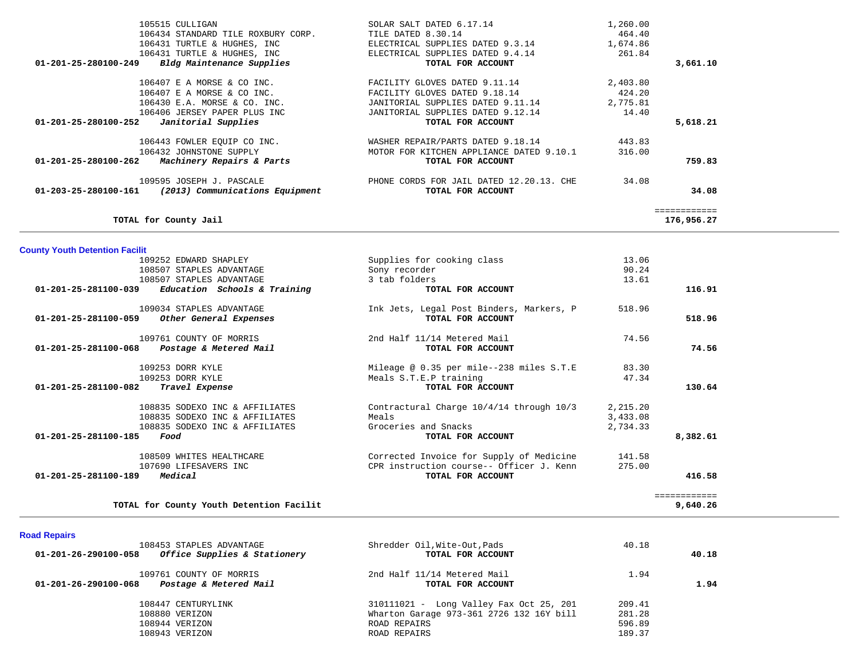| TOTAL for County Jail                                   |                                          |          | ============<br>176,956.27 |
|---------------------------------------------------------|------------------------------------------|----------|----------------------------|
| 01-203-25-280100-161<br>(2013) Communications Equipment | TOTAL FOR ACCOUNT                        |          | 34.08                      |
| 109595 JOSEPH J. PASCALE                                | PHONE CORDS FOR JAIL DATED 12.20.13. CHE | 34.08    |                            |
| 01-201-25-280100-262<br>Machinery Repairs & Parts       | TOTAL FOR ACCOUNT                        |          | 759.83                     |
| 106432 JOHNSTONE SUPPLY                                 | MOTOR FOR KITCHEN APPLIANCE DATED 9.10.1 | 316.00   |                            |
| 106443 FOWLER EOUIP CO INC.                             | WASHER REPAIR/PARTS DATED 9.18.14        | 443.83   |                            |
| 01-201-25-280100-252<br>Janitorial Supplies             | TOTAL FOR ACCOUNT                        |          | 5,618.21                   |
| 106406 JERSEY PAPER PLUS INC                            | JANITORIAL SUPPLIES DATED 9.12.14        | 14.40    |                            |
| 106430 E.A. MORSE & CO. INC.                            | JANITORIAL SUPPLIES DATED 9.11.14        | 2,775.81 |                            |
| 106407 E A MORSE & CO INC.                              | FACILITY GLOVES DATED 9.18.14            | 424.20   |                            |
| 106407 E A MORSE & CO INC.                              | FACILITY GLOVES DATED 9.11.14            | 2,403.80 |                            |
| Bldg Maintenance Supplies<br>01-201-25-280100-249       | TOTAL FOR ACCOUNT                        |          | 3,661.10                   |
| 106431 TURTLE & HUGHES, INC                             | ELECTRICAL SUPPLIES DATED 9.4.14         | 261.84   |                            |
| 106431 TURTLE & HUGHES, INC                             | ELECTRICAL SUPPLIES DATED 9.3.14         | 1,674.86 |                            |
| 106434 STANDARD TILE ROXBURY CORP.                      | TILE DATED 8.30.14                       | 464.40   |                            |
| 105515 CULLIGAN                                         | SOLAR SALT DATED 6.17.14                 | 1,260.00 |                            |

| <b>County Youth Detention Facilit</b>                          |                                          |          |              |
|----------------------------------------------------------------|------------------------------------------|----------|--------------|
| 109252 EDWARD SHAPLEY                                          | Supplies for cooking class               | 13.06    |              |
| 108507 STAPLES ADVANTAGE                                       | Sony recorder                            | 90.24    |              |
| 108507 STAPLES ADVANTAGE                                       | 3 tab folders                            | 13.61    |              |
| Education Schools & Training<br>$01 - 201 - 25 - 281100 - 039$ | TOTAL FOR ACCOUNT                        |          | 116.91       |
| 109034 STAPLES ADVANTAGE                                       | Ink Jets, Legal Post Binders, Markers, P | 518.96   |              |
| $01 - 201 - 25 - 281100 - 059$<br>Other General Expenses       | TOTAL FOR ACCOUNT                        |          | 518.96       |
| 109761 COUNTY OF MORRIS                                        | 2nd Half 11/14 Metered Mail              | 74.56    |              |
| $01 - 201 - 25 - 281100 - 068$<br>Postage & Metered Mail       | TOTAL FOR ACCOUNT                        |          | 74.56        |
| 109253 DORR KYLE                                               | Mileage @ 0.35 per mile--238 miles S.T.E | 83.30    |              |
| 109253 DORR KYLE                                               | Meals S.T.E.P training                   | 47.34    |              |
| 01-201-25-281100-082<br>Travel Expense                         | TOTAL FOR ACCOUNT                        |          | 130.64       |
| 108835 SODEXO INC & AFFILIATES                                 | Contractural Charge 10/4/14 through 10/3 | 2,215.20 |              |
| 108835 SODEXO INC & AFFILIATES                                 | Meals                                    | 3,433.08 |              |
| 108835 SODEXO INC & AFFILIATES                                 | Groceries and Snacks                     | 2,734.33 |              |
| 01-201-25-281100-185<br>Food                                   | TOTAL FOR ACCOUNT                        |          | 8,382.61     |
| 108509 WHITES HEALTHCARE                                       | Corrected Invoice for Supply of Medicine | 141.58   |              |
| 107690 LIFESAVERS INC                                          | CPR instruction course-- Officer J. Kenn | 275.00   |              |
| $01 - 201 - 25 - 281100 - 189$<br>Medical                      | TOTAL FOR ACCOUNT                        |          | 416.58       |
|                                                                |                                          |          | ============ |
| TOTAL for County Youth Detention Facilit                       |                                          |          | 9,640.26     |

# **Road Repairs**

| 108453 STAPLES ADVANTAGE<br>Office Supplies & Stationery<br>01-201-26-290100-058 | Shredder Oil, Wite-Out, Pads<br>TOTAL FOR ACCOUNT                                                                   | 40.18                                | 40.18 |
|----------------------------------------------------------------------------------|---------------------------------------------------------------------------------------------------------------------|--------------------------------------|-------|
| 109761 COUNTY OF MORRIS<br>Postage & Metered Mail<br>01-201-26-290100-068        | 2nd Half 11/14 Metered Mail<br>TOTAL FOR ACCOUNT                                                                    | 1.94                                 | 1.94  |
| 108447 CENTURYLINK<br>108880 VERIZON<br>108944 VERIZON<br>108943 VERIZON         | 310111021 - Long Valley Fax Oct 25, 201<br>Wharton Garage 973-361 2726 132 16Y bill<br>ROAD REPAIRS<br>ROAD REPAIRS | 209.41<br>281.28<br>596.89<br>189.37 |       |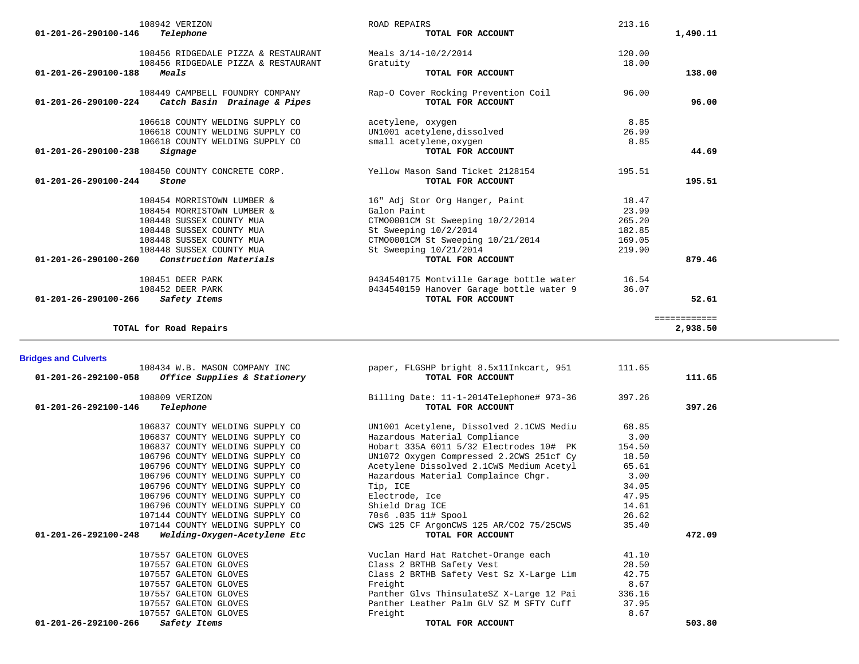| $01 - 201 - 26 - 290100 - 146$ | 108942 VERIZON<br>Telephone         | <b>ROAD REPAIRS</b><br>TOTAL FOR ACCOUNT | 213.16 | 1,490.11                 |
|--------------------------------|-------------------------------------|------------------------------------------|--------|--------------------------|
|                                |                                     |                                          |        |                          |
|                                | 108456 RIDGEDALE PIZZA & RESTAURANT | Meals $3/14-10/2/2014$                   | 120.00 |                          |
|                                | 108456 RIDGEDALE PIZZA & RESTAURANT | Gratuity                                 | 18.00  |                          |
| 01-201-26-290100-188           | Meals                               | TOTAL FOR ACCOUNT                        |        | 138.00                   |
|                                | 108449 CAMPBELL FOUNDRY COMPANY     | Rap-O Cover Rocking Prevention Coil      | 96.00  |                          |
| $01 - 201 - 26 - 290100 - 224$ | Catch Basin Drainage & Pipes        | TOTAL FOR ACCOUNT                        |        | 96.00                    |
|                                | 106618 COUNTY WELDING SUPPLY CO     | acetylene, oxygen                        | 8.85   |                          |
|                                | 106618 COUNTY WELDING SUPPLY CO     | UN1001 acetylene, dissolved              | 26.99  |                          |
|                                | 106618 COUNTY WELDING SUPPLY CO     | small acetylene, oxygen                  | 8.85   |                          |
| 01-201-26-290100-238           | Signage                             | TOTAL FOR ACCOUNT                        |        | 44.69                    |
|                                | 108450 COUNTY CONCRETE CORP.        | Yellow Mason Sand Ticket 2128154         | 195.51 |                          |
| $01 - 201 - 26 - 290100 - 244$ | Stone                               | TOTAL FOR ACCOUNT                        |        | 195.51                   |
|                                | 108454 MORRISTOWN LUMBER &          | 16" Adj Stor Org Hanger, Paint           | 18.47  |                          |
|                                | 108454 MORRISTOWN LUMBER &          | Galon Paint                              | 23.99  |                          |
|                                | 108448 SUSSEX COUNTY MUA            | CTM00001CM St Sweeping 10/2/2014         | 265.20 |                          |
|                                | 108448 SUSSEX COUNTY MUA            | St Sweeping 10/2/2014                    | 182.85 |                          |
|                                | 108448 SUSSEX COUNTY MUA            | CTM00001CM St Sweeping 10/21/2014        | 169.05 |                          |
|                                | 108448 SUSSEX COUNTY MUA            | St Sweeping 10/21/2014                   | 219.90 |                          |
| $01 - 201 - 26 - 290100 - 260$ | Construction Materials              | TOTAL FOR ACCOUNT                        |        | 879.46                   |
|                                | 108451 DEER PARK                    | 0434540175 Montville Garage bottle water | 16.54  |                          |
|                                | 108452 DEER PARK                    | 0434540159 Hanover Garage bottle water 9 | 36.07  |                          |
| $01 - 201 - 26 - 290100 - 266$ | Safety Items                        | TOTAL FOR ACCOUNT                        |        | 52.61                    |
|                                | TOTAL for Road Repairs              |                                          |        | ============<br>2,938.50 |

## **Bridges and Culverts**

| 108434 W.B. MASON COMPANY INC<br><i>Office Supplies &amp; Stationery</i><br>01-201-26-292100-058 | paper, FLGSHP bright 8.5x11Inkcart, 951<br>TOTAL FOR ACCOUNT  | 111.65 | 111.65 |
|--------------------------------------------------------------------------------------------------|---------------------------------------------------------------|--------|--------|
| 108809 VERIZON<br>01-201-26-292100-146<br>Telephone                                              | Billing Date: 11-1-2014Telephone# 973-36<br>TOTAL FOR ACCOUNT | 397.26 | 397.26 |
| 106837 COUNTY WELDING SUPPLY CO                                                                  | UN1001 Acetylene, Dissolved 2.1CWS Mediu                      | 68.85  |        |
| 106837 COUNTY WELDING SUPPLY CO                                                                  | Hazardous Material Compliance                                 | 3.00   |        |
| 106837 COUNTY WELDING SUPPLY CO                                                                  | Hobart 335A 6011 5/32 Electrodes 10# PK                       | 154.50 |        |
| 106796 COUNTY WELDING SUPPLY CO                                                                  | UN1072 Oxygen Compressed 2.2CWS 251cf Cy                      | 18.50  |        |
| 106796 COUNTY WELDING SUPPLY CO                                                                  | Acetylene Dissolved 2.1CWS Medium Acetyl                      | 65.61  |        |
| 106796 COUNTY WELDING SUPPLY CO                                                                  | Hazardous Material Complaince Chgr.                           | 3.00   |        |
| 106796 COUNTY WELDING SUPPLY CO                                                                  | Tip, ICE                                                      | 34.05  |        |
| 106796 COUNTY WELDING SUPPLY CO                                                                  | Electrode, Ice                                                | 47.95  |        |
| 106796 COUNTY WELDING SUPPLY CO                                                                  | Shield Drag ICE                                               | 14.61  |        |
| 107144 COUNTY WELDING SUPPLY CO                                                                  | 70s6 .035 11# Spool                                           | 26.62  |        |
| 107144 COUNTY WELDING SUPPLY CO                                                                  | CWS 125 CF ArgonCWS 125 AR/CO2 75/25CWS                       | 35.40  |        |
| 01-201-26-292100-248<br>Welding-Oxygen-Acetylene Etc                                             | TOTAL FOR ACCOUNT                                             |        | 472.09 |
| 107557 GALETON GLOVES                                                                            | Vuclan Hard Hat Ratchet-Orange each                           | 41.10  |        |
| 107557 GALETON GLOVES                                                                            | Class 2 BRTHB Safety Vest                                     | 28.50  |        |
| 107557 GALETON GLOVES                                                                            | Class 2 BRTHB Safety Vest Sz X-Large Lim                      | 42.75  |        |
| 107557 GALETON GLOVES                                                                            | Freight                                                       | 8.67   |        |
| 107557 GALETON GLOVES                                                                            | Panther Glvs ThinsulateSZ X-Large 12 Pai                      | 336.16 |        |
| 107557 GALETON GLOVES                                                                            | Panther Leather Palm GLV SZ M SFTY Cuff                       | 37.95  |        |
| 107557 GALETON GLOVES                                                                            | Freight                                                       | 8.67   |        |
| 01-201-26-292100-266<br>Safety Items                                                             | TOTAL FOR ACCOUNT                                             |        | 503.80 |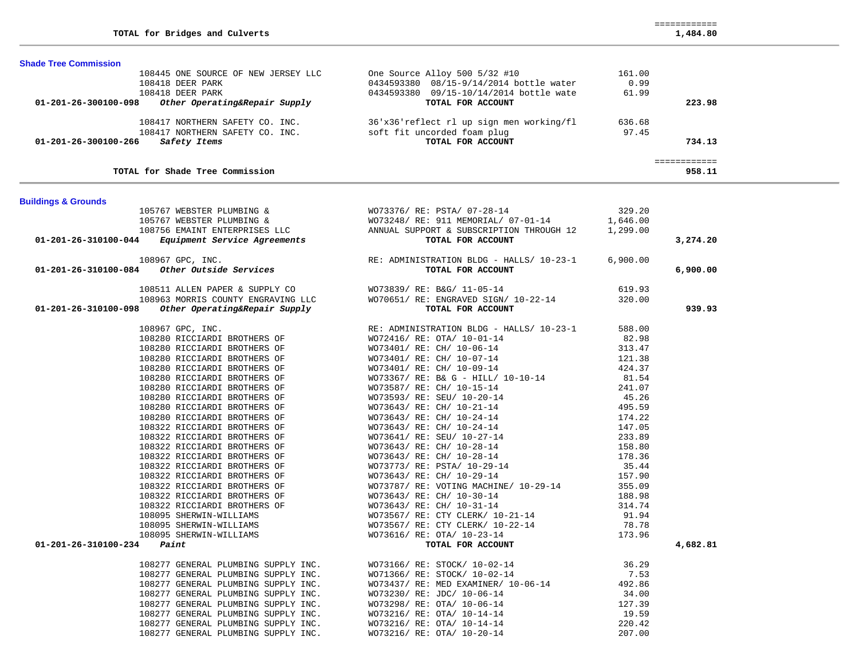| 01-201-26-300100-098           | 108418 DEER PARK<br>Other Operating&Repair Supply                          | 0434593380  09/15-10/14/2014  bottle wate<br>TOTAL FOR ACCOUNT                  | 61.99            | 223.98                 |
|--------------------------------|----------------------------------------------------------------------------|---------------------------------------------------------------------------------|------------------|------------------------|
|                                |                                                                            | 108417 NORTHERN SAFETY CO. INC. 36'x36'reflect rl up sign men working/fl        | 636.68           |                        |
|                                | 108417 NORTHERN SAFETY CO. INC.                                            | soft fit uncorded foam plug                                                     | 97.45            |                        |
| 01-201-26-300100-266           | Safety Items                                                               | TOTAL FOR ACCOUNT                                                               |                  | 734.13                 |
|                                | TOTAL for Shade Tree Commission                                            |                                                                                 |                  | ============<br>958.11 |
| <b>Buildings &amp; Grounds</b> |                                                                            |                                                                                 |                  |                        |
|                                | 105767 WEBSTER PLUMBING &                                                  | WO73376/ RE: PSTA/ 07-28-14                                                     | 329.20           |                        |
|                                | 105767 WEBSTER PLUMBING &                                                  | WO73248/ RE: 911 MEMORIAL/ 07-01-14                                             | 1,646.00         |                        |
|                                | 108756 EMAINT ENTERPRISES LLC<br>4 Equipment Service Agreements            | ANNUAL SUPPORT & SUBSCRIPTION THROUGH 12                                        | 1,299.00         |                        |
| 01-201-26-310100-044           |                                                                            | TOTAL FOR ACCOUNT                                                               |                  | 3,274.20               |
| 01-201-26-310100-084           | 108967 GPC, INC.<br><i>Other Outside Services</i>                          | RE: ADMINISTRATION BLDG - HALLS/ 10-23-1<br>TOTAL FOR ACCOUNT                   | 6,900.00         | 6,900.00               |
|                                | 108511 ALLEN PAPER & SUPPLY CO                                             | WO73839/ RE: B&G/ 11-05-14                                                      | 619.93           |                        |
|                                | 108963 MORRIS COUNTY ENGRAVING LLC                                         | WO70651/RE: ENGRAVED SIGN/10-22-14                                              | 320.00           |                        |
| 01-201-26-310100-098           | Other Operating&Repair Supply                                              | TOTAL FOR ACCOUNT                                                               |                  | 939.93                 |
|                                |                                                                            |                                                                                 |                  |                        |
|                                | 108967 GPC, INC.<br>108280 RICCIARDI BROTHERS OF                           | RE: ADMINISTRATION BLDG - HALLS/ 10-23-1<br>WO72416/ RE: OTA/ 10-01-14          | 588.00<br>82.98  |                        |
|                                | 108280 RICCIARDI BROTHERS OF                                               | WO73401/ RE: CH/ 10-06-14                                                       | 313.47           |                        |
|                                | 108280 RICCIARDI BROTHERS OF                                               | WO73401/ RE: CH/ 10-07-14                                                       | 121.38           |                        |
|                                | 108280 RICCIARDI BROTHERS OF                                               | WO73401/ RE: CH/ 10-09-14                                                       | 424.37           |                        |
|                                | 108280 RICCIARDI BROTHERS OF                                               | WO73367/ RE: B& G - HILL/ 10-10-14                                              | 81.54            |                        |
|                                | 108280 RICCIARDI BROTHERS OF                                               | WO73587/ RE: CH/ 10-15-14                                                       | 241.07           |                        |
|                                | 108280 RICCIARDI BROTHERS OF                                               | WO73593/ RE: SEU/ 10-20-14                                                      | 45.26            |                        |
|                                | 108280 RICCIARDI BROTHERS OF                                               | WO73643/ RE: CH/ 10-21-14                                                       | 495.59           |                        |
|                                | 108280 RICCIARDI BROTHERS OF                                               | WO73643/ RE: CH/ 10-24-14                                                       | 174.22           |                        |
|                                | 108322 RICCIARDI BROTHERS OF                                               | WO73643/ RE: CH/ 10-24-14                                                       | 147.05           |                        |
|                                | 108322 RICCIARDI BROTHERS OF                                               | WO73641/ RE: SEU/ 10-27-14                                                      | 233.89           |                        |
|                                | 108322 RICCIARDI BROTHERS OF                                               | WO73643/ RE: CH/ 10-28-14                                                       | 158.80           |                        |
|                                | 108322 RICCIARDI BROTHERS OF                                               | WO73643/ RE: CH/ 10-28-14                                                       | 178.36           |                        |
|                                | 108322 RICCIARDI BROTHERS OF                                               | WO73773/RE: CH/10-20-14<br>WO73773/RE: PSTA/10-29-14<br>WO73643/RE: CH/10-29-14 | 35.44            |                        |
|                                | 108322 RICCIARDI BROTHERS OF                                               | WO73643/ RE: CH/ 10-29-14                                                       | 157.90           |                        |
|                                | 108322 RICCIARDI BROTHERS OF<br>108322 RICCIARDI BROTHERS OF               | WO73787/ RE: VOTING MACHINE/ 10-29-14<br>WO73643/ RE: CH/ 10-30-14              | 355.09<br>188.98 |                        |
|                                | 108322 RICCIARDI BROTHERS OF                                               | WO73643/ RE: CH/ 10-31-14                                                       | 314.74           |                        |
|                                | 108095 SHERWIN-WILLIAMS                                                    | WO73567/ RE: CTY CLERK/ 10-21-14                                                | 91.94            |                        |
|                                | 108095 SHERWIN-WILLIAMS                                                    | WO73567/ RE: CTY CLERK/ 10-22-14                                                | 78.78            |                        |
|                                | 108095 SHERWIN-WILLIAMS                                                    | WO73616/ RE: OTA/ 10-23-14                                                      | 173.96           |                        |
| 01-201-26-310100-234           | Paint                                                                      | TOTAL FOR ACCOUNT                                                               |                  | 4,682.81               |
|                                |                                                                            |                                                                                 |                  |                        |
|                                | 108277 GENERAL PLUMBING SUPPLY INC.                                        | WO73166/ RE: STOCK/ 10-02-14                                                    | 36.29            |                        |
|                                | 108277 GENERAL PLUMBING SUPPLY INC.                                        | WO71366/ RE: STOCK/ 10-02-14                                                    | 7.53             |                        |
|                                | 108277 GENERAL PLUMBING SUPPLY INC.<br>108277 GENERAL PLUMBING SUPPLY INC. | WO73437/ RE: MED EXAMINER/ 10-06-14<br>WO73230/ RE: JDC/ 10-06-14               | 492.86<br>34.00  |                        |
|                                | 108277 GENERAL PLUMBING SUPPLY INC.                                        | WO73298/ RE: OTA/ 10-06-14                                                      | 127.39           |                        |
|                                | 108277 GENERAL PLUMBING SUPPLY INC.                                        | WO73216/ RE: OTA/ 10-14-14                                                      | 19.59            |                        |
|                                | 108277 GENERAL PLUMBING SUPPLY INC.                                        | WO73216/ RE: OTA/ 10-14-14                                                      | 220.42           |                        |
|                                | 108277 GENERAL PLUMBING SUPPLY INC.                                        | WO73216/ RE: OTA/ 10-20-14                                                      | 207.00           |                        |

108445 ONE SOURCE OF NEW JERSEY LLC One Source Alloy 500 5/32 #10 161.00<br>108418 DEER PARK 0.99 0434593380 08/15-9/14/2014 bottle water 0.99

0434593380 08/15-9/14/2014 bottle water

**TOTAL for Bridges and Culverts** 1,484.80

**Shade Tree Commission** 

============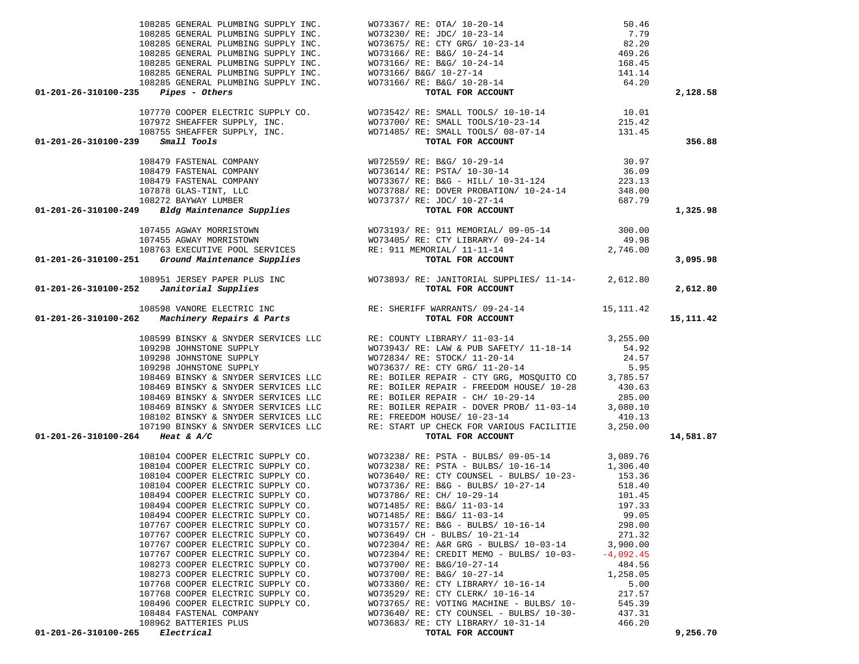| 01-201-26-310100-265<br>Electrical                                                                                                                                                                                                            | TOTAL FOR ACCOUNT                                                                                                                                                                                                                |          | 9,256.70  |
|-----------------------------------------------------------------------------------------------------------------------------------------------------------------------------------------------------------------------------------------------|----------------------------------------------------------------------------------------------------------------------------------------------------------------------------------------------------------------------------------|----------|-----------|
| 108962 BATTERIES PLUS                                                                                                                                                                                                                         | WO73683/ RE: CTY LIBRARY/ 10-31-14                                                                                                                                                                                               | 466.20   |           |
| 108484 FASTENAL COMPANY                                                                                                                                                                                                                       | WO73640/ RE: CTY COUNSEL - BULBS/ 10-30-                                                                                                                                                                                         | 437.31   |           |
| 108496 COOPER ELECTRIC SUPPLY CO.                                                                                                                                                                                                             | WO73765/ RE: VOTING MACHINE - BULBS/ 10-                                                                                                                                                                                         | 545.39   |           |
| 107768 COOPER ELECTRIC SUPPLY CO.                                                                                                                                                                                                             | WO73529/ RE: CTY CLERK/ 10-16-14                                                                                                                                                                                                 | 217.57   |           |
| 107768 COOPER ELECTRIC SUPPLY CO.                                                                                                                                                                                                             | WO73380/ RE: CTY LIBRARY/ 10-16-14                                                                                                                                                                                               | 5.00     |           |
| 108273 COOPER ELECTRIC SUPPLY CO.                                                                                                                                                                                                             | WO73700/ RE: B&G/ 10-27-14                                                                                                                                                                                                       | 1,258.05 |           |
| 108273 COOPER ELECTRIC SUPPLY CO.                                                                                                                                                                                                             | WO73700/ RE: B&G/10-27-14                                                                                                                                                                                                        | 484.56   |           |
| 107767 COOPER ELECTRIC SUPPLY CO.<br>107767 COOPER ELECTRIC SUPPLY CO.                                                                                                                                                                        | WO72304/ RE: CREDIT MEMO - BULBS/ 10-03- -4,092.45                                                                                                                                                                               |          |           |
| 107767 COOPER ELECTRIC SUPPLY CO.                                                                                                                                                                                                             | WO72304/ RE: A&R GRG - BULBS/ 10-03-14 3,900.00                                                                                                                                                                                  | 271.32   |           |
| 107767 COOPER ELECTRIC SUPPLY CO.                                                                                                                                                                                                             | W073157/ RE: B&G - BULBS/ 10-16-14<br>W073649/ CH - BULBS/ 10-21-14                                                                                                                                                              | 298.00   |           |
| 108494 COOPER ELECTRIC SUPPLY CO.                                                                                                                                                                                                             | WO71485/ RE: B&G/ 11-03-14                                                                                                                                                                                                       | 99.05    |           |
| 108494 COOPER ELECTRIC SUPPLY CO. WO71485/RE: B&G/ 11-03-14                                                                                                                                                                                   |                                                                                                                                                                                                                                  | 197.33   |           |
|                                                                                                                                                                                                                                               |                                                                                                                                                                                                                                  |          |           |
|                                                                                                                                                                                                                                               | 108104 COOPER ELECTRIC SUPPLY CO. WO73238/ RE: PSTA - BULBS/ 09-05-14 3,089.76<br>108104 COOPER ELECTRIC SUPPLY CO. WO73238/ RE: PSTA - BULBS/ 10-16-14 1,306.40<br>108104 COOPER ELECTRIC SUPPLY CO. WO73786/ RE: CTY COUNSEL - |          |           |
|                                                                                                                                                                                                                                               |                                                                                                                                                                                                                                  |          |           |
|                                                                                                                                                                                                                                               |                                                                                                                                                                                                                                  |          |           |
|                                                                                                                                                                                                                                               |                                                                                                                                                                                                                                  |          |           |
|                                                                                                                                                                                                                                               |                                                                                                                                                                                                                                  |          |           |
| 01-201-26-310100-264 Heat & A/C                                                                                                                                                                                                               |                                                                                                                                                                                                                                  |          | 14,581.87 |
|                                                                                                                                                                                                                                               |                                                                                                                                                                                                                                  |          |           |
|                                                                                                                                                                                                                                               |                                                                                                                                                                                                                                  |          |           |
|                                                                                                                                                                                                                                               |                                                                                                                                                                                                                                  |          |           |
|                                                                                                                                                                                                                                               |                                                                                                                                                                                                                                  |          |           |
|                                                                                                                                                                                                                                               |                                                                                                                                                                                                                                  |          |           |
|                                                                                                                                                                                                                                               |                                                                                                                                                                                                                                  |          |           |
|                                                                                                                                                                                                                                               |                                                                                                                                                                                                                                  |          |           |
|                                                                                                                                                                                                                                               |                                                                                                                                                                                                                                  |          |           |
|                                                                                                                                                                                                                                               |                                                                                                                                                                                                                                  |          |           |
|                                                                                                                                                                                                                                               |                                                                                                                                                                                                                                  |          |           |
| 01-201-26-310100-239 Small Tools<br>108479 PASTENAL COMPANY<br>108479 PASTENAL COMPANY<br>108479 PASTENAL COMPANY<br>108479 PASTENAL COMPANY<br>10879 SLAS-TINT, LLC<br>107876 GLAS-TINT, LLC<br>107878 GLAS-TINT, LLC<br>107878 GLAS-TINT, L |                                                                                                                                                                                                                                  |          | 15,111.42 |
|                                                                                                                                                                                                                                               |                                                                                                                                                                                                                                  |          |           |
|                                                                                                                                                                                                                                               |                                                                                                                                                                                                                                  |          | 2,612.80  |
|                                                                                                                                                                                                                                               |                                                                                                                                                                                                                                  |          |           |
|                                                                                                                                                                                                                                               |                                                                                                                                                                                                                                  |          |           |
|                                                                                                                                                                                                                                               |                                                                                                                                                                                                                                  |          | 3,095.98  |
|                                                                                                                                                                                                                                               |                                                                                                                                                                                                                                  |          |           |
|                                                                                                                                                                                                                                               |                                                                                                                                                                                                                                  |          |           |
|                                                                                                                                                                                                                                               |                                                                                                                                                                                                                                  |          |           |
|                                                                                                                                                                                                                                               |                                                                                                                                                                                                                                  |          | 1,325.98  |
|                                                                                                                                                                                                                                               |                                                                                                                                                                                                                                  |          |           |
|                                                                                                                                                                                                                                               |                                                                                                                                                                                                                                  |          |           |
|                                                                                                                                                                                                                                               |                                                                                                                                                                                                                                  |          |           |
|                                                                                                                                                                                                                                               |                                                                                                                                                                                                                                  |          |           |
|                                                                                                                                                                                                                                               |                                                                                                                                                                                                                                  |          |           |
|                                                                                                                                                                                                                                               |                                                                                                                                                                                                                                  |          |           |
| 01-201-26-310100-239 Small Tools                                                                                                                                                                                                              |                                                                                                                                                                                                                                  |          | 356.88    |
|                                                                                                                                                                                                                                               |                                                                                                                                                                                                                                  |          |           |
|                                                                                                                                                                                                                                               |                                                                                                                                                                                                                                  |          |           |
|                                                                                                                                                                                                                                               |                                                                                                                                                                                                                                  |          |           |
| $01 - 201 - 26 - 310100 - 235$ Pipes - Others                                                                                                                                                                                                 |                                                                                                                                                                                                                                  |          | 2,128.58  |
|                                                                                                                                                                                                                                               |                                                                                                                                                                                                                                  |          |           |
|                                                                                                                                                                                                                                               |                                                                                                                                                                                                                                  |          |           |
|                                                                                                                                                                                                                                               |                                                                                                                                                                                                                                  |          |           |
|                                                                                                                                                                                                                                               |                                                                                                                                                                                                                                  |          |           |
|                                                                                                                                                                                                                                               |                                                                                                                                                                                                                                  |          |           |
|                                                                                                                                                                                                                                               |                                                                                                                                                                                                                                  |          |           |
|                                                                                                                                                                                                                                               |                                                                                                                                                                                                                                  |          |           |

| RE: B&G/ 10-28-14<br>TOTAL FOR ACCOUNT                                                                                                                                                                                      | 64.20            | 2,128.58  |
|-----------------------------------------------------------------------------------------------------------------------------------------------------------------------------------------------------------------------------|------------------|-----------|
|                                                                                                                                                                                                                             |                  |           |
| RE: SMALL TOOLS/ 10-10-14<br>RE: SMALL TOOLS/10-23-14<br>RE: SMALL TOOLS/ 08-07-14                                                                                                                                          | 10.01            |           |
|                                                                                                                                                                                                                             | 215.42           |           |
| TOTAL FOR ACCOUNT                                                                                                                                                                                                           | 131.45           | 356.88    |
|                                                                                                                                                                                                                             |                  |           |
| RE: B&G/ 10-29-14                                                                                                                                                                                                           | 30.97            |           |
| RE: PSTA/ 10-30-14                                                                                                                                                                                                          | 36.09            |           |
|                                                                                                                                                                                                                             | 223.13           |           |
| RE: B&G - HILL/ 10-31-124<br>RE: B&G - HILL/ 10-31-124<br>RE: DOVER PROBATION/ 10-24-14<br>RE: JDC/ 10-27-14<br>RE: DOVER PROBATION RE: JDC / 10-27-14                                                                      | 348.00<br>687.79 |           |
| TOTAL FOR ACCOUNT                                                                                                                                                                                                           |                  | 1,325.98  |
| 2.<br>RE: 911 MEMORIAL/ 09-05-14<br>RE: CTY LIBRARY/ 09-24-14<br>2,746.00                                                                                                                                                   |                  |           |
|                                                                                                                                                                                                                             |                  |           |
|                                                                                                                                                                                                                             |                  |           |
|                                                                                                                                                                                                                             |                  |           |
| TOTAL FOR ACCOUNT                                                                                                                                                                                                           |                  | 3,095.98  |
| RE: JANITORIAL SUPPLIES/ 11-14- 2,612.80                                                                                                                                                                                    |                  |           |
| TOTAL FOR ACCOUNT                                                                                                                                                                                                           |                  | 2,612.80  |
|                                                                                                                                                                                                                             |                  |           |
| IFF WARRANTS/ 09-24-14                                                                                                                                                                                                      | 15,111.42        |           |
| TOTAL FOR ACCOUNT                                                                                                                                                                                                           |                  | 15,111.42 |
| TY LIBRARY/ 11-03-14                                                                                                                                                                                                        | 3,255.00         |           |
| RE: LAW & PUB SAFETY/ 11-18-14                                                                                                                                                                                              | 54.92            |           |
| RE: STOCK/ 11-20-14                                                                                                                                                                                                         | 24.57            |           |
| RE: CTY GRG/ 11-20-14                                                                                                                                                                                                       | 5.95             |           |
|                                                                                                                                                                                                                             |                  |           |
| ER REPAIR - CTY GRG, MOSQUITO CO 3,785.57<br>ER REPAIR - FREEDOM HOUSE/ 10-28 430.63<br>ER REPAIR - CH/ 10-29-14 285.00                                                                                                     |                  |           |
| ER REPAIR - DOVER PROB/ 11-03-14 3,080.10                                                                                                                                                                                   |                  |           |
| DOM HOUSE/ 10-23-14                                                                                                                                                                                                         | 410.13           |           |
| T UP CHECK FOR VARIOUS FACILITIE 3,250.00                                                                                                                                                                                   |                  |           |
| TOTAL FOR ACCOUNT                                                                                                                                                                                                           |                  | 14,581.87 |
| 7 RE: PSTA - BULBS/ 09-05-14<br>7 RE: PSTA - BULBS/ 10-16-14<br>7 RE: CTY COUNSEL - BULBS/ 10-23-<br>7 RE: B&G - BULBS/ 10-27-14<br>7 RE: CH/ 10-29-14<br>7 RE: B&G/ 11-03-14<br>7 RE: R&G/ 11-03-14<br>7 RE: R&G/ 11-03-14 |                  |           |
|                                                                                                                                                                                                                             |                  |           |
|                                                                                                                                                                                                                             |                  |           |
|                                                                                                                                                                                                                             |                  |           |
|                                                                                                                                                                                                                             |                  |           |
| RE: B&G/ 11-03-14<br>RE: B&G/ 11-03-14                                                                                                                                                                                      | 99.05            |           |
| $RE: B&G - BULBS/ 10-16-14$                                                                                                                                                                                                 | 298.00           |           |
| CH - BULBS/ 10-21-14                                                                                                                                                                                                        | 271.32           |           |
| RE: $A&R$ GRG - BULBS/ $10-03-14$                                                                                                                                                                                           | 3,900.00         |           |
| RE: CREDIT MEMO - BULBS/ 10-03- -4,092.45<br>RE: B&G/10-27-14                                                                                                                                                               | 484.56           |           |
| RE: B&G/ 10-27-14                                                                                                                                                                                                           |                  |           |
| RE: CTY LIBRARY/ 10-16-14                                                                                                                                                                                                   | 1,258.05<br>5.00 |           |
| RE: CTY CLERK/ 10-16-14                                                                                                                                                                                                     | $5.00$<br>217.57 |           |
| RE: CTY CLERK/ $10-10-13$<br>RE: VOTING MACHINE - BULBS/ 10-<br>RE: CTY COUNSEL - BULBS/ 10-30-                                                                                                                             | 545.39           |           |
|                                                                                                                                                                                                                             | 437.31           |           |
| RE: CTY LIBRARY/ 10-31-14<br><b>EQEAI ROD ACCOUNTER</b>                                                                                                                                                                     | 466.20           | 0.2557    |
|                                                                                                                                                                                                                             |                  |           |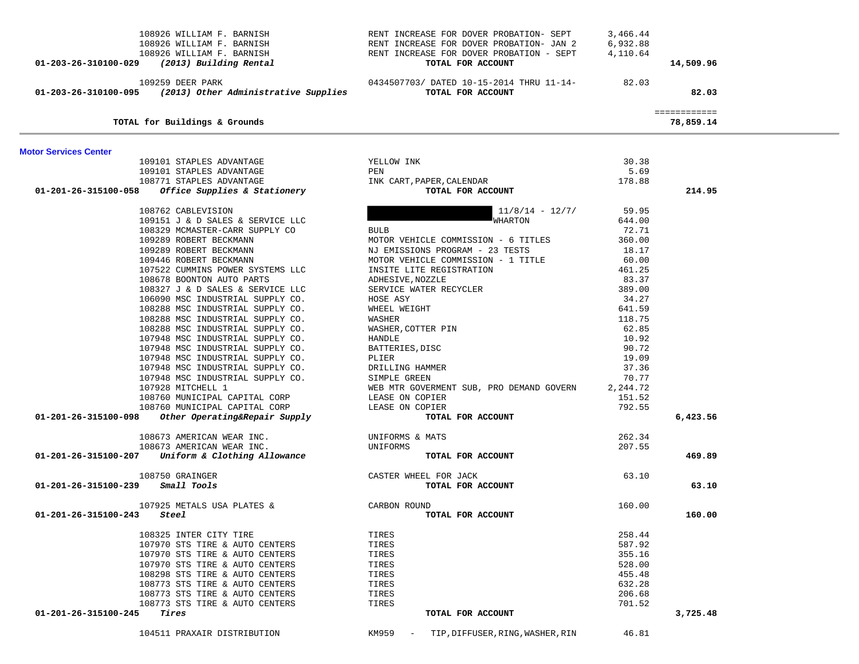| 108926 WILLIAM F. BARNISH (19926 RENT INCREASE FOR DOVER PROBATION- SEPT 108926 WILLIAM F. BARNISH (19926 RENT INCREASE FOR DOVER PROBATION- JAN 2<br>108926 WILLIAM F. BARNISH (2013) Ruilding Rental (2013) Rent RENT INCREASE |                                                                                                                                                                                                                                              | 3,466.44<br>6,932.88<br>4,110.64 | 14,509.96                 |  |
|----------------------------------------------------------------------------------------------------------------------------------------------------------------------------------------------------------------------------------|----------------------------------------------------------------------------------------------------------------------------------------------------------------------------------------------------------------------------------------------|----------------------------------|---------------------------|--|
|                                                                                                                                                                                                                                  | 0434507703/ DATED 10-15-2014 THRU 11-14- 82.03                                                                                                                                                                                               |                                  |                           |  |
| 109259 DEER PARK<br>01-203-26-310100-095 (2013) Other Administrative Supplies                                                                                                                                                    | TOTAL FOR ACCOUNT                                                                                                                                                                                                                            |                                  | 82.03                     |  |
| TOTAL for Buildings & Grounds                                                                                                                                                                                                    |                                                                                                                                                                                                                                              |                                  | ============<br>78,859.14 |  |
| <b>Motor Services Center</b>                                                                                                                                                                                                     |                                                                                                                                                                                                                                              |                                  |                           |  |
| 109101 STAPLES ADVANTAGE YELLOW INK                                                                                                                                                                                              |                                                                                                                                                                                                                                              | 30.38                            |                           |  |
|                                                                                                                                                                                                                                  | PEN                                                                                                                                                                                                                                          | 5.69                             |                           |  |
|                                                                                                                                                                                                                                  | PEN<br>INK CART,PAPER,CALENDAR                                                                                                                                                                                                               | 178.88                           |                           |  |
|                                                                                                                                                                                                                                  | TOTAL FOR ACCOUNT                                                                                                                                                                                                                            |                                  | 214.95                    |  |
| 100/02 CABLEVISION<br>109151 J & D SALES & SERVICE LLC<br>108329 MCMASTER SARE                                                                                                                                                   | $11/8/14 - 12/7/$                                                                                                                                                                                                                            | 59.95                            |                           |  |
|                                                                                                                                                                                                                                  | WHARTON                                                                                                                                                                                                                                      | 644.00                           |                           |  |
| 108329 MCMASTER-CARR SUPPLY CO                                                                                                                                                                                                   | <b>BULB</b>                                                                                                                                                                                                                                  | 72.71                            |                           |  |
| 109289 ROBERT BECKMANN                                                                                                                                                                                                           | MOTOR VEHICLE COMMISSION - 6 TITLES                                                                                                                                                                                                          | 360.00                           |                           |  |
| 109289 ROBERT BECKMANN                                                                                                                                                                                                           | NJ EMISSIONS PROGRAM - 23 TESTS<br>MOTOR VEHICLE COMMISSION - 1 TITLE                                                                                                                                                                        | 18.17                            |                           |  |
| 109446 ROBERT BECKMANN                                                                                                                                                                                                           |                                                                                                                                                                                                                                              | 60.00                            |                           |  |
| 107522 CUMMINS POWER SYSTEMS LLC                                                                                                                                                                                                 | INSITE LITE REGISTRATION                                                                                                                                                                                                                     | 461.25                           |                           |  |
| 108678 BOONTON AUTO PARTS                                                                                                                                                                                                        | ADHESIVE, NOZZLE                                                                                                                                                                                                                             | 83.37                            |                           |  |
| 108327 J & D SALES & SERVICE LLC                                                                                                                                                                                                 | SERVICE WATER RECYCLER                                                                                                                                                                                                                       | 389.00                           |                           |  |
| 106090 MSC INDUSTRIAL SUPPLY CO.                                                                                                                                                                                                 | HOSE ASY                                                                                                                                                                                                                                     | 34.27                            |                           |  |
| 108288 MSC INDUSTRIAL SUPPLY CO.                                                                                                                                                                                                 |                                                                                                                                                                                                                                              | 641.59                           |                           |  |
| 108288 MSC INDUSTRIAL SUPPLY CO.                                                                                                                                                                                                 |                                                                                                                                                                                                                                              | 118.75                           |                           |  |
| 108288 MSC INDUSTRIAL SUPPLY CO.                                                                                                                                                                                                 |                                                                                                                                                                                                                                              | 62.85                            |                           |  |
| 107948 MSC INDUSTRIAL SUPPLY CO.                                                                                                                                                                                                 | WHEEL WEIGHT<br>WASHER<br>WASHER, COTTER PIN<br>HANDLE<br>BATTERIES, DISC                                                                                                                                                                    | 10.92                            |                           |  |
| 107948 MSC INDUSTRIAL SUPPLY CO.                                                                                                                                                                                                 |                                                                                                                                                                                                                                              | 90.72                            |                           |  |
|                                                                                                                                                                                                                                  | 107948 MSC INDUSTRIAL SUPPLY CO.<br>107948 MSC INDUSTRIAL SUPPLY CO.<br>107948 MSC INDUSTRIAL SUPPLY CO.<br>107948 MSC INDUSTRIAL SUPPLY CO.<br>107928 MITCHELL 1<br>108760 MUNICIPAL CAPITAL CORP<br>108760 MUNICIPAL CAPITAL CORP<br>10876 | 19.09                            |                           |  |
|                                                                                                                                                                                                                                  |                                                                                                                                                                                                                                              | 37.36                            |                           |  |
|                                                                                                                                                                                                                                  |                                                                                                                                                                                                                                              | 70.77                            |                           |  |
|                                                                                                                                                                                                                                  |                                                                                                                                                                                                                                              | 2,244.72                         |                           |  |
|                                                                                                                                                                                                                                  |                                                                                                                                                                                                                                              | 151.52                           |                           |  |
|                                                                                                                                                                                                                                  |                                                                                                                                                                                                                                              | 792.55                           |                           |  |
| 01-201-26-315100-098 Other Operating&Repair Supply                                                                                                                                                                               | TOTAL FOR ACCOUNT                                                                                                                                                                                                                            |                                  | 6,423.56                  |  |
| 108673 AMERICAN WEAR INC.                                                                                                                                                                                                        | UNIFORMS & MATS<br>UNIFORMS                                                                                                                                                                                                                  | 262.34                           |                           |  |
|                                                                                                                                                                                                                                  | UNIFORMS                                                                                                                                                                                                                                     | 207.55                           |                           |  |
|                                                                                                                                                                                                                                  | TOTAL FOR ACCOUNT                                                                                                                                                                                                                            |                                  | 469.89                    |  |
| 108750 GRAINGER                                                                                                                                                                                                                  | CASTER WHEEL FOR JACK                                                                                                                                                                                                                        | 63.10                            |                           |  |
| $01 - 201 - 26 - 315100 - 239$ Small Tools                                                                                                                                                                                       | TOTAL FOR ACCOUNT                                                                                                                                                                                                                            |                                  | 63.10                     |  |
| 107925 METALS USA PLATES $\&$ $\hfill$ CARBON ROUND                                                                                                                                                                              |                                                                                                                                                                                                                                              | 160.00                           |                           |  |
| 01-201-26-315100-243<br>Steel                                                                                                                                                                                                    | TOTAL FOR ACCOUNT                                                                                                                                                                                                                            |                                  | 160.00                    |  |
|                                                                                                                                                                                                                                  |                                                                                                                                                                                                                                              |                                  |                           |  |
| 108325 INTER CITY TIRE                                                                                                                                                                                                           | TIRES                                                                                                                                                                                                                                        | 258.44                           |                           |  |
| 107970 STS TIRE & AUTO CENTERS                                                                                                                                                                                                   | TIRES                                                                                                                                                                                                                                        | 587.92                           |                           |  |
| 107970 STS TIRE & AUTO CENTERS<br>107970 STS TIRE & AUTO CENTERS                                                                                                                                                                 | TIRES<br>TIRES                                                                                                                                                                                                                               | 355.16<br>528.00                 |                           |  |
| 108298 STS TIRE & AUTO CENTERS                                                                                                                                                                                                   | TIRES                                                                                                                                                                                                                                        | 455.48                           |                           |  |
| 108773 STS TIRE & AUTO CENTERS                                                                                                                                                                                                   | TIRES                                                                                                                                                                                                                                        | 632.28                           |                           |  |
| 108773 STS TIRE & AUTO CENTERS                                                                                                                                                                                                   | TIRES                                                                                                                                                                                                                                        | 206.68                           |                           |  |
| 108773 STS TIRE & AUTO CENTERS                                                                                                                                                                                                   | TIRES                                                                                                                                                                                                                                        | 701.52                           |                           |  |
| Tires<br>01-201-26-315100-245                                                                                                                                                                                                    | TOTAL FOR ACCOUNT                                                                                                                                                                                                                            |                                  | 3,725.48                  |  |
|                                                                                                                                                                                                                                  |                                                                                                                                                                                                                                              |                                  |                           |  |
| 104511 PRAXAIR DISTRIBUTION                                                                                                                                                                                                      | KM959<br>TIP, DIFFUSER, RING, WASHER, RIN                                                                                                                                                                                                    | 46.81                            |                           |  |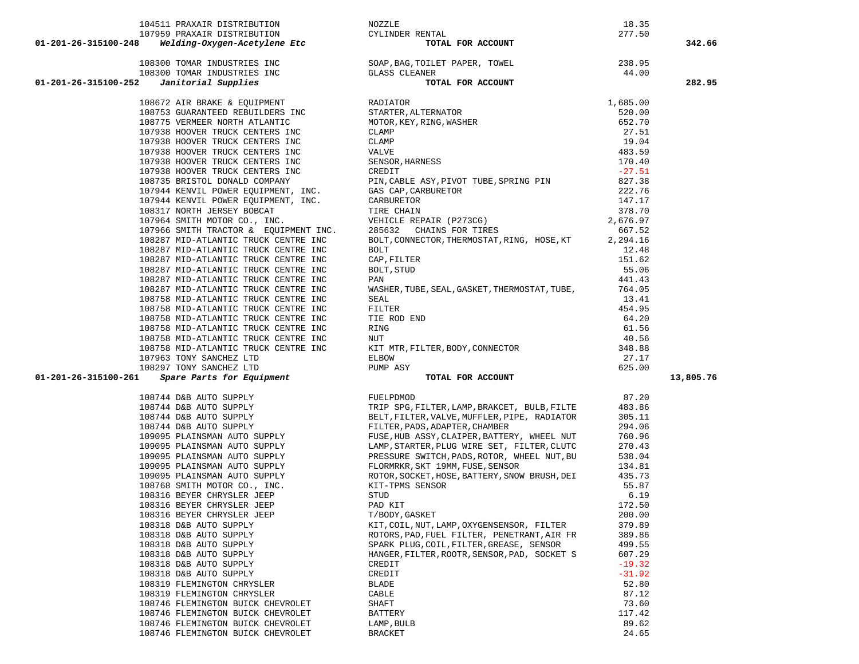|                      | 104511 PRAXAIR DISTRIBUTION                                                                  | NOZZLE                                                                                                                                                                                                                                                                                 | 18.35             |           |
|----------------------|----------------------------------------------------------------------------------------------|----------------------------------------------------------------------------------------------------------------------------------------------------------------------------------------------------------------------------------------------------------------------------------------|-------------------|-----------|
|                      |                                                                                              | ENTAL<br><b>TOTAL FOR ACCOUNT</b><br>CYLINDER RENTAL                                                                                                                                                                                                                                   | 277.50            |           |
| 01-201-26-315100-248 |                                                                                              | 3 <b>Welding-Oxygen-ACECylene acc</b><br>108300 TOMAR INDUSTRIES INC<br>108300 TOMAR INDUSTRIES INC<br>108300 TOMAR INDUSTRIES INC<br><b>CLASS CLEANER</b><br><b>CLASS CLEANER</b><br><b>CLASS CLEANER</b><br><b>CLASS CLEANER</b><br><b>CLASS CLEANER</b><br><b>CLASS CLEANER</b><br> |                   | 342.66    |
|                      |                                                                                              |                                                                                                                                                                                                                                                                                        |                   |           |
|                      |                                                                                              |                                                                                                                                                                                                                                                                                        |                   |           |
| 01-201-26-315100-252 |                                                                                              |                                                                                                                                                                                                                                                                                        |                   | 282.95    |
|                      | 108672 AIR BRAKE & EQUIPMENT <b>EXAMPLE RADIATOR</b>                                         | RADIATOR 1,685.00<br>STARTER, ALTERNATOR 1,685.00<br>MOTOR, KEY, RING, WASHER 652.70<br>CLAMP 27.51<br>CLAMP 19.04<br>VALVE 483.59<br>SENSOR, HARNESS 170.40<br>CREDIT                                                                                                                 |                   |           |
|                      | 108753 GUARANTEED REBUILDERS INC                                                             |                                                                                                                                                                                                                                                                                        |                   |           |
|                      | 108775 VERMEER NORTH ATLANTIC                                                                |                                                                                                                                                                                                                                                                                        |                   |           |
|                      | 107938 HOOVER TRUCK CENTERS INC                                                              |                                                                                                                                                                                                                                                                                        |                   |           |
|                      | 107938 HOOVER TRUCK CENTERS INC                                                              |                                                                                                                                                                                                                                                                                        |                   |           |
|                      | 107938 HOOVER TRUCK CENTERS INC                                                              |                                                                                                                                                                                                                                                                                        |                   |           |
|                      | 107938 HOOVER TRUCK CENTERS INC                                                              |                                                                                                                                                                                                                                                                                        |                   |           |
|                      | 107938 HOOVER TRUCK CENTERS INC                                                              |                                                                                                                                                                                                                                                                                        |                   |           |
|                      |                                                                                              |                                                                                                                                                                                                                                                                                        | 827.38            |           |
|                      |                                                                                              |                                                                                                                                                                                                                                                                                        | 222.76            |           |
|                      |                                                                                              |                                                                                                                                                                                                                                                                                        | 147.17            |           |
|                      |                                                                                              |                                                                                                                                                                                                                                                                                        | 378.70            |           |
|                      |                                                                                              | 107938 HOOVER TRUCK CENTERS INC<br>108735 BRISTOL DONALD COMPANY<br>107944 KENVIL POWER EQUIPMENT, INC.<br>107944 KENVIL POWER EQUIPMENT, INC.<br>107944 KENVIL POWER EQUIPMENT, INC.<br>107964 SMITH MOTOR CO., INC.<br>107966 SMITH TRAC                                             | 2,676.97          |           |
|                      |                                                                                              | BOLT, CONNECTOR, THERMOSTAT, RING, HOSE, KT                                                                                                                                                                                                                                            | 667.52            |           |
|                      | 108287 MID-ATLANTIC TRUCK CENTRE INC<br>108287 MID-ATLANTIC TRUCK CENTRE INC                 | BOLT                                                                                                                                                                                                                                                                                   | 2,294.16<br>12.48 |           |
|                      | 108287 MID-ATLANTIC TRUCK CENTRE INC                                                         | CAP, FILTER                                                                                                                                                                                                                                                                            | 151.62            |           |
|                      | 108287 MID-ATLANTIC TRUCK CENTRE INC                                                         | BOLT, STUD                                                                                                                                                                                                                                                                             | 55.06             |           |
|                      | 108287 MID-ATLANTIC TRUCK CENTRE INC                                                         | PAN                                                                                                                                                                                                                                                                                    | 441.43            |           |
|                      | 108287 MID-ATLANTIC TRUCK CENTRE INC                                                         | WASHER, TUBE, SEAL, GASKET, THERMOSTAT, TUBE,                                                                                                                                                                                                                                          | 764.05            |           |
|                      | 108758 MID-ATLANTIC TRUCK CENTRE INC                                                         |                                                                                                                                                                                                                                                                                        | 13.41             |           |
|                      | 108758 MID-ATLANTIC TRUCK CENTRE INC                                                         |                                                                                                                                                                                                                                                                                        | 454.95            |           |
|                      | 108758 MID-ATLANTIC TRUCK CENTRE INC                                                         |                                                                                                                                                                                                                                                                                        | 64.20             |           |
|                      | 108758 MID-ATLANTIC TRUCK CENTRE INC                                                         |                                                                                                                                                                                                                                                                                        | 61.56             |           |
|                      | 108758 MID-ATLANTIC TRUCK CENTRE INC                                                         |                                                                                                                                                                                                                                                                                        | 40.56             |           |
|                      | 108758 MID-ATLANTIC TRUCK CENTRE INC                                                         |                                                                                                                                                                                                                                                                                        | 348.88            |           |
|                      | 107963 TONY SANCHEZ LTD                                                                      |                                                                                                                                                                                                                                                                                        | 27.17             |           |
|                      | 108297 TONY SANCHEZ LTD<br>297 TONY SANCHEZ LTD<br><b><i>Spare Parts for Equipment</i></b>   | ASHER, TUBE, SEAL, GASABA,<br>SEAL<br>FILTER<br>TIE ROD END<br>RING<br>NUT<br>KIT MTR, FILTER, BODY, CONNECTOR<br>ELBOW                                                                                                                                                                | 625.00            |           |
| 01-201-26-315100-261 |                                                                                              | TOTAL FOR ACCOUNT                                                                                                                                                                                                                                                                      |                   | 13,805.76 |
|                      |                                                                                              | 108744 D&B AUTO SUPPLY<br>108744 D&B AUTO SUPPLY<br>108744 D&B AUTO SUPPLY<br>108744 D&B AUTO SUPPLY<br>108744 D&B AUTO SUPPLY<br>109095 PLAINSMAN AUTO SUPPLY<br>109095 PLAINSMAN AUTO SUPPLY<br>FUSE, HUB ASSY, CLAIPER, BATTERY, WHEEL NU                                           | 87.20             |           |
|                      |                                                                                              | TRIP SPG, FILTER, LAMP, BRAKCET, BULB, FILTE                                                                                                                                                                                                                                           | 483.86            |           |
|                      |                                                                                              |                                                                                                                                                                                                                                                                                        | 305.11            |           |
|                      | 108744 D&B AUTO SUPPLY<br>108744 D&B AUTO SUPPLY<br>109095 PLAINSMAN AUTO SUPPLY             |                                                                                                                                                                                                                                                                                        | 294.06            |           |
|                      |                                                                                              |                                                                                                                                                                                                                                                                                        | 760.96            |           |
|                      | 109095 PLAINSMAN AUTO SUPPLY<br>109095 PLAINSMAN AUTO SUPPLY                                 | LAMP, STARTER, PLUG WIRE SET, FILTER, CLUTC                                                                                                                                                                                                                                            | 270.43            |           |
|                      | 109095 PLAINSMAN AUTO SUPPLY                                                                 | PRESSURE SWITCH, PADS, ROTOR, WHEEL NUT, BU<br>FLORMRKR, SKT 19MM, FUSE, SENSOR                                                                                                                                                                                                        | 538.04<br>134.81  |           |
|                      | 109095 PLAINSMAN AUTO SUPPLY<br>109095 PLAINSMAN AUTO SUPPLY<br>108768 SMITH MOTOR CO., INC. | ROTOR, SOCKET, HOSE, BATTERY, SNOW BRUSH, DEI                                                                                                                                                                                                                                          | 435.73            |           |
|                      |                                                                                              | KIT-TPMS SENSOR                                                                                                                                                                                                                                                                        | 55.87             |           |
|                      | 108316 BEYER CHRYSLER JEEP                                                                   | STUD                                                                                                                                                                                                                                                                                   | 6.19              |           |
|                      | 108316 BEYER CHRYSLER JEEP                                                                   | PAD KIT                                                                                                                                                                                                                                                                                | 172.50            |           |
|                      | 108316 BEYER CHRYSLER JEEP                                                                   | T/BODY, GASKET                                                                                                                                                                                                                                                                         | 200.00            |           |
|                      | 108318 D&B AUTO SUPPLY                                                                       | KIT, COIL, NUT, LAMP, OXYGENSENSOR, FILTER                                                                                                                                                                                                                                             | 379.89            |           |
|                      | 108318 D&B AUTO SUPPLY                                                                       | ROTORS, PAD, FUEL FILTER, PENETRANT, AIR FR                                                                                                                                                                                                                                            | 389.86            |           |
|                      | 108318 D&B AUTO SUPPLY                                                                       | SPARK PLUG, COIL, FILTER, GREASE, SENSOR                                                                                                                                                                                                                                               | 499.55            |           |
|                      | 108318 D&B AUTO SUPPLY                                                                       | HANGER, FILTER, ROOTR, SENSOR, PAD, SOCKET S                                                                                                                                                                                                                                           | 607.29            |           |
|                      | 108318 D&B AUTO SUPPLY                                                                       | CREDIT                                                                                                                                                                                                                                                                                 | $-19.32$          |           |
|                      | 108318 D&B AUTO SUPPLY                                                                       | CREDIT                                                                                                                                                                                                                                                                                 | $-31.92$          |           |
|                      | 108319 FLEMINGTON CHRYSLER                                                                   | <b>BLADE</b>                                                                                                                                                                                                                                                                           | 52.80             |           |
|                      | 108319 FLEMINGTON CHRYSLER                                                                   | CABLE                                                                                                                                                                                                                                                                                  | 87.12             |           |
|                      | 108746 FLEMINGTON BUICK CHEVROLET                                                            | SHAFT                                                                                                                                                                                                                                                                                  | 73.60             |           |
|                      | 108746 FLEMINGTON BUICK CHEVROLET                                                            | BATTERY                                                                                                                                                                                                                                                                                | 117.42            |           |
|                      | 108746 FLEMINGTON BUICK CHEVROLET                                                            | LAMP, BULB                                                                                                                                                                                                                                                                             | 89.62             |           |
|                      | 108746 FLEMINGTON BUICK CHEVROLET                                                            | BRACKET                                                                                                                                                                                                                                                                                | 24.65             |           |

|                                       | 277.50           |          |
|---------------------------------------|------------------|----------|
| <b>R ACCOUNT</b>                      |                  | 342.6    |
| ER, TOWEL                             | 238.95           |          |
|                                       | 44.00            |          |
| <b>R ACCOUNT</b>                      |                  | 282.9    |
|                                       | 1,685.00         |          |
|                                       | 520.00           |          |
| IER                                   | 652.70           |          |
|                                       | 27.51            |          |
|                                       | 19.04            |          |
|                                       | 483.59           |          |
|                                       | 170.40           |          |
|                                       | $-27.51$         |          |
| TUBE, SPRING PIN                      | 827.38<br>222.76 |          |
|                                       | 147.17           |          |
|                                       | 378.70           |          |
| '3CG)                                 | 2,676.97         |          |
| ! TIRES                               | 667.52           |          |
| MOSTAT,RING, HOSE,KT                  | 2,294.16         |          |
|                                       | 12.48            |          |
|                                       | 151.62           |          |
|                                       | 55.06            |          |
|                                       | 441.43           |          |
| SKET, THERMOSTAT, TUBE,               | 764.05           |          |
|                                       | 13.41<br>454.95  |          |
|                                       | 64.20            |          |
|                                       | 61.56            |          |
|                                       | 40.56            |          |
| , CONNECTOR                           | 348.88           |          |
|                                       | 27.17            |          |
|                                       | 625.00           |          |
| <b>R ACCOUNT</b>                      |                  | 13,805.7 |
|                                       | 87.20            |          |
| IP,BRAKCET, BULB,FILTE                | 483.86           |          |
| IUFFLER,PIPE, RADIATOR                | 305.11           |          |
| ., CHAMBER                            | 294.06           |          |
| ER, BATTERY, WHEEL NUT                | 760.96           |          |
| IIRE SET, FILTER, CLUTC               | 270.43           |          |
| S,ROTOR, WHEEL NUT,BU<br>'USE, SENSOR | 538.04<br>134.81 |          |
| $\overline{a}$                        | 1257             |          |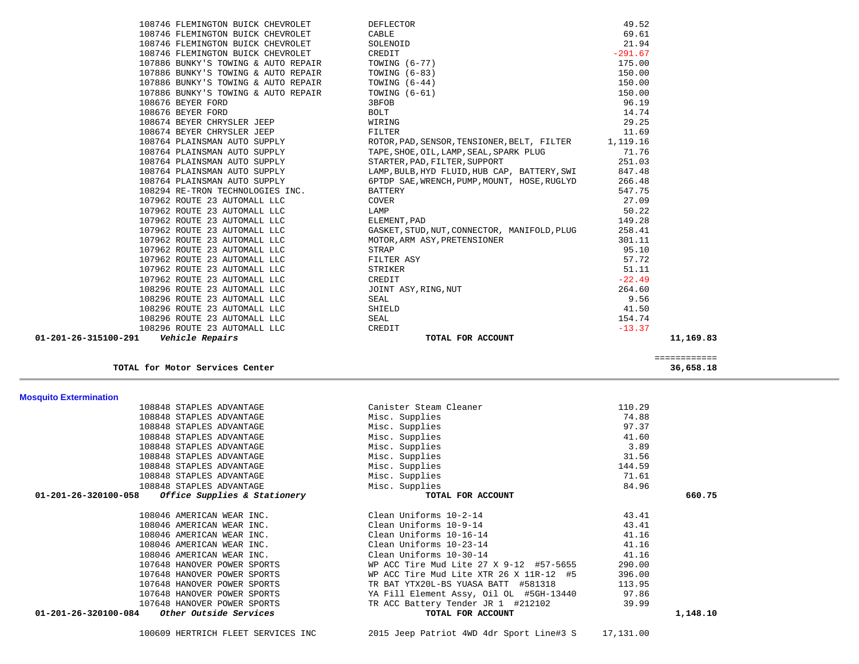| 108848 STAPLES ADVANTAGE                             | Canister Steam Cleaner                  | 110.29 |          |
|------------------------------------------------------|-----------------------------------------|--------|----------|
| 108848 STAPLES ADVANTAGE                             | Misc. Supplies                          | 74.88  |          |
| 108848 STAPLES ADVANTAGE                             | Misc. Supplies                          | 97.37  |          |
| 108848 STAPLES ADVANTAGE                             | Misc. Supplies                          | 41.60  |          |
| 108848 STAPLES ADVANTAGE                             | Misc. Supplies                          | 3.89   |          |
| 108848 STAPLES ADVANTAGE                             | Misc. Supplies                          | 31.56  |          |
| 108848 STAPLES ADVANTAGE                             | Misc. Supplies                          | 144.59 |          |
| 108848 STAPLES ADVANTAGE                             | Misc. Supplies                          | 71.61  |          |
| 108848 STAPLES ADVANTAGE                             | Misc. Supplies                          | 84.96  |          |
| Office Supplies & Stationery<br>01-201-26-320100-058 | TOTAL FOR ACCOUNT                       |        | 660.75   |
|                                                      |                                         |        |          |
| 108046 AMERICAN WEAR INC.                            | Clean Uniforms 10-2-14                  | 43.41  |          |
| 108046 AMERICAN WEAR INC.                            | Clean Uniforms 10-9-14                  | 43.41  |          |
| 108046 AMERICAN WEAR INC.                            | Clean Uniforms 10-16-14                 | 41.16  |          |
| 108046 AMERICAN WEAR INC.                            | Clean Uniforms 10-23-14                 | 41.16  |          |
| 108046 AMERICAN WEAR INC.                            | Clean Uniforms 10-30-14                 | 41.16  |          |
| 107648 HANOVER POWER SPORTS                          | WP ACC Tire Mud Lite 27 X 9-12 #57-5655 | 290.00 |          |
| 107648 HANOVER POWER SPORTS                          | WP ACC Tire Mud Lite XTR 26 X 11R-12 #5 | 396.00 |          |
| 107648 HANOVER POWER SPORTS                          | TR BAT YTX20L-BS YUASA BATT #581318     | 113.95 |          |
| 107648 HANOVER POWER SPORTS                          | YA Fill Element Assy, Oil OL #5GH-13440 | 97.86  |          |
| 107648 HANOVER POWER SPORTS                          | TR ACC Battery Tender JR 1 #212102      | 39.99  |          |
| Other Outside Services<br>01-201-26-320100-084       | TOTAL FOR ACCOUNT                       |        | 1,148.10 |
|                                                      |                                         |        |          |

**Mosquito Extermination** 

 ============ **TOTAL for Motor Services Center 36,658.18**

| 108296 ROUTE 23 AUTOMALL LLC     | CREDIT                                                                                                                                                                                                                                                                                                                            | $-13.37$                                                                                                                 |
|----------------------------------|-----------------------------------------------------------------------------------------------------------------------------------------------------------------------------------------------------------------------------------------------------------------------------------------------------------------------------------|--------------------------------------------------------------------------------------------------------------------------|
|                                  |                                                                                                                                                                                                                                                                                                                                   |                                                                                                                          |
| 108296 ROUTE 23 AUTOMALL LLC     | SEAL                                                                                                                                                                                                                                                                                                                              | 154.74                                                                                                                   |
| 108296 ROUTE 23 AUTOMALL LLC     | SHIELD                                                                                                                                                                                                                                                                                                                            | 41.50                                                                                                                    |
| 108296 ROUTE 23 AUTOMALL LLC     | SEAL                                                                                                                                                                                                                                                                                                                              | 9.56                                                                                                                     |
| 108296 ROUTE 23 AUTOMALL LLC     | JOINT ASY, RING, NUT                                                                                                                                                                                                                                                                                                              | 264.60                                                                                                                   |
| 107962 ROUTE 23 AUTOMALL LLC     | CREDIT                                                                                                                                                                                                                                                                                                                            | $-22.49$                                                                                                                 |
| 107962 ROUTE 23 AUTOMALL LLC     | STRIKER                                                                                                                                                                                                                                                                                                                           | 51.11                                                                                                                    |
| 107962 ROUTE 23 AUTOMALL LLC     | FILTER ASY                                                                                                                                                                                                                                                                                                                        | 57.72                                                                                                                    |
| 107962 ROUTE 23 AUTOMALL LLC     | STRAP                                                                                                                                                                                                                                                                                                                             | 95.10                                                                                                                    |
| 107962 ROUTE 23 AUTOMALL LLC     | MOTOR, ARM ASY, PRETENSIONER                                                                                                                                                                                                                                                                                                      | 301.11                                                                                                                   |
| 107962 ROUTE 23 AUTOMALL LLC     | GASKET, STUD, NUT, CONNECTOR, MANIFOLD, PLUG                                                                                                                                                                                                                                                                                      | 258.41                                                                                                                   |
| 107962 ROUTE 23 AUTOMALL LLC     | ELEMENT, PAD                                                                                                                                                                                                                                                                                                                      | 149.28                                                                                                                   |
| 107962 ROUTE 23 AUTOMALL LLC     | LAMP                                                                                                                                                                                                                                                                                                                              | 50.22                                                                                                                    |
| 107962 ROUTE 23 AUTOMALL LLC     | COVER                                                                                                                                                                                                                                                                                                                             | 27.09                                                                                                                    |
| 108294 RE-TRON TECHNOLOGIES INC. | BATTERY                                                                                                                                                                                                                                                                                                                           | 547.75                                                                                                                   |
| 108764 PLAINSMAN AUTO SUPPLY     | 6PTDP SAE, WRENCH, PUMP, MOUNT, HOSE, RUGLYD                                                                                                                                                                                                                                                                                      | 266.48                                                                                                                   |
| 108764 PLAINSMAN AUTO SUPPLY     | LAMP, BULB, HYD FLUID, HUB CAP, BATTERY, SWI                                                                                                                                                                                                                                                                                      | 847.48                                                                                                                   |
| 108764 PLAINSMAN AUTO SUPPLY     | STARTER, PAD, FILTER, SUPPORT                                                                                                                                                                                                                                                                                                     | 251.03                                                                                                                   |
| 108764 PLAINSMAN AUTO SUPPLY     | TAPE, SHOE, OIL, LAMP, SEAL, SPARK PLUG                                                                                                                                                                                                                                                                                           | 71.76                                                                                                                    |
| 108764 PLAINSMAN AUTO SUPPLY     | ROTOR, PAD, SENSOR, TENSIONER, BELT, FILTER 1, 119.16                                                                                                                                                                                                                                                                             |                                                                                                                          |
| 108674 BEYER CHRYSLER JEEP       | FILTER                                                                                                                                                                                                                                                                                                                            | 11.69                                                                                                                    |
| 108674 BEYER CHRYSLER JEEP       | WIRING                                                                                                                                                                                                                                                                                                                            | 29.25                                                                                                                    |
|                                  |                                                                                                                                                                                                                                                                                                                                   | 14.74                                                                                                                    |
| 108676 BEYER FORD                | 3BFOB                                                                                                                                                                                                                                                                                                                             | 96.19                                                                                                                    |
|                                  |                                                                                                                                                                                                                                                                                                                                   | 150.00                                                                                                                   |
|                                  |                                                                                                                                                                                                                                                                                                                                   | 150.00                                                                                                                   |
|                                  |                                                                                                                                                                                                                                                                                                                                   | 150.00                                                                                                                   |
|                                  |                                                                                                                                                                                                                                                                                                                                   | 175.00                                                                                                                   |
|                                  |                                                                                                                                                                                                                                                                                                                                   | $-291.67$                                                                                                                |
|                                  |                                                                                                                                                                                                                                                                                                                                   | 21.94                                                                                                                    |
|                                  |                                                                                                                                                                                                                                                                                                                                   | 49.52<br>69.61                                                                                                           |
|                                  | 108746 FLEMINGTON BUICK CHEVROLET<br>108746 FLEMINGTON BUICK CHEVROLET<br>108746 FLEMINGTON BUICK CHEVROLET<br>108746 FLEMINGTON BUICK CHEVROLET<br>107886 BUNKY'S TOWING & AUTO REPAIR<br>107886 BUNKY'S TOWING & AUTO REPAIR<br>107886 BUNKY'S TOWING & AUTO REPAIR<br>107886 BUNKY'S TOWING & AUTO REPAIR<br>108676 BEYER FORD | DEFLECTOR<br>CABLE<br>SOLENOID<br>CREDIT<br>TOWING (6-77)<br>TOWING (6-83)<br>TOWING $(6-44)$<br>TOWING $(6-61)$<br>BOLT |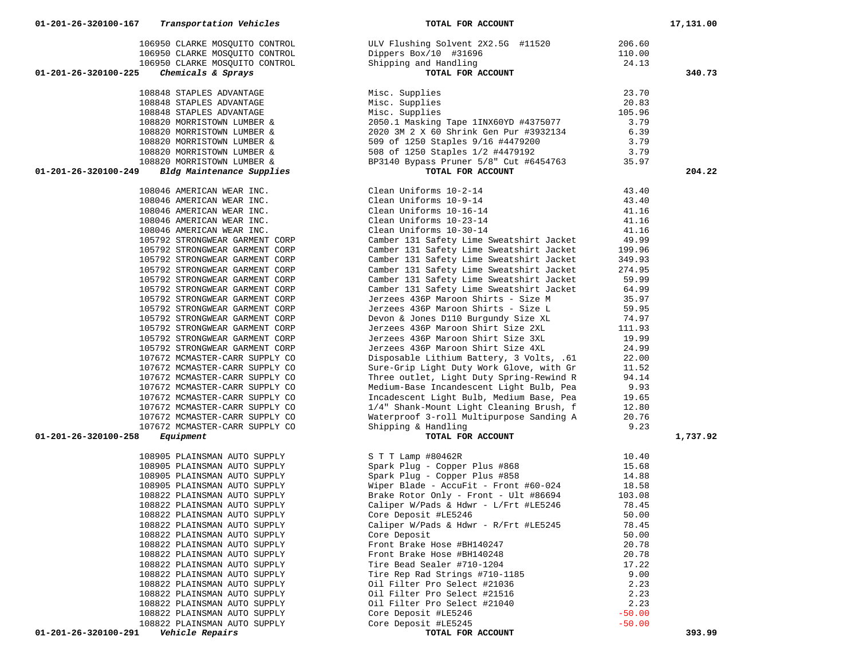|                                                                  | 106950 CLARKE MOSQUITO CONTROL ULV Flushing Solvent 2X2.5G #11520 206.60<br>106950 CLARKE MOSQUITO CONTROL Dippers Box/10 #31696 11520 110.00<br>106950 CLARKE MOSQUITO CONTROL Shipping and Handling 24.13<br>5 Chemicals & Sprays TO                                                                                                                                                                            |                | 340.73   |
|------------------------------------------------------------------|-------------------------------------------------------------------------------------------------------------------------------------------------------------------------------------------------------------------------------------------------------------------------------------------------------------------------------------------------------------------------------------------------------------------|----------------|----------|
|                                                                  |                                                                                                                                                                                                                                                                                                                                                                                                                   |                |          |
|                                                                  |                                                                                                                                                                                                                                                                                                                                                                                                                   |                |          |
|                                                                  |                                                                                                                                                                                                                                                                                                                                                                                                                   |                |          |
|                                                                  |                                                                                                                                                                                                                                                                                                                                                                                                                   |                |          |
|                                                                  |                                                                                                                                                                                                                                                                                                                                                                                                                   |                |          |
|                                                                  |                                                                                                                                                                                                                                                                                                                                                                                                                   |                |          |
|                                                                  |                                                                                                                                                                                                                                                                                                                                                                                                                   |                |          |
|                                                                  |                                                                                                                                                                                                                                                                                                                                                                                                                   |                | 204.22   |
|                                                                  |                                                                                                                                                                                                                                                                                                                                                                                                                   |                |          |
|                                                                  | $\begin{tabular}{lllllllllllllllll} \textbf{108046 AMERTCAN WEAR INC.} & \textbf{Clean Uniforms} & 10-2-14 & 43.40 \\ \textbf{108046 AMERTCAN WEAR INC.} & \textbf{Clean Uniforms} & 10-9-14 & 43.40 \\ \textbf{108046 AMERTCAN WEAR INC.} & \textbf{Clean Uniforms} & 10-16-14 & 41.16 \\ \textbf{108046 AMERTCAN WEAR INC.} & \textbf{Clean Uniforms} & 10-23-14 & 41.16 \\ \textbf{108046 AMERTCAN WEAR INC.}$ |                |          |
|                                                                  |                                                                                                                                                                                                                                                                                                                                                                                                                   |                |          |
|                                                                  |                                                                                                                                                                                                                                                                                                                                                                                                                   |                |          |
|                                                                  |                                                                                                                                                                                                                                                                                                                                                                                                                   |                |          |
|                                                                  |                                                                                                                                                                                                                                                                                                                                                                                                                   |                |          |
|                                                                  |                                                                                                                                                                                                                                                                                                                                                                                                                   |                |          |
| 105792 STRONGWEAR GARMENT CORP                                   | Camber 131 Safety Lime Sweatshirt Jacket                                                                                                                                                                                                                                                                                                                                                                          | 199.96         |          |
| 105792 STRONGWEAR GARMENT CORP                                   | Camber 131 Safety Lime Sweatshirt Jacket                                                                                                                                                                                                                                                                                                                                                                          | 349.93         |          |
| 105792 STRONGWEAR GARMENT CORP                                   | Camber 131 Safety Lime Sweatshirt Jacket                                                                                                                                                                                                                                                                                                                                                                          | 274.95         |          |
| 105792 STRONGWEAR GARMENT CORP                                   | Camber 131 Safety Lime Sweatshirt Jacket                                                                                                                                                                                                                                                                                                                                                                          | 59.99          |          |
| 105792 STRONGWEAR GARMENT CORP<br>105792 STRONGWEAR GARMENT CORP | Camber 131 Safety Lime Sweatshirt Jacket<br>Jerzees 436P Maroon Shirts - Size M                                                                                                                                                                                                                                                                                                                                   | 64.99<br>35.97 |          |
| 105792 STRONGWEAR GARMENT CORP                                   |                                                                                                                                                                                                                                                                                                                                                                                                                   |                |          |
| 105792 STRONGWEAR GARMENT CORP                                   |                                                                                                                                                                                                                                                                                                                                                                                                                   |                |          |
| 105792 STRONGWEAR GARMENT CORP                                   | Jerzees 436P Maroon Shirts - Size L<br>Devon & Jones D110 Burgundy Size XL<br>Jerzees 436P Maroon Shirt Size 2XL<br>111.93                                                                                                                                                                                                                                                                                        |                |          |
| 105792 STRONGWEAR GARMENT CORP                                   |                                                                                                                                                                                                                                                                                                                                                                                                                   | 19.99          |          |
| 105792 STRONGWEAR GARMENT CORP                                   | Jerzees 436P Maroon Shirt Size 3XL<br>Jerzees 436P Maroon Shirt Size 4XL<br>Jerzees 436P Maroon Shirt Size 4XL<br>Jerzees 436P Maroon Shirt Size 4XL<br>Disposable Lithium Battery, 3 Volts, .61 22.00<br>Sure-Grip Light Duty Work Glove, with Gr 11.52<br>Three outlet, Light Duty Spring-Rewind R 94.14                                                                                                        |                |          |
| 107672 MCMASTER-CARR SUPPLY CO                                   |                                                                                                                                                                                                                                                                                                                                                                                                                   |                |          |
| 107672 MCMASTER-CARR SUPPLY CO                                   |                                                                                                                                                                                                                                                                                                                                                                                                                   |                |          |
| 107672 MCMASTER-CARR SUPPLY CO                                   |                                                                                                                                                                                                                                                                                                                                                                                                                   |                |          |
| 107672 MCMASTER-CARR SUPPLY CO                                   | Medium-Base Incandescent Light Bulb, Pea<br>Incadescent Light Bulb, Pea<br>Incadescent Light Bulb, Medium Base, Pea<br>19.65<br>1/4" Shank-Mount Light Cleaning Brush, f 12.80                                                                                                                                                                                                                                    |                |          |
| 107672 MCMASTER-CARR SUPPLY CO                                   |                                                                                                                                                                                                                                                                                                                                                                                                                   |                |          |
| 107672 MCMASTER-CARR SUPPLY CO                                   |                                                                                                                                                                                                                                                                                                                                                                                                                   |                |          |
| 107672 MCMASTER-CARR SUPPLY CO                                   | Waterproof 3-roll Multipurpose Sanding A $20.76$                                                                                                                                                                                                                                                                                                                                                                  |                |          |
| 107672 MCMASTER-CARR SUPPLY CO                                   | Shipping & Handling                                                                                                                                                                                                                                                                                                                                                                                               | 9.23           |          |
| Equipment                                                        | TOTAL FOR ACCOUNT                                                                                                                                                                                                                                                                                                                                                                                                 |                | 1,737.92 |
|                                                                  |                                                                                                                                                                                                                                                                                                                                                                                                                   |                |          |
|                                                                  |                                                                                                                                                                                                                                                                                                                                                                                                                   |                |          |
|                                                                  |                                                                                                                                                                                                                                                                                                                                                                                                                   |                |          |
|                                                                  |                                                                                                                                                                                                                                                                                                                                                                                                                   |                |          |
|                                                                  |                                                                                                                                                                                                                                                                                                                                                                                                                   |                |          |
|                                                                  |                                                                                                                                                                                                                                                                                                                                                                                                                   |                |          |
| 108822 PLAINSMAN AUTO SUPPLY                                     | Core Deposit #LE5246                                                                                                                                                                                                                                                                                                                                                                                              | 50.00          |          |
| 108822 PLAINSMAN AUTO SUPPLY                                     | Caliper W/Pads & Hdwr - R/Frt #LE5245                                                                                                                                                                                                                                                                                                                                                                             | 78.45          |          |
| 108822 PLAINSMAN AUTO SUPPLY                                     | Core Deposit                                                                                                                                                                                                                                                                                                                                                                                                      | 50.00          |          |
| 108822 PLAINSMAN AUTO SUPPLY                                     | Front Brake Hose #BH140247                                                                                                                                                                                                                                                                                                                                                                                        | 20.78          |          |
| 108822 PLAINSMAN AUTO SUPPLY                                     | Front Brake Hose #BH140248                                                                                                                                                                                                                                                                                                                                                                                        | 20.78          |          |
| 108822 PLAINSMAN AUTO SUPPLY                                     | Tire Bead Sealer #710-1204                                                                                                                                                                                                                                                                                                                                                                                        | 17.22          |          |
| 108822 PLAINSMAN AUTO SUPPLY                                     | Tire Rep Rad Strings #710-1185                                                                                                                                                                                                                                                                                                                                                                                    | 9.00           |          |
| 108822 PLAINSMAN AUTO SUPPLY                                     | Oil Filter Pro Select #21036                                                                                                                                                                                                                                                                                                                                                                                      | 2.23           |          |
| 108822 PLAINSMAN AUTO SUPPLY                                     | Oil Filter Pro Select #21516<br>Oil Filter Pro Select #21040                                                                                                                                                                                                                                                                                                                                                      | 2.23<br>2.23   |          |
| 108822 PLAINSMAN AUTO SUPPLY<br>108822 PLAINSMAN AUTO SUPPLY     | Core Deposit #LE5246                                                                                                                                                                                                                                                                                                                                                                                              | $-50.00$       |          |
| 108822 PLAINSMAN AUTO SUPPLY                                     | Core Deposit #LE5245                                                                                                                                                                                                                                                                                                                                                                                              | $-50.00$       |          |
|                                                                  |                                                                                                                                                                                                                                                                                                                                                                                                                   |                |          |

01-201-26-320100-249 *Bldg Maintenance Supplies* 

01-201-26-320100-225 *Chemicals & Sprays* 

01-201-26-320100-258 *Equipment*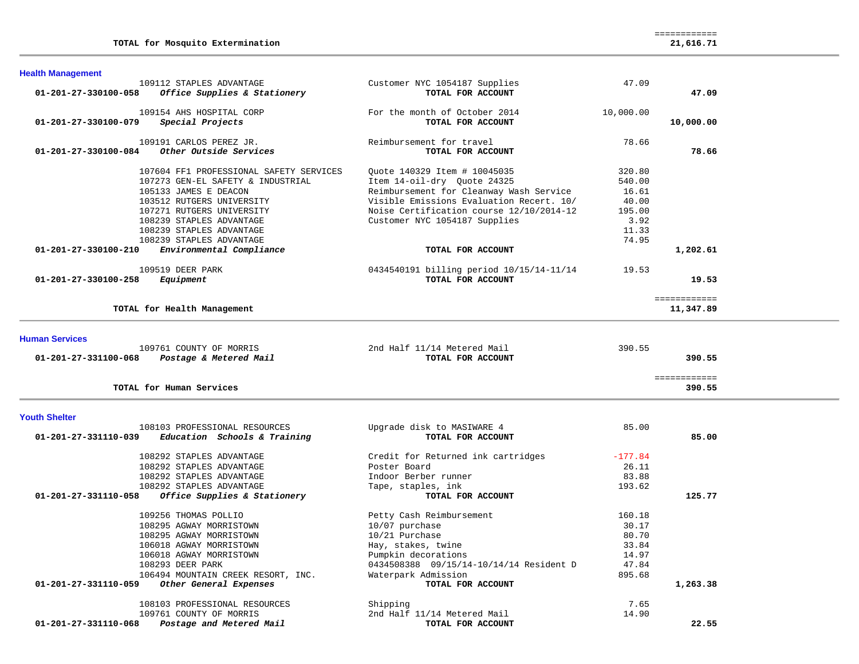| <b>Health Management</b>                             |                                          |           |                           |
|------------------------------------------------------|------------------------------------------|-----------|---------------------------|
| 109112 STAPLES ADVANTAGE                             | Customer NYC 1054187 Supplies            | 47.09     |                           |
| Office Supplies & Stationery<br>01-201-27-330100-058 | TOTAL FOR ACCOUNT                        |           | 47.09                     |
| 109154 AHS HOSPITAL CORP                             |                                          |           |                           |
|                                                      | For the month of October 2014            | 10,000.00 |                           |
| Special Projects<br>01-201-27-330100-079             | TOTAL FOR ACCOUNT                        |           | 10,000.00                 |
| 109191 CARLOS PEREZ JR.                              | Reimbursement for travel                 | 78.66     |                           |
| 01-201-27-330100-084<br>Other Outside Services       | TOTAL FOR ACCOUNT                        |           | 78.66                     |
| 107604 FF1 PROFESSIONAL SAFETY SERVICES              | Quote 140329 Item # 10045035             | 320.80    |                           |
| 107273 GEN-EL SAFETY & INDUSTRIAL                    | Item 14-oil-dry Quote 24325              | 540.00    |                           |
| 105133 JAMES E DEACON                                | Reimbursement for Cleanway Wash Service  | 16.61     |                           |
| 103512 RUTGERS UNIVERSITY                            | Visible Emissions Evaluation Recert. 10/ | 40.00     |                           |
|                                                      |                                          |           |                           |
| 107271 RUTGERS UNIVERSITY                            | Noise Certification course 12/10/2014-12 | 195.00    |                           |
| 108239 STAPLES ADVANTAGE                             | Customer NYC 1054187 Supplies            | 3.92      |                           |
| 108239 STAPLES ADVANTAGE                             |                                          | 11.33     |                           |
| 108239 STAPLES ADVANTAGE                             |                                          | 74.95     |                           |
| 01-201-27-330100-210<br>Environmental Compliance     | TOTAL FOR ACCOUNT                        |           | 1,202.61                  |
| 109519 DEER PARK                                     | 0434540191 billing period 10/15/14-11/14 | 19.53     |                           |
| 01-201-27-330100-258<br>Equipment                    | TOTAL FOR ACCOUNT                        |           | 19.53                     |
|                                                      |                                          |           |                           |
| TOTAL for Health Management                          |                                          |           | ============<br>11,347.89 |
|                                                      |                                          |           |                           |
| 01-201-27-331100-068<br>Postage & Metered Mail       | TOTAL FOR ACCOUNT                        |           | 390.55                    |
| TOTAL for Human Services                             |                                          |           | ============<br>390.55    |
|                                                      |                                          |           |                           |
| <b>Youth Shelter</b>                                 |                                          |           |                           |
| 108103 PROFESSIONAL RESOURCES                        | Upgrade disk to MASIWARE 4               | 85.00     |                           |
| Education Schools & Training<br>01-201-27-331110-039 | TOTAL FOR ACCOUNT                        |           | 85.00                     |
| 108292 STAPLES ADVANTAGE                             | Credit for Returned ink cartridges       | $-177.84$ |                           |
| 108292 STAPLES ADVANTAGE                             | Poster Board                             | 26.11     |                           |
| 108292 STAPLES ADVANTAGE                             | Indoor Berber runner                     | 83.88     |                           |
| 108292 STAPLES ADVANTAGE                             | Tape, staples, ink                       | 193.62    |                           |
| 01-201-27-331110-058<br>Office Supplies & Stationery | TOTAL FOR ACCOUNT                        |           | 125.77                    |
|                                                      |                                          |           |                           |
| 109256 THOMAS POLLIO                                 | Petty Cash Reimbursement                 | 160.18    |                           |
| 108295 AGWAY MORRISTOWN                              | 10/07 purchase                           | 30.17     |                           |
| 108295 AGWAY MORRISTOWN                              | 10/21 Purchase                           | 80.70     |                           |
| 106018 AGWAY MORRISTOWN                              | Hay, stakes, twine                       | 33.84     |                           |
| 106018 AGWAY MORRISTOWN                              | Pumpkin decorations                      | 14.97     |                           |
| 108293 DEER PARK                                     | 0434508388  09/15/14-10/14/14 Resident D | 47.84     |                           |
| 106494 MOUNTAIN CREEK RESORT, INC.                   | Waterpark Admission                      | 895.68    |                           |
| 01-201-27-331110-059<br>Other General Expenses       | TOTAL FOR ACCOUNT                        |           | 1,263.38                  |
| 108103 PROFESSIONAL RESOURCES                        | Shipping                                 | 7.65      |                           |
| 109761 COUNTY OF MORRIS                              | 2nd Half 11/14 Metered Mail              | 14.90     |                           |
| 01-201-27-331110-068<br>Postage and Metered Mail     | TOTAL FOR ACCOUNT                        |           | 22.55                     |
|                                                      |                                          |           |                           |

============

**TOTAL for Mosquito Extermination 21,616.71**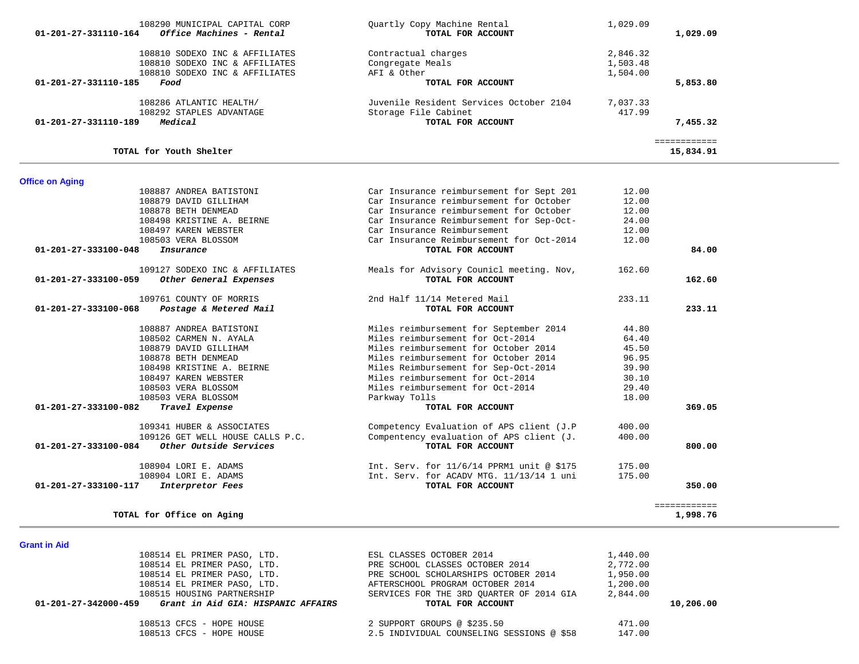| 108290 MUNICIPAL CAPITAL CORP<br>Office Machines - Rental<br>$01 - 201 - 27 - 331110 - 164$ | Quartly Copy Machine Rental<br>TOTAL FOR ACCOUNT | 1,029.09             | 1,029.09                  |
|---------------------------------------------------------------------------------------------|--------------------------------------------------|----------------------|---------------------------|
| 108810 SODEXO INC & AFFILIATES<br>108810 SODEXO INC & AFFILIATES                            | Contractual charges<br>Congregate Meals          | 2,846.32<br>1,503.48 |                           |
| 108810 SODEXO INC & AFFILIATES<br>01-201-27-331110-185<br>Food                              | AFI & Other<br>TOTAL FOR ACCOUNT                 | 1,504.00             | 5,853.80                  |
| 108286 ATLANTIC HEALTH/                                                                     | Juvenile Resident Services October 2104          | 7,037.33             |                           |
| 108292 STAPLES ADVANTAGE<br>Medical<br>01-201-27-331110-189                                 | Storage File Cabinet<br>TOTAL FOR ACCOUNT        | 417.99               | 7,455.32                  |
| TOTAL for Youth Shelter                                                                     |                                                  |                      | ============<br>15,834.91 |
| <b>Office on Aging</b>                                                                      |                                                  |                      |                           |
| 108887 ANDREA BATISTONI                                                                     | Car Insurance reimbursement for Sept 201         | 12.00                |                           |
| 108879 DAVID GILLIHAM                                                                       | Car Insurance reimbursement for October          | 12.00                |                           |
| 108878 BETH DENMEAD                                                                         | Car Insurance reimbursement for October          | 12.00                |                           |
| 108498 KRISTINE A. BEIRNE                                                                   | Car Insurance Reimbursement for Sep-Oct-         | 24.00                |                           |
| 108497 KAREN WEBSTER                                                                        | Car Insurance Reimbursement                      | 12.00                |                           |
| 108503 VERA BLOSSOM                                                                         | Car Insurance Reimbursement for Oct-2014         | 12.00                |                           |
| 01-201-27-333100-048<br>Insurance                                                           | TOTAL FOR ACCOUNT                                |                      | 84.00                     |
| 109127 SODEXO INC & AFFILIATES                                                              | Meals for Advisory Counicl meeting. Nov,         | 162.60               |                           |
| 01-201-27-333100-059<br>Other General Expenses                                              | TOTAL FOR ACCOUNT                                |                      | 162.60                    |
| 109761 COUNTY OF MORRIS                                                                     | 2nd Half 11/14 Metered Mail                      | 233.11               |                           |
| 01-201-27-333100-068<br>Postage & Metered Mail                                              | TOTAL FOR ACCOUNT                                |                      | 233.11                    |
| 108887 ANDREA BATISTONI                                                                     | Miles reimbursement for September 2014           | 44.80                |                           |
| 108502 CARMEN N. AYALA                                                                      | Miles reimbursement for Oct-2014                 | 64.40                |                           |
| 108879 DAVID GILLIHAM                                                                       | Miles reimbursement for October 2014             | 45.50                |                           |
| 108878 BETH DENMEAD                                                                         | Miles reimbursement for October 2014             | 96.95                |                           |
| 108498 KRISTINE A. BEIRNE                                                                   | Miles Reimbursement for Sep-Oct-2014             | 39.90                |                           |
| 108497 KAREN WEBSTER                                                                        | Miles reimbursement for Oct-2014                 | 30.10                |                           |
| 108503 VERA BLOSSOM                                                                         | Miles reimbursement for Oct-2014                 | 29.40                |                           |
| 108503 VERA BLOSSOM                                                                         | Parkway Tolls                                    | 18.00                |                           |
| Travel Expense<br>01-201-27-333100-082                                                      | TOTAL FOR ACCOUNT                                |                      | 369.05                    |
| 109341 HUBER & ASSOCIATES                                                                   | Competency Evaluation of APS client (J.P         | 400.00               |                           |
| 109126 GET WELL HOUSE CALLS P.C.                                                            | Compentency evaluation of APS client (J.         | 400.00               |                           |
| Other Outside Services<br>01-201-27-333100-084                                              | TOTAL FOR ACCOUNT                                |                      | 800.00                    |
| 108904 LORI E. ADAMS                                                                        | Int. Serv. for 11/6/14 PPRM1 unit @ \$175        | 175.00               |                           |
| 108904 LORI E. ADAMS                                                                        | Int. Serv. for ACADV MTG. 11/13/14 1 uni         | 175.00               |                           |
| 01-201-27-333100-117<br>Interpretor Fees                                                    | TOTAL FOR ACCOUNT                                |                      | 350.00                    |
| TOTAL for Office on Aging                                                                   |                                                  |                      | ============<br>1,998.76  |
|                                                                                             |                                                  |                      |                           |

٠

**Grant in Aid** 

| 108514 EL PRIMER PASO, LTD.                                          | ESL CLASSES OCTOBER 2014                  | 1,440.00 |           |
|----------------------------------------------------------------------|-------------------------------------------|----------|-----------|
| 108514 EL PRIMER PASO, LTD.                                          | PRE SCHOOL CLASSES OCTOBER 2014           | 2,772.00 |           |
| 108514 EL PRIMER PASO, LTD.                                          | PRE SCHOOL SCHOLARSHIPS OCTOBER 2014      | 1,950.00 |           |
| 108514 EL PRIMER PASO, LTD.                                          | AFTERSCHOOL PROGRAM OCTOBER 2014          | 1,200.00 |           |
| 108515 HOUSING PARTNERSHIP                                           | SERVICES FOR THE 3RD OUARTER OF 2014 GIA  | 2,844.00 |           |
| Grant in Aid GIA: HISPANIC AFFAIRS<br>$01 - 201 - 27 - 342000 - 459$ | TOTAL FOR ACCOUNT                         |          | 10,206.00 |
|                                                                      |                                           |          |           |
| 108513 CFCS - HOPE HOUSE                                             | 2 SUPPORT GROUPS @ \$235.50               | 471.00   |           |
| 108513 CFCS - HOPE HOUSE                                             | 2.5 INDIVIDUAL COUNSELING SESSIONS @ \$58 | 147.00   |           |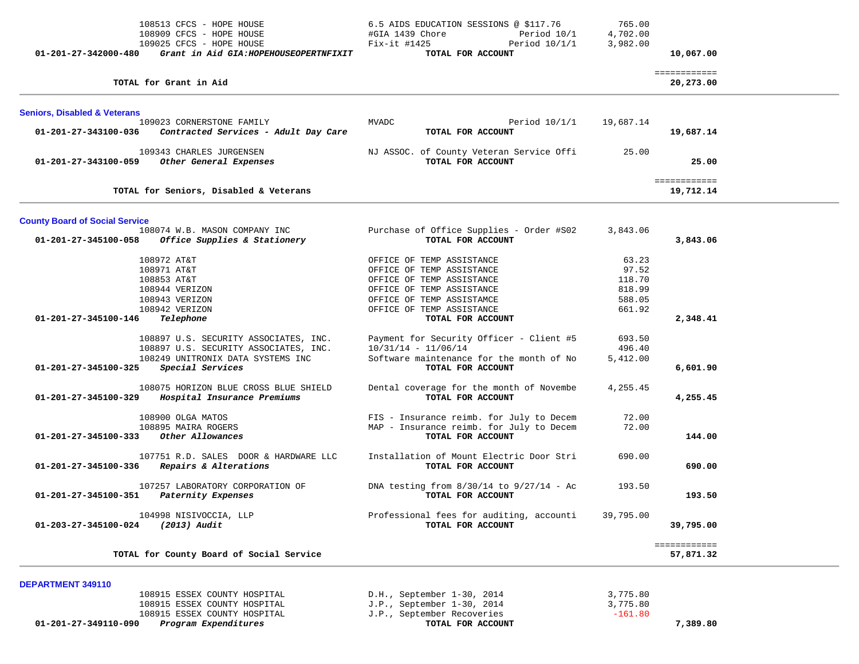| 108513 CFCS - HOPE HOUSE<br>108909 CFCS - HOPE HOUSE<br>109025 CFCS - HOPE HOUSE          | 6.5 AIDS EDUCATION SESSIONS @ \$117.76<br>#GIA 1439 Chore<br>Period 10/1<br>Fix-it #1425<br>Period 10/1/1 | 765.00<br>4,702.00<br>3,982.00 |                           |  |
|-------------------------------------------------------------------------------------------|-----------------------------------------------------------------------------------------------------------|--------------------------------|---------------------------|--|
| 01-201-27-342000-480<br>Grant in Aid GIA: HOPEHOUSEOPERTNFIXIT                            | TOTAL FOR ACCOUNT                                                                                         |                                | 10,067.00                 |  |
| TOTAL for Grant in Aid                                                                    |                                                                                                           |                                | ============<br>20,273.00 |  |
| <b>Seniors, Disabled &amp; Veterans</b>                                                   |                                                                                                           |                                |                           |  |
| 109023 CORNERSTONE FAMILY<br>Contracted Services - Adult Day Care<br>01-201-27-343100-036 | MVADC<br>Period $10/1/1$<br>TOTAL FOR ACCOUNT                                                             | 19,687.14                      | 19,687.14                 |  |
| 109343 CHARLES JURGENSEN<br>01-201-27-343100-059<br>Other General Expenses                | NJ ASSOC. of County Veteran Service Offi<br>TOTAL FOR ACCOUNT                                             | 25.00                          | 25.00                     |  |
| TOTAL for Seniors, Disabled & Veterans                                                    |                                                                                                           |                                | ============<br>19,712.14 |  |
| <b>County Board of Social Service</b>                                                     |                                                                                                           |                                |                           |  |
| 108074 W.B. MASON COMPANY INC<br>Office Supplies & Stationery<br>01-201-27-345100-058     | Purchase of Office Supplies - Order #S02<br>TOTAL FOR ACCOUNT                                             | 3,843.06                       | 3,843.06                  |  |
| 108972 AT&T                                                                               | OFFICE OF TEMP ASSISTANCE                                                                                 | 63.23                          |                           |  |
| 108971 AT&T<br>108853 AT&T                                                                | OFFICE OF TEMP ASSISTANCE<br>OFFICE OF TEMP ASSISTANCE                                                    | 97.52<br>118.70                |                           |  |
| 108944 VERIZON                                                                            | OFFICE OF TEMP ASSISTANCE                                                                                 | 818.99                         |                           |  |
| 108943 VERIZON                                                                            | OFFICE OF TEMP ASSISTAMCE                                                                                 | 588.05                         |                           |  |
| 108942 VERIZON<br>01-201-27-345100-146<br>Telephone                                       | OFFICE OF TEMP ASSISTANCE<br>TOTAL FOR ACCOUNT                                                            | 661.92                         | 2,348.41                  |  |
| 108897 U.S. SECURITY ASSOCIATES, INC.<br>108897 U.S. SECURITY ASSOCIATES, INC.            | Payment for Security Officer - Client #5<br>$10/31/14 - 11/06/14$                                         | 693.50<br>496.40               |                           |  |
| 108249 UNITRONIX DATA SYSTEMS INC<br>01-201-27-345100-325<br>Special Services             | Software maintenance for the month of No<br>TOTAL FOR ACCOUNT                                             | 5,412.00                       | 6,601.90                  |  |
| 108075 HORIZON BLUE CROSS BLUE SHIELD                                                     | Dental coverage for the month of Novembe                                                                  | 4,255.45                       |                           |  |
| 01-201-27-345100-329<br>Hospital Insurance Premiums                                       | TOTAL FOR ACCOUNT                                                                                         |                                | 4,255.45                  |  |
| 108900 OLGA MATOS                                                                         | FIS - Insurance reimb. for July to Decem                                                                  | 72.00                          |                           |  |
| 108895 MAIRA ROGERS<br>Other Allowances<br>01-201-27-345100-333                           | MAP - Insurance reimb. for July to Decem<br>TOTAL FOR ACCOUNT                                             | 72.00                          | 144.00                    |  |
| 107751 R.D. SALES DOOR & HARDWARE LLC<br>Repairs & Alterations<br>01-201-27-345100-336    | Installation of Mount Electric Door Stri<br>TOTAL FOR ACCOUNT                                             | 690.00                         | 690.00                    |  |
| 107257 LABORATORY CORPORATION OF<br>01-201-27-345100-351<br>Paternity Expenses            | DNA testing from $8/30/14$ to $9/27/14$ - Ac<br>TOTAL FOR ACCOUNT                                         | 193.50                         | 193.50                    |  |
| 104998 NISIVOCCIA, LLP<br>01-203-27-345100-024<br>(2013) Audit                            | Professional fees for auditing, accounti<br>TOTAL FOR ACCOUNT                                             | 39,795.00                      | 39,795.00                 |  |
| TOTAL for County Board of Social Service                                                  |                                                                                                           |                                | ============<br>57,871.32 |  |
| DEPARTMENT 349110                                                                         |                                                                                                           |                                |                           |  |
| 108915 ESSEX COUNTY HOSPITAL                                                              | D.H., September 1-30, 2014                                                                                | 3,775.80                       |                           |  |
| 108915 ESSEX COUNTY HOSPITAL<br>108915 ESSEX COUNTY HOSPITAL                              | J.P., September 1-30, 2014<br>J.P., September Recoveries                                                  | 3,775.80<br>$-161.80$          |                           |  |
|                                                                                           |                                                                                                           |                                |                           |  |

 **01-201-27-349110-090** *Program Expenditures* **TOTAL FOR ACCOUNT 7,389.80**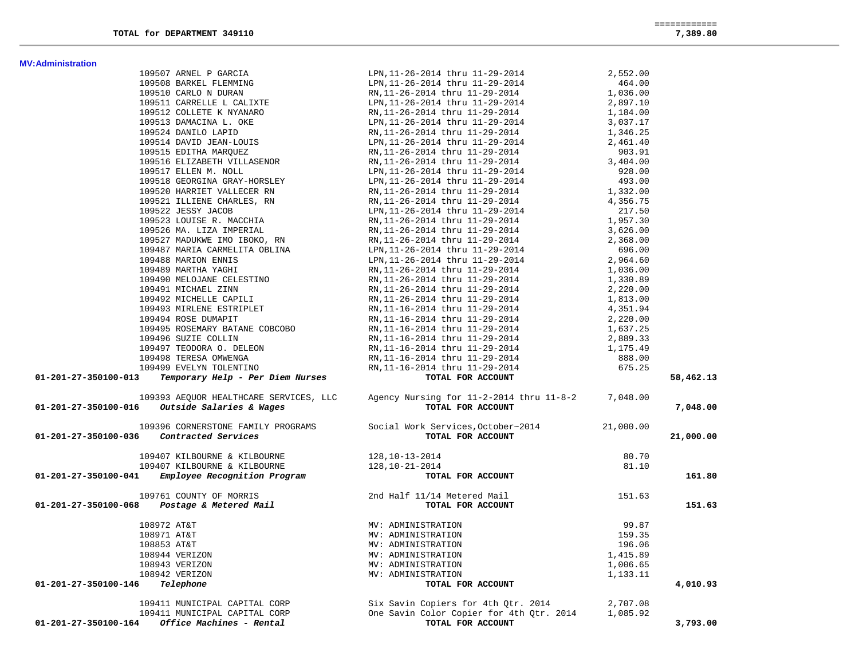**MV:Administration** 

|                                   | -------------<br>_____________ |
|-----------------------------------|--------------------------------|
| TOTAL<br>DEPARTMENT 349110<br>for | 7.389.80                       |

|                      | 109507 ARNEL P GARCIA                                                                                                                           | LPN, 11-26-2014 thru 11-29-2014                                                                                                                                                                                                                  | 2,552.00  |           |
|----------------------|-------------------------------------------------------------------------------------------------------------------------------------------------|--------------------------------------------------------------------------------------------------------------------------------------------------------------------------------------------------------------------------------------------------|-----------|-----------|
|                      |                                                                                                                                                 |                                                                                                                                                                                                                                                  | 464.00    |           |
|                      |                                                                                                                                                 |                                                                                                                                                                                                                                                  | 1,036.00  |           |
|                      |                                                                                                                                                 |                                                                                                                                                                                                                                                  | 2,897.10  |           |
|                      |                                                                                                                                                 | 109508 BARKEL FLEMMING<br>109508 BARKEL FLEMMING<br>109510 CARLO N DURAN<br>109511 CARRELLE L CALIXTE<br>109512 COLLETE K NYANARO<br>109512 COLLETE K NYANARO<br>109513 DAMACINA L. OKE<br>109524 DANILO LAPID<br>109524 DANILO LAPID<br>2014 th | 1,184.00  |           |
|                      |                                                                                                                                                 |                                                                                                                                                                                                                                                  | 3,037.17  |           |
|                      |                                                                                                                                                 |                                                                                                                                                                                                                                                  | 1,346.25  |           |
|                      | 109514 DAVID JEAN-LOUIS                                                                                                                         | LPN, 11-26-2014 thru 11-29-2014                                                                                                                                                                                                                  | 2,461.40  |           |
|                      | 109515 EDITHA MARQUEZ                                                                                                                           | RN, 11-26-2014 thru 11-29-2014                                                                                                                                                                                                                   | 903.91    |           |
|                      | 109516 ELIZABETH VILLASENOR                                                                                                                     | RN, 11-26-2014 thru 11-29-2014                                                                                                                                                                                                                   | 3,404.00  |           |
|                      | 109517 ELLEN M. NOLL                                                                                                                            | LPN, 11-26-2014 thru 11-29-2014                                                                                                                                                                                                                  | 928.00    |           |
|                      | 109518 GEORGINA GRAY-HORSLEY                                                                                                                    | LPN, 11-26-2014 thru 11-29-2014                                                                                                                                                                                                                  | 493.00    |           |
|                      | 109520 HARRIET VALLECER RN                                                                                                                      | RN, 11-26-2014 thru 11-29-2014                                                                                                                                                                                                                   | 1,332.00  |           |
|                      | 109521 ILLIENE CHARLES, RN                                                                                                                      | RN, 11-26-2014 thru 11-29-2014                                                                                                                                                                                                                   | 4,356.75  |           |
|                      | 109522 JESSY JACOB                                                                                                                              | LPN, 11-26-2014 thru 11-29-2014                                                                                                                                                                                                                  | 217.50    |           |
|                      | 109523 LOUISE R. MACCHIA                                                                                                                        | RN, 11-26-2014 thru 11-29-2014                                                                                                                                                                                                                   | 1,957.30  |           |
|                      | 109526 MA. LIZA IMPERIAL                                                                                                                        | RN,11-26-2014 thru 11-29-2014                                                                                                                                                                                                                    | 3,626.00  |           |
|                      | 109527 MADUKWE IMO IBOKO, RN                                                                                                                    | RN, 11-26-2014 thru 11-29-2014                                                                                                                                                                                                                   | 2,368.00  |           |
|                      | 109487 MARIA CARMELITA OBLINA                                                                                                                   | LPN, 11-26-2014 thru 11-29-2014                                                                                                                                                                                                                  | 696.00    |           |
|                      | 109488 MARION ENNIS                                                                                                                             | LPN, 11-26-2014 thru 11-29-2014                                                                                                                                                                                                                  | 2,964.60  |           |
|                      | 109489 MARTHA YAGHI                                                                                                                             | RN, 11-26-2014 thru 11-29-2014                                                                                                                                                                                                                   | 1,036.00  |           |
|                      | 109490 MELOJANE CELESTINO                                                                                                                       | RN,11-26-2014 thru 11-29-2014                                                                                                                                                                                                                    | 1,330.89  |           |
|                      | 109491 MICHAEL ZINN                                                                                                                             | RN, 11-26-2014 thru 11-29-2014                                                                                                                                                                                                                   | 2,220.00  |           |
|                      | 109492 MICHELLE CAPILI                                                                                                                          | RN, 11-26-2014 thru 11-29-2014                                                                                                                                                                                                                   | 1,813.00  |           |
|                      | 109493 MIRLENE ESTRIPLET                                                                                                                        |                                                                                                                                                                                                                                                  |           |           |
|                      |                                                                                                                                                 | RN,11-16-2014 thru 11-29-2014<br>RN, 11-16-2014 thru 11-29-2014                                                                                                                                                                                  | 4,351.94  |           |
|                      | 109494 ROSE DUMAPIT                                                                                                                             |                                                                                                                                                                                                                                                  | 2,220.00  |           |
|                      | 109495 ROSEMARY BATANE COBCOBO                                                                                                                  | RN,11-16-2014 thru 11-29-2014                                                                                                                                                                                                                    | 1,637.25  |           |
|                      | 109496 SUZIE COLLIN                                                                                                                             | RN, 11-16-2014 thru 11-29-2014<br>RN, 11-16-2014 thru 11-29-2014<br>RN, 11-16-2014 thru 11-29-2014                                                                                                                                               | 2,889.33  |           |
|                      | 109497 TEODORA O. DELEON                                                                                                                        |                                                                                                                                                                                                                                                  | 1,175.49  |           |
|                      | 109498 TERESA OMWENGA                                                                                                                           |                                                                                                                                                                                                                                                  | 888.00    |           |
|                      | 109499 EVELYN TOLENTINO<br><b>Temporary Help - Per Diem Nurses<br/>Temporary Help - Per Diem Nurses</b>                                         | RN, 11-16-2014 thru 11-29-2014                                                                                                                                                                                                                   | 675.25    |           |
| 01-201-27-350100-013 |                                                                                                                                                 | TOTAL FOR ACCOUNT                                                                                                                                                                                                                                |           | 58,462.13 |
|                      | 109393 AEQUOR HEALTHCARE SERVICES, LLC                                                                                                          | Agency Nursing for 11-2-2014 thru 11-8-2 7,048.00                                                                                                                                                                                                |           |           |
| 01-201-27-350100-016 | Outside Salaries & Wages                                                                                                                        | TOTAL FOR ACCOUNT                                                                                                                                                                                                                                |           | 7,048.00  |
|                      | 109396 CORNERSTONE FAMILY PROGRAMS                                                                                                              | Social Work Services, October~2014                                                                                                                                                                                                               | 21,000.00 |           |
| 01-201-27-350100-036 | Contracted Services                                                                                                                             | TOTAL FOR ACCOUNT                                                                                                                                                                                                                                |           | 21,000.00 |
|                      | 109407 KILBOURNE & KILBOURNE                                                                                                                    | 128, 10-13-2014                                                                                                                                                                                                                                  | 80.70     |           |
|                      | 109407 KILBOURNE & KILBOURNE                                                                                                                    | 128,10-21-2014                                                                                                                                                                                                                                   | 81.10     |           |
| 01-201-27-350100-041 | Employee Recognition Program                                                                                                                    | TOTAL FOR ACCOUNT                                                                                                                                                                                                                                |           | 161.80    |
|                      | 109761 COUNTY OF MORRIS                                                                                                                         | 2nd Half 11/14 Metered Mail                                                                                                                                                                                                                      | 151.63    |           |
| 01-201-27-350100-068 | 761 COUNTY OF MORRIS<br><b>Postage &amp; Metered Mail</b>                                                                                       | TOTAL FOR ACCOUNT                                                                                                                                                                                                                                |           | 151.63    |
|                      | MV: ADMINISTRATION<br>MV: ADMINISTRATION<br>MV: ADMINISTRATION<br>MV: ADMINISTRATION<br>MV: ADMINISTRATION<br>MV: ADMINISTRATION<br>108972 AT&T |                                                                                                                                                                                                                                                  | 99.87     |           |
|                      | 108971 AT&T                                                                                                                                     |                                                                                                                                                                                                                                                  | 159.35    |           |
|                      | 108853 AT&T                                                                                                                                     |                                                                                                                                                                                                                                                  | 196.06    |           |
|                      | 108944 VERIZON                                                                                                                                  |                                                                                                                                                                                                                                                  | 1,415.89  |           |
|                      | 108943 VERIZON                                                                                                                                  |                                                                                                                                                                                                                                                  | 1,006.65  |           |
|                      | 108942 VERIZON                                                                                                                                  |                                                                                                                                                                                                                                                  | 1,133.11  |           |
| 01-201-27-350100-146 | Telephone                                                                                                                                       | TOTAL FOR ACCOUNT                                                                                                                                                                                                                                |           | 4,010.93  |
|                      |                                                                                                                                                 |                                                                                                                                                                                                                                                  |           |           |
|                      |                                                                                                                                                 |                                                                                                                                                                                                                                                  |           |           |
|                      | 109411 MUNICIPAL CAPITAL CORP                                                                                                                   | Six Savin Copiers for 4th Qtr. 2014                                                                                                                                                                                                              | 2,707.08  |           |
| 01-201-27-350100-164 | 109411 MUNICIPAL CAPITAL CORP<br>Office Machines - Rental                                                                                       | One Savin Color Copier for 4th Qtr. 2014<br>TOTAL FOR ACCOUNT                                                                                                                                                                                    | 1,085.92  | 3,793.00  |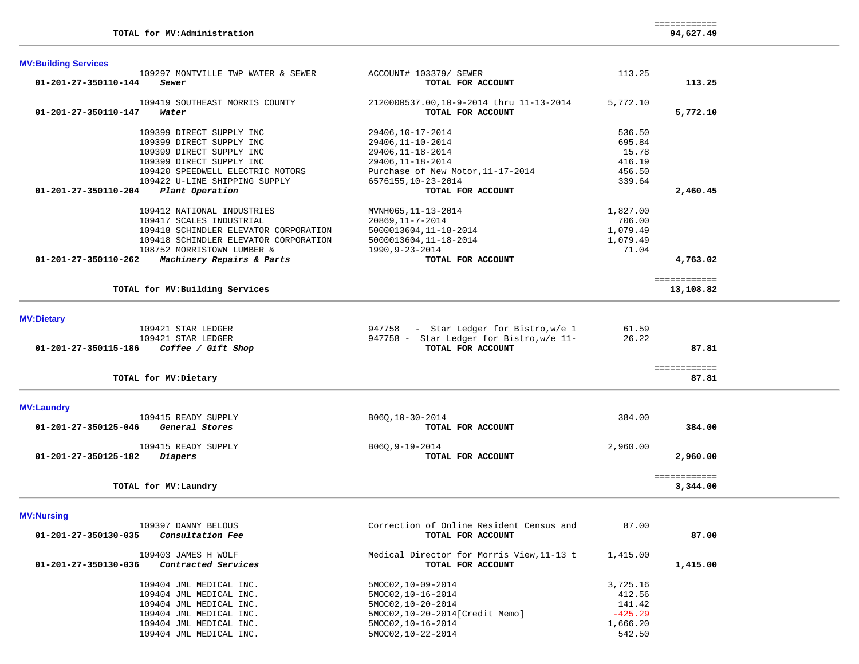| <b>MV:Building Services</b>                                         |                                                              |          |                          |
|---------------------------------------------------------------------|--------------------------------------------------------------|----------|--------------------------|
| 109297 MONTVILLE TWP WATER & SEWER<br>01-201-27-350110-144<br>Sewer | ACCOUNT# 103379/ SEWER<br>TOTAL FOR ACCOUNT                  | 113.25   | 113.25                   |
| 109419 SOUTHEAST MORRIS COUNTY<br>01-201-27-350110-147<br>Water     | 2120000537.00,10-9-2014 thru 11-13-2014<br>TOTAL FOR ACCOUNT | 5,772.10 | 5,772.10                 |
| 109399 DIRECT SUPPLY INC                                            | 29406,10-17-2014                                             | 536.50   |                          |
| 109399 DIRECT SUPPLY INC                                            | 29406, 11-10-2014                                            | 695.84   |                          |
| 109399 DIRECT SUPPLY INC                                            | 29406, 11-18-2014                                            | 15.78    |                          |
| 109399 DIRECT SUPPLY INC                                            | 29406, 11-18-2014                                            | 416.19   |                          |
| 109420 SPEEDWELL ELECTRIC MOTORS                                    | Purchase of New Motor, 11-17-2014                            | 456.50   |                          |
| 109422 U-LINE SHIPPING SUPPLY                                       | 6576155,10-23-2014                                           | 339.64   |                          |
| Plant Operation<br>01-201-27-350110-204                             | TOTAL FOR ACCOUNT                                            |          | 2,460.45                 |
| 109412 NATIONAL INDUSTRIES                                          | MVNH065, 11-13-2014                                          | 1,827.00 |                          |
| 109417 SCALES INDUSTRIAL                                            | 20869, 11-7-2014                                             | 706.00   |                          |
| 109418 SCHINDLER ELEVATOR CORPORATION                               | 5000013604, 11-18-2014                                       | 1,079.49 |                          |
| 109418 SCHINDLER ELEVATOR CORPORATION                               | 5000013604, 11-18-2014                                       | 1,079.49 |                          |
| 108752 MORRISTOWN LUMBER &                                          | 1990, 9-23-2014                                              | 71.04    |                          |
| 01-201-27-350110-262<br>Machinery Repairs & Parts                   | TOTAL FOR ACCOUNT                                            |          | 4,763.02                 |
|                                                                     |                                                              |          | ============             |
| TOTAL for MV: Building Services                                     |                                                              |          | 13,108.82                |
| <b>MV:Dietary</b>                                                   |                                                              |          |                          |
| 109421 STAR LEDGER                                                  | 947758 - Star Ledger for Bistro, w/e 1                       | 61.59    |                          |
| 109421 STAR LEDGER                                                  | 947758 - Star Ledger for Bistro, w/e 11-                     | 26.22    |                          |
| 01-201-27-350115-186<br>Coffee / Gift Shop                          | TOTAL FOR ACCOUNT                                            |          | 87.81                    |
|                                                                     |                                                              |          | ============             |
| TOTAL for MV: Dietary                                               |                                                              |          | 87.81                    |
| <b>MV:Laundry</b>                                                   |                                                              |          |                          |
| 109415 READY SUPPLY                                                 | B060,10-30-2014                                              | 384.00   |                          |
| 01-201-27-350125-046<br>General Stores                              | TOTAL FOR ACCOUNT                                            |          | 384.00                   |
| 109415 READY SUPPLY                                                 | B06Q, 9-19-2014                                              | 2,960.00 |                          |
| 01-201-27-350125-182<br>Diapers                                     | TOTAL FOR ACCOUNT                                            |          | 2,960.00                 |
| TOTAL for MV: Laundry                                               |                                                              |          | ============<br>3,344.00 |
|                                                                     |                                                              |          |                          |
| <b>MV:Nursing</b>                                                   |                                                              |          |                          |
| 109397 DANNY BELOUS                                                 | Correction of Online Resident Census and                     | 87.00    |                          |
| 01-201-27-350130-035<br>Consultation Fee                            | TOTAL FOR ACCOUNT                                            |          | 87.00                    |

| 109403 JAMES H WOLF<br>Contracted Services<br>01-201-27-350130-036 | Medical Director for Morris View, 11-13 t<br>TOTAL FOR ACCOUNT | 1,415.00  | 1,415.00 |
|--------------------------------------------------------------------|----------------------------------------------------------------|-----------|----------|
| 109404 JML MEDICAL INC.                                            | 5MOC02,10-09-2014                                              | 3,725.16  |          |
| 109404 JML MEDICAL INC.                                            | 5MOC02,10-16-2014                                              | 412.56    |          |
| 109404 JML MEDICAL INC.                                            | 5MOC02,10-20-2014                                              | 141.42    |          |
| 109404 JML MEDICAL INC.                                            | 5MOC02, 10-20-2014 [Credit Memo]                               | $-425.29$ |          |
| 109404 JML MEDICAL INC.                                            | 5MOC02,10-16-2014                                              | 1,666.20  |          |
| 109404 JML MEDICAL INC.                                            | 5MOC02, 10-22-2014                                             | 542.50    |          |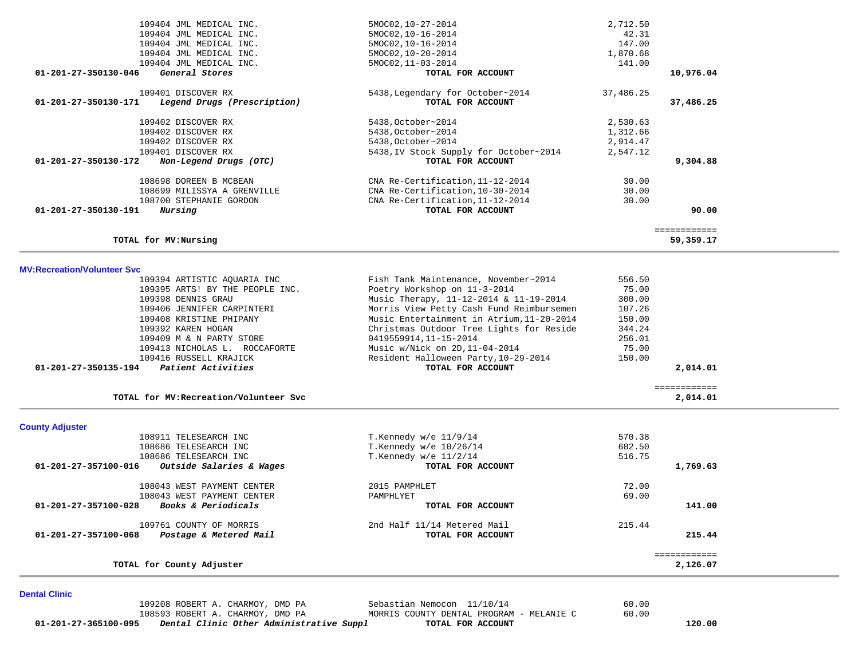| 109404 JML MEDICAL INC.                             | 5MOC02, 10-27-2014                     | 2,712.50     |
|-----------------------------------------------------|----------------------------------------|--------------|
| 109404 JML MEDICAL INC.                             | 5MOC02, 10-16-2014                     | 42.31        |
| 109404 JML MEDICAL INC.                             | 5MOC02, 10-16-2014                     | 147.00       |
| 109404 JML MEDICAL INC.                             | 5MOC02, 10-20-2014                     | 1,870.68     |
| 109404 JML MEDICAL INC.                             | 5MOC02, 11-03-2014                     | 141.00       |
| General Stores<br>01-201-27-350130-046              | TOTAL FOR ACCOUNT                      | 10,976.04    |
| 109401 DISCOVER RX                                  | 5438, Legendary for October~2014       | 37,486.25    |
| 01-201-27-350130-171<br>Legend Drugs (Prescription) | TOTAL FOR ACCOUNT                      | 37,486.25    |
| 109402 DISCOVER RX                                  | 5438, October~2014                     | 2,530.63     |
| 109402 DISCOVER RX                                  | 5438, October~2014                     | 1,312.66     |
| 109402 DISCOVER RX                                  | 5438, October~2014                     | 2,914.47     |
| 109401 DISCOVER RX                                  | 5438, IV Stock Supply for October~2014 | 2,547.12     |
| 01-201-27-350130-172<br>Non-Legend Drugs (OTC)      | TOTAL FOR ACCOUNT                      | 9,304.88     |
| 108698 DOREEN B MCBEAN                              | CNA Re-Certification, 11-12-2014       | 30.00        |
| 108699 MILISSYA A GRENVILLE                         | CNA Re-Certification, 10-30-2014       | 30.00        |
| 108700 STEPHANIE GORDON                             | CNA Re-Certification, 11-12-2014       | 30.00        |
| 01-201-27-350130-191<br>Nursing                     | TOTAL FOR ACCOUNT                      | 90.00        |
|                                                     |                                        | ============ |
| TOTAL for MV: Nursing                               |                                        | 59,359.17    |
|                                                     |                                        |              |

**MV:Recreation/Volunteer Svc**

| <b>County Adjuster</b>                     |                                           |                          |  |
|--------------------------------------------|-------------------------------------------|--------------------------|--|
| TOTAL for MV: Recreation/Volunteer Svc     |                                           | ============<br>2,014.01 |  |
| 01-201-27-350135-194<br>Patient Activities | TOTAL FOR ACCOUNT                         | 2,014.01                 |  |
| 109416 RUSSELL KRAJICK                     | Resident Halloween Party, 10-29-2014      | 150.00                   |  |
| 109413 NICHOLAS L. ROCCAFORTE              | Music w/Nick on 2D, 11-04-2014            | 75.00                    |  |
| 109409 M & N PARTY STORE                   | 0419559914,11-15-2014                     | 256.01                   |  |
| 109392 KAREN HOGAN                         | Christmas Outdoor Tree Lights for Reside  | 344.24                   |  |
| 109408 KRISTINE PHIPANY                    | Music Entertainment in Atrium, 11-20-2014 | 150.00                   |  |
| 109406 JENNIFER CARPINTERI                 | Morris View Petty Cash Fund Reimbursemen  | 107.26                   |  |
| 109398 DENNIS GRAU                         | Music Therapy, 11-12-2014 & 11-19-2014    | 300.00                   |  |
| 109395 ARTS! BY THE PEOPLE INC.            | Poetry Workshop on 11-3-2014              | 75.00                    |  |
| 109394 ARTISTIC AOUARIA INC                | Fish Tank Maintenance, November~2014      | 556.50                   |  |

# 108911 TELESEARCH INC T.Kennedy w/e 11/9/14 570.38 108686 TELESEARCH INC T.Kennedy w/e 10/26/14 682.50 108686 TELESEARCH INC <br>11-201-27-357100-016 Outside Salaries & Wages TOTAL FOR ACCOUNT  **01-201-27-357100-016** *Outside Salaries & Wages* **TOTAL FOR ACCOUNT 1,769.63** 108043 WEST PAYMENT CENTER 2015 PAMPHLET 72.00 108043 WEST PAYMENT CENTER<br>3 Books & Periodicals extended by the pamphlyet por account  **01-201-27-357100-028** *Books & Periodicals* **TOTAL FOR ACCOUNT 141.00** 109761 COUNTY OF MORRIS 109761 COUNTY OF MORRIS 215.44<br>3 Postage & Metered Mail 215.44  **01-201-27-357100-068** *Postage & Metered Mail* **TOTAL FOR ACCOUNT 215.44** ============ **TOTAL for County Adjuster 2,126.07**

**Dental Clinic**

| 01-201-27-365100-095 |                                  | Dental Clinic Other Administrative Suppl |                   | TOTAL FOR ACCOUNT                        |       | 120.00 |
|----------------------|----------------------------------|------------------------------------------|-------------------|------------------------------------------|-------|--------|
|                      | 108593 ROBERT A. CHARMOY, DMD PA |                                          |                   | MORRIS COUNTY DENTAL PROGRAM - MELANIE C | 60.00 |        |
|                      | 109208 ROBERT A. CHARMOY, DMD PA |                                          | Sebastian Nemocon | 11/10/14                                 | 60.00 |        |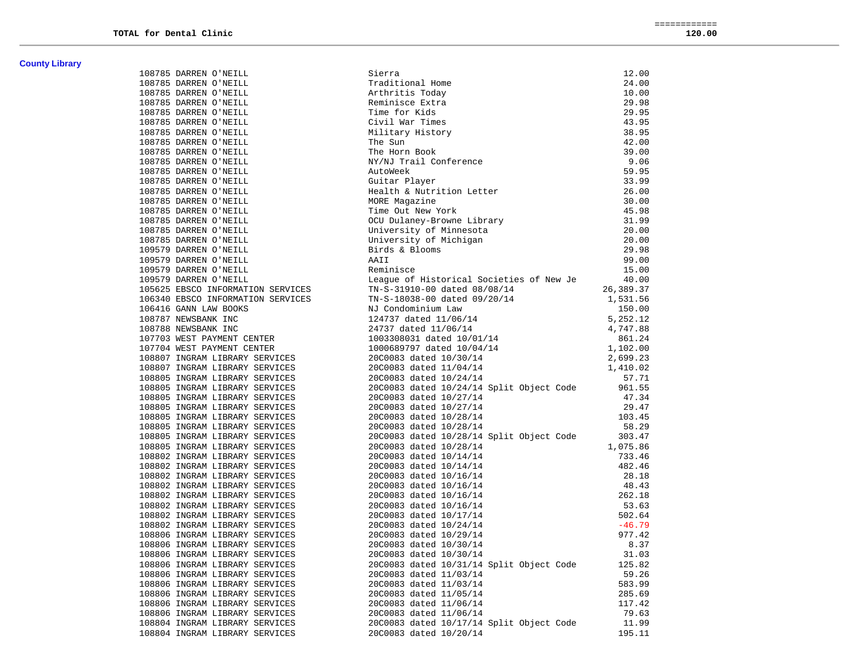| <b>County Library</b> |  |
|-----------------------|--|
|-----------------------|--|

| 108785 DARREN O'NEILL                                            | Sierra                                              | 12.00     |
|------------------------------------------------------------------|-----------------------------------------------------|-----------|
| 108785 DARREN O'NEILL                                            | Traditional Home                                    | 24.00     |
| 108785 DARREN O'NEILL                                            | Arthritis Today                                     | 10.00     |
| 108785 DARREN O'NEILL                                            | Reminisce Extra                                     | 29.98     |
| 108785 DARREN O'NEILL                                            | Time for Kids                                       | 29.95     |
| 108785 DARREN O'NEILL                                            | Civil War Times                                     | 43.95     |
| 108785 DARREN O'NEILL                                            | Military History                                    | 38.95     |
| 108785 DARREN O'NEILL                                            | The Sun                                             | 42.00     |
| 108785 DARREN O'NEILL                                            | The Horn Book                                       | 39.00     |
| 108785 DARREN O'NEILL                                            | NY/NJ Trail Conference                              | 9.06      |
| 108785 DARREN O'NEILL                                            | AutoWeek                                            | 59.95     |
| 108785 DARREN O'NEILL                                            | Guitar Player                                       | 33.99     |
| 108785 DARREN O'NEILL                                            | Health & Nutrition Letter                           | 26.00     |
| 108785 DARREN O'NEILL                                            | MORE Magazine                                       | 30.00     |
| 108785 DARREN O'NEILL                                            | Time Out New York                                   | 45.98     |
| 108785 DARREN O'NEILL                                            | OCU Dulaney-Browne Library                          | 31.99     |
| 108785 DARREN O'NEILL                                            | University of Minnesota                             | 20.00     |
| 108785 DARREN O'NEILL                                            | University of Michigan                              | 20.00     |
| 109579 DARREN O'NEILL                                            | Birds & Blooms                                      | 29.98     |
| 109579 DARREN O'NEILL                                            | AAII                                                | 99.00     |
| 109579 DARREN O'NEILL                                            | Reminisce                                           | 15.00     |
| 109579 DARREN O'NEILL                                            | League of Historical Societies of New Je            | 40.00     |
| 105625 EBSCO INFORMATION SERVICES                                | TN-S-31910-00 dated 08/08/14                        | 26,389.37 |
| 106340 EBSCO INFORMATION SERVICES                                | TN-S-18038-00 dated 09/20/14                        | 1,531.56  |
| 106416 GANN LAW BOOKS                                            | NJ Condominium Law                                  | 150.00    |
| 108787 NEWSBANK INC                                              | 124737 dated 11/06/14<br>24737 dated 11/06/14       | 5,252.12  |
| 108788 NEWSBANK INC                                              |                                                     | 4,747.88  |
| 107703 WEST PAYMENT CENTER                                       | 1003308031 dated 10/01/14                           | 861.24    |
| 107704 WEST PAYMENT CENTER<br>108807 INGRAM LIBRARY SERVICES     | 1000689797 dated 10/04/14<br>20C0083 dated 10/30/14 | 1,102.00  |
|                                                                  |                                                     | 2,699.23  |
| 108807 INGRAM LIBRARY SERVICES                                   | 20C0083 dated 11/04/14                              | 1,410.02  |
| 108805 INGRAM LIBRARY SERVICES                                   | 20C0083 dated 10/24/14                              | 57.71     |
| 108805 INGRAM LIBRARY SERVICES                                   | 20C0083 dated 10/24/14 Split Object Code            | 961.55    |
| 108805 INGRAM LIBRARY SERVICES                                   | 20C0083 dated 10/27/14                              | 47.34     |
| 108805 INGRAM LIBRARY SERVICES                                   | 20C0083 dated 10/27/14                              | 29.47     |
| 108805 INGRAM LIBRARY SERVICES                                   | 20C0083 dated 10/28/14                              | 103.45    |
| 108805 INGRAM LIBRARY SERVICES                                   | 20C0083 dated 10/28/14                              | 58.29     |
| 108805 INGRAM LIBRARY SERVICES                                   | 20C0083 dated 10/28/14 Split Object Code            | 303.47    |
| 108805 INGRAM LIBRARY SERVICES                                   | 20C0083 dated 10/28/14                              | 1,075.86  |
| 108802 INGRAM LIBRARY SERVICES                                   | 20C0083 dated 10/14/14                              | 733.46    |
| 108802 INGRAM LIBRARY SERVICES                                   | 20C0083 dated 10/14/14                              | 482.46    |
| 108802 INGRAM LIBRARY SERVICES<br>108802 INGRAM LIBRARY SERVICES | 20C0083 dated 10/16/14                              | 28.18     |
| 108802 INGRAM LIBRARY SERVICES                                   | 20C0083 dated 10/16/14                              | 48.43     |
| 100002 INGRAM LIBRARY SERVICES<br>108802 INGRAM LIBRARY SERVICES | 20C0083 dated 10/16/14                              | 262.18    |
| 108802 INGRAM LIBRARY SERVICES                                   | 20C0083 dated 10/16/14                              | 53.63     |
| 108802 INGRAM LIBRARY SERVICES                                   | 20C0083 dated 10/17/14                              | 502.64    |
| 108802 INGRAM LIBRARY SERVICES                                   | 20C0083 dated 10/24/14                              | $-46.79$  |
| 108806 INGRAM LIBRARY SERVICES                                   | 20C0083 dated 10/29/14                              | 977.42    |
| 108806 INGRAM LIBRARY SERVICES                                   | 20C0083 dated 10/30/14                              | 8.37      |
| 108806 INGRAM LIBRARY SERVICES                                   | 20C0083 dated 10/30/14                              | 31.03     |
| 108806 INGRAM LIBRARY SERVICES                                   | 20C0083 dated 10/31/14 Split Object Code            | 125.82    |
| 108806 INGRAM LIBRARY SERVICES                                   | 20C0083 dated 11/03/14                              | 59.26     |
| 108806 INGRAM LIBRARY SERVICES                                   | 20C0083 dated 11/03/14                              | 583.99    |
| 108806 INGRAM LIBRARY SERVICES                                   | 20C0083 dated 11/05/14                              | 285.69    |
| 108806 INGRAM LIBRARY SERVICES                                   | 20C0083 dated 11/06/14                              | 117.42    |
| 108806 INGRAM LIBRARY SERVICES                                   | 20C0083 dated 11/06/14                              | 79.63     |
| 108804 INGRAM LIBRARY SERVICES                                   | 20C0083 dated 10/17/14 Split Object Code            | 11.99     |
| 108804 INGRAM LIBRARY SERVICES                                   | 20C0083 dated 10/20/14                              | 195.11    |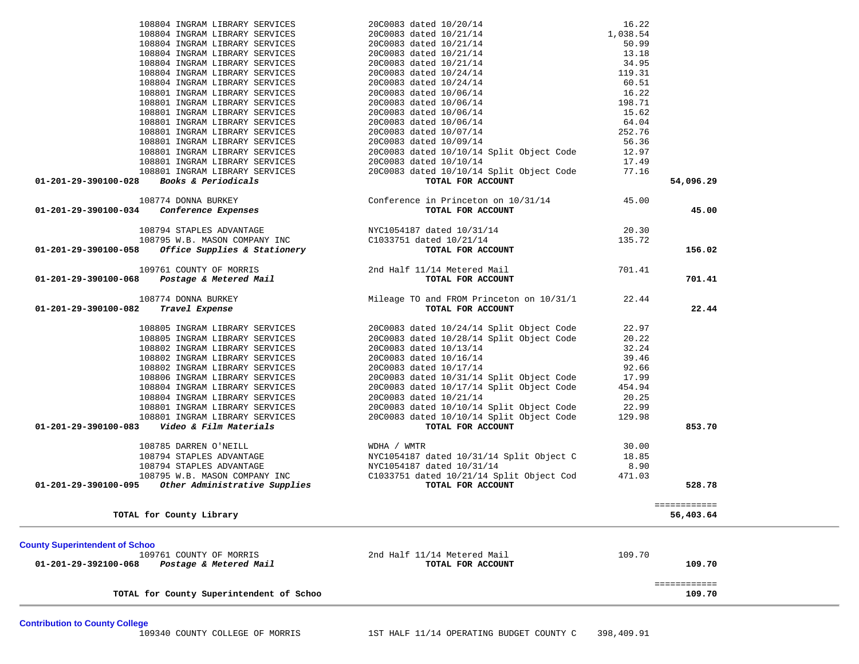|                                                                                          | TOTAL for County Superintendent of Schoo                         |                                                                                                                                                                                     |                 | ============<br>109.70 |  |
|------------------------------------------------------------------------------------------|------------------------------------------------------------------|-------------------------------------------------------------------------------------------------------------------------------------------------------------------------------------|-----------------|------------------------|--|
| <b>County Superintendent of Schoo</b><br>109761 COUNTY OF MORRIS<br>01-201-29-392100-068 | Postage & Metered Mail                                           | 2nd Half 11/14 Metered Mail<br>TOTAL FOR ACCOUNT                                                                                                                                    | 109.70          | 109.70                 |  |
| TOTAL for County Library                                                                 |                                                                  |                                                                                                                                                                                     |                 | 56,403.64              |  |
|                                                                                          |                                                                  |                                                                                                                                                                                     |                 | eessessesse            |  |
| 01-201-29-390100-095                                                                     | Other Administrative Supplies                                    | C1033751 dated 10/21/14 Split Object Cod<br>TOTAL FOR ACCOUNT                                                                                                                       | 471.03          | 528.78                 |  |
|                                                                                          |                                                                  |                                                                                                                                                                                     | 8.90            |                        |  |
|                                                                                          |                                                                  | NYC1054187 dated 10/31/14 Split Object C                                                                                                                                            | 18.85           |                        |  |
|                                                                                          |                                                                  |                                                                                                                                                                                     | 30.00           |                        |  |
|                                                                                          |                                                                  |                                                                                                                                                                                     |                 |                        |  |
| 01-201-29-390100-083                                                                     | 108801 INGRAM LIBRARY SERVICES<br>Video & Film Materials         | TOTAL FOR ACCOUNT                                                                                                                                                                   | 129.98          | 853.70                 |  |
|                                                                                          | 108801 INGRAM LIBRARY SERVICES                                   | 20C0083 dated 10/10/14 Split Object Code<br>20C0083 dated 10/10/14 Split Object Code                                                                                                | 22.99           |                        |  |
|                                                                                          | 108804 INGRAM LIBRARY SERVICES                                   | 20C0083 dated 10/21/14                                                                                                                                                              | 20.25           |                        |  |
|                                                                                          | 108804 INGRAM LIBRARY SERVICES                                   | 20C0083 dated 10/17/14 Split Object Code                                                                                                                                            | 454.94          |                        |  |
|                                                                                          | 108806 INGRAM LIBRARY SERVICES                                   | 20C0083 dated 10/31/14 Split Object Code                                                                                                                                            | 17.99           |                        |  |
|                                                                                          | 108802 INGRAM LIBRARY SERVICES                                   | 20C0083 dated 10/17/14                                                                                                                                                              | 92.66           |                        |  |
|                                                                                          | 108802 INGRAM LIBRARY SERVICES                                   | 20C0083 dated 10/16/14                                                                                                                                                              | 39.46           |                        |  |
|                                                                                          | 108802 INGRAM LIBRARY SERVICES                                   | 20C0083 dated 10/13/14                                                                                                                                                              | 32.24           |                        |  |
|                                                                                          | 108805 INGRAM LIBRARY SERVICES                                   | 108805 INGRAM LIBRARY SERVICES 20C0083 dated 10/24/14 Split Object Code<br>20C0083 dated 10/28/14 Split Object Code                                                                 | 22.97<br>20.22  |                        |  |
|                                                                                          |                                                                  |                                                                                                                                                                                     |                 |                        |  |
| 108774 DONNA BURKEY<br>Travel Expense<br>01-201-29-390100-082                            |                                                                  | Mileage TO and FROM Princeton on 10/31/1<br>TOTAL FOR ACCOUNT                                                                                                                       | 22.44           | 22.44                  |  |
| 01-201-29-390100-068                                                                     | Postage & Metered Mail                                           | TOTAL FOR ACCOUNT                                                                                                                                                                   |                 | 701.41                 |  |
| 109761 COUNTY OF MORRIS                                                                  |                                                                  | 2nd Half 11/14 Metered Mail                                                                                                                                                         | 701.41          |                        |  |
|                                                                                          |                                                                  |                                                                                                                                                                                     |                 |                        |  |
| 01-201-29-390100-058                                                                     |                                                                  | TOTAL FOR ACCOUNT                                                                                                                                                                   | 135.72          | 156.02                 |  |
|                                                                                          |                                                                  | 108794 STAPLES ADVANTAGE 108795 W.B. MASON COMPANY INC<br>108795 W.B. MASON COMPANY INC 1033751 dated 10/21/14<br>8 <b>Office Supplies &amp; Stationery CIO33751 dated 10/21/14</b> | 20.30           |                        |  |
|                                                                                          |                                                                  |                                                                                                                                                                                     |                 |                        |  |
| 01-201-29-390100-034                                                                     | Conference Expenses                                              | TOTAL FOR ACCOUNT                                                                                                                                                                   |                 | 45.00                  |  |
| 108774 DONNA BURKEY                                                                      |                                                                  | Conference in Princeton on $10/31/14$ 45.00                                                                                                                                         |                 |                        |  |
| Books & Periodicals<br>01-201-29-390100-028                                              |                                                                  | TOTAL FOR ACCOUNT                                                                                                                                                                   |                 | 54,096.29              |  |
|                                                                                          |                                                                  | 20C0083 dated 10/10/14 Split Object Code                                                                                                                                            | 77.16           |                        |  |
|                                                                                          | 108801 INGRAM LIBRARY SERVICES<br>108801 INGRAM LIBRARY SERVICES | 20C0083 dated 10/10/14                                                                                                                                                              | 17.49           |                        |  |
|                                                                                          | 108801 INGRAM LIBRARY SERVICES                                   | 20C0083 dated 10/10/14 Split Object Code                                                                                                                                            | 12.97           |                        |  |
|                                                                                          | 108801 INGRAM LIBRARY SERVICES                                   | 20C0083 dated 10/09/14                                                                                                                                                              | 56.36           |                        |  |
|                                                                                          | 108801 INGRAM LIBRARY SERVICES                                   | 20C0083 dated 10/07/14                                                                                                                                                              | 252.76          |                        |  |
|                                                                                          | 108801 INGRAM LIBRARY SERVICES                                   | 20C0083 dated 10/06/14                                                                                                                                                              | 64.04           |                        |  |
|                                                                                          | 108801 INGRAM LIBRARY SERVICES<br>108801 INGRAM LIBRARY SERVICES | 20C0083 dated 10/06/14<br>20C0083 dated 10/06/14                                                                                                                                    | 198.71<br>15.62 |                        |  |
|                                                                                          | 108801 INGRAM LIBRARY SERVICES                                   | 20C0083 dated 10/06/14                                                                                                                                                              | 16.22           |                        |  |
|                                                                                          | 108804 INGRAM LIBRARY SERVICES                                   | 20C0083 dated 10/20/14<br>20C0083 dated 10/21/14<br>20C0083 dated 10/21/14<br>20C0083 dated 10/21/14<br>20C0083 dated 10/21/14                                                      | 60.51           |                        |  |
|                                                                                          | 108804 INGRAM LIBRARY SERVICES                                   |                                                                                                                                                                                     | 119.31          |                        |  |
|                                                                                          | 108804 INGRAM LIBRARY SERVICES                                   |                                                                                                                                                                                     | 34.95           |                        |  |
|                                                                                          | 108804 INGRAM LIBRARY SERVICES                                   |                                                                                                                                                                                     | 13.18           |                        |  |
|                                                                                          | 108804 INGRAM LIBRARY SERVICES                                   |                                                                                                                                                                                     | 50.99           |                        |  |
|                                                                                          | 108804 INGRAM LIBRARY SERVICES                                   |                                                                                                                                                                                     | 1,038.54        |                        |  |
|                                                                                          | 108804 INGRAM LIBRARY SERVICES                                   |                                                                                                                                                                                     | 16.22           |                        |  |

**Contribution to County College**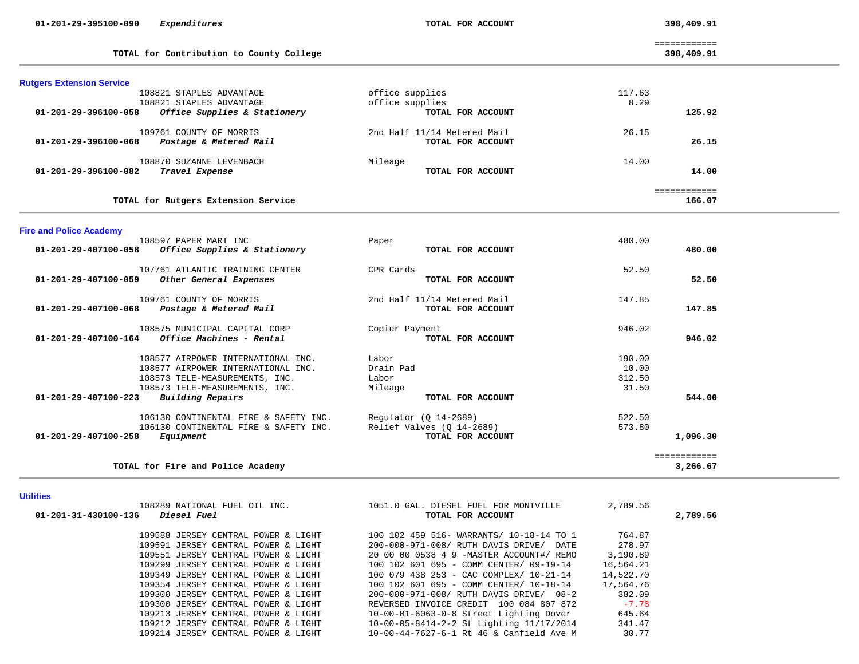| 01-201-29-395100-090<br>Expenditures                 | TOTAL FOR ACCOUNT           | 398,409.91                 |  |
|------------------------------------------------------|-----------------------------|----------------------------|--|
| TOTAL for Contribution to County College             |                             | ============<br>398,409.91 |  |
| <b>Rutgers Extension Service</b>                     |                             |                            |  |
| 108821 STAPLES ADVANTAGE                             | office supplies             | 117.63                     |  |
| 108821 STAPLES ADVANTAGE                             | office supplies             | 8.29                       |  |
| 01-201-29-396100-058<br>Office Supplies & Stationery | TOTAL FOR ACCOUNT           | 125.92                     |  |
| 109761 COUNTY OF MORRIS                              | 2nd Half 11/14 Metered Mail | 26.15                      |  |
| Postage & Metered Mail<br>01-201-29-396100-068       | TOTAL FOR ACCOUNT           | 26.15                      |  |
| 108870 SUZANNE LEVENBACH                             | Mileage                     | 14.00                      |  |
| Travel Expense<br>01-201-29-396100-082               | TOTAL FOR ACCOUNT           | 14.00                      |  |
|                                                      |                             | ============               |  |
| TOTAL for Rutgers Extension Service                  |                             | 166.07                     |  |
| <b>Fire and Police Academy</b>                       |                             |                            |  |
| 108597 PAPER MART INC                                | Paper                       | 480.00                     |  |
| Office Supplies & Stationery<br>01-201-29-407100-058 | TOTAL FOR ACCOUNT           | 480.00                     |  |
| 107761 ATLANTIC TRAINING CENTER                      | CPR Cards                   | 52.50                      |  |
| 01-201-29-407100-059<br>Other General Expenses       | TOTAL FOR ACCOUNT           | 52.50                      |  |
| 109761 COUNTY OF MORRIS                              | 2nd Half 11/14 Metered Mail | 147.85                     |  |
| Postage & Metered Mail<br>01-201-29-407100-068       | TOTAL FOR ACCOUNT           | 147.85                     |  |
| 108575 MUNICIPAL CAPITAL CORP                        | Copier Payment              | 946.02                     |  |
| Office Machines - Rental<br>01-201-29-407100-164     | TOTAL FOR ACCOUNT           | 946.02                     |  |
| 108577 AIRPOWER INTERNATIONAL INC.                   | Labor                       | 190.00                     |  |
| 108577 AIRPOWER INTERNATIONAL INC.                   | Drain Pad                   | 10.00                      |  |
| 108573 TELE-MEASUREMENTS, INC.                       | Labor                       | 312.50                     |  |
| 108573 TELE-MEASUREMENTS, INC.                       | Mileage                     | 31.50                      |  |
| 01-201-29-407100-223<br>Building Repairs             | TOTAL FOR ACCOUNT           | 544.00                     |  |
| 106130 CONTINENTAL FIRE & SAFETY INC.                | Regulator $(Q_14-2689)$     | 522.50                     |  |
| 106130 CONTINENTAL FIRE & SAFETY INC.                | Relief Valves (Q 14-2689)   | 573.80                     |  |
| Equipment<br>01-201-29-407100-258                    | TOTAL FOR ACCOUNT           | 1,096.30                   |  |
|                                                      |                             | ============               |  |

### **TOTAL for Fire and Police Academy 3,266.67**

## **Utilities**

| 108289 NATIONAL FUEL OIL INC.<br>01-201-31-430100-136<br><i>Diesel Fuel</i> | 1051.0 GAL. DIESEL FUEL FOR MONTVILLE<br>TOTAL FOR ACCOUNT | 2,789.56  | 2,789.56 |
|-----------------------------------------------------------------------------|------------------------------------------------------------|-----------|----------|
|                                                                             |                                                            |           |          |
| 109588 JERSEY CENTRAL POWER & LIGHT                                         | 100 102 459 516- WARRANTS/ 10-18-14 TO 1                   | 764.87    |          |
| 109591 JERSEY CENTRAL POWER & LIGHT                                         | 200-000-971-008/ RUTH DAVIS DRIVE/ DATE                    | 278.97    |          |
| 109551 JERSEY CENTRAL POWER & LIGHT                                         | 20 00 00 0538 4 9 -MASTER ACCOUNT#/ REMO                   | 3,190.89  |          |
| 109299 JERSEY CENTRAL POWER & LIGHT                                         | 100 102 601 695 - COMM CENTER/ 09-19-14                    | 16,564.21 |          |
| 109349 JERSEY CENTRAL POWER & LIGHT                                         | 100 079 438 253 - CAC COMPLEX/ 10-21-14                    | 14,522.70 |          |
| 109354 JERSEY CENTRAL POWER & LIGHT                                         | 100 102 601 695 - COMM CENTER/ 10-18-14                    | 17,564.76 |          |
| 109300 JERSEY CENTRAL POWER & LIGHT                                         | 200-000-971-008/ RUTH DAVIS DRIVE/ 08-2                    | 382.09    |          |
| 109300 JERSEY CENTRAL POWER & LIGHT                                         | REVERSED INVOICE CREDIT 100 084 807 872                    | $-7.78$   |          |
| 109213 JERSEY CENTRAL POWER & LIGHT                                         | 10-00-01-6063-0-8 Street Lighting Dover                    | 645.64    |          |
| 109212 JERSEY CENTRAL POWER & LIGHT                                         | 10-00-05-8414-2-2 St Lighting 11/17/2014                   | 341.47    |          |
| 109214 JERSEY CENTRAL POWER & LIGHT                                         | 10-00-44-7627-6-1 Rt 46 & Canfield Ave M                   | 30.77     |          |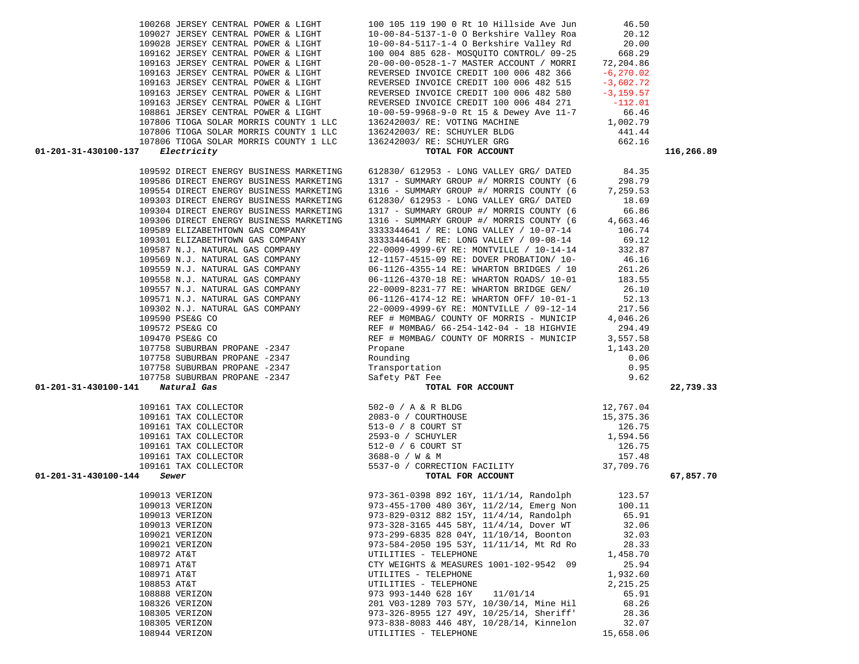| 109028 JERSEY CENTRAL POWER & LIGHT     | 10-00-84-5117-1-4 O Berkshire Valley Rd                                                                                                                                                                                                                                                                                                                                                                              | 20.00    |            |
|-----------------------------------------|----------------------------------------------------------------------------------------------------------------------------------------------------------------------------------------------------------------------------------------------------------------------------------------------------------------------------------------------------------------------------------------------------------------------|----------|------------|
| 109162 JERSEY CENTRAL POWER & LIGHT     | 100 004 885 628- MOSQUITO CONTROL/ 09-25                                                                                                                                                                                                                                                                                                                                                                             | 668.29   |            |
|                                         |                                                                                                                                                                                                                                                                                                                                                                                                                      |          |            |
|                                         | 109163 JERSEY CENTRAL POWER & LIGHT<br>109163 JERSEY CENTRAL POWER & LIGHT<br>109163 JERSEY CENTRAL POWER & LIGHT<br>109163 JERSEY CENTRAL POWER & LIGHT<br>109163 JERSEY CENTRAL POWER & LIGHT<br>109163 JERSEY CENTRAL POWER & LIGHT<br>                                                                                                                                                                           |          |            |
|                                         |                                                                                                                                                                                                                                                                                                                                                                                                                      |          |            |
|                                         |                                                                                                                                                                                                                                                                                                                                                                                                                      |          |            |
|                                         |                                                                                                                                                                                                                                                                                                                                                                                                                      |          |            |
|                                         |                                                                                                                                                                                                                                                                                                                                                                                                                      |          |            |
|                                         |                                                                                                                                                                                                                                                                                                                                                                                                                      |          |            |
|                                         |                                                                                                                                                                                                                                                                                                                                                                                                                      |          |            |
|                                         |                                                                                                                                                                                                                                                                                                                                                                                                                      |          |            |
|                                         |                                                                                                                                                                                                                                                                                                                                                                                                                      |          |            |
| 01-201-31-430100-137                    | 109163 JERSEY CENTRAL POWER & LIGHT<br>109163 JERSEY CENTRAL POWER & LIGHT<br>109163 JERSEY CENTRAL POWER & LIGHT<br>108861 JERSEY CENTRAL POWER & LIGHT<br>107806 TIOGA SOLAR MORRIS COUNTY 1 LLC<br>107806 TIOGA SOLAR MORRIS COUNTY 1                                                                                                                                                                             |          | 116,266.89 |
|                                         |                                                                                                                                                                                                                                                                                                                                                                                                                      |          |            |
| 109592 DIRECT ENERGY BUSINESS MARKETING | 612830/ 612953 - LONG VALLEY GRG/ DATED                                                                                                                                                                                                                                                                                                                                                                              | 84.35    |            |
| 109586 DIRECT ENERGY BUSINESS MARKETING | 1317 - SUMMARY GROUP #/ MORRIS COUNTY (6 298.79                                                                                                                                                                                                                                                                                                                                                                      |          |            |
| 109554 DIRECT ENERGY BUSINESS MARKETING | 1316 - SUMMARY GROUP #/ MORRIS COUNTY (6                                                                                                                                                                                                                                                                                                                                                                             | 7,259.53 |            |
| 109303 DIRECT ENERGY BUSINESS MARKETING | 612830/ 612953 - LONG VALLEY GRG/ DATED                                                                                                                                                                                                                                                                                                                                                                              | 18.69    |            |
| 109304 DIRECT ENERGY BUSINESS MARKETING | 1317 - SUMMARY GROUP #/ MORRIS COUNTY (6                                                                                                                                                                                                                                                                                                                                                                             | 66.86    |            |
| 109306 DIRECT ENERGY BUSINESS MARKETING | 1317 - SUMMARY GROUP #/ MORRIS COUNTY (6<br>1316 - SUMMARY GROUP #/ MORRIS COUNTY (6                                                                                                                                                                                                                                                                                                                                 | 4,663.46 |            |
| 109589 ELIZABETHTOWN GAS COMPANY        |                                                                                                                                                                                                                                                                                                                                                                                                                      |          |            |
| 109301 ELIZABETHTOWN GAS COMPANY        | 3333344641 / RE: LONG VALLEY / 10-07-14 106.74<br>3333344641 / RE: LONG VALLEY / 09-08-14 69.12                                                                                                                                                                                                                                                                                                                      |          |            |
|                                         |                                                                                                                                                                                                                                                                                                                                                                                                                      |          |            |
|                                         |                                                                                                                                                                                                                                                                                                                                                                                                                      |          |            |
|                                         |                                                                                                                                                                                                                                                                                                                                                                                                                      |          |            |
|                                         |                                                                                                                                                                                                                                                                                                                                                                                                                      |          |            |
|                                         |                                                                                                                                                                                                                                                                                                                                                                                                                      |          |            |
|                                         |                                                                                                                                                                                                                                                                                                                                                                                                                      |          |            |
|                                         |                                                                                                                                                                                                                                                                                                                                                                                                                      |          |            |
|                                         |                                                                                                                                                                                                                                                                                                                                                                                                                      |          |            |
|                                         |                                                                                                                                                                                                                                                                                                                                                                                                                      |          |            |
|                                         |                                                                                                                                                                                                                                                                                                                                                                                                                      |          |            |
|                                         |                                                                                                                                                                                                                                                                                                                                                                                                                      |          |            |
|                                         |                                                                                                                                                                                                                                                                                                                                                                                                                      |          |            |
|                                         |                                                                                                                                                                                                                                                                                                                                                                                                                      |          |            |
|                                         |                                                                                                                                                                                                                                                                                                                                                                                                                      |          |            |
|                                         |                                                                                                                                                                                                                                                                                                                                                                                                                      |          |            |
| 01-201-31-430100-141 Natural Gas        |                                                                                                                                                                                                                                                                                                                                                                                                                      |          | 22,739.33  |
|                                         |                                                                                                                                                                                                                                                                                                                                                                                                                      |          |            |
|                                         |                                                                                                                                                                                                                                                                                                                                                                                                                      |          |            |
|                                         |                                                                                                                                                                                                                                                                                                                                                                                                                      |          |            |
|                                         |                                                                                                                                                                                                                                                                                                                                                                                                                      |          |            |
|                                         |                                                                                                                                                                                                                                                                                                                                                                                                                      |          |            |
|                                         |                                                                                                                                                                                                                                                                                                                                                                                                                      |          |            |
|                                         |                                                                                                                                                                                                                                                                                                                                                                                                                      |          |            |
|                                         |                                                                                                                                                                                                                                                                                                                                                                                                                      |          |            |
| 01-201-31-430100-144                    |                                                                                                                                                                                                                                                                                                                                                                                                                      |          | 67,857.70  |
|                                         | $\begin{tabular}{l c c c c} \hline 107758 SUBURBAN PROPANE -2347 & Rounding & 0.06 \\ 107758 SUBURBAN PROPANE -2347 & Transportation & 0.95 \\ 107758 SUBURBAN PROPANE -2347 & Safety PAT Free & 0.95 \\ \hline \end{tabular} \hline \\ \hline \begin{tabular}{l c c c c} \hline \multicolumn{3}{c}{\textbf{Matural Gas}} & 0.06 \\ 109161 TAX COLLECTOR & 502-0 & / A & R BLDG & 12,767.04 \\ 109161 TAX COLLECTOR$ |          |            |
|                                         |                                                                                                                                                                                                                                                                                                                                                                                                                      |          |            |
|                                         |                                                                                                                                                                                                                                                                                                                                                                                                                      |          |            |
|                                         | 109013 VERIZON<br>109013 VERIZON 109013 VERIZON<br>109013 VERIZON 973-455-1700 480 36Y, 11/2/14, Emerg Non<br>109013 VERIZON 973-829-0312 882 15Y, 11/4/14, Randolph 65.91<br>109013 VERIZON 973-328-3165 445 58Y, 11/4/14, Dover WT 32.06                                                                                                                                                                           |          |            |
|                                         |                                                                                                                                                                                                                                                                                                                                                                                                                      |          |            |
| 109013 VERIZON                          | 973-328-3165 445 58Y, 11/4/14, Dover WT                                                                                                                                                                                                                                                                                                                                                                              | 32.06    |            |
| 109021 VERIZON                          | 973-299-6835 828 04Y, 11/10/14, Boonton                                                                                                                                                                                                                                                                                                                                                                              | 32.03    |            |
| 109021 VERIZON                          | 973-584-2050 195 53Y, 11/11/14, Mt Rd Ro                                                                                                                                                                                                                                                                                                                                                                             | 28.33    |            |
| 108972 AT&T                             | UTILITIES - TELEPHONE                                                                                                                                                                                                                                                                                                                                                                                                | 1,458.70 |            |
| 108971 AT&T                             | CTY WEIGHTS & MEASURES 1001-102-9542 09                                                                                                                                                                                                                                                                                                                                                                              | 25.94    |            |
| 108971 AT&T                             | UTILITES - TELEPHONE                                                                                                                                                                                                                                                                                                                                                                                                 | 1,932.60 |            |
| 108853 AT&T                             | UTILITIES - TELEPHONE                                                                                                                                                                                                                                                                                                                                                                                                | 2,215.25 |            |
| 108888 VERIZON                          | 973 993-1440 628 16Y<br>11/01/14                                                                                                                                                                                                                                                                                                                                                                                     | 65.91    |            |
| 108326 VERIZON                          |                                                                                                                                                                                                                                                                                                                                                                                                                      |          |            |
|                                         | 201 V03-1289 703 57Y, 10/30/14, Mine Hil                                                                                                                                                                                                                                                                                                                                                                             | 68.26    |            |
| 108305 VERIZON                          | 973-326-8955 127 49Y, 10/25/14, Sheriff'                                                                                                                                                                                                                                                                                                                                                                             | 28.36    |            |
| 108305 VERIZON                          | 973-838-8083 446 48Y, 10/28/14, Kinnelon                                                                                                                                                                                                                                                                                                                                                                             | 32.07    |            |

100268 JERSEY CENTRAL POWER & LIGHT 100 105 119 190 0 Rt 10 Hillside Ave Jun 46.50

10-00-84-5137-1-0 O Berkshire Valley Roa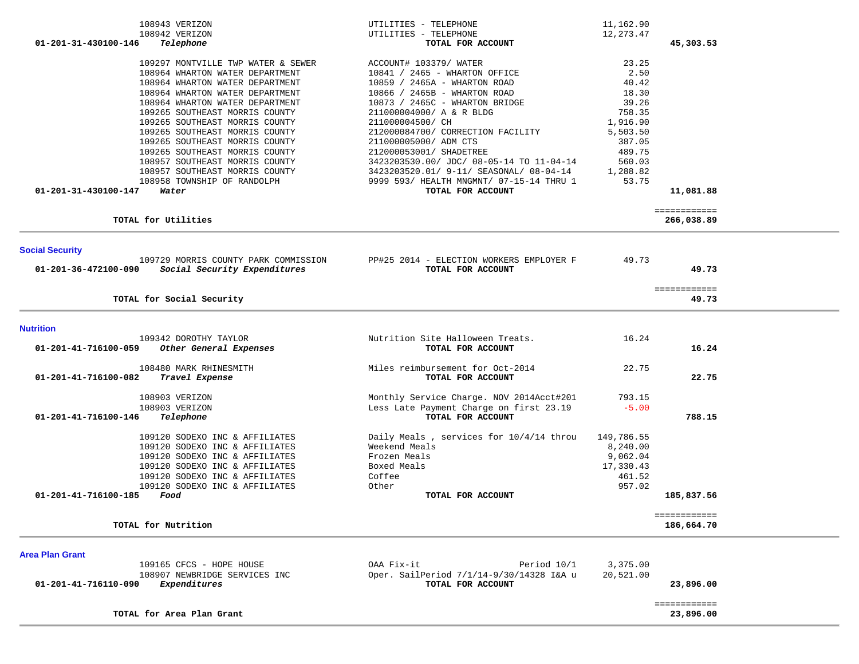| 108943 VERIZON                                       | UTILITIES - TELEPHONE                    | 11,162.90  |              |  |
|------------------------------------------------------|------------------------------------------|------------|--------------|--|
| 108942 VERIZON                                       | UTILITIES - TELEPHONE                    | 12, 273.47 |              |  |
| 01-201-31-430100-146<br>Telephone                    | TOTAL FOR ACCOUNT                        |            | 45,303.53    |  |
| 109297 MONTVILLE TWP WATER & SEWER                   | ACCOUNT# 103379/ WATER                   | 23.25      |              |  |
| 108964 WHARTON WATER DEPARTMENT                      | 10841 / 2465 - WHARTON OFFICE            | 2.50       |              |  |
| 108964 WHARTON WATER DEPARTMENT                      | 10859 / 2465A - WHARTON ROAD             | 40.42      |              |  |
| 108964 WHARTON WATER DEPARTMENT                      | 10866 / 2465B - WHARTON ROAD             | 18.30      |              |  |
|                                                      |                                          | 39.26      |              |  |
| 108964 WHARTON WATER DEPARTMENT                      | 10873 / 2465C - WHARTON BRIDGE           |            |              |  |
| 109265 SOUTHEAST MORRIS COUNTY                       | 211000004000/ A & R BLDG                 | 758.35     |              |  |
| 109265 SOUTHEAST MORRIS COUNTY                       | 211000004500/ CH                         | 1,916.90   |              |  |
| 109265 SOUTHEAST MORRIS COUNTY                       | 212000084700/ CORRECTION FACILITY        | 5,503.50   |              |  |
| 109265 SOUTHEAST MORRIS COUNTY                       | 211000005000/ ADM CTS                    | 387.05     |              |  |
| 109265 SOUTHEAST MORRIS COUNTY                       | 212000053001/ SHADETREE                  | 489.75     |              |  |
| 108957 SOUTHEAST MORRIS COUNTY                       | 3423203530.00/ JDC/ 08-05-14 TO 11-04-14 | 560.03     |              |  |
| 108957 SOUTHEAST MORRIS COUNTY                       | 3423203520.01/ 9-11/ SEASONAL/ 08-04-14  | 1,288.82   |              |  |
| 108958 TOWNSHIP OF RANDOLPH                          | 9999 593/ HEALTH MNGMNT/ 07-15-14 THRU 1 | 53.75      |              |  |
| 01-201-31-430100-147<br>Water                        | TOTAL FOR ACCOUNT                        |            | 11,081.88    |  |
|                                                      |                                          |            | ============ |  |
| TOTAL for Utilities                                  |                                          |            | 266,038.89   |  |
|                                                      |                                          |            |              |  |
| <b>Social Security</b>                               |                                          |            |              |  |
| 109729 MORRIS COUNTY PARK COMMISSION                 | PP#25 2014 - ELECTION WORKERS EMPLOYER F | 49.73      |              |  |
| Social Security Expenditures<br>01-201-36-472100-090 | TOTAL FOR ACCOUNT                        |            | 49.73        |  |
|                                                      |                                          |            | ============ |  |
| TOTAL for Social Security                            |                                          |            | 49.73        |  |
|                                                      |                                          |            |              |  |
| <b>Nutrition</b>                                     |                                          |            |              |  |
| 109342 DOROTHY TAYLOR                                | Nutrition Site Halloween Treats.         | 16.24      |              |  |
| 01-201-41-716100-059<br>Other General Expenses       | TOTAL FOR ACCOUNT                        |            | 16.24        |  |
| 108480 MARK RHINESMITH                               | Miles reimbursement for Oct-2014         | 22.75      |              |  |
| 01-201-41-716100-082<br>Travel Expense               | TOTAL FOR ACCOUNT                        |            | 22.75        |  |
| 108903 VERIZON                                       | Monthly Service Charge. NOV 2014Acct#201 | 793.15     |              |  |
| 108903 VERIZON                                       | Less Late Payment Charge on first 23.19  | $-5.00$    |              |  |
| 01-201-41-716100-146<br>Telephone                    | TOTAL FOR ACCOUNT                        |            | 788.15       |  |
|                                                      |                                          |            |              |  |
| 109120 SODEXO INC & AFFILIATES                       | Daily Meals, services for 10/4/14 throu  | 149,786.55 |              |  |
| 109120 SODEXO INC & AFFILIATES                       | Weekend Meals                            | 8,240.00   |              |  |
| 109120 SODEXO INC & AFFILIATES                       | Frozen Meals                             | 9,062.04   |              |  |
| 109120 SODEXO INC & AFFILIATES                       | Boxed Meals                              | 17,330.43  |              |  |
| 109120 SODEXO INC & AFFILIATES                       | Coffee                                   | 461.52     |              |  |
| 109120 SODEXO INC & AFFILIATES                       | Other                                    | 957.02     |              |  |
| 01-201-41-716100-185<br>Food                         | TOTAL FOR ACCOUNT                        |            | 185,837.56   |  |
|                                                      |                                          |            |              |  |
|                                                      |                                          |            | ============ |  |
| TOTAL for Nutrition                                  |                                          |            | 186,664.70   |  |
|                                                      |                                          |            |              |  |
| <b>Area Plan Grant</b><br>109165 CFCS - HOPE HOUSE   | OAA Fix-it<br>Period 10/1                | 3,375.00   |              |  |
| 108907 NEWBRIDGE SERVICES INC                        | Oper. SailPeriod 7/1/14-9/30/14328 I&A u | 20,521.00  |              |  |
| Expenditures<br>01-201-41-716110-090                 | TOTAL FOR ACCOUNT                        |            | 23,896.00    |  |
|                                                      |                                          |            | ============ |  |
| TOTAL for Area Plan Grant                            |                                          |            | 23,896.00    |  |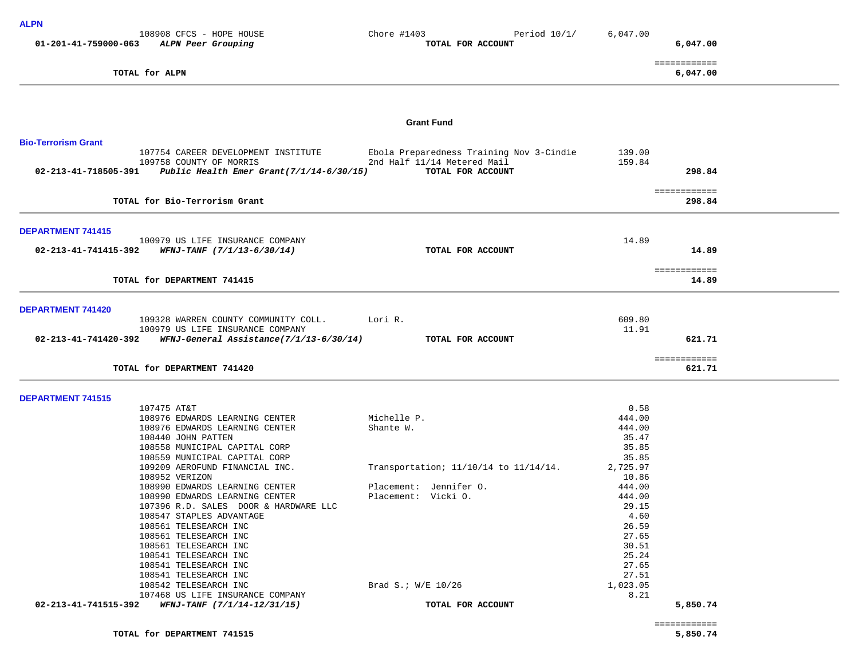| <b>ALPN</b>                                                         |                                                    |                |                          |
|---------------------------------------------------------------------|----------------------------------------------------|----------------|--------------------------|
| 108908 CFCS - HOPE HOUSE<br>01-201-41-759000-063 ALPN Peer Grouping | Period $10/1/$<br>Chore #1403<br>TOTAL FOR ACCOUNT | 6,047.00       | 6,047.00                 |
|                                                                     |                                                    |                |                          |
| TOTAL for ALPN                                                      |                                                    |                | ============<br>6,047.00 |
|                                                                     |                                                    |                |                          |
|                                                                     | <b>Grant Fund</b>                                  |                |                          |
| <b>Bio-Terrorism Grant</b>                                          |                                                    |                |                          |
| 107754 CAREER DEVELOPMENT INSTITUTE                                 | Ebola Preparedness Training Nov 3-Cindie           | 139.00         |                          |
| 109758 COUNTY OF MORRIS                                             | 2nd Half 11/14 Metered Mail                        | 159.84         |                          |
| 02-213-41-718505-391 Public Health Emer Grant(7/1/14-6/30/15)       | TOTAL FOR ACCOUNT                                  |                | 298.84                   |
|                                                                     |                                                    |                |                          |
|                                                                     |                                                    |                | ============             |
| TOTAL for Bio-Terrorism Grant                                       |                                                    |                | 298.84                   |
| <b>DEPARTMENT 741415</b>                                            |                                                    |                |                          |
| 100979 US LIFE INSURANCE COMPANY                                    |                                                    | 14.89          |                          |
| $02 - 213 - 41 - 741415 - 392$ WFNJ-TANF $(7/1/13 - 6/30/14)$       | TOTAL FOR ACCOUNT                                  |                | 14.89                    |
|                                                                     |                                                    |                |                          |
|                                                                     |                                                    |                | ============             |
| TOTAL for DEPARTMENT 741415                                         |                                                    |                | 14.89                    |
| DEPARTMENT 741420                                                   |                                                    |                |                          |
| 109328 WARREN COUNTY COMMUNITY COLL.                                | Lori R.                                            | 609.80         |                          |
| 100979 US LIFE INSURANCE COMPANY                                    |                                                    | 11.91          |                          |
| $02-213-41-741420-392$ WFNJ-General Assistance(7/1/13-6/30/14)      | TOTAL FOR ACCOUNT                                  |                | 621.71                   |
| TOTAL for DEPARTMENT 741420                                         |                                                    |                | ============<br>621.71   |
|                                                                     |                                                    |                |                          |
| <b>DEPARTMENT 741515</b>                                            |                                                    |                |                          |
| 107475 AT&T<br>108976 EDWARDS LEARNING CENTER                       | Michelle P.                                        | 0.58<br>444.00 |                          |
| 108976 EDWARDS LEARNING CENTER                                      | Shante W.                                          | 444.00         |                          |
| 108440 JOHN PATTEN                                                  |                                                    | 35.47          |                          |
| 108558 MUNICIPAL CAPITAL CORP                                       |                                                    | 35.85          |                          |
| 108559 MUNICIPAL CAPITAL CORP                                       |                                                    | 35.85          |                          |
| 109209 AEROFUND FINANCIAL INC.                                      | Transportation; 11/10/14 to 11/14/14.              | 2,725.97       |                          |
| 108952 VERIZON                                                      |                                                    | 10.86          |                          |
| 108990 EDWARDS LEARNING CENTER                                      | Placement: Jennifer O.                             | 444.00         |                          |
| 108990 EDWARDS LEARNING CENTER                                      | Placement: Vicki 0.                                | 444.00         |                          |
| 107396 R.D. SALES DOOR & HARDWARE LLC                               |                                                    | 29.15          |                          |
| 108547 STAPLES ADVANTAGE<br>108561 TELESEARCH INC                   |                                                    | 4.60<br>26.59  |                          |
| 108561 TELESEARCH INC                                               |                                                    | 27.65          |                          |
| 108561 TELESEARCH INC                                               |                                                    | 30.51          |                          |
| 108541 TELESEARCH INC                                               |                                                    | 25.24          |                          |
| 108541 TELESEARCH INC                                               |                                                    | 27.65          |                          |

108541 TELESEARCH INC 27.65 108541 TELESEARCH INC 27.51 108542 TELESEARCH INC Brad S.; W/E 10/26 1,023.05

 **02-213-41-741515-392** *WFNJ-TANF (7/1/14-12/31/15)* **TOTAL FOR ACCOUNT 5,850.74**

107468 US LIFE INSURANCE COMPANY 8.21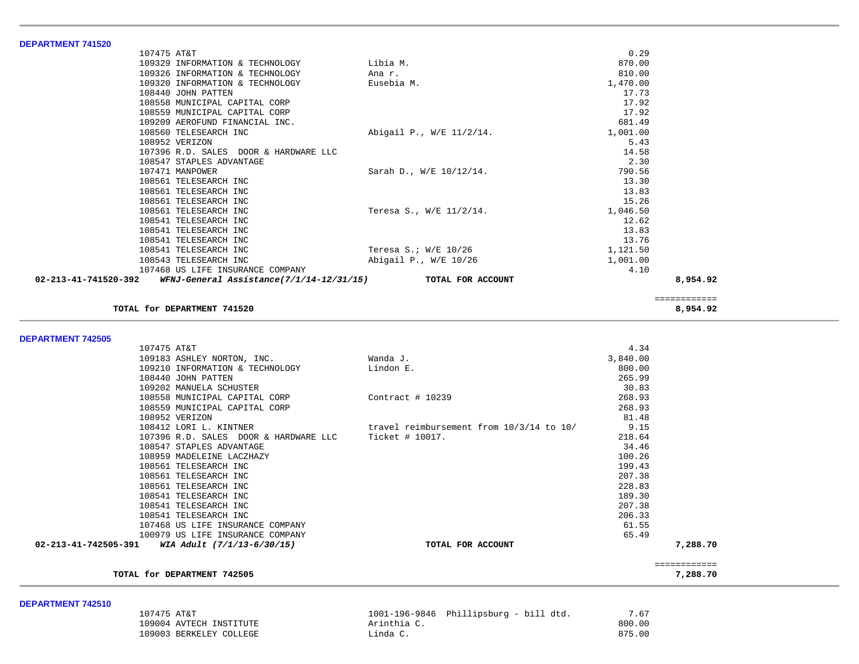| <b>DEPARTMENT 741520</b>                                         |                          |          |  |
|------------------------------------------------------------------|--------------------------|----------|--|
| 107475 AT&T                                                      |                          | 0.29     |  |
| 109329 INFORMATION & TECHNOLOGY                                  | Libia M.                 | 870.00   |  |
| 109326 INFORMATION & TECHNOLOGY                                  | Ana r.                   | 810.00   |  |
| 109320 INFORMATION & TECHNOLOGY                                  | Eusebia M.               | 1,470.00 |  |
| 108440 JOHN PATTEN                                               |                          | 17.73    |  |
| 108558 MUNICIPAL CAPITAL CORP                                    |                          | 17.92    |  |
| 108559 MUNICIPAL CAPITAL CORP                                    |                          | 17.92    |  |
| 109209 AEROFUND FINANCIAL INC.                                   |                          | 681.49   |  |
| 108560 TELESEARCH INC                                            | Abigail P., W/E 11/2/14. | 1,001.00 |  |
| 108952 VERIZON                                                   |                          | 5.43     |  |
| 107396 R.D. SALES DOOR & HARDWARE LLC                            |                          | 14.58    |  |
| 108547 STAPLES ADVANTAGE                                         |                          | 2.30     |  |
| 107471 MANPOWER                                                  | Sarah D., W/E 10/12/14.  | 790.56   |  |
| 108561 TELESEARCH INC                                            |                          | 13.30    |  |
| 108561 TELESEARCH INC                                            |                          | 13.83    |  |
| 108561 TELESEARCH INC                                            |                          | 15.26    |  |
| 108561 TELESEARCH INC                                            | Teresa S., W/E 11/2/14.  | 1,046.50 |  |
| 108541 TELESEARCH INC                                            |                          | 12.62    |  |
| 108541 TELESEARCH INC                                            |                          | 13.83    |  |
| 108541 TELESEARCH INC                                            |                          | 13.76    |  |
| 108541 TELESEARCH INC                                            | Teresa S.; W/E 10/26     | 1,121.50 |  |
| 108543 TELESEARCH INC                                            | Abigail P., W/E 10/26    | 1,001.00 |  |
| 107468 US LIFE INSURANCE COMPANY                                 |                          | 4.10     |  |
| 02-213-41-741520-392<br>WFNJ-General Assistance(7/1/14-12/31/15) | TOTAL FOR ACCOUNT        | 8,954.92 |  |

 ============ **TOTAL for DEPARTMENT 741520 8,954.92**

**DEPARTMENT 742505** 

| 107475 AT&T                                                   |                                          | 4.34     |          |
|---------------------------------------------------------------|------------------------------------------|----------|----------|
| 109183 ASHLEY NORTON, INC.                                    | Wanda J.                                 | 3,840.00 |          |
| 109210 INFORMATION & TECHNOLOGY                               | Lindon E.                                | 800.00   |          |
| 108440 JOHN PATTEN                                            |                                          | 265.99   |          |
| 109202 MANUELA SCHUSTER                                       |                                          | 30.83    |          |
| 108558 MUNICIPAL CAPITAL CORP                                 | Contract $#10239$                        | 268.93   |          |
| 108559 MUNICIPAL CAPITAL CORP                                 |                                          | 268.93   |          |
| 108952 VERIZON                                                |                                          | 81.48    |          |
| 108412 LORI L. KINTNER                                        | travel reimbursement from 10/3/14 to 10/ | 9.15     |          |
| 107396 R.D. SALES DOOR & HARDWARE LLC Ticket # 10017.         |                                          | 218.64   |          |
| 108547 STAPLES ADVANTAGE                                      |                                          | 34.46    |          |
| 108959 MADELEINE LACZHAZY                                     |                                          | 100.26   |          |
| 108561 TELESEARCH INC                                         |                                          | 199.43   |          |
| 108561 TELESEARCH INC                                         |                                          | 207.38   |          |
| 108561 TELESEARCH INC                                         |                                          | 228.83   |          |
| 108541 TELESEARCH INC                                         |                                          | 189.30   |          |
| 108541 TELESEARCH INC                                         |                                          | 207.38   |          |
| 108541 TELESEARCH INC                                         |                                          | 206.33   |          |
| 107468 US LIFE INSURANCE COMPANY                              |                                          | 61.55    |          |
| 100979 US LIFE INSURANCE COMPANY                              |                                          | 65.49    |          |
| $02 - 213 - 41 - 742505 - 391$ WIA Adult $(7/1/13 - 6/30/15)$ | TOTAL FOR ACCOUNT                        |          | 7,288.70 |
|                                                               |                                          |          |          |
| TOTAL for DEPARTMENT 742505                                   |                                          |          | 7,288.70 |

**DEPARTMENT 742510** 

| 107475 AT&T             | 1001-196-9846 Phillipsburg - bill dtd. | 7.67   |
|-------------------------|----------------------------------------|--------|
| 109004 AVTECH INSTITUTE | Arinthia                               | 800.00 |
| 109003 BERKELEY COLLEGE | inda C.                                | 875.00 |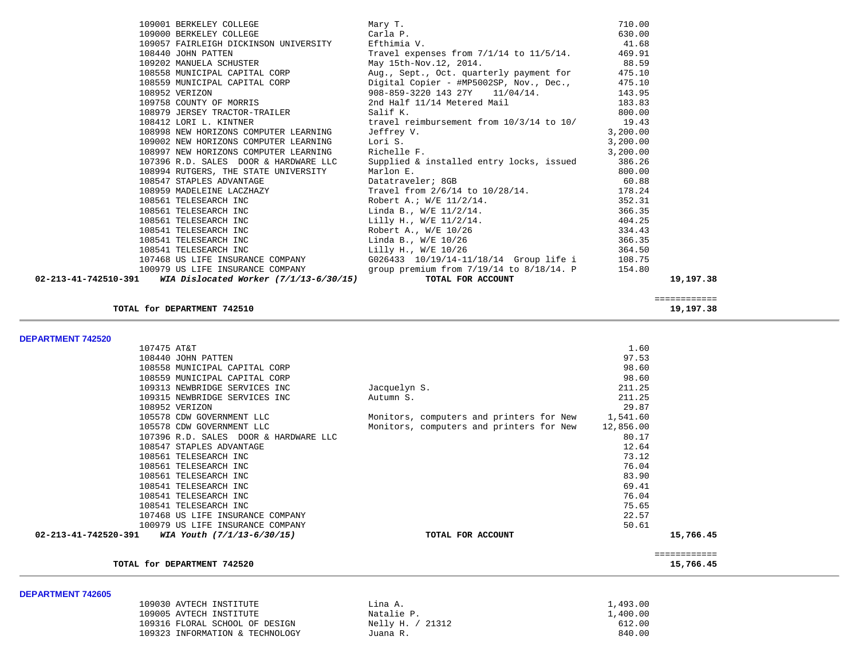| 109057 FAIRLEIGH DICKINSON UNIVERSITY                                                              | Efthimia V.                                                        | 41.68     |              |  |
|----------------------------------------------------------------------------------------------------|--------------------------------------------------------------------|-----------|--------------|--|
| 108440 JOHN PATTEN                                                                                 | Travel expenses from $7/1/14$ to $11/5/14$ .                       | 469.91    |              |  |
| 109202 MANUELA SCHUSTER                                                                            | May 15th-Nov.12, 2014.                                             | 88.59     |              |  |
| 108558 MUNICIPAL CAPITAL CORP                                                                      | Aug., Sept., Oct. quarterly payment for                            | 475.10    |              |  |
| 108559 MUNICIPAL CAPITAL CORP                                                                      | Digital Copier - #MP5002SP, Nov., Dec.,                            | 475.10    |              |  |
| 108952 VERIZON                                                                                     | 908-859-3220 143 27Y<br>$11/04/14$ .                               | 143.95    |              |  |
| 109758 COUNTY OF MORRIS                                                                            | 2nd Half 11/14 Metered Mail                                        | 183.83    |              |  |
| 108979 JERSEY TRACTOR-TRAILER                                                                      | Salif K.                                                           | 800.00    |              |  |
| 108412 LORI L. KINTNER                                                                             | travel reimbursement from 10/3/14 to 10/                           | 19.43     |              |  |
| 108998 NEW HORIZONS COMPUTER LEARNING                                                              | Jeffrey V.                                                         | 3,200.00  |              |  |
| 109002 NEW HORIZONS COMPUTER LEARNING                                                              | Lori S.                                                            | 3,200.00  |              |  |
| 108997 NEW HORIZONS COMPUTER LEARNING                                                              | Richelle F.                                                        | 3,200.00  |              |  |
| 107396 R.D. SALES DOOR & HARDWARE LLC                                                              | Supplied & installed entry locks, issued                           | 386.26    |              |  |
| 108994 RUTGERS, THE STATE UNIVERSITY                                                               | Marlon E.                                                          | 800.00    |              |  |
| 108547 STAPLES ADVANTAGE                                                                           | Datatraveler; 8GB                                                  | 60.88     |              |  |
| 108959 MADELEINE LACZHAZY                                                                          | Travel from 2/6/14 to 10/28/14.                                    | 178.24    |              |  |
| 108561 TELESEARCH INC                                                                              | Robert A.; W/E 11/2/14.                                            | 352.31    |              |  |
| 108561 TELESEARCH INC                                                                              | Linda B., $W/E$ 11/2/14.                                           | 366.35    |              |  |
| 108561 TELESEARCH INC                                                                              | Lilly H., W/E 11/2/14.                                             | 404.25    |              |  |
| 108541 TELESEARCH INC                                                                              | Robert A., W/E 10/26                                               | 334.43    |              |  |
| 108541 TELESEARCH INC                                                                              | Linda B., $W/E$ 10/26                                              | 366.35    |              |  |
| 108541 TELESEARCH INC                                                                              | Lilly H., W/E 10/26                                                | 364.50    |              |  |
| 107468 US LIFE INSURANCE COMPANY                                                                   | G026433 10/19/14-11/18/14 Group life i                             | 108.75    |              |  |
| 100979 US LIFE INSURANCE COMPANY<br>WIA Dislocated Worker (7/1/13-6/30/15)<br>02-213-41-742510-391 | group premium from $7/19/14$ to $8/18/14$ . P<br>TOTAL FOR ACCOUNT | 154.80    | 19,197.38    |  |
|                                                                                                    |                                                                    |           |              |  |
|                                                                                                    |                                                                    |           | ============ |  |
| TOTAL for DEPARTMENT 742510                                                                        |                                                                    |           | 19,197.38    |  |
|                                                                                                    |                                                                    |           |              |  |
| <b>DEPARTMENT 742520</b>                                                                           |                                                                    |           |              |  |
| 107475 AT&T                                                                                        |                                                                    | 1.60      |              |  |
| 108440 JOHN PATTEN                                                                                 |                                                                    | 97.53     |              |  |
| 108558 MUNICIPAL CAPITAL CORP                                                                      |                                                                    | 98.60     |              |  |
| 108559 MUNICIPAL CAPITAL CORP                                                                      |                                                                    | 98.60     |              |  |
| 109313 NEWBRIDGE SERVICES INC                                                                      | Jacquelyn S.                                                       | 211.25    |              |  |
| 109315 NEWBRIDGE SERVICES INC                                                                      | Autumn S.                                                          | 211.25    |              |  |
| 108952 VERIZON                                                                                     |                                                                    | 29.87     |              |  |
| 105578 CDW GOVERNMENT LLC                                                                          | Monitors, computers and printers for New                           | 1,541.60  |              |  |
| 105578 CDW GOVERNMENT LLC                                                                          | Monitors, computers and printers for New                           | 12,856.00 |              |  |
| 107396 R.D. SALES DOOR & HARDWARE LLC                                                              |                                                                    | 80.17     |              |  |
| 108547 STAPLES ADVANTAGE                                                                           |                                                                    | 12.64     |              |  |
| 108561 TELESEARCH INC                                                                              |                                                                    | 73.12     |              |  |
| 108561 TELESEARCH INC                                                                              |                                                                    | 76.04     |              |  |
| 108561 TELESEARCH INC                                                                              |                                                                    | 83.90     |              |  |
| 108541 TELESEARCH INC                                                                              |                                                                    | 69.41     |              |  |
| 108541 TELESEARCH INC                                                                              |                                                                    | 76.04     |              |  |
| 108541 TELESEARCH INC                                                                              |                                                                    | 75.65     |              |  |
| 107468 US LIFE INSURANCE COMPANY                                                                   |                                                                    | 22.57     |              |  |
| 100979 US LIFE INSURANCE COMPANY                                                                   |                                                                    | 50.61     |              |  |
| 02-213-41-742520-391<br>WIA Youth (7/1/13-6/30/15)                                                 | TOTAL FOR ACCOUNT                                                  |           | 15,766.45    |  |
|                                                                                                    |                                                                    |           | ============ |  |
| TOTAL for DEPARTMENT 742520                                                                        |                                                                    |           | 15,766.45    |  |
|                                                                                                    |                                                                    |           |              |  |
| DEPARTMENT 742605                                                                                  |                                                                    |           |              |  |
|                                                                                                    |                                                                    |           |              |  |

109001 BERKELEY COLLEGE 109001 BERKELEY COLLEGE 109000 BERKELEY COLLEGE 109000 BERKELEY COLLEGE 109000 BERKELEY COLLEGE 109000 BERKELEY COLLEGE CArla P. Carla P. 630.00<br>109057 FAIRLEIGH DICKINSON UNIVERSITY Efthimia V. 630.00

| 109030 AVTECH INSTITUTE         | Lina A.          | 1,493.00 |
|---------------------------------|------------------|----------|
| 109005 AVTECH INSTITUTE         | Natalie P.       | 1,400.00 |
| 109316 FLORAL SCHOOL OF DESIGN  | Nelly H. / 21312 | 612.00   |
| 109323 INFORMATION & TECHNOLOGY | Juana R.         | 840.00   |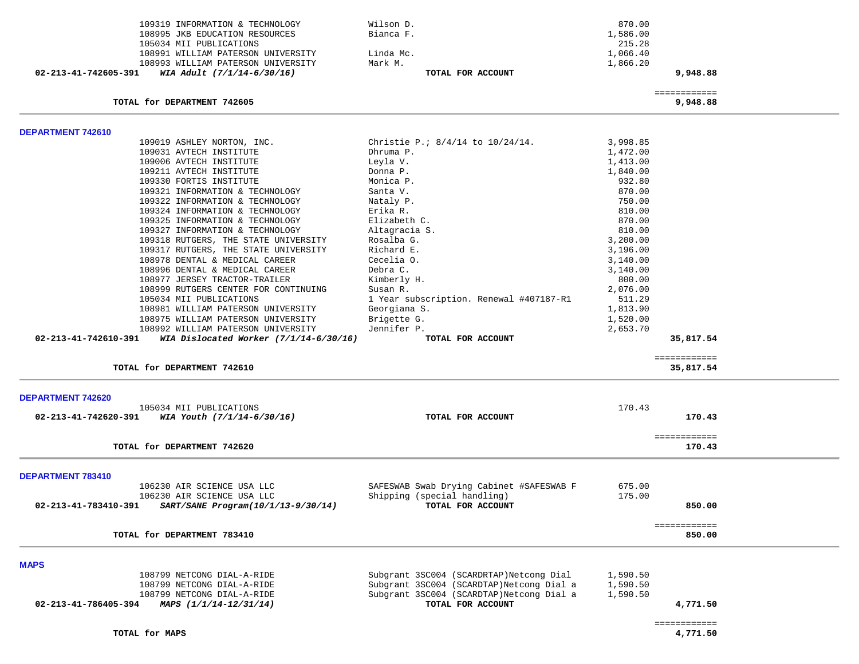|                      | 109319 INFORMATION & TECHNOLOGY          | Wilson D.                                | 870.00   |                           |  |
|----------------------|------------------------------------------|------------------------------------------|----------|---------------------------|--|
|                      | 108995 JKB EDUCATION RESOURCES           | Bianca F.                                | 1,586.00 |                           |  |
|                      | 105034 MII PUBLICATIONS                  |                                          | 215.28   |                           |  |
|                      | 108991 WILLIAM PATERSON UNIVERSITY       | Linda Mc.                                | 1,066.40 |                           |  |
|                      | 108993 WILLIAM PATERSON UNIVERSITY       | Mark M.                                  | 1,866.20 |                           |  |
| 02-213-41-742605-391 | WIA Adult (7/1/14-6/30/16)               | TOTAL FOR ACCOUNT                        |          | 9,948.88                  |  |
|                      |                                          |                                          |          | ============              |  |
|                      | TOTAL for DEPARTMENT 742605              |                                          |          | 9,948.88                  |  |
| DEPARTMENT 742610    |                                          |                                          |          |                           |  |
|                      | 109019 ASHLEY NORTON, INC.               | Christie P.; 8/4/14 to 10/24/14.         | 3,998.85 |                           |  |
|                      | 109031 AVTECH INSTITUTE                  | Dhruma P.                                | 1,472.00 |                           |  |
|                      | 109006 AVTECH INSTITUTE                  | Leyla V.                                 | 1,413.00 |                           |  |
|                      | 109211 AVTECH INSTITUTE                  | Donna P.                                 | 1,840.00 |                           |  |
|                      | 109330 FORTIS INSTITUTE                  | Monica P.                                | 932.80   |                           |  |
|                      | 109321 INFORMATION & TECHNOLOGY          | Santa V.                                 | 870.00   |                           |  |
|                      | 109322 INFORMATION & TECHNOLOGY          | Nataly P.                                | 750.00   |                           |  |
|                      | 109324 INFORMATION & TECHNOLOGY          | Erika R.                                 | 810.00   |                           |  |
|                      | 109325 INFORMATION & TECHNOLOGY          | Elizabeth C.                             | 870.00   |                           |  |
|                      | 109327 INFORMATION & TECHNOLOGY          | Altagracia S.                            | 810.00   |                           |  |
|                      | 109318 RUTGERS, THE STATE UNIVERSITY     | Rosalba G.                               | 3,200.00 |                           |  |
|                      | 109317 RUTGERS, THE STATE UNIVERSITY     | Richard E.                               | 3,196.00 |                           |  |
|                      | 108978 DENTAL & MEDICAL CAREER           | Cecelia O.                               | 3,140.00 |                           |  |
|                      | 108996 DENTAL & MEDICAL CAREER           | Debra C.                                 | 3,140.00 |                           |  |
|                      | 108977 JERSEY TRACTOR-TRAILER            | Kimberly H.                              | 800.00   |                           |  |
|                      | 108999 RUTGERS CENTER FOR CONTINUING     | Susan R.                                 | 2,076.00 |                           |  |
|                      | 105034 MII PUBLICATIONS                  | 1 Year subscription. Renewal #407187-R1  | 511.29   |                           |  |
|                      | 108981 WILLIAM PATERSON UNIVERSITY       | Georgiana S.                             | 1,813.90 |                           |  |
|                      | 108975 WILLIAM PATERSON UNIVERSITY       | Brigette G.                              | 1,520.00 |                           |  |
|                      | 108992 WILLIAM PATERSON UNIVERSITY       | Jennifer P.                              | 2,653.70 |                           |  |
| 02-213-41-742610-391 | WIA Dislocated Worker $(7/1/14-6/30/16)$ | TOTAL FOR ACCOUNT                        |          | 35,817.54                 |  |
|                      | TOTAL for DEPARTMENT 742610              |                                          |          | ============<br>35,817.54 |  |
|                      |                                          |                                          |          |                           |  |
| DEPARTMENT 742620    |                                          |                                          |          |                           |  |
|                      | 105034 MII PUBLICATIONS                  |                                          | 170.43   |                           |  |
| 02-213-41-742620-391 | WIA Youth (7/1/14-6/30/16)               | TOTAL FOR ACCOUNT                        |          | 170.43                    |  |
|                      | TOTAL for DEPARTMENT 742620              |                                          |          | ============<br>170.43    |  |
|                      |                                          |                                          |          |                           |  |
| DEPARTMENT 783410    |                                          |                                          |          |                           |  |
|                      | 106230 AIR SCIENCE USA LLC               | SAFESWAB Swab Drying Cabinet #SAFESWAB F | 675.00   |                           |  |
|                      | 106230 AIR SCIENCE USA LLC               | Shipping (special handling)              | 175.00   |                           |  |
| 02-213-41-783410-391 | SART/SANE Program(10/1/13-9/30/14)       | TOTAL FOR ACCOUNT                        |          | 850.00                    |  |
|                      | TOTAL for DEPARTMENT 783410              |                                          |          | ============<br>850.00    |  |
|                      |                                          |                                          |          |                           |  |
| <b>MAPS</b>          |                                          |                                          |          |                           |  |
|                      | 108799 NETCONG DIAL-A-RIDE               | Subgrant 3SC004 (SCARDRTAP)Netcong Dial  | 1,590.50 |                           |  |
|                      | 108799 NETCONG DIAL-A-RIDE               | Subgrant 3SC004 (SCARDTAP)Netcong Dial a | 1,590.50 |                           |  |
|                      | 108799 NETCONG DIAL-A-RIDE               | Subgrant 3SC004 (SCARDTAP)Netcong Dial a | 1,590.50 |                           |  |
| 02-213-41-786405-394 | MAPS (1/1/14-12/31/14)                   | TOTAL FOR ACCOUNT                        |          | 4,771.50                  |  |
|                      |                                          |                                          |          |                           |  |
|                      |                                          |                                          |          | ============              |  |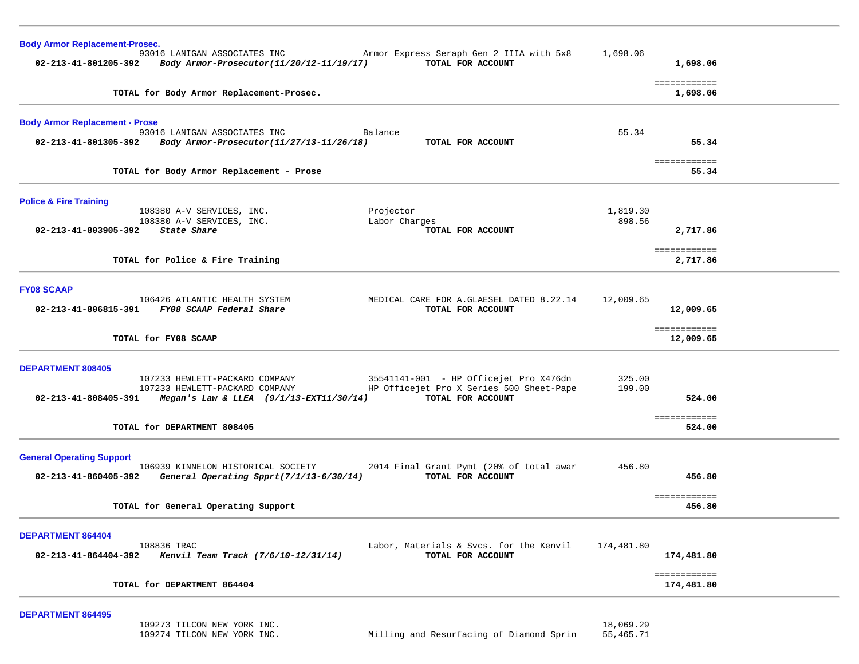|            | 1,698.06                              |                                                                                           |
|------------|---------------------------------------|-------------------------------------------------------------------------------------------|
|            | 1,698.06                              |                                                                                           |
|            |                                       |                                                                                           |
|            | 55.34                                 |                                                                                           |
|            | 55.34                                 |                                                                                           |
|            |                                       |                                                                                           |
| 1,819.30   |                                       |                                                                                           |
|            | 2,717.86                              |                                                                                           |
|            |                                       |                                                                                           |
|            |                                       |                                                                                           |
|            |                                       |                                                                                           |
| 12,009.65  |                                       |                                                                                           |
|            |                                       |                                                                                           |
|            | ============<br>12,009.65             |                                                                                           |
|            |                                       |                                                                                           |
|            |                                       |                                                                                           |
| 199.00     |                                       |                                                                                           |
|            | 524.00                                |                                                                                           |
|            | ============                          |                                                                                           |
|            |                                       |                                                                                           |
|            |                                       |                                                                                           |
| 456.80     |                                       |                                                                                           |
|            |                                       |                                                                                           |
|            | ============<br>456.80                |                                                                                           |
|            |                                       |                                                                                           |
| 174,481.80 |                                       |                                                                                           |
|            | 174,481.80                            |                                                                                           |
|            | ============                          |                                                                                           |
|            | 1,698.06<br>55.34<br>898.56<br>325.00 | ============<br>============<br>============<br>2,717.86<br>12,009.65<br>524.00<br>456.80 |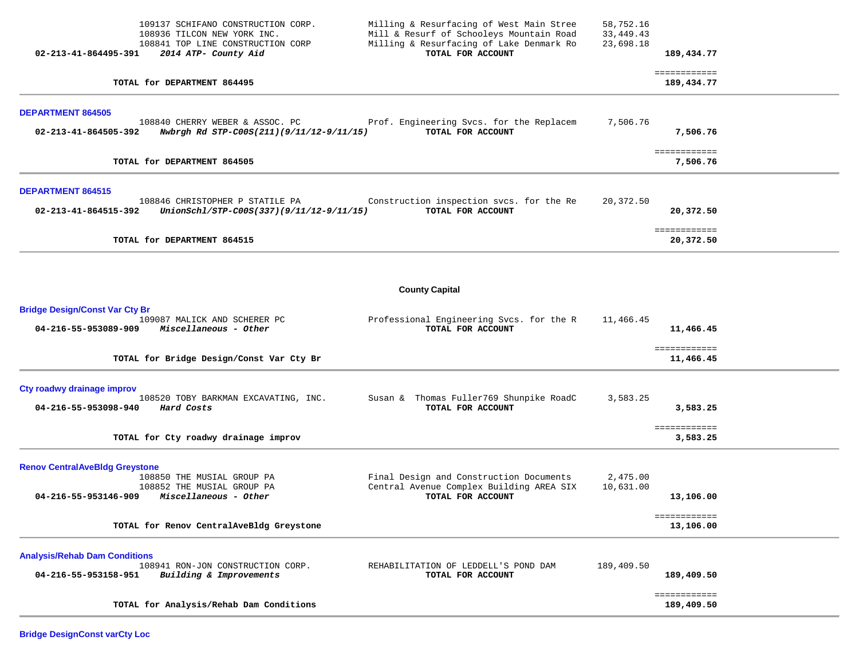| 109137 SCHIFANO CONSTRUCTION CORP.<br>108936 TILCON NEW YORK INC.<br>108841 TOP LINE CONSTRUCTION CORP<br>02-213-41-864495-391<br>2014 ATP- County Aid                                         | Milling & Resurfacing of West Main Stree<br>Mill & Resurf of Schooleys Mountain Road<br>Milling & Resurfacing of Lake Denmark Ro<br>TOTAL FOR ACCOUNT | 58,752.16<br>33, 449. 43<br>23,698.18 | 189,434.77                             |  |
|------------------------------------------------------------------------------------------------------------------------------------------------------------------------------------------------|-------------------------------------------------------------------------------------------------------------------------------------------------------|---------------------------------------|----------------------------------------|--|
| TOTAL for DEPARTMENT 864495                                                                                                                                                                    |                                                                                                                                                       |                                       | ============<br>189,434.77             |  |
| <b>DEPARTMENT 864505</b><br>108840 CHERRY WEBER & ASSOC. PC<br>02-213-41-864505-392<br>Nwbrgh Rd STP-C00S(211)(9/11/12-9/11/15)                                                                | Prof. Engineering Svcs. for the Replacem<br>TOTAL FOR ACCOUNT                                                                                         | 7,506.76                              | 7,506.76                               |  |
| TOTAL for DEPARTMENT 864505                                                                                                                                                                    |                                                                                                                                                       |                                       | ============<br>7,506.76               |  |
| <b>DEPARTMENT 864515</b><br>108846 CHRISTOPHER P STATILE PA<br>02-213-41-864515-392<br>UnionSchl/STP-C00S(337)(9/11/12-9/11/15)<br>TOTAL for DEPARTMENT 864515                                 | Construction inspection svcs. for the Re<br>TOTAL FOR ACCOUNT                                                                                         | 20,372.50                             | 20,372.50<br>============<br>20,372.50 |  |
|                                                                                                                                                                                                |                                                                                                                                                       |                                       |                                        |  |
|                                                                                                                                                                                                | <b>County Capital</b>                                                                                                                                 |                                       |                                        |  |
| <b>Bridge Design/Const Var Cty Br</b><br>109087 MALICK AND SCHERER PC<br>04-216-55-953089-909<br>Miscellaneous - Other                                                                         | Professional Engineering Svcs. for the R<br>TOTAL FOR ACCOUNT                                                                                         | 11,466.45                             | 11,466.45                              |  |
| TOTAL for Bridge Design/Const Var Cty Br                                                                                                                                                       |                                                                                                                                                       |                                       | ============<br>11,466.45              |  |
| Cty roadwy drainage improv<br>108520 TOBY BARKMAN EXCAVATING, INC.<br>04-216-55-953098-940<br>Hard Costs<br>TOTAL for Cty roadwy drainage improv                                               | Susan & Thomas Fuller769 Shunpike RoadC<br>TOTAL FOR ACCOUNT                                                                                          | 3,583.25                              | 3,583.25<br>============<br>3,583.25   |  |
| <b>Renov CentralAveBldg Greystone</b><br>108850 THE MUSIAL GROUP PA<br>108852 THE MUSIAL GROUP PA<br>04-216-55-953146-909<br>Miscellaneous - Other<br>TOTAL for Renov CentralAveBldg Greystone | Final Design and Construction Documents<br>Central Avenue Complex Building AREA SIX<br>TOTAL FOR ACCOUNT                                              | 2,475.00<br>10,631.00                 | 13,106.00<br>============<br>13,106.00 |  |
|                                                                                                                                                                                                |                                                                                                                                                       |                                       |                                        |  |
| <b>Analysis/Rehab Dam Conditions</b><br>108941 RON-JON CONSTRUCTION CORP.<br>04-216-55-953158-951<br>Building & Improvements                                                                   | REHABILITATION OF LEDDELL'S POND DAM<br>TOTAL FOR ACCOUNT                                                                                             | 189,409.50                            | 189,409.50                             |  |
| TOTAL for Analysis/Rehab Dam Conditions                                                                                                                                                        |                                                                                                                                                       |                                       | ============<br>189,409.50             |  |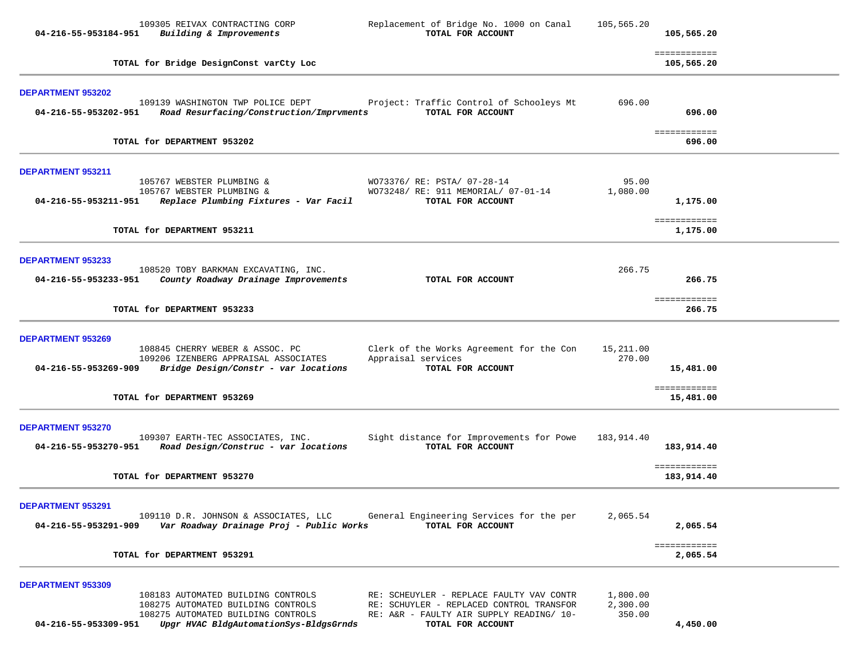| 04-216-55-953184-951                             | 109305 REIVAX CONTRACTING CORP<br>Building & Improvements                                                                                                | Replacement of Bridge No. 1000 on Canal<br>TOTAL FOR ACCOUNT                                                                                          | 105,565.20                     | 105,565.20                               |  |
|--------------------------------------------------|----------------------------------------------------------------------------------------------------------------------------------------------------------|-------------------------------------------------------------------------------------------------------------------------------------------------------|--------------------------------|------------------------------------------|--|
|                                                  | TOTAL for Bridge DesignConst varCty Loc                                                                                                                  |                                                                                                                                                       |                                | ============<br>105,565.20               |  |
| DEPARTMENT 953202<br>04-216-55-953202-951        | 109139 WASHINGTON TWP POLICE DEPT<br>Road Resurfacing/Construction/Imprvments                                                                            | Project: Traffic Control of Schooleys Mt<br>TOTAL FOR ACCOUNT                                                                                         | 696.00                         | 696.00                                   |  |
|                                                  | TOTAL for DEPARTMENT 953202                                                                                                                              |                                                                                                                                                       |                                | ============<br>696.00                   |  |
| DEPARTMENT 953211<br>04-216-55-953211-951        | 105767 WEBSTER PLUMBING &<br>105767 WEBSTER PLUMBING &<br>Replace Plumbing Fixtures - Var Facil                                                          | WO73376/ RE: PSTA/ 07-28-14<br>WO73248/ RE: 911 MEMORIAL/ 07-01-14<br>TOTAL FOR ACCOUNT                                                               | 95.00<br>1,080.00              | 1,175.00                                 |  |
|                                                  | TOTAL for DEPARTMENT 953211                                                                                                                              |                                                                                                                                                       |                                | ============<br>1,175.00                 |  |
| DEPARTMENT 953233<br>04-216-55-953233-951        | 108520 TOBY BARKMAN EXCAVATING, INC.<br>County Roadway Drainage Improvements                                                                             | TOTAL FOR ACCOUNT                                                                                                                                     | 266.75                         | 266.75                                   |  |
|                                                  | TOTAL for DEPARTMENT 953233                                                                                                                              |                                                                                                                                                       |                                | ============<br>266.75                   |  |
| DEPARTMENT 953269<br>04-216-55-953269-909        | 108845 CHERRY WEBER & ASSOC. PC<br>109206 IZENBERG APPRAISAL ASSOCIATES<br>Bridge Design/Constr - var locations<br>TOTAL for DEPARTMENT 953269           | Clerk of the Works Agreement for the Con<br>Appraisal services<br>TOTAL FOR ACCOUNT                                                                   | 15,211.00<br>270.00            | 15,481.00<br>============<br>15,481.00   |  |
| DEPARTMENT 953270<br>04-216-55-953270-951        | 109307 EARTH-TEC ASSOCIATES, INC.<br>Road Design/Construc - var locations<br>TOTAL for DEPARTMENT 953270                                                 | Sight distance for Improvements for Powe<br>TOTAL FOR ACCOUNT                                                                                         | 183,914.40                     | 183,914.40<br>============<br>183,914.40 |  |
| <b>DEPARTMENT 953291</b><br>04-216-55-953291-909 | 109110 D.R. JOHNSON & ASSOCIATES, LLC<br>Var Roadway Drainage Proj - Public Works                                                                        | General Engineering Services for the per<br>TOTAL FOR ACCOUNT                                                                                         | 2,065.54                       | 2,065.54<br>============                 |  |
|                                                  | TOTAL for DEPARTMENT 953291                                                                                                                              |                                                                                                                                                       |                                | 2,065.54                                 |  |
| DEPARTMENT 953309<br>04-216-55-953309-951        | 108183 AUTOMATED BUILDING CONTROLS<br>108275 AUTOMATED BUILDING CONTROLS<br>108275 AUTOMATED BUILDING CONTROLS<br>Upgr HVAC BldgAutomationSys-BldgsGrnds | RE: SCHEUYLER - REPLACE FAULTY VAV CONTR<br>RE: SCHUYLER - REPLACED CONTROL TRANSFOR<br>RE: A&R - FAULTY AIR SUPPLY READING/ 10-<br>TOTAL FOR ACCOUNT | 1,800.00<br>2,300.00<br>350.00 | 4,450.00                                 |  |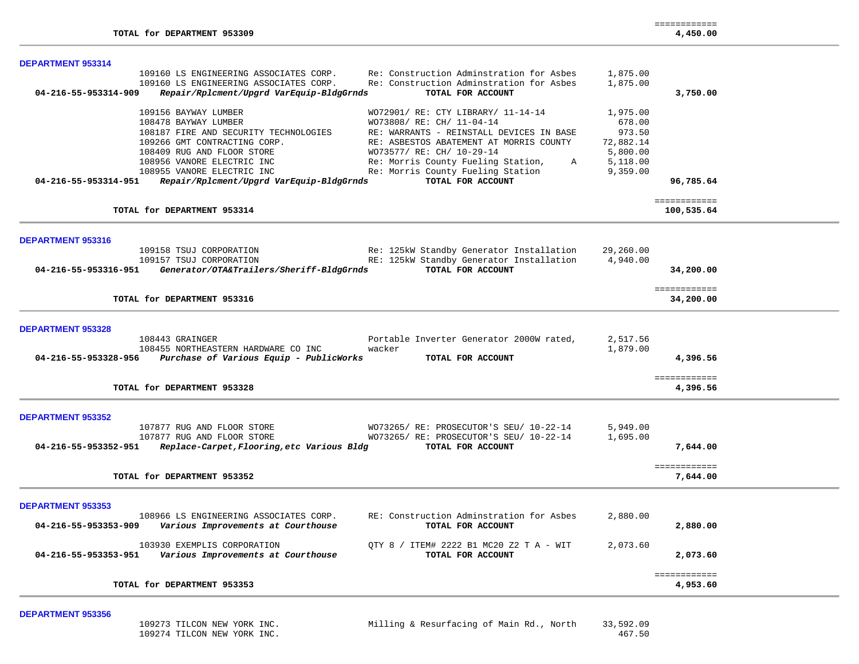| <b>DEPARTMENT 953314</b> |                                            |                                                    |           |                            |
|--------------------------|--------------------------------------------|----------------------------------------------------|-----------|----------------------------|
|                          | 109160 LS ENGINEERING ASSOCIATES CORP.     | Re: Construction Adminstration for Asbes           | 1,875.00  |                            |
|                          | 109160 LS ENGINEERING ASSOCIATES CORP.     | Re: Construction Adminstration for Asbes           | 1,875.00  |                            |
| 04-216-55-953314-909     | Repair/Rplcment/Upgrd VarEquip-BldgGrnds   | TOTAL FOR ACCOUNT                                  |           | 3,750.00                   |
|                          | 109156 BAYWAY LUMBER                       | WO72901/ RE: CTY LIBRARY/ 11-14-14                 | 1,975.00  |                            |
|                          | 108478 BAYWAY LUMBER                       | WO73808/ RE: CH/ 11-04-14                          | 678.00    |                            |
|                          | 108187 FIRE AND SECURITY TECHNOLOGIES      | RE: WARRANTS - REINSTALL DEVICES IN BASE           | 973.50    |                            |
|                          | 109266 GMT CONTRACTING CORP.               | RE: ASBESTOS ABATEMENT AT MORRIS COUNTY            | 72,882.14 |                            |
|                          | 108409 RUG AND FLOOR STORE                 | WO73577/ RE: CH/ 10-29-14                          | 5,800.00  |                            |
|                          | 108956 VANORE ELECTRIC INC                 | Re: Morris County Fueling Station,<br>$\mathbb{A}$ | 5,118.00  |                            |
|                          | 108955 VANORE ELECTRIC INC                 | Re: Morris County Fueling Station                  | 9,359.00  |                            |
| 04-216-55-953314-951     | Repair/Rplcment/Upgrd VarEquip-BldgGrnds   | TOTAL FOR ACCOUNT                                  |           | 96,785.64                  |
|                          |                                            |                                                    |           |                            |
|                          | TOTAL for DEPARTMENT 953314                |                                                    |           | ============<br>100,535.64 |
|                          |                                            |                                                    |           |                            |
|                          |                                            |                                                    |           |                            |
| <b>DEPARTMENT 953316</b> | 109158 TSUJ CORPORATION                    | Re: 125kW Standby Generator Installation           | 29,260.00 |                            |
|                          | 109157 TSUJ CORPORATION                    | RE: 125kW Standby Generator Installation           | 4,940.00  |                            |
| 04-216-55-953316-951     | Generator/OTA&Trailers/Sheriff-BldgGrnds   | TOTAL FOR ACCOUNT                                  |           | 34,200.00                  |
|                          |                                            |                                                    |           |                            |
|                          |                                            |                                                    |           | ============               |
|                          | TOTAL for DEPARTMENT 953316                |                                                    |           | 34,200.00                  |
|                          |                                            |                                                    |           |                            |
| <b>DEPARTMENT 953328</b> |                                            |                                                    |           |                            |
|                          | 108443 GRAINGER                            | Portable Inverter Generator 2000W rated,           | 2,517.56  |                            |
|                          | 108455 NORTHEASTERN HARDWARE CO INC        | wacker                                             | 1,879.00  |                            |
| 04-216-55-953328-956     | Purchase of Various Equip - PublicWorks    | TOTAL FOR ACCOUNT                                  |           | 4,396.56                   |
|                          |                                            |                                                    |           | ============               |
|                          | TOTAL for DEPARTMENT 953328                |                                                    |           | 4,396.56                   |
|                          |                                            |                                                    |           |                            |
| <b>DEPARTMENT 953352</b> |                                            |                                                    |           |                            |
|                          | 107877 RUG AND FLOOR STORE                 | WO73265/ RE: PROSECUTOR'S SEU/ 10-22-14            | 5,949.00  |                            |
|                          | 107877 RUG AND FLOOR STORE                 | WO73265/ RE: PROSECUTOR'S SEU/ 10-22-14            | 1,695.00  |                            |
| 04-216-55-953352-951     | Replace-Carpet, Flooring, etc Various Bldg | TOTAL FOR ACCOUNT                                  |           | 7,644.00                   |
|                          |                                            |                                                    |           | ============               |
|                          | TOTAL for DEPARTMENT 953352                |                                                    |           | 7,644.00                   |
|                          |                                            |                                                    |           |                            |
| <b>DEPARTMENT 953353</b> |                                            |                                                    |           |                            |
|                          | 108966 LS ENGINEERING ASSOCIATES CORP.     | RE: Construction Adminstration for Asbes           | 2,880.00  |                            |
| 04-216-55-953353-909     | Various Improvements at Courthouse         | TOTAL FOR ACCOUNT                                  |           | 2,880.00                   |
|                          | 103930 EXEMPLIS CORPORATION                | QTY 8 / ITEM# 2222 B1 MC20 Z2 T A - WIT            | 2,073.60  |                            |
| 04-216-55-953353-951     | Various Improvements at Courthouse         | TOTAL FOR ACCOUNT                                  |           | 2,073.60                   |
|                          |                                            |                                                    |           |                            |
|                          |                                            |                                                    |           | ============               |
|                          | TOTAL for DEPARTMENT 953353                |                                                    |           | 4,953.60                   |
|                          |                                            |                                                    |           |                            |

============

**TOTAL for DEPARTMENT 953309 4,450.00**

#### **DEPARTMENT 953356**

| 109273 TILCON NEW YORK INC. | Milling & Resurfacing of Main Rd., North | 33,592.09 |
|-----------------------------|------------------------------------------|-----------|
| 109274 TILCON NEW YORK INC. |                                          | 467.50    |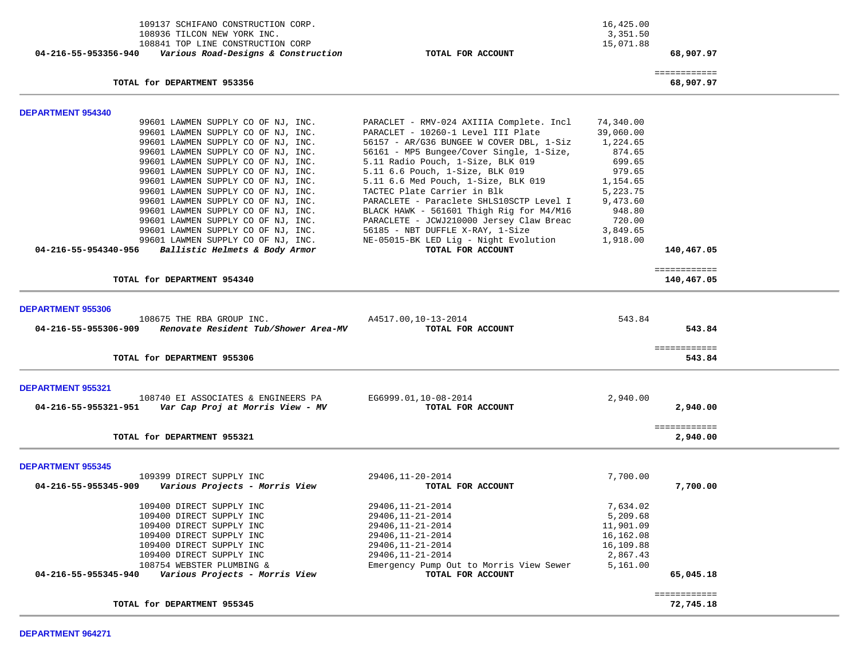| 109137 SCHIFANO CONSTRUCTION CORP.<br>108936 TILCON NEW YORK INC.<br>108841 TOP LINE CONSTRUCTION CORP<br>Various Road-Designs & Construction<br>04-216-55-953356-940                                                                                                                                                                                                                                                                                                                                                                                                | TOTAL FOR ACCOUNT                                                                                                                                                                                                                                                                                                                                                                                                                                                                                                                                          | 16,425.00<br>3,351.50<br>15,071.88                                                                                                               | 68,907.97                        |  |
|----------------------------------------------------------------------------------------------------------------------------------------------------------------------------------------------------------------------------------------------------------------------------------------------------------------------------------------------------------------------------------------------------------------------------------------------------------------------------------------------------------------------------------------------------------------------|------------------------------------------------------------------------------------------------------------------------------------------------------------------------------------------------------------------------------------------------------------------------------------------------------------------------------------------------------------------------------------------------------------------------------------------------------------------------------------------------------------------------------------------------------------|--------------------------------------------------------------------------------------------------------------------------------------------------|----------------------------------|--|
| TOTAL for DEPARTMENT 953356                                                                                                                                                                                                                                                                                                                                                                                                                                                                                                                                          |                                                                                                                                                                                                                                                                                                                                                                                                                                                                                                                                                            |                                                                                                                                                  | ============<br>68,907.97        |  |
| <b>DEPARTMENT 954340</b>                                                                                                                                                                                                                                                                                                                                                                                                                                                                                                                                             |                                                                                                                                                                                                                                                                                                                                                                                                                                                                                                                                                            |                                                                                                                                                  |                                  |  |
| 99601 LAWMEN SUPPLY CO OF NJ, INC.<br>99601 LAWMEN SUPPLY CO OF NJ, INC.<br>99601 LAWMEN SUPPLY CO OF NJ, INC.<br>99601 LAWMEN SUPPLY CO OF NJ, INC.<br>99601 LAWMEN SUPPLY CO OF NJ, INC.<br>99601 LAWMEN SUPPLY CO OF NJ, INC.<br>99601 LAWMEN SUPPLY CO OF NJ, INC.<br>99601 LAWMEN SUPPLY CO OF NJ, INC.<br>99601 LAWMEN SUPPLY CO OF NJ, INC.<br>99601 LAWMEN SUPPLY CO OF NJ, INC.<br>99601 LAWMEN SUPPLY CO OF NJ, INC.<br>99601 LAWMEN SUPPLY CO OF NJ, INC.<br>99601 LAWMEN SUPPLY CO OF NJ, INC.<br>Ballistic Helmets & Body Armor<br>04-216-55-954340-956 | PARACLET - RMV-024 AXIIIA Complete. Incl<br>PARACLET - 10260-1 Level III Plate<br>56157 - AR/G36 BUNGEE W COVER DBL, 1-Siz<br>56161 - MP5 Bungee/Cover Single, 1-Size,<br>5.11 Radio Pouch, 1-Size, BLK 019<br>5.11 6.6 Pouch, 1-Size, BLK 019<br>5.11 6.6 Med Pouch, 1-Size, BLK 019<br>TACTEC Plate Carrier in Blk<br>PARACLETE - Paraclete SHLS10SCTP Level I<br>BLACK HAWK - 561601 Thigh Rig for M4/M16<br>PARACLETE - JCWJ210000 Jersey Claw Breac<br>56185 - NBT DUFFLE X-RAY, 1-Size<br>NE-05015-BK LED Lig - Night Evolution<br>TOTAL FOR ACCOUNT | 74,340.00<br>39,060.00<br>1,224.65<br>874.65<br>699.65<br>979.65<br>1,154.65<br>5,223.75<br>9,473.60<br>948.80<br>720.00<br>3,849.65<br>1,918.00 | 140,467.05                       |  |
| TOTAL for DEPARTMENT 954340                                                                                                                                                                                                                                                                                                                                                                                                                                                                                                                                          |                                                                                                                                                                                                                                                                                                                                                                                                                                                                                                                                                            |                                                                                                                                                  | ============<br>140,467.05       |  |
| <b>DEPARTMENT 955306</b><br>108675 THE RBA GROUP INC.<br>Renovate Resident Tub/Shower Area-MV<br>04-216-55-955306-909<br>TOTAL for DEPARTMENT 955306                                                                                                                                                                                                                                                                                                                                                                                                                 | A4517.00,10-13-2014<br>TOTAL FOR ACCOUNT                                                                                                                                                                                                                                                                                                                                                                                                                                                                                                                   | 543.84                                                                                                                                           | 543.84<br>============<br>543.84 |  |
|                                                                                                                                                                                                                                                                                                                                                                                                                                                                                                                                                                      |                                                                                                                                                                                                                                                                                                                                                                                                                                                                                                                                                            |                                                                                                                                                  |                                  |  |
| <b>DEPARTMENT 955321</b><br>108740 EI ASSOCIATES & ENGINEERS PA<br>04-216-55-955321-951<br>Var Cap Proj at Morris View - MV                                                                                                                                                                                                                                                                                                                                                                                                                                          | EG6999.01,10-08-2014<br>TOTAL FOR ACCOUNT                                                                                                                                                                                                                                                                                                                                                                                                                                                                                                                  | 2,940.00                                                                                                                                         | 2,940.00<br>============         |  |
| TOTAL for DEPARTMENT 955321                                                                                                                                                                                                                                                                                                                                                                                                                                                                                                                                          |                                                                                                                                                                                                                                                                                                                                                                                                                                                                                                                                                            |                                                                                                                                                  | 2,940.00                         |  |
| <b>DEPARTMENT 955345</b><br>109399 DIRECT SUPPLY INC                                                                                                                                                                                                                                                                                                                                                                                                                                                                                                                 | 29406, 11-20-2014                                                                                                                                                                                                                                                                                                                                                                                                                                                                                                                                          | 7,700.00                                                                                                                                         |                                  |  |
| Various Projects - Morris View<br>04-216-55-955345-909                                                                                                                                                                                                                                                                                                                                                                                                                                                                                                               | TOTAL FOR ACCOUNT                                                                                                                                                                                                                                                                                                                                                                                                                                                                                                                                          |                                                                                                                                                  | 7,700.00                         |  |
| 109400 DIRECT SUPPLY INC<br>109400 DIRECT SUPPLY INC<br>109400 DIRECT SUPPLY INC<br>109400 DIRECT SUPPLY INC<br>109400 DIRECT SUPPLY INC<br>109400 DIRECT SUPPLY INC<br>108754 WEBSTER PLUMBING &<br>04-216-55-955345-940<br>Various Projects - Morris View                                                                                                                                                                                                                                                                                                          | 29406, 11-21-2014<br>29406, 11-21-2014<br>29406, 11-21-2014<br>29406, 11-21-2014<br>29406, 11-21-2014<br>29406, 11-21-2014<br>Emergency Pump Out to Morris View Sewer<br>TOTAL FOR ACCOUNT                                                                                                                                                                                                                                                                                                                                                                 | 7,634.02<br>5,209.68<br>11,901.09<br>16,162.08<br>16,109.88<br>2,867.43<br>5,161.00                                                              | 65,045.18                        |  |
| TOTAL for DEPARTMENT 955345                                                                                                                                                                                                                                                                                                                                                                                                                                                                                                                                          |                                                                                                                                                                                                                                                                                                                                                                                                                                                                                                                                                            |                                                                                                                                                  | ============<br>72,745.18        |  |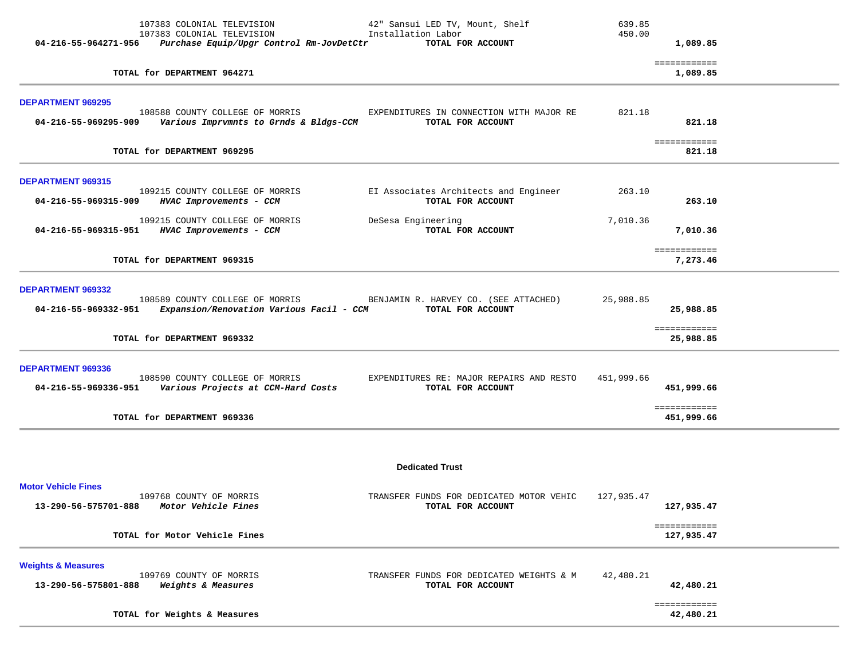|                                                       | TOTAL for Weights & Measures                                                                                                        |                                                                                         |                  | 42,480.21                  |  |
|-------------------------------------------------------|-------------------------------------------------------------------------------------------------------------------------------------|-----------------------------------------------------------------------------------------|------------------|----------------------------|--|
| <b>Weights &amp; Measures</b><br>13-290-56-575801-888 | 109769 COUNTY OF MORRIS<br>Weights & Measures                                                                                       | TRANSFER FUNDS FOR DEDICATED WEIGHTS & M<br>TOTAL FOR ACCOUNT                           | 42,480.21        | 42,480.21<br>============  |  |
|                                                       | TOTAL for Motor Vehicle Fines                                                                                                       |                                                                                         |                  | ============<br>127,935.47 |  |
| <b>Motor Vehicle Fines</b><br>13-290-56-575701-888    | 109768 COUNTY OF MORRIS<br>Motor Vehicle Fines                                                                                      | <b>Dedicated Trust</b><br>TRANSFER FUNDS FOR DEDICATED MOTOR VEHIC<br>TOTAL FOR ACCOUNT | 127,935.47       | 127,935.47                 |  |
|                                                       |                                                                                                                                     |                                                                                         |                  |                            |  |
|                                                       | TOTAL for DEPARTMENT 969336                                                                                                         |                                                                                         |                  | ============<br>451,999.66 |  |
| DEPARTMENT 969336                                     | 108590 COUNTY COLLEGE OF MORRIS<br>04-216-55-969336-951  Various Projects at CCM-Hard Costs                                         | EXPENDITURES RE: MAJOR REPAIRS AND RESTO<br>TOTAL FOR ACCOUNT                           | 451,999.66       | 451,999.66                 |  |
|                                                       | TOTAL for DEPARTMENT 969332                                                                                                         |                                                                                         |                  | ============<br>25,988.85  |  |
| DEPARTMENT 969332<br>04-216-55-969332-951             | 108589 COUNTY COLLEGE OF MORRIS BENJAMIN R. HARVEY CO. (SEE ATTACHED)<br>Expansion/Renovation Various Facil - CCM TOTAL FOR ACCOUNT |                                                                                         | 25,988.85        | 25,988.85                  |  |
|                                                       | TOTAL for DEPARTMENT 969315                                                                                                         |                                                                                         |                  | ============<br>7,273.46   |  |
|                                                       | 109215 COUNTY COLLEGE OF MORRIS<br>04-216-55-969315-951 HVAC Improvements - CCM                                                     | DeSesa Engineering<br>TOTAL FOR ACCOUNT                                                 | 7,010.36         | 7,010.36                   |  |
| DEPARTMENT 969315                                     | 109215 COUNTY COLLEGE OF MORRIS<br>04-216-55-969315-909 HVAC Improvements - CCM                                                     | EI Associates Architects and Engineer<br>TOTAL FOR ACCOUNT                              | 263.10           | 263.10                     |  |
|                                                       | TOTAL for DEPARTMENT 969295                                                                                                         |                                                                                         |                  | ============<br>821.18     |  |
| <b>DEPARTMENT 969295</b>                              | 108588 COUNTY COLLEGE OF MORRIS<br>04-216-55-969295-909     Various Imprvmnts to Grnds & Bldgs-CCM                                  | EXPENDITURES IN CONNECTION WITH MAJOR RE<br>TOTAL FOR ACCOUNT                           | 821.18           | 821.18                     |  |
|                                                       | TOTAL for DEPARTMENT 964271                                                                                                         |                                                                                         |                  | ============<br>1,089.85   |  |
|                                                       | 107383 COLONIAL TELEVISION<br>107383 COLONIAL TELEVISION<br>04-216-55-964271-956    Purchase Equip/Upgr Control Rm-JovDetCtr        | 42" Sansui LED TV, Mount, Shelf<br>Installation Labor<br>TOTAL FOR ACCOUNT              | 639.85<br>450.00 | 1,089.85                   |  |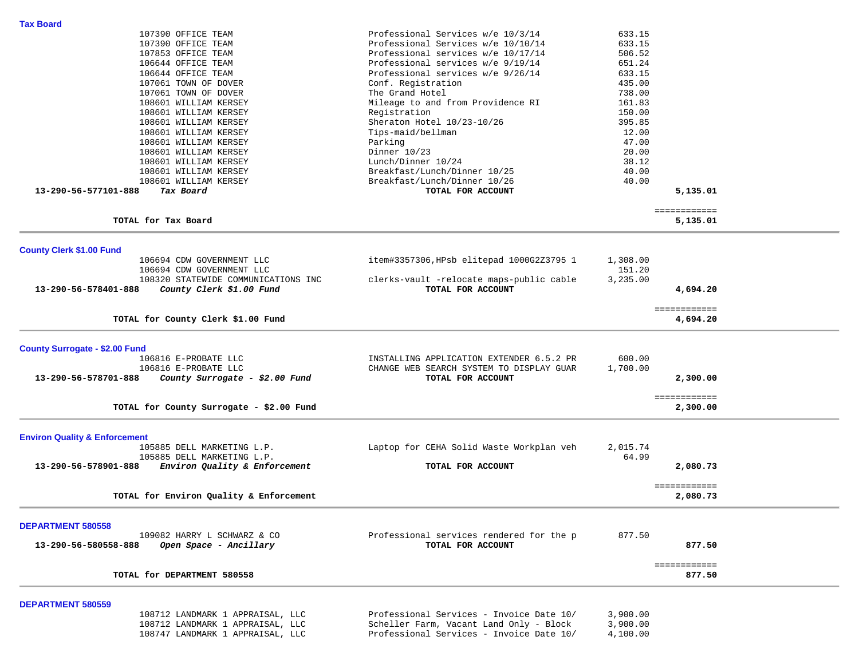| TOTAL for DEPARTMENT 580558                                                                               |                                                                                      |                    | ============<br>877.50   |  |
|-----------------------------------------------------------------------------------------------------------|--------------------------------------------------------------------------------------|--------------------|--------------------------|--|
| <b>DEPARTMENT 580558</b><br>109082 HARRY L SCHWARZ & CO<br>13-290-56-580558-888<br>Open Space - Ancillary | Professional services rendered for the p<br>TOTAL FOR ACCOUNT                        | 877.50             | 877.50                   |  |
|                                                                                                           |                                                                                      |                    |                          |  |
| TOTAL for Environ Quality & Enforcement                                                                   |                                                                                      |                    | ============<br>2,080.73 |  |
| Environ Quality & Enforcement<br>13-290-56-578901-888                                                     | TOTAL FOR ACCOUNT                                                                    |                    | 2,080.73                 |  |
| <b>Environ Quality &amp; Enforcement</b><br>105885 DELL MARKETING L.P.<br>105885 DELL MARKETING L.P.      | Laptop for CEHA Solid Waste Workplan veh                                             | 2,015.74<br>64.99  |                          |  |
| TOTAL for County Surrogate - \$2.00 Fund                                                                  |                                                                                      |                    | 2,300.00                 |  |
| 13-290-56-578701-888<br>County Surrogate - \$2.00 Fund                                                    | TOTAL FOR ACCOUNT                                                                    |                    | 2,300.00<br>============ |  |
| <b>County Surrogate - \$2.00 Fund</b><br>106816 E-PROBATE LLC<br>106816 E-PROBATE LLC                     | INSTALLING APPLICATION EXTENDER 6.5.2 PR<br>CHANGE WEB SEARCH SYSTEM TO DISPLAY GUAR | 600.00<br>1,700.00 |                          |  |
| TOTAL for County Clerk \$1.00 Fund                                                                        |                                                                                      |                    | ============<br>4,694.20 |  |
| 108320 STATEWIDE COMMUNICATIONS INC<br>13-290-56-578401-888<br>County Clerk \$1.00 Fund                   | clerks-vault -relocate maps-public cable<br>TOTAL FOR ACCOUNT                        | 3,235.00           | 4,694.20                 |  |
| <b>County Clerk \$1.00 Fund</b><br>106694 CDW GOVERNMENT LLC<br>106694 CDW GOVERNMENT LLC                 | item#3357306, HPsb elitepad 1000G2Z3795 1                                            | 1,308.00<br>151.20 |                          |  |
| TOTAL for Tax Board                                                                                       |                                                                                      |                    | 5,135.01                 |  |
|                                                                                                           |                                                                                      |                    | ============             |  |
| 108601 WILLIAM KERSEY<br>108601 WILLIAM KERSEY<br>13-290-56-577101-888<br>Tax Board                       | Breakfast/Lunch/Dinner 10/25<br>Breakfast/Lunch/Dinner 10/26<br>TOTAL FOR ACCOUNT    | 40.00<br>40.00     | 5,135.01                 |  |
| 108601 WILLIAM KERSEY<br>108601 WILLIAM KERSEY                                                            | Dinner 10/23<br>Lunch/Dinner 10/24                                                   | 20.00<br>38.12     |                          |  |
| 108601 WILLIAM KERSEY<br>108601 WILLIAM KERSEY                                                            | Tips-maid/bellman<br>Parking                                                         | 12.00<br>47.00     |                          |  |
| 108601 WILLIAM KERSEY<br>108601 WILLIAM KERSEY                                                            | Registration<br>Sheraton Hotel 10/23-10/26                                           | 150.00<br>395.85   |                          |  |
| 107061 TOWN OF DOVER<br>108601 WILLIAM KERSEY                                                             | The Grand Hotel<br>Mileage to and from Providence RI                                 | 738.00<br>161.83   |                          |  |
| 106644 OFFICE TEAM<br>107061 TOWN OF DOVER                                                                | Professional services w/e 9/26/14<br>Conf. Registration                              | 633.15<br>435.00   |                          |  |
| 107853 OFFICE TEAM<br>106644 OFFICE TEAM                                                                  | Professional services w/e 10/17/14<br>Professional services w/e 9/19/14              | 506.52<br>651.24   |                          |  |
| 107390 OFFICE TEAM                                                                                        | Professional Services w/e 10/10/14                                                   | 633.15             |                          |  |
| <b>Tax Board</b><br>107390 OFFICE TEAM                                                                    | Professional Services w/e 10/3/14                                                    | 633.15             |                          |  |

 108712 LANDMARK 1 APPRAISAL, LLC Professional Services - Invoice Date 10/ 3,900.00 108712 LANDMARK 1 APPRAISAL, LLC Scheller Farm, Vacant Land Only - Block 3,900.00<br>108747 LANDMARK 1 APPRAISAL, LLC Professional Services - Invoice Date 10/ 4,100.00 Professional Services - Invoice Date 10/